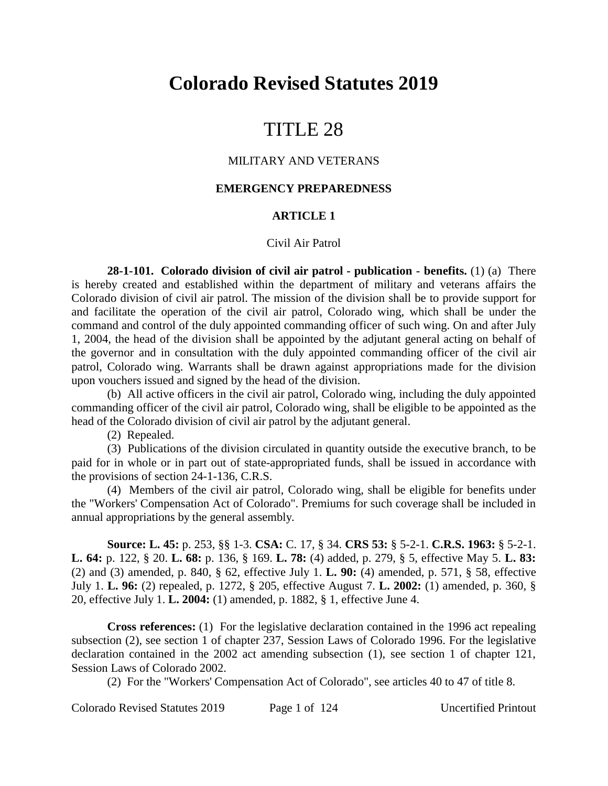# **Colorado Revised Statutes 2019**

# TITLE 28

#### MILITARY AND VETERANS

#### **EMERGENCY PREPAREDNESS**

## **ARTICLE 1**

#### Civil Air Patrol

**28-1-101. Colorado division of civil air patrol - publication - benefits.** (1) (a) There is hereby created and established within the department of military and veterans affairs the Colorado division of civil air patrol. The mission of the division shall be to provide support for and facilitate the operation of the civil air patrol, Colorado wing, which shall be under the command and control of the duly appointed commanding officer of such wing. On and after July 1, 2004, the head of the division shall be appointed by the adjutant general acting on behalf of the governor and in consultation with the duly appointed commanding officer of the civil air patrol, Colorado wing. Warrants shall be drawn against appropriations made for the division upon vouchers issued and signed by the head of the division.

(b) All active officers in the civil air patrol, Colorado wing, including the duly appointed commanding officer of the civil air patrol, Colorado wing, shall be eligible to be appointed as the head of the Colorado division of civil air patrol by the adjutant general.

(2) Repealed.

(3) Publications of the division circulated in quantity outside the executive branch, to be paid for in whole or in part out of state-appropriated funds, shall be issued in accordance with the provisions of section 24-1-136, C.R.S.

(4) Members of the civil air patrol, Colorado wing, shall be eligible for benefits under the "Workers' Compensation Act of Colorado". Premiums for such coverage shall be included in annual appropriations by the general assembly.

**Source: L. 45:** p. 253, §§ 1-3. **CSA:** C. 17, § 34. **CRS 53:** § 5-2-1. **C.R.S. 1963:** § 5-2-1. **L. 64:** p. 122, § 20. **L. 68:** p. 136, § 169. **L. 78:** (4) added, p. 279, § 5, effective May 5. **L. 83:** (2) and (3) amended, p. 840, § 62, effective July 1. **L. 90:** (4) amended, p. 571, § 58, effective July 1. **L. 96:** (2) repealed, p. 1272, § 205, effective August 7. **L. 2002:** (1) amended, p. 360, § 20, effective July 1. **L. 2004:** (1) amended, p. 1882, § 1, effective June 4.

**Cross references:** (1) For the legislative declaration contained in the 1996 act repealing subsection (2), see section 1 of chapter 237, Session Laws of Colorado 1996. For the legislative declaration contained in the 2002 act amending subsection (1), see section 1 of chapter 121, Session Laws of Colorado 2002.

(2) For the "Workers' Compensation Act of Colorado", see articles 40 to 47 of title 8.

Colorado Revised Statutes 2019 Page 1 of 124 Uncertified Printout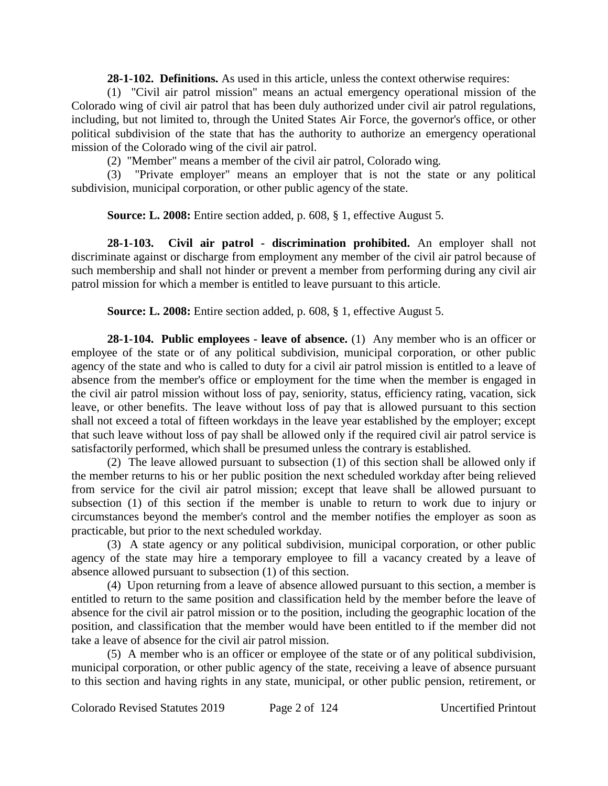**28-1-102. Definitions.** As used in this article, unless the context otherwise requires:

(1) "Civil air patrol mission" means an actual emergency operational mission of the Colorado wing of civil air patrol that has been duly authorized under civil air patrol regulations, including, but not limited to, through the United States Air Force, the governor's office, or other political subdivision of the state that has the authority to authorize an emergency operational mission of the Colorado wing of the civil air patrol.

(2) "Member" means a member of the civil air patrol, Colorado wing.

(3) "Private employer" means an employer that is not the state or any political subdivision, municipal corporation, or other public agency of the state.

**Source: L. 2008:** Entire section added, p. 608, § 1, effective August 5.

**28-1-103. Civil air patrol - discrimination prohibited.** An employer shall not discriminate against or discharge from employment any member of the civil air patrol because of such membership and shall not hinder or prevent a member from performing during any civil air patrol mission for which a member is entitled to leave pursuant to this article.

**Source: L. 2008:** Entire section added, p. 608, § 1, effective August 5.

**28-1-104. Public employees - leave of absence.** (1) Any member who is an officer or employee of the state or of any political subdivision, municipal corporation, or other public agency of the state and who is called to duty for a civil air patrol mission is entitled to a leave of absence from the member's office or employment for the time when the member is engaged in the civil air patrol mission without loss of pay, seniority, status, efficiency rating, vacation, sick leave, or other benefits. The leave without loss of pay that is allowed pursuant to this section shall not exceed a total of fifteen workdays in the leave year established by the employer; except that such leave without loss of pay shall be allowed only if the required civil air patrol service is satisfactorily performed, which shall be presumed unless the contrary is established.

(2) The leave allowed pursuant to subsection (1) of this section shall be allowed only if the member returns to his or her public position the next scheduled workday after being relieved from service for the civil air patrol mission; except that leave shall be allowed pursuant to subsection (1) of this section if the member is unable to return to work due to injury or circumstances beyond the member's control and the member notifies the employer as soon as practicable, but prior to the next scheduled workday.

(3) A state agency or any political subdivision, municipal corporation, or other public agency of the state may hire a temporary employee to fill a vacancy created by a leave of absence allowed pursuant to subsection (1) of this section.

(4) Upon returning from a leave of absence allowed pursuant to this section, a member is entitled to return to the same position and classification held by the member before the leave of absence for the civil air patrol mission or to the position, including the geographic location of the position, and classification that the member would have been entitled to if the member did not take a leave of absence for the civil air patrol mission.

(5) A member who is an officer or employee of the state or of any political subdivision, municipal corporation, or other public agency of the state, receiving a leave of absence pursuant to this section and having rights in any state, municipal, or other public pension, retirement, or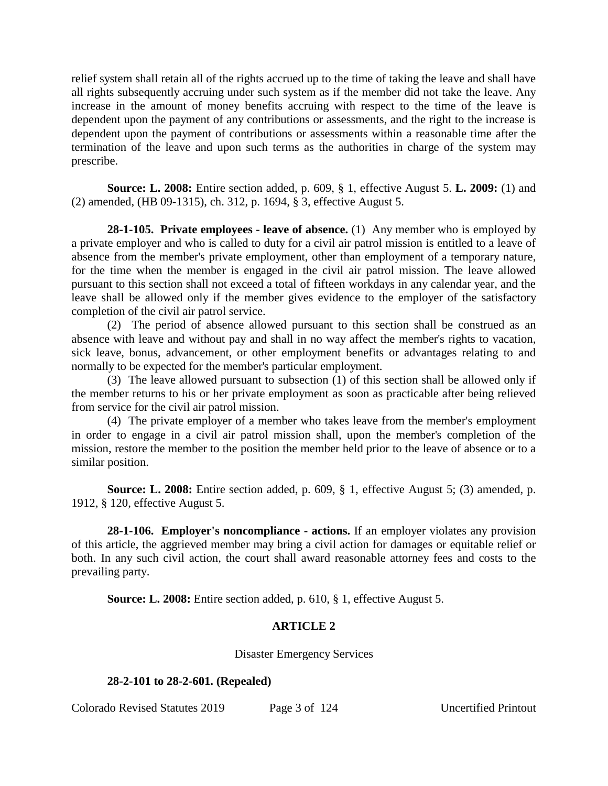relief system shall retain all of the rights accrued up to the time of taking the leave and shall have all rights subsequently accruing under such system as if the member did not take the leave. Any increase in the amount of money benefits accruing with respect to the time of the leave is dependent upon the payment of any contributions or assessments, and the right to the increase is dependent upon the payment of contributions or assessments within a reasonable time after the termination of the leave and upon such terms as the authorities in charge of the system may prescribe.

**Source: L. 2008:** Entire section added, p. 609, § 1, effective August 5. **L. 2009:** (1) and (2) amended, (HB 09-1315), ch. 312, p. 1694, § 3, effective August 5.

**28-1-105. Private employees - leave of absence.** (1) Any member who is employed by a private employer and who is called to duty for a civil air patrol mission is entitled to a leave of absence from the member's private employment, other than employment of a temporary nature, for the time when the member is engaged in the civil air patrol mission. The leave allowed pursuant to this section shall not exceed a total of fifteen workdays in any calendar year, and the leave shall be allowed only if the member gives evidence to the employer of the satisfactory completion of the civil air patrol service.

(2) The period of absence allowed pursuant to this section shall be construed as an absence with leave and without pay and shall in no way affect the member's rights to vacation, sick leave, bonus, advancement, or other employment benefits or advantages relating to and normally to be expected for the member's particular employment.

(3) The leave allowed pursuant to subsection (1) of this section shall be allowed only if the member returns to his or her private employment as soon as practicable after being relieved from service for the civil air patrol mission.

(4) The private employer of a member who takes leave from the member's employment in order to engage in a civil air patrol mission shall, upon the member's completion of the mission, restore the member to the position the member held prior to the leave of absence or to a similar position.

**Source: L. 2008:** Entire section added, p. 609, § 1, effective August 5; (3) amended, p. 1912, § 120, effective August 5.

**28-1-106. Employer's noncompliance - actions.** If an employer violates any provision of this article, the aggrieved member may bring a civil action for damages or equitable relief or both. In any such civil action, the court shall award reasonable attorney fees and costs to the prevailing party.

**Source: L. 2008:** Entire section added, p. 610, § 1, effective August 5.

# **ARTICLE 2**

Disaster Emergency Services

## **28-2-101 to 28-2-601. (Repealed)**

Colorado Revised Statutes 2019 Page 3 of 124 Uncertified Printout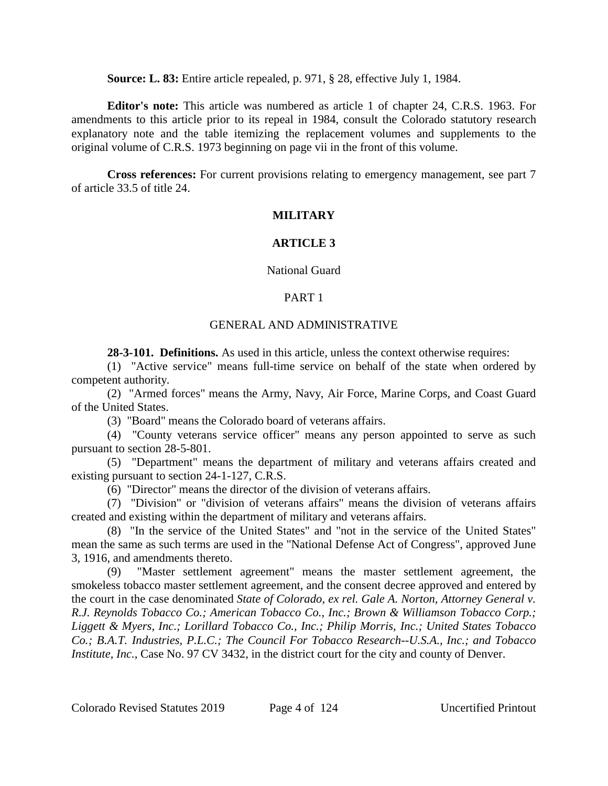**Source: L. 83:** Entire article repealed, p. 971, § 28, effective July 1, 1984.

**Editor's note:** This article was numbered as article 1 of chapter 24, C.R.S. 1963. For amendments to this article prior to its repeal in 1984, consult the Colorado statutory research explanatory note and the table itemizing the replacement volumes and supplements to the original volume of C.R.S. 1973 beginning on page vii in the front of this volume.

**Cross references:** For current provisions relating to emergency management, see part 7 of article 33.5 of title 24.

# **MILITARY**

# **ARTICLE 3**

## National Guard

# PART 1

## GENERAL AND ADMINISTRATIVE

**28-3-101. Definitions.** As used in this article, unless the context otherwise requires:

(1) "Active service" means full-time service on behalf of the state when ordered by competent authority.

(2) "Armed forces" means the Army, Navy, Air Force, Marine Corps, and Coast Guard of the United States.

(3) "Board" means the Colorado board of veterans affairs.

(4) "County veterans service officer" means any person appointed to serve as such pursuant to section 28-5-801.

(5) "Department" means the department of military and veterans affairs created and existing pursuant to section 24-1-127, C.R.S.

(6) "Director" means the director of the division of veterans affairs.

(7) "Division" or "division of veterans affairs" means the division of veterans affairs created and existing within the department of military and veterans affairs.

(8) "In the service of the United States" and "not in the service of the United States" mean the same as such terms are used in the "National Defense Act of Congress", approved June 3, 1916, and amendments thereto.

(9) "Master settlement agreement" means the master settlement agreement, the smokeless tobacco master settlement agreement, and the consent decree approved and entered by the court in the case denominated *State of Colorado, ex rel. Gale A. Norton, Attorney General v. R.J. Reynolds Tobacco Co.; American Tobacco Co., Inc.; Brown & Williamson Tobacco Corp.; Liggett & Myers, Inc.; Lorillard Tobacco Co., Inc.; Philip Morris, Inc.; United States Tobacco Co.; B.A.T. Industries, P.L.C.; The Council For Tobacco Research--U.S.A., Inc.; and Tobacco Institute, Inc.,* Case No. 97 CV 3432, in the district court for the city and county of Denver.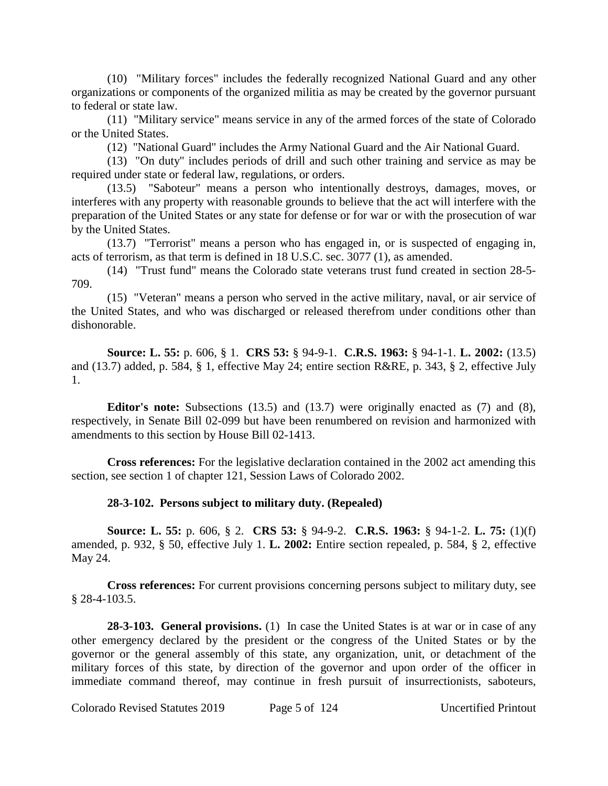(10) "Military forces" includes the federally recognized National Guard and any other organizations or components of the organized militia as may be created by the governor pursuant to federal or state law.

(11) "Military service" means service in any of the armed forces of the state of Colorado or the United States.

(12) "National Guard" includes the Army National Guard and the Air National Guard.

(13) "On duty" includes periods of drill and such other training and service as may be required under state or federal law, regulations, or orders.

(13.5) "Saboteur" means a person who intentionally destroys, damages, moves, or interferes with any property with reasonable grounds to believe that the act will interfere with the preparation of the United States or any state for defense or for war or with the prosecution of war by the United States.

(13.7) "Terrorist" means a person who has engaged in, or is suspected of engaging in, acts of terrorism, as that term is defined in 18 U.S.C. sec. 3077 (1), as amended.

(14) "Trust fund" means the Colorado state veterans trust fund created in section 28-5- 709.

(15) "Veteran" means a person who served in the active military, naval, or air service of the United States, and who was discharged or released therefrom under conditions other than dishonorable.

**Source: L. 55:** p. 606, § 1. **CRS 53:** § 94-9-1. **C.R.S. 1963:** § 94-1-1. **L. 2002:** (13.5) and (13.7) added, p. 584, § 1, effective May 24; entire section R&RE, p. 343, § 2, effective July 1.

**Editor's note:** Subsections (13.5) and (13.7) were originally enacted as (7) and (8), respectively, in Senate Bill 02-099 but have been renumbered on revision and harmonized with amendments to this section by House Bill 02-1413.

**Cross references:** For the legislative declaration contained in the 2002 act amending this section, see section 1 of chapter 121, Session Laws of Colorado 2002.

## **28-3-102. Persons subject to military duty. (Repealed)**

**Source: L. 55:** p. 606, § 2. **CRS 53:** § 94-9-2. **C.R.S. 1963:** § 94-1-2. **L. 75:** (1)(f) amended, p. 932, § 50, effective July 1. **L. 2002:** Entire section repealed, p. 584, § 2, effective May 24.

**Cross references:** For current provisions concerning persons subject to military duty, see § 28-4-103.5.

**28-3-103. General provisions.** (1) In case the United States is at war or in case of any other emergency declared by the president or the congress of the United States or by the governor or the general assembly of this state, any organization, unit, or detachment of the military forces of this state, by direction of the governor and upon order of the officer in immediate command thereof, may continue in fresh pursuit of insurrectionists, saboteurs,

Colorado Revised Statutes 2019 Page 5 of 124 Uncertified Printout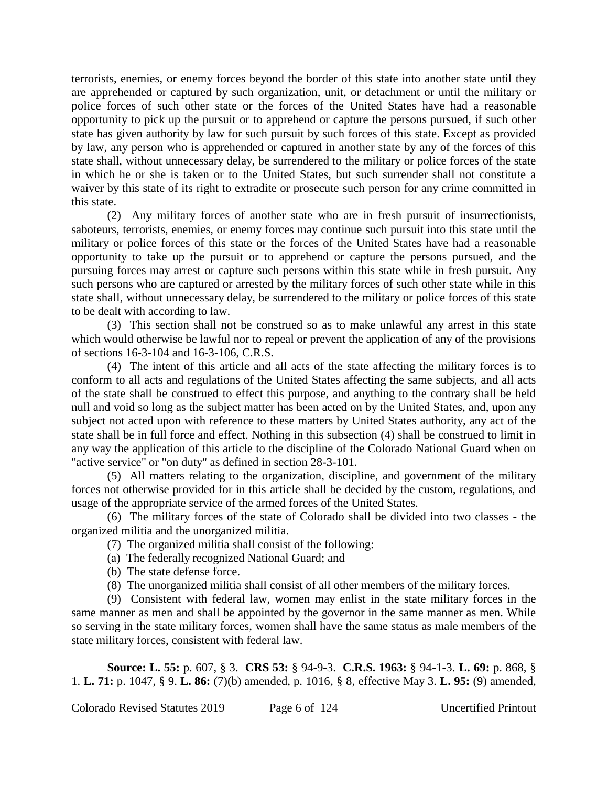terrorists, enemies, or enemy forces beyond the border of this state into another state until they are apprehended or captured by such organization, unit, or detachment or until the military or police forces of such other state or the forces of the United States have had a reasonable opportunity to pick up the pursuit or to apprehend or capture the persons pursued, if such other state has given authority by law for such pursuit by such forces of this state. Except as provided by law, any person who is apprehended or captured in another state by any of the forces of this state shall, without unnecessary delay, be surrendered to the military or police forces of the state in which he or she is taken or to the United States, but such surrender shall not constitute a waiver by this state of its right to extradite or prosecute such person for any crime committed in this state.

(2) Any military forces of another state who are in fresh pursuit of insurrectionists, saboteurs, terrorists, enemies, or enemy forces may continue such pursuit into this state until the military or police forces of this state or the forces of the United States have had a reasonable opportunity to take up the pursuit or to apprehend or capture the persons pursued, and the pursuing forces may arrest or capture such persons within this state while in fresh pursuit. Any such persons who are captured or arrested by the military forces of such other state while in this state shall, without unnecessary delay, be surrendered to the military or police forces of this state to be dealt with according to law.

(3) This section shall not be construed so as to make unlawful any arrest in this state which would otherwise be lawful nor to repeal or prevent the application of any of the provisions of sections 16-3-104 and 16-3-106, C.R.S.

(4) The intent of this article and all acts of the state affecting the military forces is to conform to all acts and regulations of the United States affecting the same subjects, and all acts of the state shall be construed to effect this purpose, and anything to the contrary shall be held null and void so long as the subject matter has been acted on by the United States, and, upon any subject not acted upon with reference to these matters by United States authority, any act of the state shall be in full force and effect. Nothing in this subsection (4) shall be construed to limit in any way the application of this article to the discipline of the Colorado National Guard when on "active service" or "on duty" as defined in section 28-3-101.

(5) All matters relating to the organization, discipline, and government of the military forces not otherwise provided for in this article shall be decided by the custom, regulations, and usage of the appropriate service of the armed forces of the United States.

(6) The military forces of the state of Colorado shall be divided into two classes - the organized militia and the unorganized militia.

(7) The organized militia shall consist of the following:

- (a) The federally recognized National Guard; and
- (b) The state defense force.
- (8) The unorganized militia shall consist of all other members of the military forces.

(9) Consistent with federal law, women may enlist in the state military forces in the same manner as men and shall be appointed by the governor in the same manner as men. While so serving in the state military forces, women shall have the same status as male members of the state military forces, consistent with federal law.

**Source: L. 55:** p. 607, § 3. **CRS 53:** § 94-9-3. **C.R.S. 1963:** § 94-1-3. **L. 69:** p. 868, § 1. **L. 71:** p. 1047, § 9. **L. 86:** (7)(b) amended, p. 1016, § 8, effective May 3. **L. 95:** (9) amended,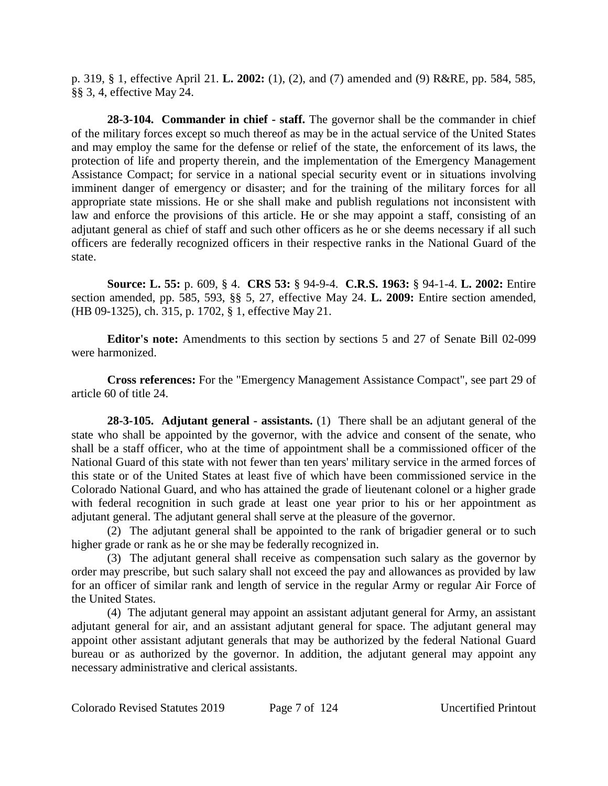p. 319, § 1, effective April 21. **L. 2002:** (1), (2), and (7) amended and (9) R&RE, pp. 584, 585, §§ 3, 4, effective May 24.

**28-3-104. Commander in chief - staff.** The governor shall be the commander in chief of the military forces except so much thereof as may be in the actual service of the United States and may employ the same for the defense or relief of the state, the enforcement of its laws, the protection of life and property therein, and the implementation of the Emergency Management Assistance Compact; for service in a national special security event or in situations involving imminent danger of emergency or disaster; and for the training of the military forces for all appropriate state missions. He or she shall make and publish regulations not inconsistent with law and enforce the provisions of this article. He or she may appoint a staff, consisting of an adjutant general as chief of staff and such other officers as he or she deems necessary if all such officers are federally recognized officers in their respective ranks in the National Guard of the state.

**Source: L. 55:** p. 609, § 4. **CRS 53:** § 94-9-4. **C.R.S. 1963:** § 94-1-4. **L. 2002:** Entire section amended, pp. 585, 593, §§ 5, 27, effective May 24. **L. 2009:** Entire section amended, (HB 09-1325), ch. 315, p. 1702, § 1, effective May 21.

**Editor's note:** Amendments to this section by sections 5 and 27 of Senate Bill 02-099 were harmonized.

**Cross references:** For the "Emergency Management Assistance Compact", see part 29 of article 60 of title 24.

**28-3-105. Adjutant general - assistants.** (1) There shall be an adjutant general of the state who shall be appointed by the governor, with the advice and consent of the senate, who shall be a staff officer, who at the time of appointment shall be a commissioned officer of the National Guard of this state with not fewer than ten years' military service in the armed forces of this state or of the United States at least five of which have been commissioned service in the Colorado National Guard, and who has attained the grade of lieutenant colonel or a higher grade with federal recognition in such grade at least one year prior to his or her appointment as adjutant general. The adjutant general shall serve at the pleasure of the governor.

(2) The adjutant general shall be appointed to the rank of brigadier general or to such higher grade or rank as he or she may be federally recognized in.

(3) The adjutant general shall receive as compensation such salary as the governor by order may prescribe, but such salary shall not exceed the pay and allowances as provided by law for an officer of similar rank and length of service in the regular Army or regular Air Force of the United States.

(4) The adjutant general may appoint an assistant adjutant general for Army, an assistant adjutant general for air, and an assistant adjutant general for space. The adjutant general may appoint other assistant adjutant generals that may be authorized by the federal National Guard bureau or as authorized by the governor. In addition, the adjutant general may appoint any necessary administrative and clerical assistants.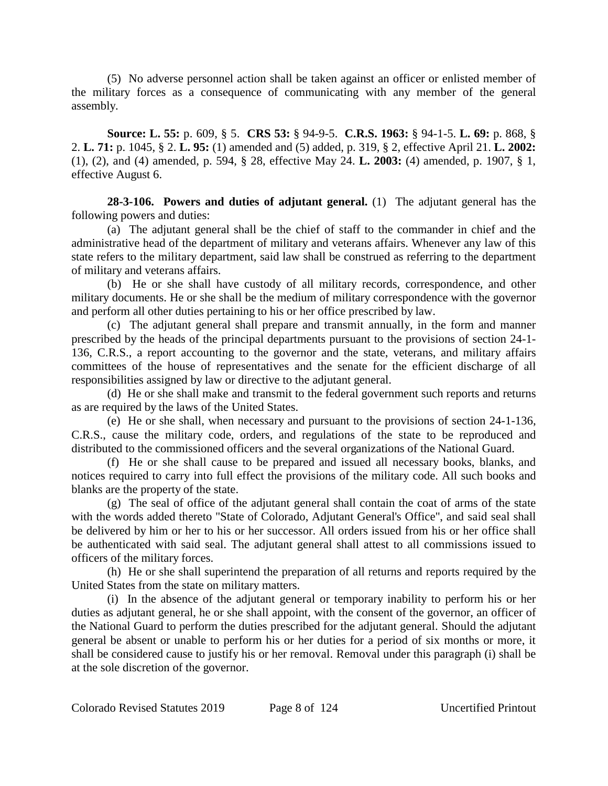(5) No adverse personnel action shall be taken against an officer or enlisted member of the military forces as a consequence of communicating with any member of the general assembly.

**Source: L. 55:** p. 609, § 5. **CRS 53:** § 94-9-5. **C.R.S. 1963:** § 94-1-5. **L. 69:** p. 868, § 2. **L. 71:** p. 1045, § 2. **L. 95:** (1) amended and (5) added, p. 319, § 2, effective April 21. **L. 2002:** (1), (2), and (4) amended, p. 594, § 28, effective May 24. **L. 2003:** (4) amended, p. 1907, § 1, effective August 6.

**28-3-106. Powers and duties of adjutant general.** (1) The adjutant general has the following powers and duties:

(a) The adjutant general shall be the chief of staff to the commander in chief and the administrative head of the department of military and veterans affairs. Whenever any law of this state refers to the military department, said law shall be construed as referring to the department of military and veterans affairs.

(b) He or she shall have custody of all military records, correspondence, and other military documents. He or she shall be the medium of military correspondence with the governor and perform all other duties pertaining to his or her office prescribed by law.

(c) The adjutant general shall prepare and transmit annually, in the form and manner prescribed by the heads of the principal departments pursuant to the provisions of section 24-1- 136, C.R.S., a report accounting to the governor and the state, veterans, and military affairs committees of the house of representatives and the senate for the efficient discharge of all responsibilities assigned by law or directive to the adjutant general.

(d) He or she shall make and transmit to the federal government such reports and returns as are required by the laws of the United States.

(e) He or she shall, when necessary and pursuant to the provisions of section 24-1-136, C.R.S., cause the military code, orders, and regulations of the state to be reproduced and distributed to the commissioned officers and the several organizations of the National Guard.

(f) He or she shall cause to be prepared and issued all necessary books, blanks, and notices required to carry into full effect the provisions of the military code. All such books and blanks are the property of the state.

(g) The seal of office of the adjutant general shall contain the coat of arms of the state with the words added thereto "State of Colorado, Adjutant General's Office", and said seal shall be delivered by him or her to his or her successor. All orders issued from his or her office shall be authenticated with said seal. The adjutant general shall attest to all commissions issued to officers of the military forces.

(h) He or she shall superintend the preparation of all returns and reports required by the United States from the state on military matters.

(i) In the absence of the adjutant general or temporary inability to perform his or her duties as adjutant general, he or she shall appoint, with the consent of the governor, an officer of the National Guard to perform the duties prescribed for the adjutant general. Should the adjutant general be absent or unable to perform his or her duties for a period of six months or more, it shall be considered cause to justify his or her removal. Removal under this paragraph (i) shall be at the sole discretion of the governor.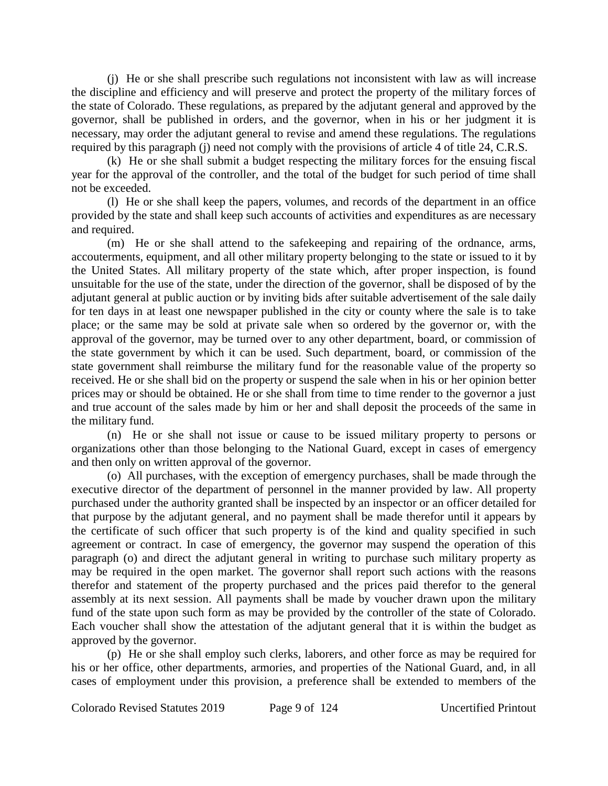(j) He or she shall prescribe such regulations not inconsistent with law as will increase the discipline and efficiency and will preserve and protect the property of the military forces of the state of Colorado. These regulations, as prepared by the adjutant general and approved by the governor, shall be published in orders, and the governor, when in his or her judgment it is necessary, may order the adjutant general to revise and amend these regulations. The regulations required by this paragraph (j) need not comply with the provisions of article 4 of title 24, C.R.S.

(k) He or she shall submit a budget respecting the military forces for the ensuing fiscal year for the approval of the controller, and the total of the budget for such period of time shall not be exceeded.

(l) He or she shall keep the papers, volumes, and records of the department in an office provided by the state and shall keep such accounts of activities and expenditures as are necessary and required.

(m) He or she shall attend to the safekeeping and repairing of the ordnance, arms, accouterments, equipment, and all other military property belonging to the state or issued to it by the United States. All military property of the state which, after proper inspection, is found unsuitable for the use of the state, under the direction of the governor, shall be disposed of by the adjutant general at public auction or by inviting bids after suitable advertisement of the sale daily for ten days in at least one newspaper published in the city or county where the sale is to take place; or the same may be sold at private sale when so ordered by the governor or, with the approval of the governor, may be turned over to any other department, board, or commission of the state government by which it can be used. Such department, board, or commission of the state government shall reimburse the military fund for the reasonable value of the property so received. He or she shall bid on the property or suspend the sale when in his or her opinion better prices may or should be obtained. He or she shall from time to time render to the governor a just and true account of the sales made by him or her and shall deposit the proceeds of the same in the military fund.

(n) He or she shall not issue or cause to be issued military property to persons or organizations other than those belonging to the National Guard, except in cases of emergency and then only on written approval of the governor.

(o) All purchases, with the exception of emergency purchases, shall be made through the executive director of the department of personnel in the manner provided by law. All property purchased under the authority granted shall be inspected by an inspector or an officer detailed for that purpose by the adjutant general, and no payment shall be made therefor until it appears by the certificate of such officer that such property is of the kind and quality specified in such agreement or contract. In case of emergency, the governor may suspend the operation of this paragraph (o) and direct the adjutant general in writing to purchase such military property as may be required in the open market. The governor shall report such actions with the reasons therefor and statement of the property purchased and the prices paid therefor to the general assembly at its next session. All payments shall be made by voucher drawn upon the military fund of the state upon such form as may be provided by the controller of the state of Colorado. Each voucher shall show the attestation of the adjutant general that it is within the budget as approved by the governor.

(p) He or she shall employ such clerks, laborers, and other force as may be required for his or her office, other departments, armories, and properties of the National Guard, and, in all cases of employment under this provision, a preference shall be extended to members of the

Colorado Revised Statutes 2019 Page 9 of 124 Uncertified Printout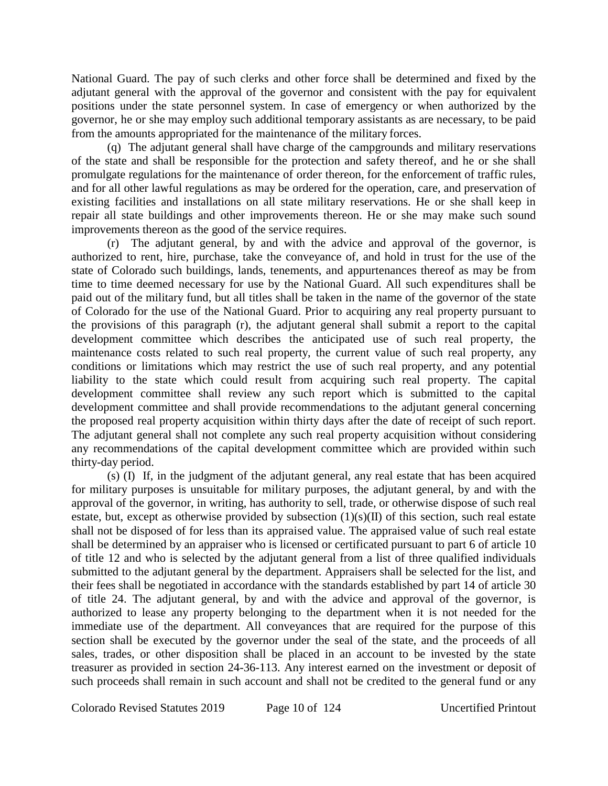National Guard. The pay of such clerks and other force shall be determined and fixed by the adjutant general with the approval of the governor and consistent with the pay for equivalent positions under the state personnel system. In case of emergency or when authorized by the governor, he or she may employ such additional temporary assistants as are necessary, to be paid from the amounts appropriated for the maintenance of the military forces.

(q) The adjutant general shall have charge of the campgrounds and military reservations of the state and shall be responsible for the protection and safety thereof, and he or she shall promulgate regulations for the maintenance of order thereon, for the enforcement of traffic rules, and for all other lawful regulations as may be ordered for the operation, care, and preservation of existing facilities and installations on all state military reservations. He or she shall keep in repair all state buildings and other improvements thereon. He or she may make such sound improvements thereon as the good of the service requires.

(r) The adjutant general, by and with the advice and approval of the governor, is authorized to rent, hire, purchase, take the conveyance of, and hold in trust for the use of the state of Colorado such buildings, lands, tenements, and appurtenances thereof as may be from time to time deemed necessary for use by the National Guard. All such expenditures shall be paid out of the military fund, but all titles shall be taken in the name of the governor of the state of Colorado for the use of the National Guard. Prior to acquiring any real property pursuant to the provisions of this paragraph (r), the adjutant general shall submit a report to the capital development committee which describes the anticipated use of such real property, the maintenance costs related to such real property, the current value of such real property, any conditions or limitations which may restrict the use of such real property, and any potential liability to the state which could result from acquiring such real property. The capital development committee shall review any such report which is submitted to the capital development committee and shall provide recommendations to the adjutant general concerning the proposed real property acquisition within thirty days after the date of receipt of such report. The adjutant general shall not complete any such real property acquisition without considering any recommendations of the capital development committee which are provided within such thirty-day period.

(s) (I) If, in the judgment of the adjutant general, any real estate that has been acquired for military purposes is unsuitable for military purposes, the adjutant general, by and with the approval of the governor, in writing, has authority to sell, trade, or otherwise dispose of such real estate, but, except as otherwise provided by subsection  $(1)(s)(II)$  of this section, such real estate shall not be disposed of for less than its appraised value. The appraised value of such real estate shall be determined by an appraiser who is licensed or certificated pursuant to part 6 of article 10 of title 12 and who is selected by the adjutant general from a list of three qualified individuals submitted to the adjutant general by the department. Appraisers shall be selected for the list, and their fees shall be negotiated in accordance with the standards established by part 14 of article 30 of title 24. The adjutant general, by and with the advice and approval of the governor, is authorized to lease any property belonging to the department when it is not needed for the immediate use of the department. All conveyances that are required for the purpose of this section shall be executed by the governor under the seal of the state, and the proceeds of all sales, trades, or other disposition shall be placed in an account to be invested by the state treasurer as provided in section 24-36-113. Any interest earned on the investment or deposit of such proceeds shall remain in such account and shall not be credited to the general fund or any

Colorado Revised Statutes 2019 Page 10 of 124 Uncertified Printout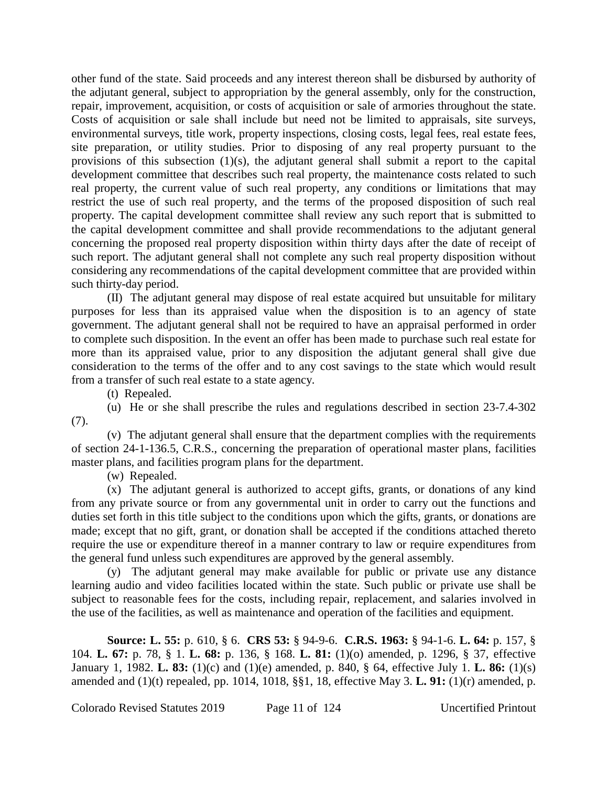other fund of the state. Said proceeds and any interest thereon shall be disbursed by authority of the adjutant general, subject to appropriation by the general assembly, only for the construction, repair, improvement, acquisition, or costs of acquisition or sale of armories throughout the state. Costs of acquisition or sale shall include but need not be limited to appraisals, site surveys, environmental surveys, title work, property inspections, closing costs, legal fees, real estate fees, site preparation, or utility studies. Prior to disposing of any real property pursuant to the provisions of this subsection (1)(s), the adjutant general shall submit a report to the capital development committee that describes such real property, the maintenance costs related to such real property, the current value of such real property, any conditions or limitations that may restrict the use of such real property, and the terms of the proposed disposition of such real property. The capital development committee shall review any such report that is submitted to the capital development committee and shall provide recommendations to the adjutant general concerning the proposed real property disposition within thirty days after the date of receipt of such report. The adjutant general shall not complete any such real property disposition without considering any recommendations of the capital development committee that are provided within such thirty-day period.

(II) The adjutant general may dispose of real estate acquired but unsuitable for military purposes for less than its appraised value when the disposition is to an agency of state government. The adjutant general shall not be required to have an appraisal performed in order to complete such disposition. In the event an offer has been made to purchase such real estate for more than its appraised value, prior to any disposition the adjutant general shall give due consideration to the terms of the offer and to any cost savings to the state which would result from a transfer of such real estate to a state agency.

(t) Repealed.

(u) He or she shall prescribe the rules and regulations described in section 23-7.4-302 (7).

(v) The adjutant general shall ensure that the department complies with the requirements of section 24-1-136.5, C.R.S., concerning the preparation of operational master plans, facilities master plans, and facilities program plans for the department.

(w) Repealed.

(x) The adjutant general is authorized to accept gifts, grants, or donations of any kind from any private source or from any governmental unit in order to carry out the functions and duties set forth in this title subject to the conditions upon which the gifts, grants, or donations are made; except that no gift, grant, or donation shall be accepted if the conditions attached thereto require the use or expenditure thereof in a manner contrary to law or require expenditures from the general fund unless such expenditures are approved by the general assembly.

(y) The adjutant general may make available for public or private use any distance learning audio and video facilities located within the state. Such public or private use shall be subject to reasonable fees for the costs, including repair, replacement, and salaries involved in the use of the facilities, as well as maintenance and operation of the facilities and equipment.

**Source: L. 55:** p. 610, § 6. **CRS 53:** § 94-9-6. **C.R.S. 1963:** § 94-1-6. **L. 64:** p. 157, § 104. **L. 67:** p. 78, § 1. **L. 68:** p. 136, § 168. **L. 81:** (1)(o) amended, p. 1296, § 37, effective January 1, 1982. **L. 83:** (1)(c) and (1)(e) amended, p. 840, § 64, effective July 1. **L. 86:** (1)(s) amended and (1)(t) repealed, pp. 1014, 1018, §§1, 18, effective May 3. **L. 91:** (1)(r) amended, p.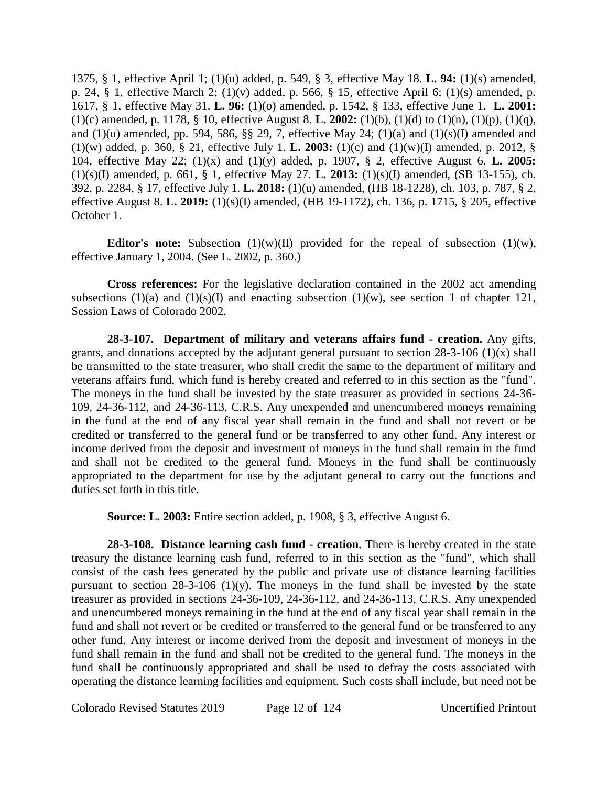1375, § 1, effective April 1; (1)(u) added, p. 549, § 3, effective May 18. **L. 94:** (1)(s) amended, p. 24, § 1, effective March 2; (1)(v) added, p. 566, § 15, effective April 6; (1)(s) amended, p. 1617, § 1, effective May 31. **L. 96:** (1)(o) amended, p. 1542, § 133, effective June 1. **L. 2001:** (1)(c) amended, p. 1178, § 10, effective August 8. **L. 2002:** (1)(b), (1)(d) to (1)(n), (1)(p), (1)(q), and (1)(u) amended, pp. 594, 586, §§ 29, 7, effective May 24; (1)(a) and (1)(s)(I) amended and (1)(w) added, p. 360, § 21, effective July 1. **L. 2003:** (1)(c) and (1)(w)(I) amended, p. 2012, § 104, effective May 22; (1)(x) and (1)(y) added, p. 1907, § 2, effective August 6. **L. 2005:** (1)(s)(I) amended, p. 661, § 1, effective May 27. **L. 2013:** (1)(s)(I) amended, (SB 13-155), ch. 392, p. 2284, § 17, effective July 1. **L. 2018:** (1)(u) amended, (HB 18-1228), ch. 103, p. 787, § 2, effective August 8. **L. 2019:** (1)(s)(I) amended, (HB 19-1172), ch. 136, p. 1715, § 205, effective October 1.

**Editor's note:** Subsection  $(1)(w)(II)$  provided for the repeal of subsection  $(1)(w)$ , effective January 1, 2004. (See L. 2002, p. 360.)

**Cross references:** For the legislative declaration contained in the 2002 act amending subsections (1)(a) and (1)(s)(I) and enacting subsection (1)(w), see section 1 of chapter 121, Session Laws of Colorado 2002.

**28-3-107. Department of military and veterans affairs fund - creation.** Any gifts, grants, and donations accepted by the adjutant general pursuant to section  $28-3-106$  (1)(x) shall be transmitted to the state treasurer, who shall credit the same to the department of military and veterans affairs fund, which fund is hereby created and referred to in this section as the "fund". The moneys in the fund shall be invested by the state treasurer as provided in sections 24-36- 109, 24-36-112, and 24-36-113, C.R.S. Any unexpended and unencumbered moneys remaining in the fund at the end of any fiscal year shall remain in the fund and shall not revert or be credited or transferred to the general fund or be transferred to any other fund. Any interest or income derived from the deposit and investment of moneys in the fund shall remain in the fund and shall not be credited to the general fund. Moneys in the fund shall be continuously appropriated to the department for use by the adjutant general to carry out the functions and duties set forth in this title.

**Source: L. 2003:** Entire section added, p. 1908, § 3, effective August 6.

**28-3-108. Distance learning cash fund - creation.** There is hereby created in the state treasury the distance learning cash fund, referred to in this section as the "fund", which shall consist of the cash fees generated by the public and private use of distance learning facilities pursuant to section  $28-3-106$  (1)(y). The moneys in the fund shall be invested by the state treasurer as provided in sections 24-36-109, 24-36-112, and 24-36-113, C.R.S. Any unexpended and unencumbered moneys remaining in the fund at the end of any fiscal year shall remain in the fund and shall not revert or be credited or transferred to the general fund or be transferred to any other fund. Any interest or income derived from the deposit and investment of moneys in the fund shall remain in the fund and shall not be credited to the general fund. The moneys in the fund shall be continuously appropriated and shall be used to defray the costs associated with operating the distance learning facilities and equipment. Such costs shall include, but need not be

Colorado Revised Statutes 2019 Page 12 of 124 Uncertified Printout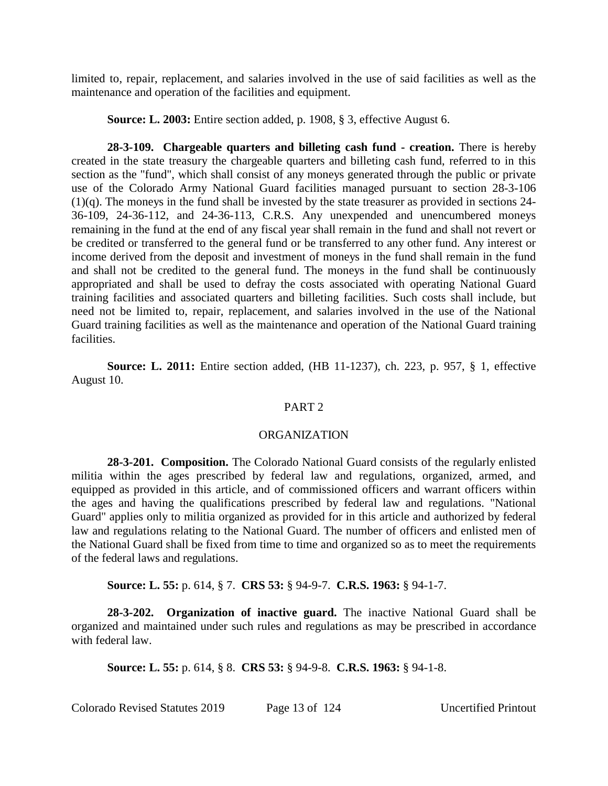limited to, repair, replacement, and salaries involved in the use of said facilities as well as the maintenance and operation of the facilities and equipment.

**Source: L. 2003:** Entire section added, p. 1908, § 3, effective August 6.

**28-3-109. Chargeable quarters and billeting cash fund - creation.** There is hereby created in the state treasury the chargeable quarters and billeting cash fund, referred to in this section as the "fund", which shall consist of any moneys generated through the public or private use of the Colorado Army National Guard facilities managed pursuant to section 28-3-106 (1)(q). The moneys in the fund shall be invested by the state treasurer as provided in sections 24- 36-109, 24-36-112, and 24-36-113, C.R.S. Any unexpended and unencumbered moneys remaining in the fund at the end of any fiscal year shall remain in the fund and shall not revert or be credited or transferred to the general fund or be transferred to any other fund. Any interest or income derived from the deposit and investment of moneys in the fund shall remain in the fund and shall not be credited to the general fund. The moneys in the fund shall be continuously appropriated and shall be used to defray the costs associated with operating National Guard training facilities and associated quarters and billeting facilities. Such costs shall include, but need not be limited to, repair, replacement, and salaries involved in the use of the National Guard training facilities as well as the maintenance and operation of the National Guard training facilities.

**Source: L. 2011:** Entire section added, (HB 11-1237), ch. 223, p. 957, § 1, effective August 10.

#### PART<sub>2</sub>

#### ORGANIZATION

**28-3-201. Composition.** The Colorado National Guard consists of the regularly enlisted militia within the ages prescribed by federal law and regulations, organized, armed, and equipped as provided in this article, and of commissioned officers and warrant officers within the ages and having the qualifications prescribed by federal law and regulations. "National Guard" applies only to militia organized as provided for in this article and authorized by federal law and regulations relating to the National Guard. The number of officers and enlisted men of the National Guard shall be fixed from time to time and organized so as to meet the requirements of the federal laws and regulations.

**Source: L. 55:** p. 614, § 7. **CRS 53:** § 94-9-7. **C.R.S. 1963:** § 94-1-7.

**28-3-202. Organization of inactive guard.** The inactive National Guard shall be organized and maintained under such rules and regulations as may be prescribed in accordance with federal law.

**Source: L. 55:** p. 614, § 8. **CRS 53:** § 94-9-8. **C.R.S. 1963:** § 94-1-8.

Colorado Revised Statutes 2019 Page 13 of 124 Uncertified Printout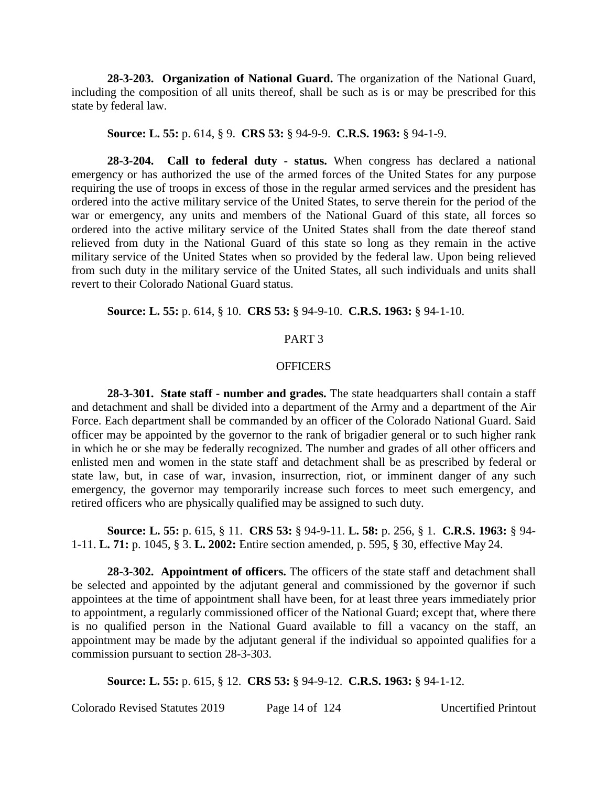**28-3-203. Organization of National Guard.** The organization of the National Guard, including the composition of all units thereof, shall be such as is or may be prescribed for this state by federal law.

#### **Source: L. 55:** p. 614, § 9. **CRS 53:** § 94-9-9. **C.R.S. 1963:** § 94-1-9.

**28-3-204. Call to federal duty - status.** When congress has declared a national emergency or has authorized the use of the armed forces of the United States for any purpose requiring the use of troops in excess of those in the regular armed services and the president has ordered into the active military service of the United States, to serve therein for the period of the war or emergency, any units and members of the National Guard of this state, all forces so ordered into the active military service of the United States shall from the date thereof stand relieved from duty in the National Guard of this state so long as they remain in the active military service of the United States when so provided by the federal law. Upon being relieved from such duty in the military service of the United States, all such individuals and units shall revert to their Colorado National Guard status.

# **Source: L. 55:** p. 614, § 10. **CRS 53:** § 94-9-10. **C.R.S. 1963:** § 94-1-10.

#### PART 3

## **OFFICERS**

**28-3-301. State staff - number and grades.** The state headquarters shall contain a staff and detachment and shall be divided into a department of the Army and a department of the Air Force. Each department shall be commanded by an officer of the Colorado National Guard. Said officer may be appointed by the governor to the rank of brigadier general or to such higher rank in which he or she may be federally recognized. The number and grades of all other officers and enlisted men and women in the state staff and detachment shall be as prescribed by federal or state law, but, in case of war, invasion, insurrection, riot, or imminent danger of any such emergency, the governor may temporarily increase such forces to meet such emergency, and retired officers who are physically qualified may be assigned to such duty.

**Source: L. 55:** p. 615, § 11. **CRS 53:** § 94-9-11. **L. 58:** p. 256, § 1. **C.R.S. 1963:** § 94- 1-11. **L. 71:** p. 1045, § 3. **L. 2002:** Entire section amended, p. 595, § 30, effective May 24.

**28-3-302. Appointment of officers.** The officers of the state staff and detachment shall be selected and appointed by the adjutant general and commissioned by the governor if such appointees at the time of appointment shall have been, for at least three years immediately prior to appointment, a regularly commissioned officer of the National Guard; except that, where there is no qualified person in the National Guard available to fill a vacancy on the staff, an appointment may be made by the adjutant general if the individual so appointed qualifies for a commission pursuant to section 28-3-303.

**Source: L. 55:** p. 615, § 12. **CRS 53:** § 94-9-12. **C.R.S. 1963:** § 94-1-12.

Colorado Revised Statutes 2019 Page 14 of 124 Uncertified Printout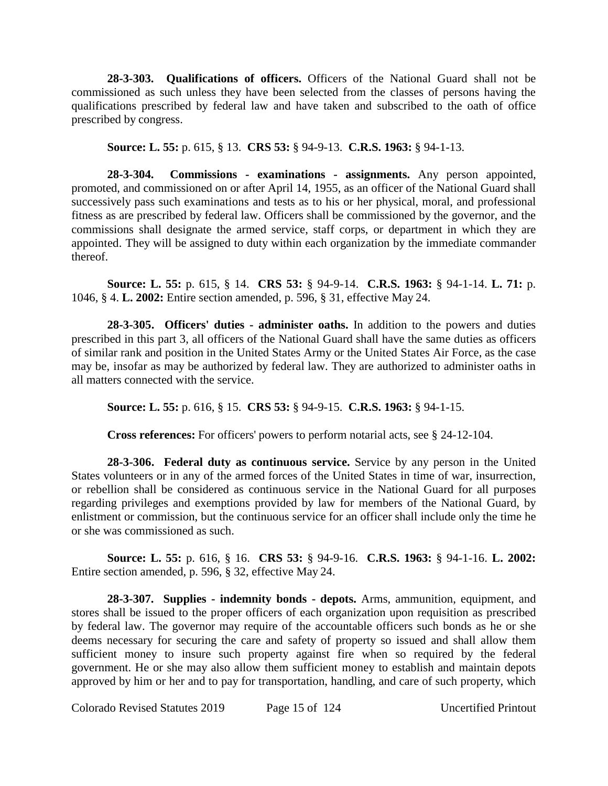**28-3-303. Qualifications of officers.** Officers of the National Guard shall not be commissioned as such unless they have been selected from the classes of persons having the qualifications prescribed by federal law and have taken and subscribed to the oath of office prescribed by congress.

**Source: L. 55:** p. 615, § 13. **CRS 53:** § 94-9-13. **C.R.S. 1963:** § 94-1-13.

**28-3-304. Commissions - examinations - assignments.** Any person appointed, promoted, and commissioned on or after April 14, 1955, as an officer of the National Guard shall successively pass such examinations and tests as to his or her physical, moral, and professional fitness as are prescribed by federal law. Officers shall be commissioned by the governor, and the commissions shall designate the armed service, staff corps, or department in which they are appointed. They will be assigned to duty within each organization by the immediate commander thereof.

**Source: L. 55:** p. 615, § 14. **CRS 53:** § 94-9-14. **C.R.S. 1963:** § 94-1-14. **L. 71:** p. 1046, § 4. **L. 2002:** Entire section amended, p. 596, § 31, effective May 24.

**28-3-305. Officers' duties - administer oaths.** In addition to the powers and duties prescribed in this part 3, all officers of the National Guard shall have the same duties as officers of similar rank and position in the United States Army or the United States Air Force, as the case may be, insofar as may be authorized by federal law. They are authorized to administer oaths in all matters connected with the service.

**Source: L. 55:** p. 616, § 15. **CRS 53:** § 94-9-15. **C.R.S. 1963:** § 94-1-15.

**Cross references:** For officers' powers to perform notarial acts, see § 24-12-104.

**28-3-306. Federal duty as continuous service.** Service by any person in the United States volunteers or in any of the armed forces of the United States in time of war, insurrection, or rebellion shall be considered as continuous service in the National Guard for all purposes regarding privileges and exemptions provided by law for members of the National Guard, by enlistment or commission, but the continuous service for an officer shall include only the time he or she was commissioned as such.

**Source: L. 55:** p. 616, § 16. **CRS 53:** § 94-9-16. **C.R.S. 1963:** § 94-1-16. **L. 2002:** Entire section amended, p. 596, § 32, effective May 24.

**28-3-307. Supplies - indemnity bonds - depots.** Arms, ammunition, equipment, and stores shall be issued to the proper officers of each organization upon requisition as prescribed by federal law. The governor may require of the accountable officers such bonds as he or she deems necessary for securing the care and safety of property so issued and shall allow them sufficient money to insure such property against fire when so required by the federal government. He or she may also allow them sufficient money to establish and maintain depots approved by him or her and to pay for transportation, handling, and care of such property, which

Colorado Revised Statutes 2019 Page 15 of 124 Uncertified Printout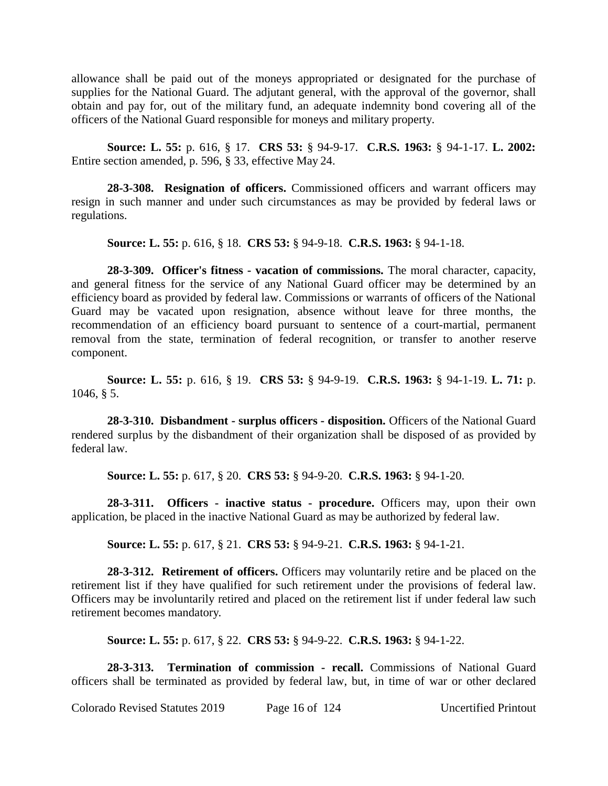allowance shall be paid out of the moneys appropriated or designated for the purchase of supplies for the National Guard. The adjutant general, with the approval of the governor, shall obtain and pay for, out of the military fund, an adequate indemnity bond covering all of the officers of the National Guard responsible for moneys and military property.

**Source: L. 55:** p. 616, § 17. **CRS 53:** § 94-9-17. **C.R.S. 1963:** § 94-1-17. **L. 2002:** Entire section amended, p. 596, § 33, effective May 24.

**28-3-308. Resignation of officers.** Commissioned officers and warrant officers may resign in such manner and under such circumstances as may be provided by federal laws or regulations.

**Source: L. 55:** p. 616, § 18. **CRS 53:** § 94-9-18. **C.R.S. 1963:** § 94-1-18.

**28-3-309. Officer's fitness - vacation of commissions.** The moral character, capacity, and general fitness for the service of any National Guard officer may be determined by an efficiency board as provided by federal law. Commissions or warrants of officers of the National Guard may be vacated upon resignation, absence without leave for three months, the recommendation of an efficiency board pursuant to sentence of a court-martial, permanent removal from the state, termination of federal recognition, or transfer to another reserve component.

**Source: L. 55:** p. 616, § 19. **CRS 53:** § 94-9-19. **C.R.S. 1963:** § 94-1-19. **L. 71:** p. 1046, § 5.

**28-3-310. Disbandment - surplus officers - disposition.** Officers of the National Guard rendered surplus by the disbandment of their organization shall be disposed of as provided by federal law.

**Source: L. 55:** p. 617, § 20. **CRS 53:** § 94-9-20. **C.R.S. 1963:** § 94-1-20.

**28-3-311. Officers - inactive status - procedure.** Officers may, upon their own application, be placed in the inactive National Guard as may be authorized by federal law.

**Source: L. 55:** p. 617, § 21. **CRS 53:** § 94-9-21. **C.R.S. 1963:** § 94-1-21.

**28-3-312. Retirement of officers.** Officers may voluntarily retire and be placed on the retirement list if they have qualified for such retirement under the provisions of federal law. Officers may be involuntarily retired and placed on the retirement list if under federal law such retirement becomes mandatory.

**Source: L. 55:** p. 617, § 22. **CRS 53:** § 94-9-22. **C.R.S. 1963:** § 94-1-22.

**28-3-313. Termination of commission - recall.** Commissions of National Guard officers shall be terminated as provided by federal law, but, in time of war or other declared

Colorado Revised Statutes 2019 Page 16 of 124 Uncertified Printout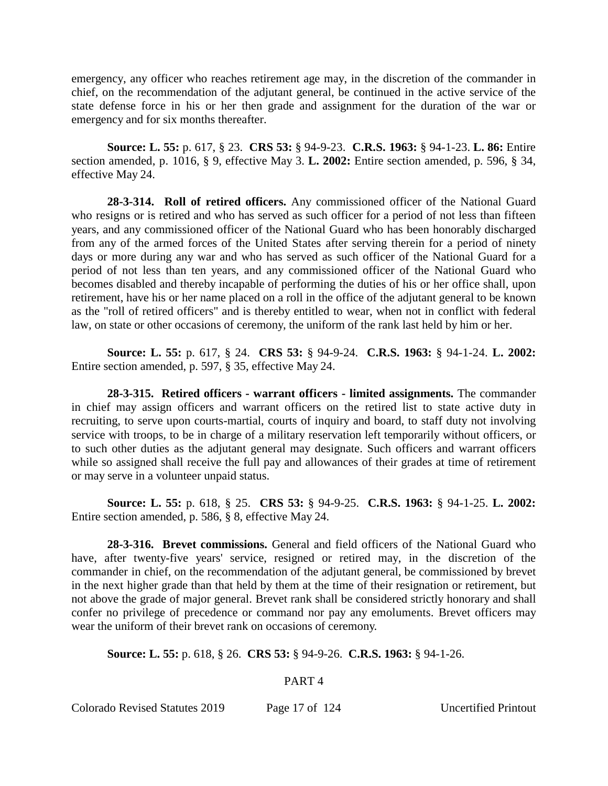emergency, any officer who reaches retirement age may, in the discretion of the commander in chief, on the recommendation of the adjutant general, be continued in the active service of the state defense force in his or her then grade and assignment for the duration of the war or emergency and for six months thereafter.

**Source: L. 55:** p. 617, § 23. **CRS 53:** § 94-9-23. **C.R.S. 1963:** § 94-1-23. **L. 86:** Entire section amended, p. 1016, § 9, effective May 3. **L. 2002:** Entire section amended, p. 596, § 34, effective May 24.

**28-3-314. Roll of retired officers.** Any commissioned officer of the National Guard who resigns or is retired and who has served as such officer for a period of not less than fifteen years, and any commissioned officer of the National Guard who has been honorably discharged from any of the armed forces of the United States after serving therein for a period of ninety days or more during any war and who has served as such officer of the National Guard for a period of not less than ten years, and any commissioned officer of the National Guard who becomes disabled and thereby incapable of performing the duties of his or her office shall, upon retirement, have his or her name placed on a roll in the office of the adjutant general to be known as the "roll of retired officers" and is thereby entitled to wear, when not in conflict with federal law, on state or other occasions of ceremony, the uniform of the rank last held by him or her.

**Source: L. 55:** p. 617, § 24. **CRS 53:** § 94-9-24. **C.R.S. 1963:** § 94-1-24. **L. 2002:** Entire section amended, p. 597, § 35, effective May 24.

**28-3-315. Retired officers - warrant officers - limited assignments.** The commander in chief may assign officers and warrant officers on the retired list to state active duty in recruiting, to serve upon courts-martial, courts of inquiry and board, to staff duty not involving service with troops, to be in charge of a military reservation left temporarily without officers, or to such other duties as the adjutant general may designate. Such officers and warrant officers while so assigned shall receive the full pay and allowances of their grades at time of retirement or may serve in a volunteer unpaid status.

**Source: L. 55:** p. 618, § 25. **CRS 53:** § 94-9-25. **C.R.S. 1963:** § 94-1-25. **L. 2002:** Entire section amended, p. 586, § 8, effective May 24.

**28-3-316. Brevet commissions.** General and field officers of the National Guard who have, after twenty-five years' service, resigned or retired may, in the discretion of the commander in chief, on the recommendation of the adjutant general, be commissioned by brevet in the next higher grade than that held by them at the time of their resignation or retirement, but not above the grade of major general. Brevet rank shall be considered strictly honorary and shall confer no privilege of precedence or command nor pay any emoluments. Brevet officers may wear the uniform of their brevet rank on occasions of ceremony.

**Source: L. 55:** p. 618, § 26. **CRS 53:** § 94-9-26. **C.R.S. 1963:** § 94-1-26.

## PART 4

Colorado Revised Statutes 2019 Page 17 of 124 Uncertified Printout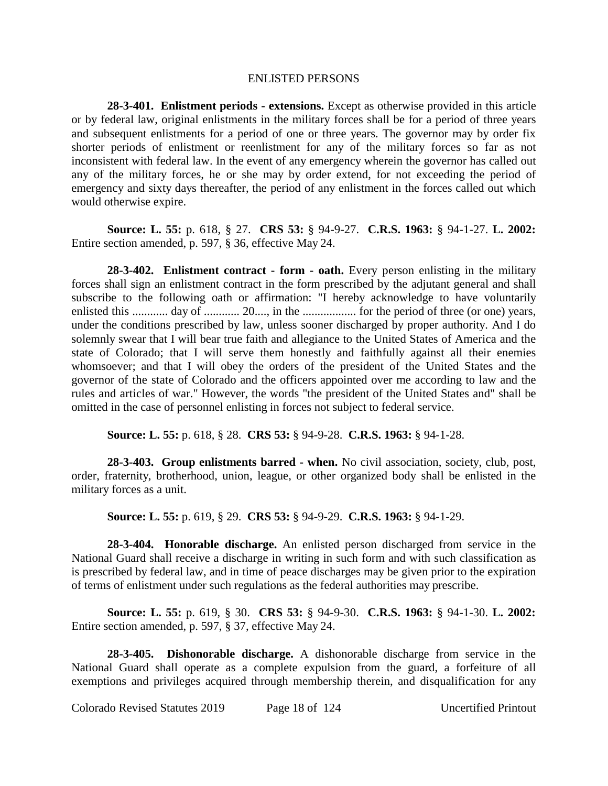#### ENLISTED PERSONS

**28-3-401. Enlistment periods - extensions.** Except as otherwise provided in this article or by federal law, original enlistments in the military forces shall be for a period of three years and subsequent enlistments for a period of one or three years. The governor may by order fix shorter periods of enlistment or reenlistment for any of the military forces so far as not inconsistent with federal law. In the event of any emergency wherein the governor has called out any of the military forces, he or she may by order extend, for not exceeding the period of emergency and sixty days thereafter, the period of any enlistment in the forces called out which would otherwise expire.

**Source: L. 55:** p. 618, § 27. **CRS 53:** § 94-9-27. **C.R.S. 1963:** § 94-1-27. **L. 2002:** Entire section amended, p. 597, § 36, effective May 24.

**28-3-402. Enlistment contract - form - oath.** Every person enlisting in the military forces shall sign an enlistment contract in the form prescribed by the adjutant general and shall subscribe to the following oath or affirmation: "I hereby acknowledge to have voluntarily enlisted this ............ day of ............ 20...., in the .................. for the period of three (or one) years, under the conditions prescribed by law, unless sooner discharged by proper authority. And I do solemnly swear that I will bear true faith and allegiance to the United States of America and the state of Colorado; that I will serve them honestly and faithfully against all their enemies whomsoever; and that I will obey the orders of the president of the United States and the governor of the state of Colorado and the officers appointed over me according to law and the rules and articles of war." However, the words "the president of the United States and" shall be omitted in the case of personnel enlisting in forces not subject to federal service.

**Source: L. 55:** p. 618, § 28. **CRS 53:** § 94-9-28. **C.R.S. 1963:** § 94-1-28.

**28-3-403. Group enlistments barred - when.** No civil association, society, club, post, order, fraternity, brotherhood, union, league, or other organized body shall be enlisted in the military forces as a unit.

**Source: L. 55:** p. 619, § 29. **CRS 53:** § 94-9-29. **C.R.S. 1963:** § 94-1-29.

**28-3-404. Honorable discharge.** An enlisted person discharged from service in the National Guard shall receive a discharge in writing in such form and with such classification as is prescribed by federal law, and in time of peace discharges may be given prior to the expiration of terms of enlistment under such regulations as the federal authorities may prescribe.

**Source: L. 55:** p. 619, § 30. **CRS 53:** § 94-9-30. **C.R.S. 1963:** § 94-1-30. **L. 2002:** Entire section amended, p. 597, § 37, effective May 24.

**28-3-405. Dishonorable discharge.** A dishonorable discharge from service in the National Guard shall operate as a complete expulsion from the guard, a forfeiture of all exemptions and privileges acquired through membership therein, and disqualification for any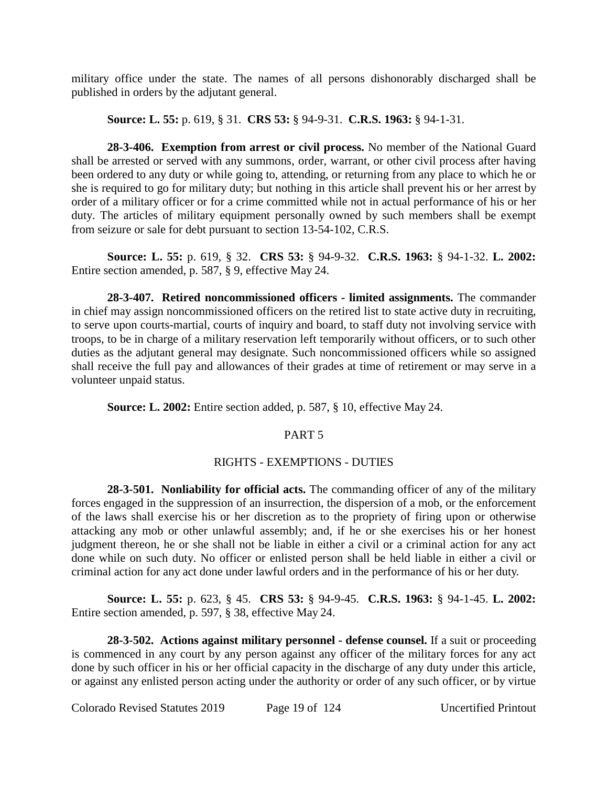military office under the state. The names of all persons dishonorably discharged shall be published in orders by the adjutant general.

**Source: L. 55:** p. 619, § 31. **CRS 53:** § 94-9-31. **C.R.S. 1963:** § 94-1-31.

**28-3-406. Exemption from arrest or civil process.** No member of the National Guard shall be arrested or served with any summons, order, warrant, or other civil process after having been ordered to any duty or while going to, attending, or returning from any place to which he or she is required to go for military duty; but nothing in this article shall prevent his or her arrest by order of a military officer or for a crime committed while not in actual performance of his or her duty. The articles of military equipment personally owned by such members shall be exempt from seizure or sale for debt pursuant to section 13-54-102, C.R.S.

**Source: L. 55:** p. 619, § 32. **CRS 53:** § 94-9-32. **C.R.S. 1963:** § 94-1-32. **L. 2002:** Entire section amended, p. 587, § 9, effective May 24.

**28-3-407. Retired noncommissioned officers - limited assignments.** The commander in chief may assign noncommissioned officers on the retired list to state active duty in recruiting, to serve upon courts-martial, courts of inquiry and board, to staff duty not involving service with troops, to be in charge of a military reservation left temporarily without officers, or to such other duties as the adjutant general may designate. Such noncommissioned officers while so assigned shall receive the full pay and allowances of their grades at time of retirement or may serve in a volunteer unpaid status.

**Source: L. 2002:** Entire section added, p. 587, § 10, effective May 24.

# PART 5

# RIGHTS - EXEMPTIONS - DUTIES

**28-3-501. Nonliability for official acts.** The commanding officer of any of the military forces engaged in the suppression of an insurrection, the dispersion of a mob, or the enforcement of the laws shall exercise his or her discretion as to the propriety of firing upon or otherwise attacking any mob or other unlawful assembly; and, if he or she exercises his or her honest judgment thereon, he or she shall not be liable in either a civil or a criminal action for any act done while on such duty. No officer or enlisted person shall be held liable in either a civil or criminal action for any act done under lawful orders and in the performance of his or her duty.

**Source: L. 55:** p. 623, § 45. **CRS 53:** § 94-9-45. **C.R.S. 1963:** § 94-1-45. **L. 2002:** Entire section amended, p. 597, § 38, effective May 24.

**28-3-502. Actions against military personnel - defense counsel.** If a suit or proceeding is commenced in any court by any person against any officer of the military forces for any act done by such officer in his or her official capacity in the discharge of any duty under this article, or against any enlisted person acting under the authority or order of any such officer, or by virtue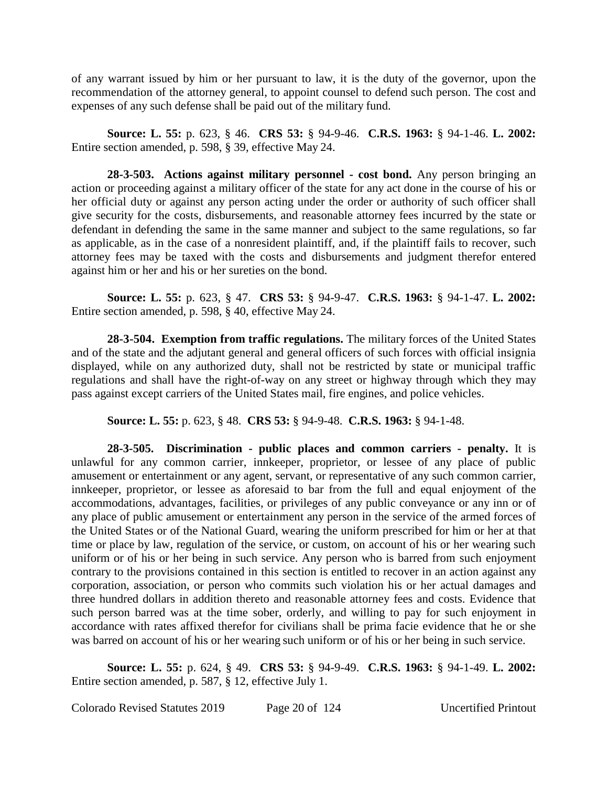of any warrant issued by him or her pursuant to law, it is the duty of the governor, upon the recommendation of the attorney general, to appoint counsel to defend such person. The cost and expenses of any such defense shall be paid out of the military fund.

**Source: L. 55:** p. 623, § 46. **CRS 53:** § 94-9-46. **C.R.S. 1963:** § 94-1-46. **L. 2002:** Entire section amended, p. 598, § 39, effective May 24.

**28-3-503. Actions against military personnel - cost bond.** Any person bringing an action or proceeding against a military officer of the state for any act done in the course of his or her official duty or against any person acting under the order or authority of such officer shall give security for the costs, disbursements, and reasonable attorney fees incurred by the state or defendant in defending the same in the same manner and subject to the same regulations, so far as applicable, as in the case of a nonresident plaintiff, and, if the plaintiff fails to recover, such attorney fees may be taxed with the costs and disbursements and judgment therefor entered against him or her and his or her sureties on the bond.

**Source: L. 55:** p. 623, § 47. **CRS 53:** § 94-9-47. **C.R.S. 1963:** § 94-1-47. **L. 2002:** Entire section amended, p. 598, § 40, effective May 24.

**28-3-504. Exemption from traffic regulations.** The military forces of the United States and of the state and the adjutant general and general officers of such forces with official insignia displayed, while on any authorized duty, shall not be restricted by state or municipal traffic regulations and shall have the right-of-way on any street or highway through which they may pass against except carriers of the United States mail, fire engines, and police vehicles.

**Source: L. 55:** p. 623, § 48. **CRS 53:** § 94-9-48. **C.R.S. 1963:** § 94-1-48.

**28-3-505. Discrimination - public places and common carriers - penalty.** It is unlawful for any common carrier, innkeeper, proprietor, or lessee of any place of public amusement or entertainment or any agent, servant, or representative of any such common carrier, innkeeper, proprietor, or lessee as aforesaid to bar from the full and equal enjoyment of the accommodations, advantages, facilities, or privileges of any public conveyance or any inn or of any place of public amusement or entertainment any person in the service of the armed forces of the United States or of the National Guard, wearing the uniform prescribed for him or her at that time or place by law, regulation of the service, or custom, on account of his or her wearing such uniform or of his or her being in such service. Any person who is barred from such enjoyment contrary to the provisions contained in this section is entitled to recover in an action against any corporation, association, or person who commits such violation his or her actual damages and three hundred dollars in addition thereto and reasonable attorney fees and costs. Evidence that such person barred was at the time sober, orderly, and willing to pay for such enjoyment in accordance with rates affixed therefor for civilians shall be prima facie evidence that he or she was barred on account of his or her wearing such uniform or of his or her being in such service.

**Source: L. 55:** p. 624, § 49. **CRS 53:** § 94-9-49. **C.R.S. 1963:** § 94-1-49. **L. 2002:** Entire section amended, p. 587, § 12, effective July 1.

Colorado Revised Statutes 2019 Page 20 of 124 Uncertified Printout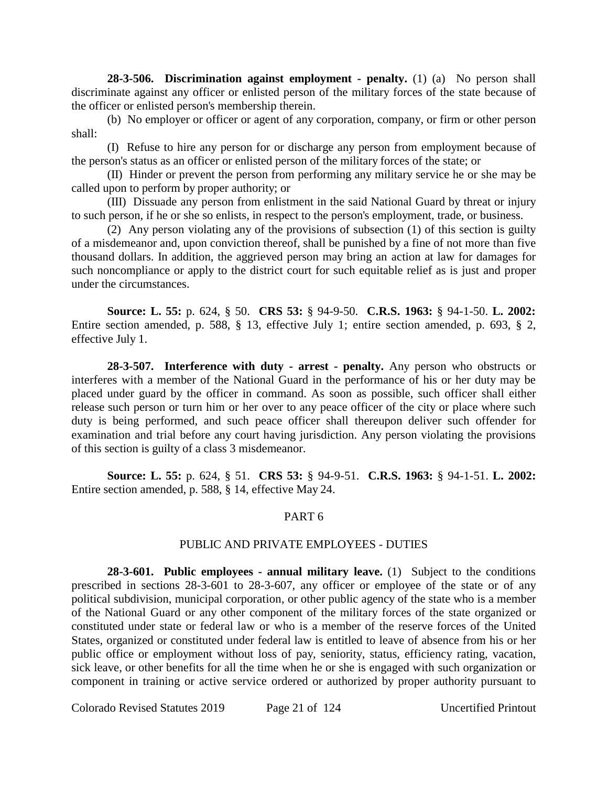**28-3-506. Discrimination against employment - penalty.** (1) (a) No person shall discriminate against any officer or enlisted person of the military forces of the state because of the officer or enlisted person's membership therein.

(b) No employer or officer or agent of any corporation, company, or firm or other person shall:

(I) Refuse to hire any person for or discharge any person from employment because of the person's status as an officer or enlisted person of the military forces of the state; or

(II) Hinder or prevent the person from performing any military service he or she may be called upon to perform by proper authority; or

(III) Dissuade any person from enlistment in the said National Guard by threat or injury to such person, if he or she so enlists, in respect to the person's employment, trade, or business.

(2) Any person violating any of the provisions of subsection (1) of this section is guilty of a misdemeanor and, upon conviction thereof, shall be punished by a fine of not more than five thousand dollars. In addition, the aggrieved person may bring an action at law for damages for such noncompliance or apply to the district court for such equitable relief as is just and proper under the circumstances.

**Source: L. 55:** p. 624, § 50. **CRS 53:** § 94-9-50. **C.R.S. 1963:** § 94-1-50. **L. 2002:** Entire section amended, p. 588, § 13, effective July 1; entire section amended, p. 693, § 2, effective July 1.

**28-3-507. Interference with duty - arrest - penalty.** Any person who obstructs or interferes with a member of the National Guard in the performance of his or her duty may be placed under guard by the officer in command. As soon as possible, such officer shall either release such person or turn him or her over to any peace officer of the city or place where such duty is being performed, and such peace officer shall thereupon deliver such offender for examination and trial before any court having jurisdiction. Any person violating the provisions of this section is guilty of a class 3 misdemeanor.

**Source: L. 55:** p. 624, § 51. **CRS 53:** § 94-9-51. **C.R.S. 1963:** § 94-1-51. **L. 2002:** Entire section amended, p. 588, § 14, effective May 24.

## PART 6

## PUBLIC AND PRIVATE EMPLOYEES - DUTIES

**28-3-601. Public employees - annual military leave.** (1) Subject to the conditions prescribed in sections 28-3-601 to 28-3-607, any officer or employee of the state or of any political subdivision, municipal corporation, or other public agency of the state who is a member of the National Guard or any other component of the military forces of the state organized or constituted under state or federal law or who is a member of the reserve forces of the United States, organized or constituted under federal law is entitled to leave of absence from his or her public office or employment without loss of pay, seniority, status, efficiency rating, vacation, sick leave, or other benefits for all the time when he or she is engaged with such organization or component in training or active service ordered or authorized by proper authority pursuant to

Colorado Revised Statutes 2019 Page 21 of 124 Uncertified Printout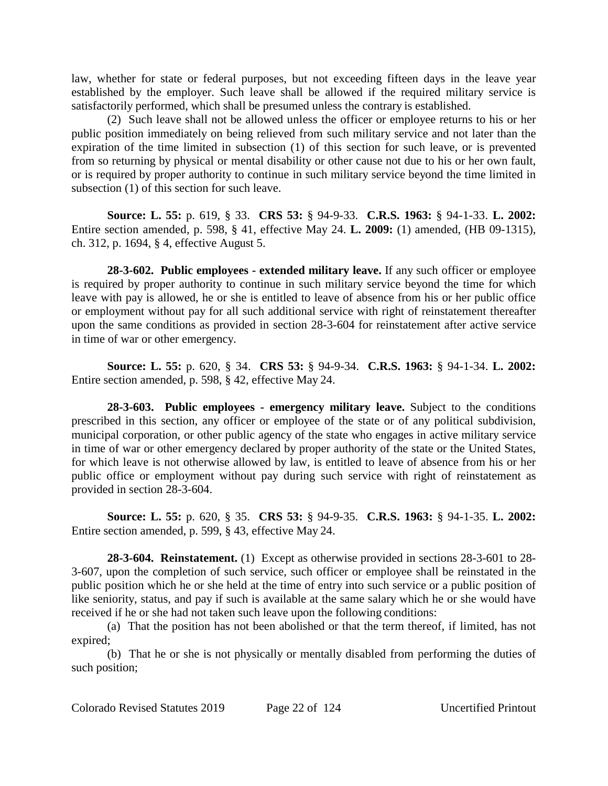law, whether for state or federal purposes, but not exceeding fifteen days in the leave year established by the employer. Such leave shall be allowed if the required military service is satisfactorily performed, which shall be presumed unless the contrary is established.

(2) Such leave shall not be allowed unless the officer or employee returns to his or her public position immediately on being relieved from such military service and not later than the expiration of the time limited in subsection (1) of this section for such leave, or is prevented from so returning by physical or mental disability or other cause not due to his or her own fault, or is required by proper authority to continue in such military service beyond the time limited in subsection (1) of this section for such leave.

**Source: L. 55:** p. 619, § 33. **CRS 53:** § 94-9-33. **C.R.S. 1963:** § 94-1-33. **L. 2002:** Entire section amended, p. 598, § 41, effective May 24. **L. 2009:** (1) amended, (HB 09-1315), ch. 312, p. 1694, § 4, effective August 5.

**28-3-602. Public employees - extended military leave.** If any such officer or employee is required by proper authority to continue in such military service beyond the time for which leave with pay is allowed, he or she is entitled to leave of absence from his or her public office or employment without pay for all such additional service with right of reinstatement thereafter upon the same conditions as provided in section 28-3-604 for reinstatement after active service in time of war or other emergency.

**Source: L. 55:** p. 620, § 34. **CRS 53:** § 94-9-34. **C.R.S. 1963:** § 94-1-34. **L. 2002:** Entire section amended, p. 598, § 42, effective May 24.

**28-3-603. Public employees - emergency military leave.** Subject to the conditions prescribed in this section, any officer or employee of the state or of any political subdivision, municipal corporation, or other public agency of the state who engages in active military service in time of war or other emergency declared by proper authority of the state or the United States, for which leave is not otherwise allowed by law, is entitled to leave of absence from his or her public office or employment without pay during such service with right of reinstatement as provided in section 28-3-604.

**Source: L. 55:** p. 620, § 35. **CRS 53:** § 94-9-35. **C.R.S. 1963:** § 94-1-35. **L. 2002:** Entire section amended, p. 599, § 43, effective May 24.

**28-3-604. Reinstatement.** (1) Except as otherwise provided in sections 28-3-601 to 28- 3-607, upon the completion of such service, such officer or employee shall be reinstated in the public position which he or she held at the time of entry into such service or a public position of like seniority, status, and pay if such is available at the same salary which he or she would have received if he or she had not taken such leave upon the following conditions:

(a) That the position has not been abolished or that the term thereof, if limited, has not expired;

(b) That he or she is not physically or mentally disabled from performing the duties of such position;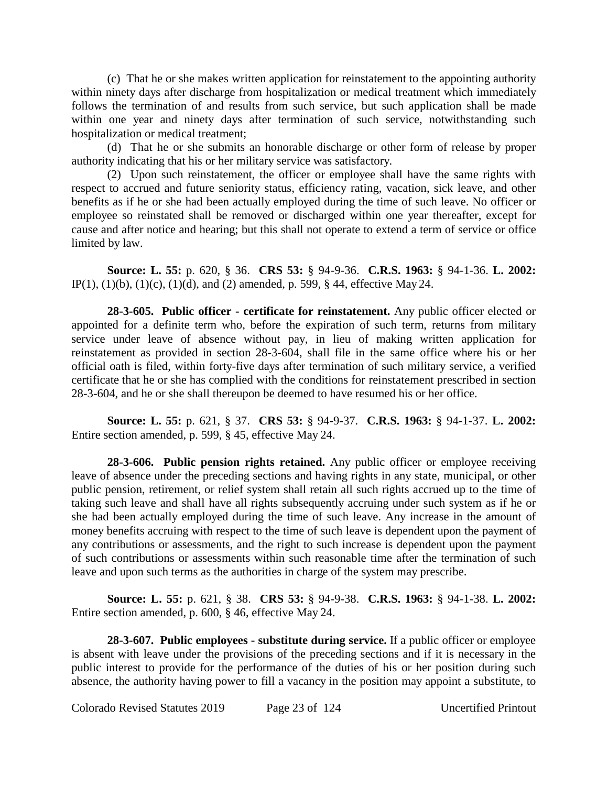(c) That he or she makes written application for reinstatement to the appointing authority within ninety days after discharge from hospitalization or medical treatment which immediately follows the termination of and results from such service, but such application shall be made within one year and ninety days after termination of such service, notwithstanding such hospitalization or medical treatment;

(d) That he or she submits an honorable discharge or other form of release by proper authority indicating that his or her military service was satisfactory.

(2) Upon such reinstatement, the officer or employee shall have the same rights with respect to accrued and future seniority status, efficiency rating, vacation, sick leave, and other benefits as if he or she had been actually employed during the time of such leave. No officer or employee so reinstated shall be removed or discharged within one year thereafter, except for cause and after notice and hearing; but this shall not operate to extend a term of service or office limited by law.

**Source: L. 55:** p. 620, § 36. **CRS 53:** § 94-9-36. **C.R.S. 1963:** § 94-1-36. **L. 2002:** IP(1), (1)(b), (1)(c), (1)(d), and (2) amended, p. 599, § 44, effective May 24.

**28-3-605. Public officer - certificate for reinstatement.** Any public officer elected or appointed for a definite term who, before the expiration of such term, returns from military service under leave of absence without pay, in lieu of making written application for reinstatement as provided in section 28-3-604, shall file in the same office where his or her official oath is filed, within forty-five days after termination of such military service, a verified certificate that he or she has complied with the conditions for reinstatement prescribed in section 28-3-604, and he or she shall thereupon be deemed to have resumed his or her office.

**Source: L. 55:** p. 621, § 37. **CRS 53:** § 94-9-37. **C.R.S. 1963:** § 94-1-37. **L. 2002:** Entire section amended, p. 599, § 45, effective May 24.

**28-3-606. Public pension rights retained.** Any public officer or employee receiving leave of absence under the preceding sections and having rights in any state, municipal, or other public pension, retirement, or relief system shall retain all such rights accrued up to the time of taking such leave and shall have all rights subsequently accruing under such system as if he or she had been actually employed during the time of such leave. Any increase in the amount of money benefits accruing with respect to the time of such leave is dependent upon the payment of any contributions or assessments, and the right to such increase is dependent upon the payment of such contributions or assessments within such reasonable time after the termination of such leave and upon such terms as the authorities in charge of the system may prescribe.

**Source: L. 55:** p. 621, § 38. **CRS 53:** § 94-9-38. **C.R.S. 1963:** § 94-1-38. **L. 2002:** Entire section amended, p. 600, § 46, effective May 24.

**28-3-607. Public employees - substitute during service.** If a public officer or employee is absent with leave under the provisions of the preceding sections and if it is necessary in the public interest to provide for the performance of the duties of his or her position during such absence, the authority having power to fill a vacancy in the position may appoint a substitute, to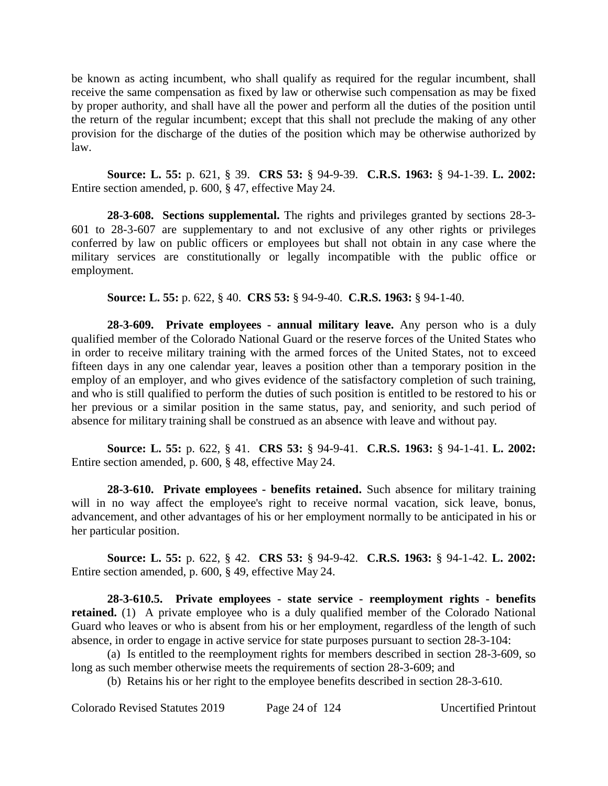be known as acting incumbent, who shall qualify as required for the regular incumbent, shall receive the same compensation as fixed by law or otherwise such compensation as may be fixed by proper authority, and shall have all the power and perform all the duties of the position until the return of the regular incumbent; except that this shall not preclude the making of any other provision for the discharge of the duties of the position which may be otherwise authorized by law.

**Source: L. 55:** p. 621, § 39. **CRS 53:** § 94-9-39. **C.R.S. 1963:** § 94-1-39. **L. 2002:** Entire section amended, p. 600, § 47, effective May 24.

**28-3-608. Sections supplemental.** The rights and privileges granted by sections 28-3- 601 to 28-3-607 are supplementary to and not exclusive of any other rights or privileges conferred by law on public officers or employees but shall not obtain in any case where the military services are constitutionally or legally incompatible with the public office or employment.

**Source: L. 55:** p. 622, § 40. **CRS 53:** § 94-9-40. **C.R.S. 1963:** § 94-1-40.

**28-3-609. Private employees - annual military leave.** Any person who is a duly qualified member of the Colorado National Guard or the reserve forces of the United States who in order to receive military training with the armed forces of the United States, not to exceed fifteen days in any one calendar year, leaves a position other than a temporary position in the employ of an employer, and who gives evidence of the satisfactory completion of such training, and who is still qualified to perform the duties of such position is entitled to be restored to his or her previous or a similar position in the same status, pay, and seniority, and such period of absence for military training shall be construed as an absence with leave and without pay.

**Source: L. 55:** p. 622, § 41. **CRS 53:** § 94-9-41. **C.R.S. 1963:** § 94-1-41. **L. 2002:** Entire section amended, p. 600, § 48, effective May 24.

**28-3-610. Private employees - benefits retained.** Such absence for military training will in no way affect the employee's right to receive normal vacation, sick leave, bonus, advancement, and other advantages of his or her employment normally to be anticipated in his or her particular position.

**Source: L. 55:** p. 622, § 42. **CRS 53:** § 94-9-42. **C.R.S. 1963:** § 94-1-42. **L. 2002:** Entire section amended, p. 600, § 49, effective May 24.

**28-3-610.5. Private employees - state service - reemployment rights - benefits retained.** (1) A private employee who is a duly qualified member of the Colorado National Guard who leaves or who is absent from his or her employment, regardless of the length of such absence, in order to engage in active service for state purposes pursuant to section 28-3-104:

(a) Is entitled to the reemployment rights for members described in section 28-3-609, so long as such member otherwise meets the requirements of section 28-3-609; and

(b) Retains his or her right to the employee benefits described in section 28-3-610.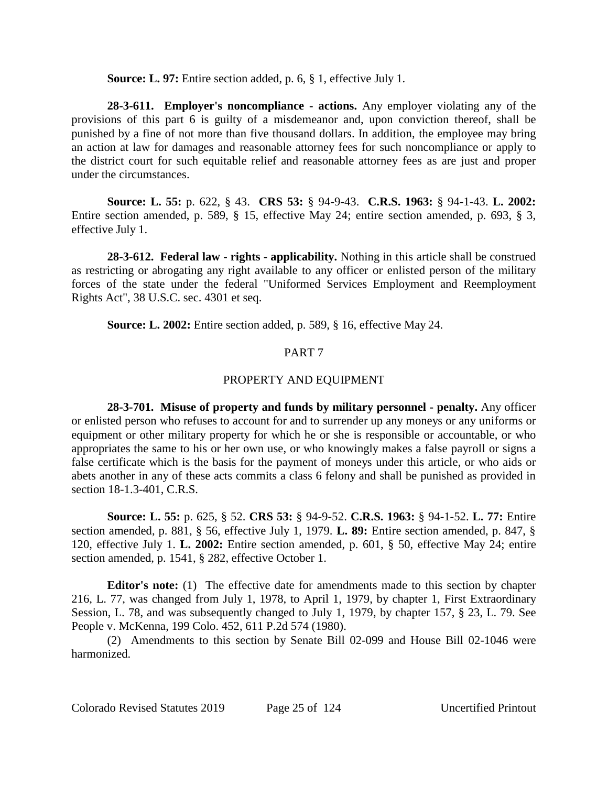**Source: L. 97:** Entire section added, p. 6, § 1, effective July 1.

**28-3-611. Employer's noncompliance - actions.** Any employer violating any of the provisions of this part 6 is guilty of a misdemeanor and, upon conviction thereof, shall be punished by a fine of not more than five thousand dollars. In addition, the employee may bring an action at law for damages and reasonable attorney fees for such noncompliance or apply to the district court for such equitable relief and reasonable attorney fees as are just and proper under the circumstances.

**Source: L. 55:** p. 622, § 43. **CRS 53:** § 94-9-43. **C.R.S. 1963:** § 94-1-43. **L. 2002:** Entire section amended, p. 589, § 15, effective May 24; entire section amended, p. 693, § 3, effective July 1.

**28-3-612. Federal law - rights - applicability.** Nothing in this article shall be construed as restricting or abrogating any right available to any officer or enlisted person of the military forces of the state under the federal "Uniformed Services Employment and Reemployment Rights Act", 38 U.S.C. sec. 4301 et seq.

**Source: L. 2002:** Entire section added, p. 589, § 16, effective May 24.

# PART 7

# PROPERTY AND EQUIPMENT

**28-3-701. Misuse of property and funds by military personnel - penalty.** Any officer or enlisted person who refuses to account for and to surrender up any moneys or any uniforms or equipment or other military property for which he or she is responsible or accountable, or who appropriates the same to his or her own use, or who knowingly makes a false payroll or signs a false certificate which is the basis for the payment of moneys under this article, or who aids or abets another in any of these acts commits a class 6 felony and shall be punished as provided in section 18-1.3-401, C.R.S.

**Source: L. 55:** p. 625, § 52. **CRS 53:** § 94-9-52. **C.R.S. 1963:** § 94-1-52. **L. 77:** Entire section amended, p. 881, § 56, effective July 1, 1979. **L. 89:** Entire section amended, p. 847, § 120, effective July 1. **L. 2002:** Entire section amended, p. 601, § 50, effective May 24; entire section amended, p. 1541, § 282, effective October 1.

**Editor's note:** (1) The effective date for amendments made to this section by chapter 216, L. 77, was changed from July 1, 1978, to April 1, 1979, by chapter 1, First Extraordinary Session, L. 78, and was subsequently changed to July 1, 1979, by chapter 157, § 23, L. 79. See People v. McKenna, 199 Colo. 452, 611 P.2d 574 (1980).

(2) Amendments to this section by Senate Bill 02-099 and House Bill 02-1046 were harmonized.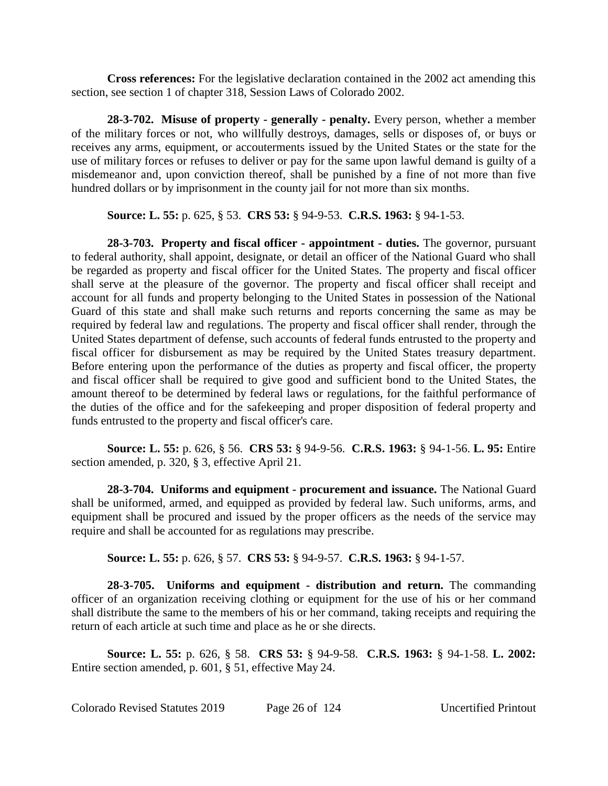**Cross references:** For the legislative declaration contained in the 2002 act amending this section, see section 1 of chapter 318, Session Laws of Colorado 2002.

**28-3-702. Misuse of property - generally - penalty.** Every person, whether a member of the military forces or not, who willfully destroys, damages, sells or disposes of, or buys or receives any arms, equipment, or accouterments issued by the United States or the state for the use of military forces or refuses to deliver or pay for the same upon lawful demand is guilty of a misdemeanor and, upon conviction thereof, shall be punished by a fine of not more than five hundred dollars or by imprisonment in the county jail for not more than six months.

**Source: L. 55:** p. 625, § 53. **CRS 53:** § 94-9-53. **C.R.S. 1963:** § 94-1-53.

**28-3-703. Property and fiscal officer - appointment - duties.** The governor, pursuant to federal authority, shall appoint, designate, or detail an officer of the National Guard who shall be regarded as property and fiscal officer for the United States. The property and fiscal officer shall serve at the pleasure of the governor. The property and fiscal officer shall receipt and account for all funds and property belonging to the United States in possession of the National Guard of this state and shall make such returns and reports concerning the same as may be required by federal law and regulations. The property and fiscal officer shall render, through the United States department of defense, such accounts of federal funds entrusted to the property and fiscal officer for disbursement as may be required by the United States treasury department. Before entering upon the performance of the duties as property and fiscal officer, the property and fiscal officer shall be required to give good and sufficient bond to the United States, the amount thereof to be determined by federal laws or regulations, for the faithful performance of the duties of the office and for the safekeeping and proper disposition of federal property and funds entrusted to the property and fiscal officer's care.

**Source: L. 55:** p. 626, § 56. **CRS 53:** § 94-9-56. **C.R.S. 1963:** § 94-1-56. **L. 95:** Entire section amended, p. 320, § 3, effective April 21.

**28-3-704. Uniforms and equipment - procurement and issuance.** The National Guard shall be uniformed, armed, and equipped as provided by federal law. Such uniforms, arms, and equipment shall be procured and issued by the proper officers as the needs of the service may require and shall be accounted for as regulations may prescribe.

**Source: L. 55:** p. 626, § 57. **CRS 53:** § 94-9-57. **C.R.S. 1963:** § 94-1-57.

**28-3-705. Uniforms and equipment - distribution and return.** The commanding officer of an organization receiving clothing or equipment for the use of his or her command shall distribute the same to the members of his or her command, taking receipts and requiring the return of each article at such time and place as he or she directs.

**Source: L. 55:** p. 626, § 58. **CRS 53:** § 94-9-58. **C.R.S. 1963:** § 94-1-58. **L. 2002:** Entire section amended, p. 601, § 51, effective May 24.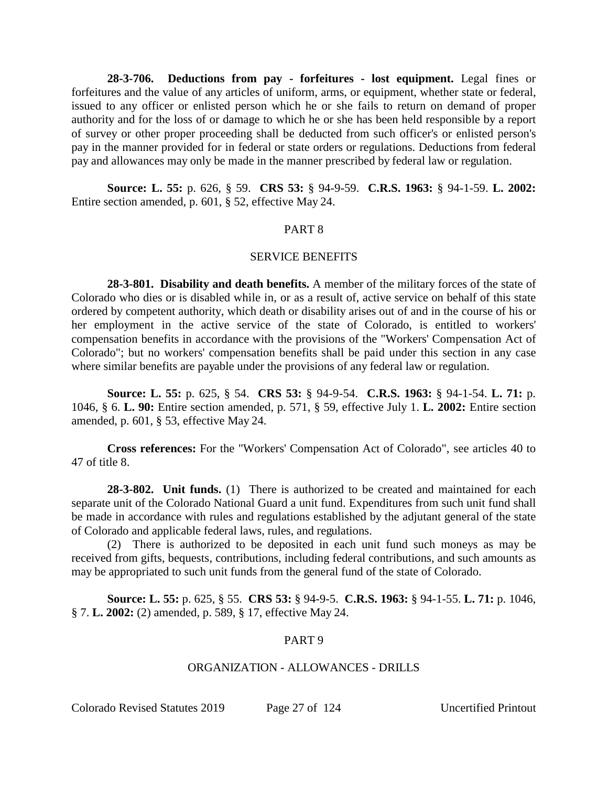**28-3-706. Deductions from pay - forfeitures - lost equipment.** Legal fines or forfeitures and the value of any articles of uniform, arms, or equipment, whether state or federal, issued to any officer or enlisted person which he or she fails to return on demand of proper authority and for the loss of or damage to which he or she has been held responsible by a report of survey or other proper proceeding shall be deducted from such officer's or enlisted person's pay in the manner provided for in federal or state orders or regulations. Deductions from federal pay and allowances may only be made in the manner prescribed by federal law or regulation.

**Source: L. 55:** p. 626, § 59. **CRS 53:** § 94-9-59. **C.R.S. 1963:** § 94-1-59. **L. 2002:** Entire section amended, p. 601, § 52, effective May 24.

#### PART 8

#### SERVICE BENEFITS

**28-3-801. Disability and death benefits.** A member of the military forces of the state of Colorado who dies or is disabled while in, or as a result of, active service on behalf of this state ordered by competent authority, which death or disability arises out of and in the course of his or her employment in the active service of the state of Colorado, is entitled to workers' compensation benefits in accordance with the provisions of the "Workers' Compensation Act of Colorado"; but no workers' compensation benefits shall be paid under this section in any case where similar benefits are payable under the provisions of any federal law or regulation.

**Source: L. 55:** p. 625, § 54. **CRS 53:** § 94-9-54. **C.R.S. 1963:** § 94-1-54. **L. 71:** p. 1046, § 6. **L. 90:** Entire section amended, p. 571, § 59, effective July 1. **L. 2002:** Entire section amended, p. 601, § 53, effective May 24.

**Cross references:** For the "Workers' Compensation Act of Colorado", see articles 40 to 47 of title 8.

**28-3-802. Unit funds.** (1) There is authorized to be created and maintained for each separate unit of the Colorado National Guard a unit fund. Expenditures from such unit fund shall be made in accordance with rules and regulations established by the adjutant general of the state of Colorado and applicable federal laws, rules, and regulations.

(2) There is authorized to be deposited in each unit fund such moneys as may be received from gifts, bequests, contributions, including federal contributions, and such amounts as may be appropriated to such unit funds from the general fund of the state of Colorado.

**Source: L. 55:** p. 625, § 55. **CRS 53:** § 94-9-5. **C.R.S. 1963:** § 94-1-55. **L. 71:** p. 1046, § 7. **L. 2002:** (2) amended, p. 589, § 17, effective May 24.

#### PART 9

## ORGANIZATION - ALLOWANCES - DRILLS

Colorado Revised Statutes 2019 Page 27 of 124 Uncertified Printout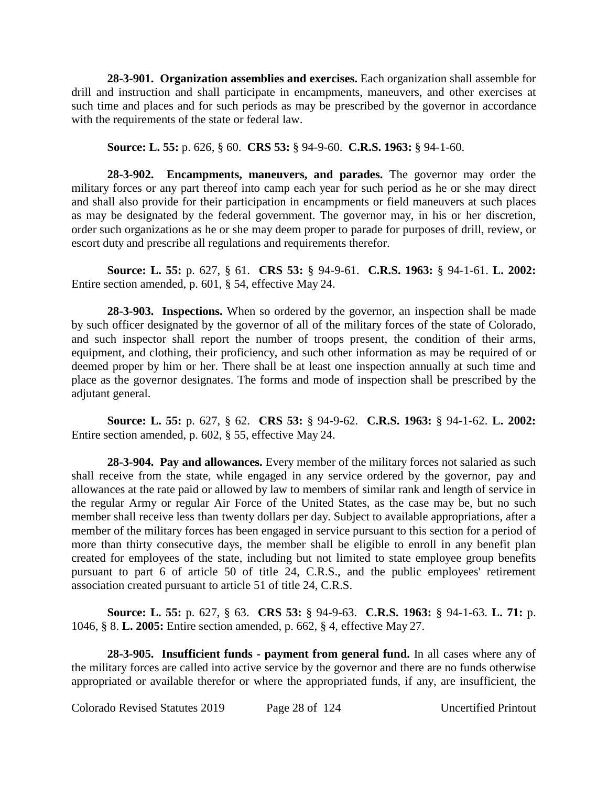**28-3-901. Organization assemblies and exercises.** Each organization shall assemble for drill and instruction and shall participate in encampments, maneuvers, and other exercises at such time and places and for such periods as may be prescribed by the governor in accordance with the requirements of the state or federal law.

**Source: L. 55:** p. 626, § 60. **CRS 53:** § 94-9-60. **C.R.S. 1963:** § 94-1-60.

**28-3-902. Encampments, maneuvers, and parades.** The governor may order the military forces or any part thereof into camp each year for such period as he or she may direct and shall also provide for their participation in encampments or field maneuvers at such places as may be designated by the federal government. The governor may, in his or her discretion, order such organizations as he or she may deem proper to parade for purposes of drill, review, or escort duty and prescribe all regulations and requirements therefor.

**Source: L. 55:** p. 627, § 61. **CRS 53:** § 94-9-61. **C.R.S. 1963:** § 94-1-61. **L. 2002:** Entire section amended, p. 601, § 54, effective May 24.

**28-3-903. Inspections.** When so ordered by the governor, an inspection shall be made by such officer designated by the governor of all of the military forces of the state of Colorado, and such inspector shall report the number of troops present, the condition of their arms, equipment, and clothing, their proficiency, and such other information as may be required of or deemed proper by him or her. There shall be at least one inspection annually at such time and place as the governor designates. The forms and mode of inspection shall be prescribed by the adjutant general.

**Source: L. 55:** p. 627, § 62. **CRS 53:** § 94-9-62. **C.R.S. 1963:** § 94-1-62. **L. 2002:** Entire section amended, p. 602, § 55, effective May 24.

**28-3-904. Pay and allowances.** Every member of the military forces not salaried as such shall receive from the state, while engaged in any service ordered by the governor, pay and allowances at the rate paid or allowed by law to members of similar rank and length of service in the regular Army or regular Air Force of the United States, as the case may be, but no such member shall receive less than twenty dollars per day. Subject to available appropriations, after a member of the military forces has been engaged in service pursuant to this section for a period of more than thirty consecutive days, the member shall be eligible to enroll in any benefit plan created for employees of the state, including but not limited to state employee group benefits pursuant to part 6 of article 50 of title 24, C.R.S., and the public employees' retirement association created pursuant to article 51 of title 24, C.R.S.

**Source: L. 55:** p. 627, § 63. **CRS 53:** § 94-9-63. **C.R.S. 1963:** § 94-1-63. **L. 71:** p. 1046, § 8. **L. 2005:** Entire section amended, p. 662, § 4, effective May 27.

**28-3-905. Insufficient funds - payment from general fund.** In all cases where any of the military forces are called into active service by the governor and there are no funds otherwise appropriated or available therefor or where the appropriated funds, if any, are insufficient, the

Colorado Revised Statutes 2019 Page 28 of 124 Uncertified Printout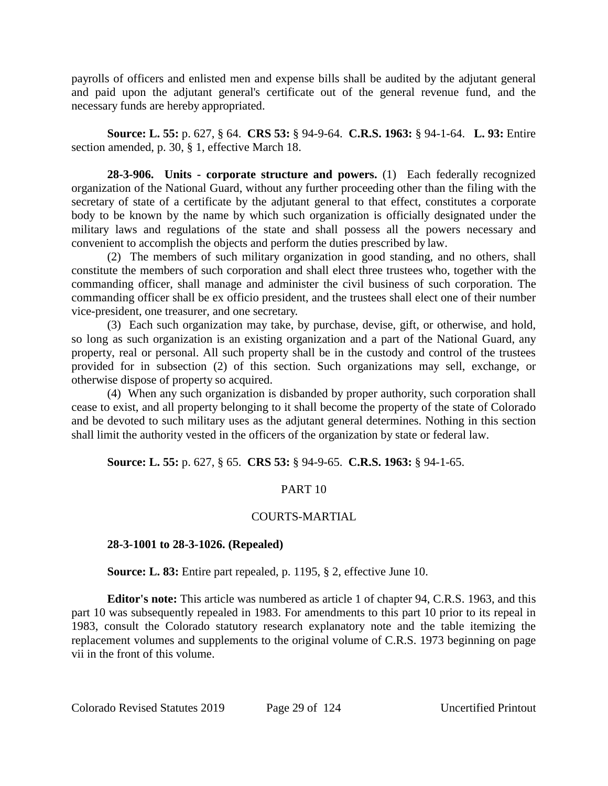payrolls of officers and enlisted men and expense bills shall be audited by the adjutant general and paid upon the adjutant general's certificate out of the general revenue fund, and the necessary funds are hereby appropriated.

**Source: L. 55:** p. 627, § 64. **CRS 53:** § 94-9-64. **C.R.S. 1963:** § 94-1-64. **L. 93:** Entire section amended, p. 30, § 1, effective March 18.

**28-3-906. Units - corporate structure and powers.** (1) Each federally recognized organization of the National Guard, without any further proceeding other than the filing with the secretary of state of a certificate by the adjutant general to that effect, constitutes a corporate body to be known by the name by which such organization is officially designated under the military laws and regulations of the state and shall possess all the powers necessary and convenient to accomplish the objects and perform the duties prescribed by law.

(2) The members of such military organization in good standing, and no others, shall constitute the members of such corporation and shall elect three trustees who, together with the commanding officer, shall manage and administer the civil business of such corporation. The commanding officer shall be ex officio president, and the trustees shall elect one of their number vice-president, one treasurer, and one secretary.

(3) Each such organization may take, by purchase, devise, gift, or otherwise, and hold, so long as such organization is an existing organization and a part of the National Guard, any property, real or personal. All such property shall be in the custody and control of the trustees provided for in subsection (2) of this section. Such organizations may sell, exchange, or otherwise dispose of property so acquired.

(4) When any such organization is disbanded by proper authority, such corporation shall cease to exist, and all property belonging to it shall become the property of the state of Colorado and be devoted to such military uses as the adjutant general determines. Nothing in this section shall limit the authority vested in the officers of the organization by state or federal law.

**Source: L. 55:** p. 627, § 65. **CRS 53:** § 94-9-65. **C.R.S. 1963:** § 94-1-65.

# PART 10

# COURTS-MARTIAL

## **28-3-1001 to 28-3-1026. (Repealed)**

**Source: L. 83:** Entire part repealed, p. 1195, § 2, effective June 10.

**Editor's note:** This article was numbered as article 1 of chapter 94, C.R.S. 1963, and this part 10 was subsequently repealed in 1983. For amendments to this part 10 prior to its repeal in 1983, consult the Colorado statutory research explanatory note and the table itemizing the replacement volumes and supplements to the original volume of C.R.S. 1973 beginning on page vii in the front of this volume.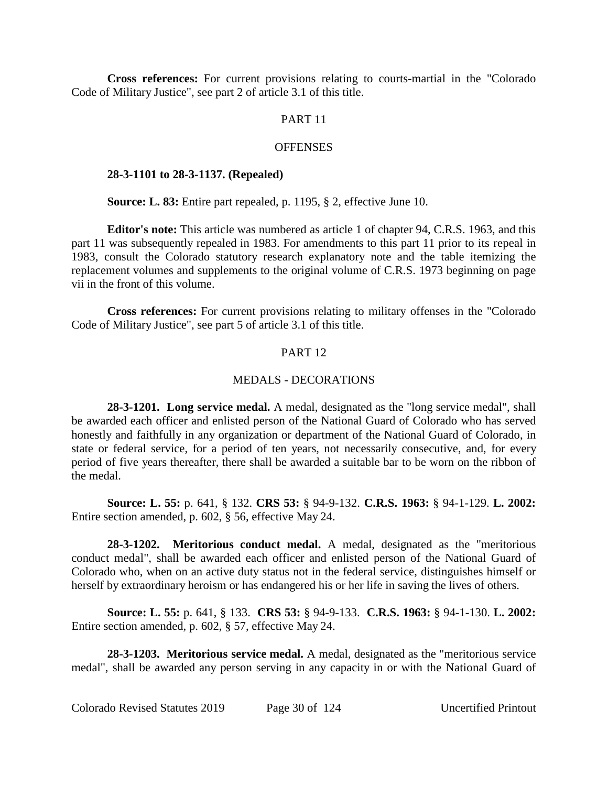**Cross references:** For current provisions relating to courts-martial in the "Colorado Code of Military Justice", see part 2 of article 3.1 of this title.

## PART 11

#### **OFFENSES**

#### **28-3-1101 to 28-3-1137. (Repealed)**

**Source: L. 83:** Entire part repealed, p. 1195, § 2, effective June 10.

**Editor's note:** This article was numbered as article 1 of chapter 94, C.R.S. 1963, and this part 11 was subsequently repealed in 1983. For amendments to this part 11 prior to its repeal in 1983, consult the Colorado statutory research explanatory note and the table itemizing the replacement volumes and supplements to the original volume of C.R.S. 1973 beginning on page vii in the front of this volume.

**Cross references:** For current provisions relating to military offenses in the "Colorado Code of Military Justice", see part 5 of article 3.1 of this title.

## PART 12

## MEDALS - DECORATIONS

**28-3-1201. Long service medal.** A medal, designated as the "long service medal", shall be awarded each officer and enlisted person of the National Guard of Colorado who has served honestly and faithfully in any organization or department of the National Guard of Colorado, in state or federal service, for a period of ten years, not necessarily consecutive, and, for every period of five years thereafter, there shall be awarded a suitable bar to be worn on the ribbon of the medal.

**Source: L. 55:** p. 641, § 132. **CRS 53:** § 94-9-132. **C.R.S. 1963:** § 94-1-129. **L. 2002:** Entire section amended, p. 602, § 56, effective May 24.

**28-3-1202. Meritorious conduct medal.** A medal, designated as the "meritorious conduct medal", shall be awarded each officer and enlisted person of the National Guard of Colorado who, when on an active duty status not in the federal service, distinguishes himself or herself by extraordinary heroism or has endangered his or her life in saving the lives of others.

**Source: L. 55:** p. 641, § 133. **CRS 53:** § 94-9-133. **C.R.S. 1963:** § 94-1-130. **L. 2002:** Entire section amended, p. 602, § 57, effective May 24.

**28-3-1203. Meritorious service medal.** A medal, designated as the "meritorious service medal", shall be awarded any person serving in any capacity in or with the National Guard of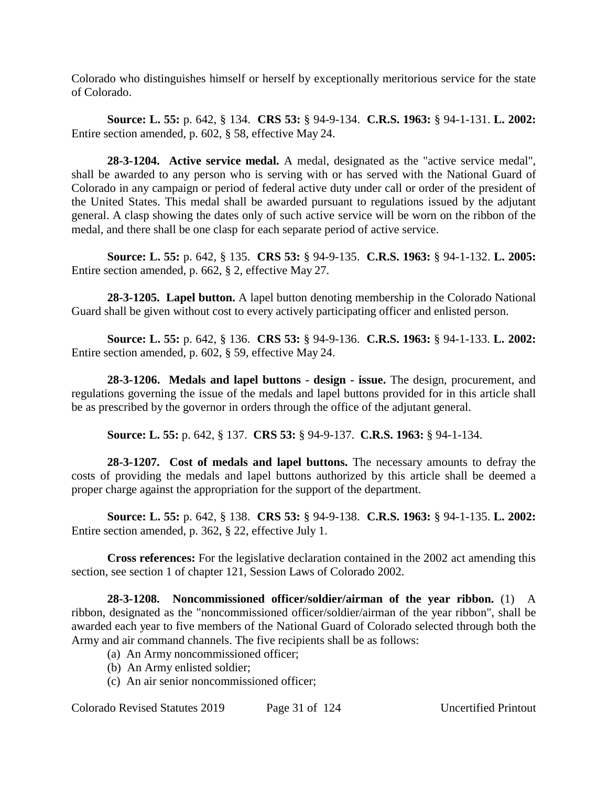Colorado who distinguishes himself or herself by exceptionally meritorious service for the state of Colorado.

**Source: L. 55:** p. 642, § 134. **CRS 53:** § 94-9-134. **C.R.S. 1963:** § 94-1-131. **L. 2002:** Entire section amended, p. 602, § 58, effective May 24.

**28-3-1204. Active service medal.** A medal, designated as the "active service medal", shall be awarded to any person who is serving with or has served with the National Guard of Colorado in any campaign or period of federal active duty under call or order of the president of the United States. This medal shall be awarded pursuant to regulations issued by the adjutant general. A clasp showing the dates only of such active service will be worn on the ribbon of the medal, and there shall be one clasp for each separate period of active service.

**Source: L. 55:** p. 642, § 135. **CRS 53:** § 94-9-135. **C.R.S. 1963:** § 94-1-132. **L. 2005:** Entire section amended, p. 662, § 2, effective May 27.

**28-3-1205. Lapel button.** A lapel button denoting membership in the Colorado National Guard shall be given without cost to every actively participating officer and enlisted person.

**Source: L. 55:** p. 642, § 136. **CRS 53:** § 94-9-136. **C.R.S. 1963:** § 94-1-133. **L. 2002:** Entire section amended, p. 602, § 59, effective May 24.

**28-3-1206. Medals and lapel buttons - design - issue.** The design, procurement, and regulations governing the issue of the medals and lapel buttons provided for in this article shall be as prescribed by the governor in orders through the office of the adjutant general.

**Source: L. 55:** p. 642, § 137. **CRS 53:** § 94-9-137. **C.R.S. 1963:** § 94-1-134.

**28-3-1207. Cost of medals and lapel buttons.** The necessary amounts to defray the costs of providing the medals and lapel buttons authorized by this article shall be deemed a proper charge against the appropriation for the support of the department.

**Source: L. 55:** p. 642, § 138. **CRS 53:** § 94-9-138. **C.R.S. 1963:** § 94-1-135. **L. 2002:** Entire section amended, p. 362, § 22, effective July 1.

**Cross references:** For the legislative declaration contained in the 2002 act amending this section, see section 1 of chapter 121, Session Laws of Colorado 2002.

**28-3-1208. Noncommissioned officer/soldier/airman of the year ribbon.** (1) A ribbon, designated as the "noncommissioned officer/soldier/airman of the year ribbon", shall be awarded each year to five members of the National Guard of Colorado selected through both the Army and air command channels. The five recipients shall be as follows:

- (a) An Army noncommissioned officer;
- (b) An Army enlisted soldier;
- (c) An air senior noncommissioned officer;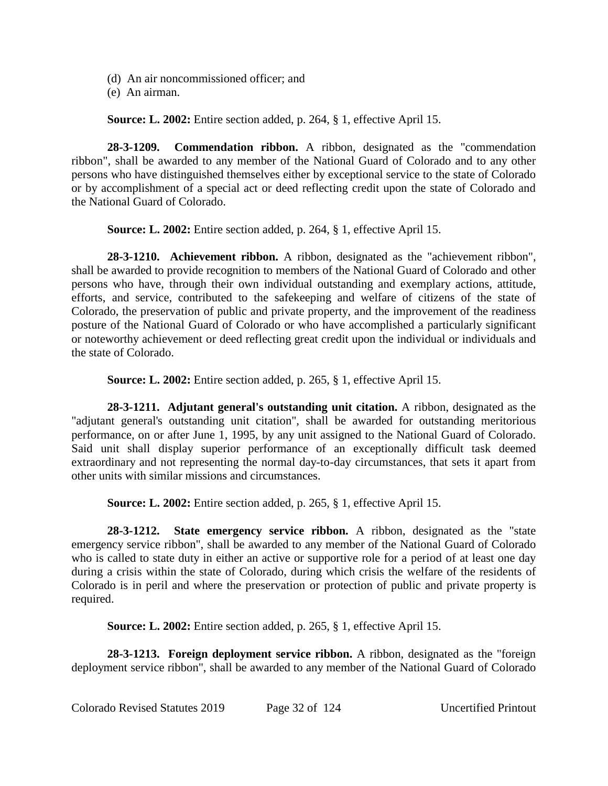- (d) An air noncommissioned officer; and
- (e) An airman.

**Source: L. 2002:** Entire section added, p. 264, § 1, effective April 15.

**28-3-1209. Commendation ribbon.** A ribbon, designated as the "commendation ribbon", shall be awarded to any member of the National Guard of Colorado and to any other persons who have distinguished themselves either by exceptional service to the state of Colorado or by accomplishment of a special act or deed reflecting credit upon the state of Colorado and the National Guard of Colorado.

**Source: L. 2002:** Entire section added, p. 264, § 1, effective April 15.

**28-3-1210. Achievement ribbon.** A ribbon, designated as the "achievement ribbon", shall be awarded to provide recognition to members of the National Guard of Colorado and other persons who have, through their own individual outstanding and exemplary actions, attitude, efforts, and service, contributed to the safekeeping and welfare of citizens of the state of Colorado, the preservation of public and private property, and the improvement of the readiness posture of the National Guard of Colorado or who have accomplished a particularly significant or noteworthy achievement or deed reflecting great credit upon the individual or individuals and the state of Colorado.

**Source: L. 2002:** Entire section added, p. 265, § 1, effective April 15.

**28-3-1211. Adjutant general's outstanding unit citation.** A ribbon, designated as the "adjutant general's outstanding unit citation", shall be awarded for outstanding meritorious performance, on or after June 1, 1995, by any unit assigned to the National Guard of Colorado. Said unit shall display superior performance of an exceptionally difficult task deemed extraordinary and not representing the normal day-to-day circumstances, that sets it apart from other units with similar missions and circumstances.

**Source: L. 2002:** Entire section added, p. 265, § 1, effective April 15.

**28-3-1212. State emergency service ribbon.** A ribbon, designated as the "state emergency service ribbon", shall be awarded to any member of the National Guard of Colorado who is called to state duty in either an active or supportive role for a period of at least one day during a crisis within the state of Colorado, during which crisis the welfare of the residents of Colorado is in peril and where the preservation or protection of public and private property is required.

**Source: L. 2002:** Entire section added, p. 265, § 1, effective April 15.

**28-3-1213. Foreign deployment service ribbon.** A ribbon, designated as the "foreign deployment service ribbon", shall be awarded to any member of the National Guard of Colorado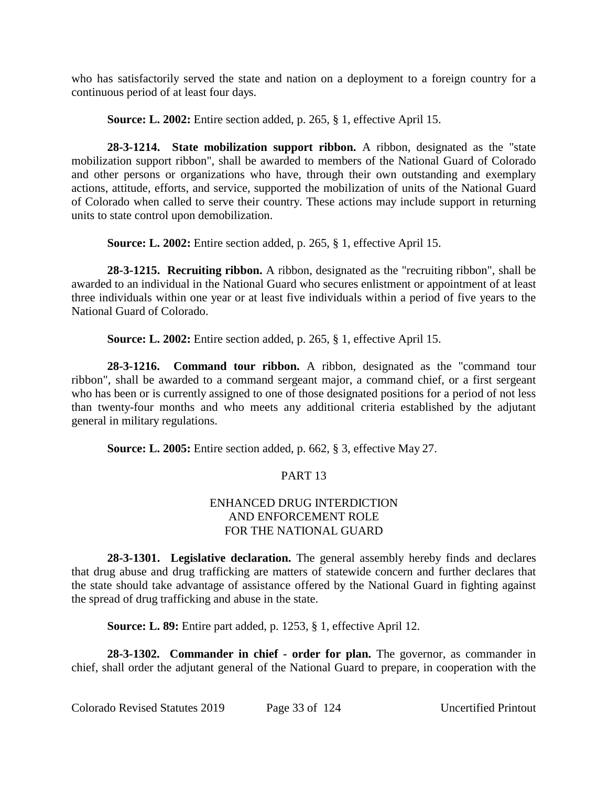who has satisfactorily served the state and nation on a deployment to a foreign country for a continuous period of at least four days.

**Source: L. 2002:** Entire section added, p. 265, § 1, effective April 15.

**28-3-1214. State mobilization support ribbon.** A ribbon, designated as the "state mobilization support ribbon", shall be awarded to members of the National Guard of Colorado and other persons or organizations who have, through their own outstanding and exemplary actions, attitude, efforts, and service, supported the mobilization of units of the National Guard of Colorado when called to serve their country. These actions may include support in returning units to state control upon demobilization.

**Source: L. 2002:** Entire section added, p. 265, § 1, effective April 15.

**28-3-1215. Recruiting ribbon.** A ribbon, designated as the "recruiting ribbon", shall be awarded to an individual in the National Guard who secures enlistment or appointment of at least three individuals within one year or at least five individuals within a period of five years to the National Guard of Colorado.

**Source: L. 2002:** Entire section added, p. 265, § 1, effective April 15.

**28-3-1216. Command tour ribbon.** A ribbon, designated as the "command tour ribbon", shall be awarded to a command sergeant major, a command chief, or a first sergeant who has been or is currently assigned to one of those designated positions for a period of not less than twenty-four months and who meets any additional criteria established by the adjutant general in military regulations.

**Source: L. 2005:** Entire section added, p. 662, § 3, effective May 27.

# PART 13

# ENHANCED DRUG INTERDICTION AND ENFORCEMENT ROLE FOR THE NATIONAL GUARD

**28-3-1301. Legislative declaration.** The general assembly hereby finds and declares that drug abuse and drug trafficking are matters of statewide concern and further declares that the state should take advantage of assistance offered by the National Guard in fighting against the spread of drug trafficking and abuse in the state.

**Source: L. 89:** Entire part added, p. 1253, § 1, effective April 12.

**28-3-1302. Commander in chief - order for plan.** The governor, as commander in chief, shall order the adjutant general of the National Guard to prepare, in cooperation with the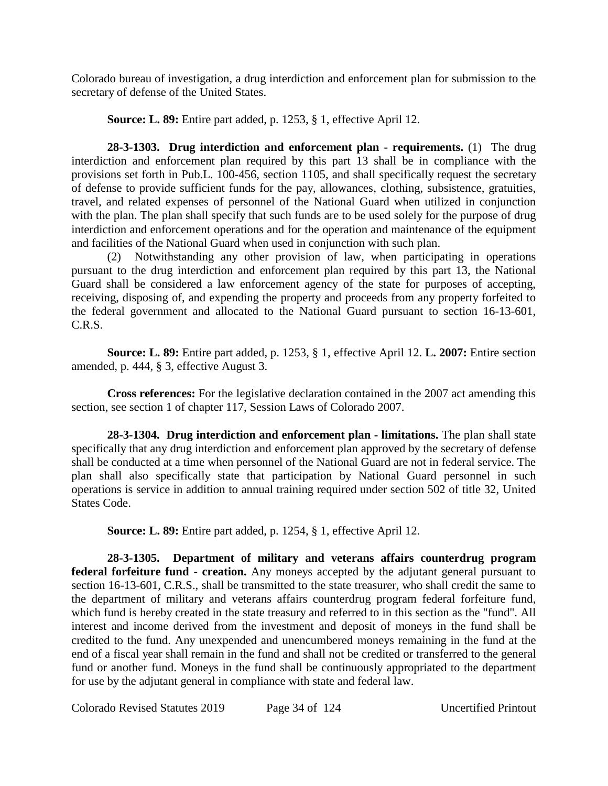Colorado bureau of investigation, a drug interdiction and enforcement plan for submission to the secretary of defense of the United States.

**Source: L. 89:** Entire part added, p. 1253, § 1, effective April 12.

**28-3-1303. Drug interdiction and enforcement plan - requirements.** (1) The drug interdiction and enforcement plan required by this part 13 shall be in compliance with the provisions set forth in Pub.L. 100-456, section 1105, and shall specifically request the secretary of defense to provide sufficient funds for the pay, allowances, clothing, subsistence, gratuities, travel, and related expenses of personnel of the National Guard when utilized in conjunction with the plan. The plan shall specify that such funds are to be used solely for the purpose of drug interdiction and enforcement operations and for the operation and maintenance of the equipment and facilities of the National Guard when used in conjunction with such plan.

(2) Notwithstanding any other provision of law, when participating in operations pursuant to the drug interdiction and enforcement plan required by this part 13, the National Guard shall be considered a law enforcement agency of the state for purposes of accepting, receiving, disposing of, and expending the property and proceeds from any property forfeited to the federal government and allocated to the National Guard pursuant to section 16-13-601, C.R.S.

**Source: L. 89:** Entire part added, p. 1253, § 1, effective April 12. **L. 2007:** Entire section amended, p. 444, § 3, effective August 3.

**Cross references:** For the legislative declaration contained in the 2007 act amending this section, see section 1 of chapter 117, Session Laws of Colorado 2007.

**28-3-1304. Drug interdiction and enforcement plan - limitations.** The plan shall state specifically that any drug interdiction and enforcement plan approved by the secretary of defense shall be conducted at a time when personnel of the National Guard are not in federal service. The plan shall also specifically state that participation by National Guard personnel in such operations is service in addition to annual training required under section 502 of title 32, United States Code.

**Source: L. 89:** Entire part added, p. 1254, § 1, effective April 12.

**28-3-1305. Department of military and veterans affairs counterdrug program federal forfeiture fund - creation.** Any moneys accepted by the adjutant general pursuant to section 16-13-601, C.R.S., shall be transmitted to the state treasurer, who shall credit the same to the department of military and veterans affairs counterdrug program federal forfeiture fund, which fund is hereby created in the state treasury and referred to in this section as the "fund". All interest and income derived from the investment and deposit of moneys in the fund shall be credited to the fund. Any unexpended and unencumbered moneys remaining in the fund at the end of a fiscal year shall remain in the fund and shall not be credited or transferred to the general fund or another fund. Moneys in the fund shall be continuously appropriated to the department for use by the adjutant general in compliance with state and federal law.

Colorado Revised Statutes 2019 Page 34 of 124 Uncertified Printout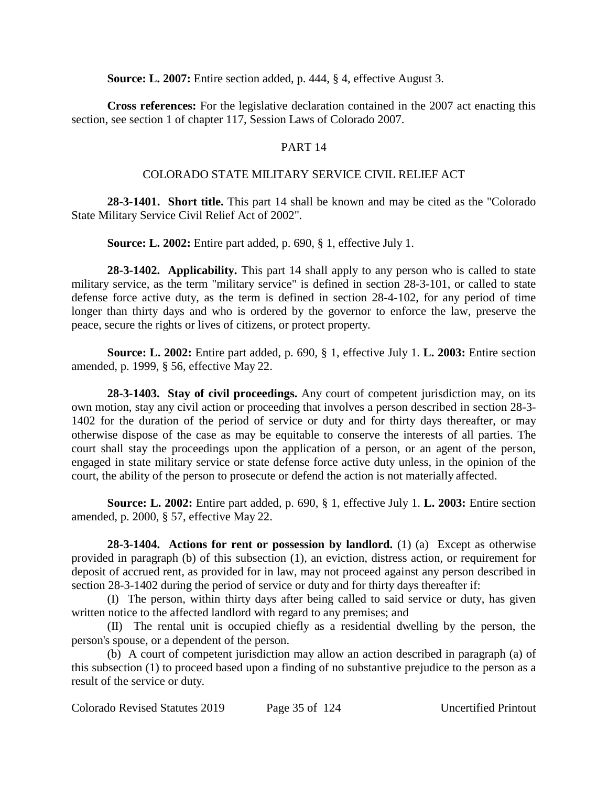**Source: L. 2007:** Entire section added, p. 444, § 4, effective August 3.

**Cross references:** For the legislative declaration contained in the 2007 act enacting this section, see section 1 of chapter 117, Session Laws of Colorado 2007.

# PART 14

# COLORADO STATE MILITARY SERVICE CIVIL RELIEF ACT

**28-3-1401. Short title.** This part 14 shall be known and may be cited as the "Colorado State Military Service Civil Relief Act of 2002".

**Source: L. 2002:** Entire part added, p. 690, § 1, effective July 1.

**28-3-1402. Applicability.** This part 14 shall apply to any person who is called to state military service, as the term "military service" is defined in section 28-3-101, or called to state defense force active duty, as the term is defined in section 28-4-102, for any period of time longer than thirty days and who is ordered by the governor to enforce the law, preserve the peace, secure the rights or lives of citizens, or protect property.

**Source: L. 2002:** Entire part added, p. 690, § 1, effective July 1. **L. 2003:** Entire section amended, p. 1999, § 56, effective May 22.

**28-3-1403. Stay of civil proceedings.** Any court of competent jurisdiction may, on its own motion, stay any civil action or proceeding that involves a person described in section 28-3- 1402 for the duration of the period of service or duty and for thirty days thereafter, or may otherwise dispose of the case as may be equitable to conserve the interests of all parties. The court shall stay the proceedings upon the application of a person, or an agent of the person, engaged in state military service or state defense force active duty unless, in the opinion of the court, the ability of the person to prosecute or defend the action is not materially affected.

**Source: L. 2002:** Entire part added, p. 690, § 1, effective July 1. **L. 2003:** Entire section amended, p. 2000, § 57, effective May 22.

**28-3-1404. Actions for rent or possession by landlord.** (1) (a) Except as otherwise provided in paragraph (b) of this subsection (1), an eviction, distress action, or requirement for deposit of accrued rent, as provided for in law, may not proceed against any person described in section 28-3-1402 during the period of service or duty and for thirty days thereafter if:

(I) The person, within thirty days after being called to said service or duty, has given written notice to the affected landlord with regard to any premises; and

(II) The rental unit is occupied chiefly as a residential dwelling by the person, the person's spouse, or a dependent of the person.

(b) A court of competent jurisdiction may allow an action described in paragraph (a) of this subsection (1) to proceed based upon a finding of no substantive prejudice to the person as a result of the service or duty.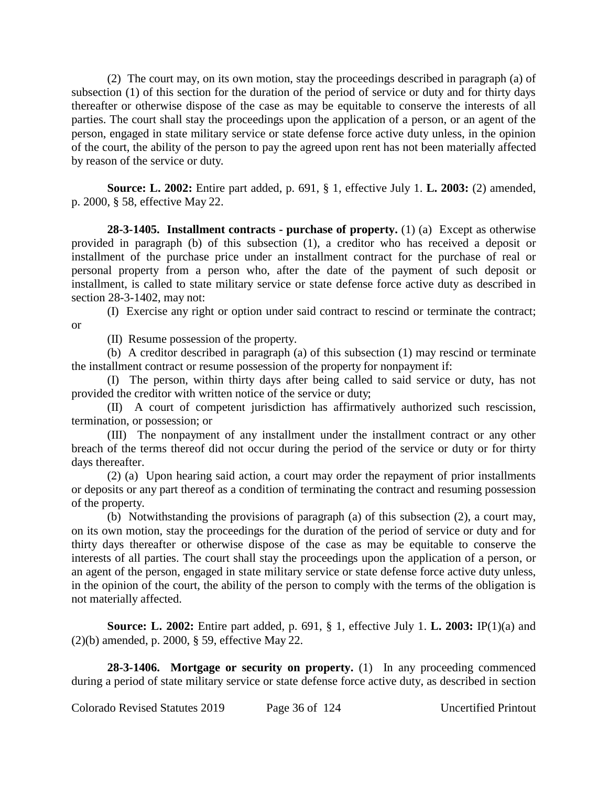(2) The court may, on its own motion, stay the proceedings described in paragraph (a) of subsection (1) of this section for the duration of the period of service or duty and for thirty days thereafter or otherwise dispose of the case as may be equitable to conserve the interests of all parties. The court shall stay the proceedings upon the application of a person, or an agent of the person, engaged in state military service or state defense force active duty unless, in the opinion of the court, the ability of the person to pay the agreed upon rent has not been materially affected by reason of the service or duty.

**Source: L. 2002:** Entire part added, p. 691, § 1, effective July 1. **L. 2003:** (2) amended, p. 2000, § 58, effective May 22.

**28-3-1405. Installment contracts - purchase of property.** (1) (a) Except as otherwise provided in paragraph (b) of this subsection (1), a creditor who has received a deposit or installment of the purchase price under an installment contract for the purchase of real or personal property from a person who, after the date of the payment of such deposit or installment, is called to state military service or state defense force active duty as described in section 28-3-1402, may not:

(I) Exercise any right or option under said contract to rescind or terminate the contract; or

(II) Resume possession of the property.

(b) A creditor described in paragraph (a) of this subsection (1) may rescind or terminate the installment contract or resume possession of the property for nonpayment if:

(I) The person, within thirty days after being called to said service or duty, has not provided the creditor with written notice of the service or duty;

(II) A court of competent jurisdiction has affirmatively authorized such rescission, termination, or possession; or

(III) The nonpayment of any installment under the installment contract or any other breach of the terms thereof did not occur during the period of the service or duty or for thirty days thereafter.

(2) (a) Upon hearing said action, a court may order the repayment of prior installments or deposits or any part thereof as a condition of terminating the contract and resuming possession of the property.

(b) Notwithstanding the provisions of paragraph (a) of this subsection (2), a court may, on its own motion, stay the proceedings for the duration of the period of service or duty and for thirty days thereafter or otherwise dispose of the case as may be equitable to conserve the interests of all parties. The court shall stay the proceedings upon the application of a person, or an agent of the person, engaged in state military service or state defense force active duty unless, in the opinion of the court, the ability of the person to comply with the terms of the obligation is not materially affected.

**Source: L. 2002:** Entire part added, p. 691, § 1, effective July 1. **L. 2003:** IP(1)(a) and (2)(b) amended, p. 2000, § 59, effective May 22.

**28-3-1406. Mortgage or security on property.** (1) In any proceeding commenced during a period of state military service or state defense force active duty, as described in section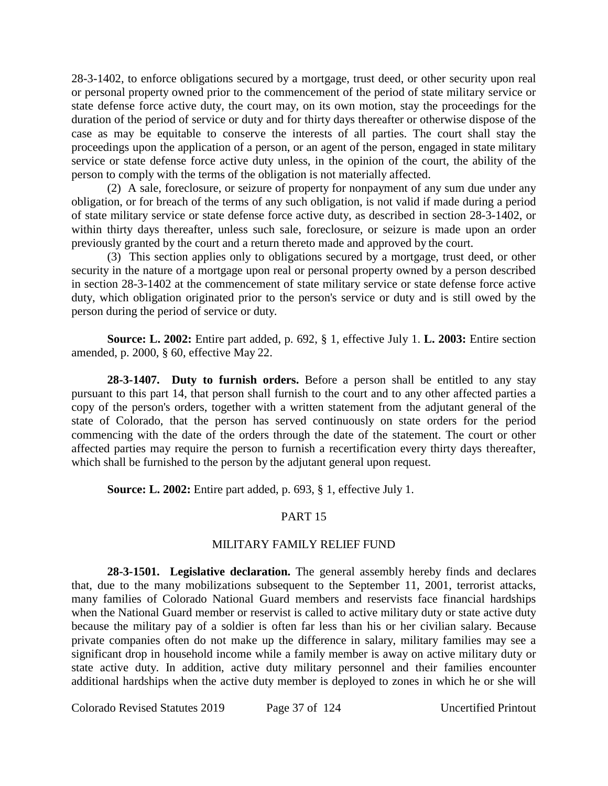28-3-1402, to enforce obligations secured by a mortgage, trust deed, or other security upon real or personal property owned prior to the commencement of the period of state military service or state defense force active duty, the court may, on its own motion, stay the proceedings for the duration of the period of service or duty and for thirty days thereafter or otherwise dispose of the case as may be equitable to conserve the interests of all parties. The court shall stay the proceedings upon the application of a person, or an agent of the person, engaged in state military service or state defense force active duty unless, in the opinion of the court, the ability of the person to comply with the terms of the obligation is not materially affected.

(2) A sale, foreclosure, or seizure of property for nonpayment of any sum due under any obligation, or for breach of the terms of any such obligation, is not valid if made during a period of state military service or state defense force active duty, as described in section 28-3-1402, or within thirty days thereafter, unless such sale, foreclosure, or seizure is made upon an order previously granted by the court and a return thereto made and approved by the court.

(3) This section applies only to obligations secured by a mortgage, trust deed, or other security in the nature of a mortgage upon real or personal property owned by a person described in section 28-3-1402 at the commencement of state military service or state defense force active duty, which obligation originated prior to the person's service or duty and is still owed by the person during the period of service or duty.

**Source: L. 2002:** Entire part added, p. 692, § 1, effective July 1. **L. 2003:** Entire section amended, p. 2000, § 60, effective May 22.

**28-3-1407. Duty to furnish orders.** Before a person shall be entitled to any stay pursuant to this part 14, that person shall furnish to the court and to any other affected parties a copy of the person's orders, together with a written statement from the adjutant general of the state of Colorado, that the person has served continuously on state orders for the period commencing with the date of the orders through the date of the statement. The court or other affected parties may require the person to furnish a recertification every thirty days thereafter, which shall be furnished to the person by the adjutant general upon request.

**Source: L. 2002:** Entire part added, p. 693, § 1, effective July 1.

# PART 15

#### MILITARY FAMILY RELIEF FUND

**28-3-1501. Legislative declaration.** The general assembly hereby finds and declares that, due to the many mobilizations subsequent to the September 11, 2001, terrorist attacks, many families of Colorado National Guard members and reservists face financial hardships when the National Guard member or reservist is called to active military duty or state active duty because the military pay of a soldier is often far less than his or her civilian salary. Because private companies often do not make up the difference in salary, military families may see a significant drop in household income while a family member is away on active military duty or state active duty. In addition, active duty military personnel and their families encounter additional hardships when the active duty member is deployed to zones in which he or she will

Colorado Revised Statutes 2019 Page 37 of 124 Uncertified Printout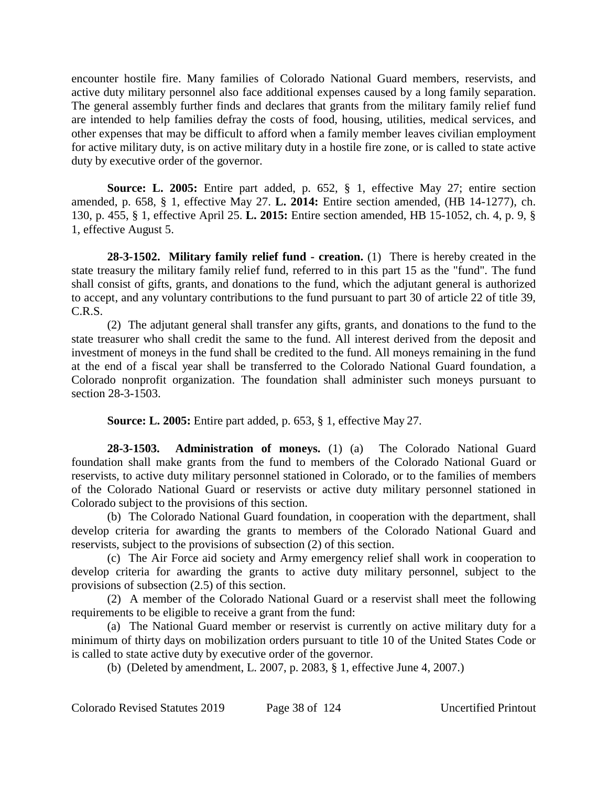encounter hostile fire. Many families of Colorado National Guard members, reservists, and active duty military personnel also face additional expenses caused by a long family separation. The general assembly further finds and declares that grants from the military family relief fund are intended to help families defray the costs of food, housing, utilities, medical services, and other expenses that may be difficult to afford when a family member leaves civilian employment for active military duty, is on active military duty in a hostile fire zone, or is called to state active duty by executive order of the governor.

**Source: L. 2005:** Entire part added, p. 652, § 1, effective May 27; entire section amended, p. 658, § 1, effective May 27. **L. 2014:** Entire section amended, (HB 14-1277), ch. 130, p. 455, § 1, effective April 25. **L. 2015:** Entire section amended, HB 15-1052, ch. 4, p. 9, § 1, effective August 5.

**28-3-1502. Military family relief fund - creation.** (1) There is hereby created in the state treasury the military family relief fund, referred to in this part 15 as the "fund". The fund shall consist of gifts, grants, and donations to the fund, which the adjutant general is authorized to accept, and any voluntary contributions to the fund pursuant to part 30 of article 22 of title 39, C.R.S.

(2) The adjutant general shall transfer any gifts, grants, and donations to the fund to the state treasurer who shall credit the same to the fund. All interest derived from the deposit and investment of moneys in the fund shall be credited to the fund. All moneys remaining in the fund at the end of a fiscal year shall be transferred to the Colorado National Guard foundation, a Colorado nonprofit organization. The foundation shall administer such moneys pursuant to section 28-3-1503.

**Source: L. 2005:** Entire part added, p. 653, § 1, effective May 27.

**28-3-1503. Administration of moneys.** (1) (a) The Colorado National Guard foundation shall make grants from the fund to members of the Colorado National Guard or reservists, to active duty military personnel stationed in Colorado, or to the families of members of the Colorado National Guard or reservists or active duty military personnel stationed in Colorado subject to the provisions of this section.

(b) The Colorado National Guard foundation, in cooperation with the department, shall develop criteria for awarding the grants to members of the Colorado National Guard and reservists, subject to the provisions of subsection (2) of this section.

(c) The Air Force aid society and Army emergency relief shall work in cooperation to develop criteria for awarding the grants to active duty military personnel, subject to the provisions of subsection (2.5) of this section.

(2) A member of the Colorado National Guard or a reservist shall meet the following requirements to be eligible to receive a grant from the fund:

(a) The National Guard member or reservist is currently on active military duty for a minimum of thirty days on mobilization orders pursuant to title 10 of the United States Code or is called to state active duty by executive order of the governor.

(b) (Deleted by amendment, L. 2007, p. 2083, § 1, effective June 4, 2007.)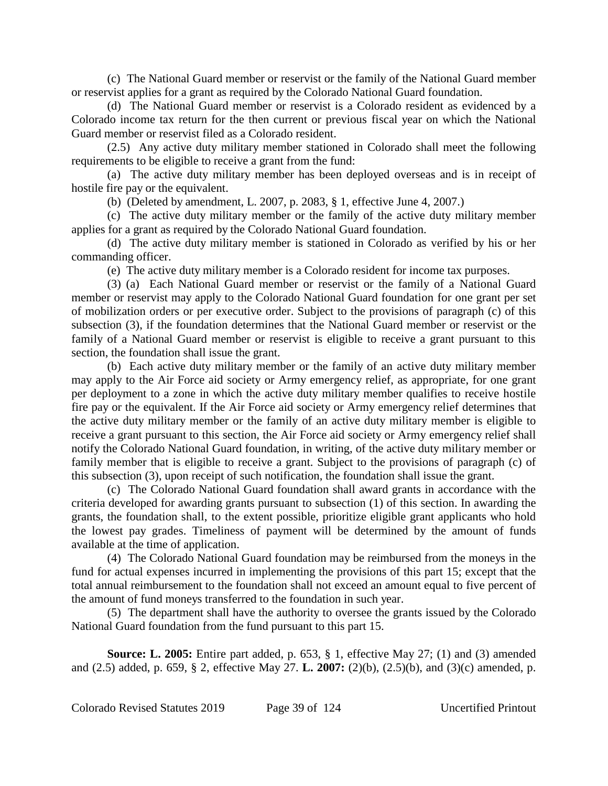(c) The National Guard member or reservist or the family of the National Guard member or reservist applies for a grant as required by the Colorado National Guard foundation.

(d) The National Guard member or reservist is a Colorado resident as evidenced by a Colorado income tax return for the then current or previous fiscal year on which the National Guard member or reservist filed as a Colorado resident.

(2.5) Any active duty military member stationed in Colorado shall meet the following requirements to be eligible to receive a grant from the fund:

(a) The active duty military member has been deployed overseas and is in receipt of hostile fire pay or the equivalent.

(b) (Deleted by amendment, L. 2007, p. 2083, § 1, effective June 4, 2007.)

(c) The active duty military member or the family of the active duty military member applies for a grant as required by the Colorado National Guard foundation.

(d) The active duty military member is stationed in Colorado as verified by his or her commanding officer.

(e) The active duty military member is a Colorado resident for income tax purposes.

(3) (a) Each National Guard member or reservist or the family of a National Guard member or reservist may apply to the Colorado National Guard foundation for one grant per set of mobilization orders or per executive order. Subject to the provisions of paragraph (c) of this subsection (3), if the foundation determines that the National Guard member or reservist or the family of a National Guard member or reservist is eligible to receive a grant pursuant to this section, the foundation shall issue the grant.

(b) Each active duty military member or the family of an active duty military member may apply to the Air Force aid society or Army emergency relief, as appropriate, for one grant per deployment to a zone in which the active duty military member qualifies to receive hostile fire pay or the equivalent. If the Air Force aid society or Army emergency relief determines that the active duty military member or the family of an active duty military member is eligible to receive a grant pursuant to this section, the Air Force aid society or Army emergency relief shall notify the Colorado National Guard foundation, in writing, of the active duty military member or family member that is eligible to receive a grant. Subject to the provisions of paragraph (c) of this subsection (3), upon receipt of such notification, the foundation shall issue the grant.

(c) The Colorado National Guard foundation shall award grants in accordance with the criteria developed for awarding grants pursuant to subsection (1) of this section. In awarding the grants, the foundation shall, to the extent possible, prioritize eligible grant applicants who hold the lowest pay grades. Timeliness of payment will be determined by the amount of funds available at the time of application.

(4) The Colorado National Guard foundation may be reimbursed from the moneys in the fund for actual expenses incurred in implementing the provisions of this part 15; except that the total annual reimbursement to the foundation shall not exceed an amount equal to five percent of the amount of fund moneys transferred to the foundation in such year.

(5) The department shall have the authority to oversee the grants issued by the Colorado National Guard foundation from the fund pursuant to this part 15.

**Source: L. 2005:** Entire part added, p. 653, § 1, effective May 27; (1) and (3) amended and (2.5) added, p. 659, § 2, effective May 27. **L. 2007:** (2)(b), (2.5)(b), and (3)(c) amended, p.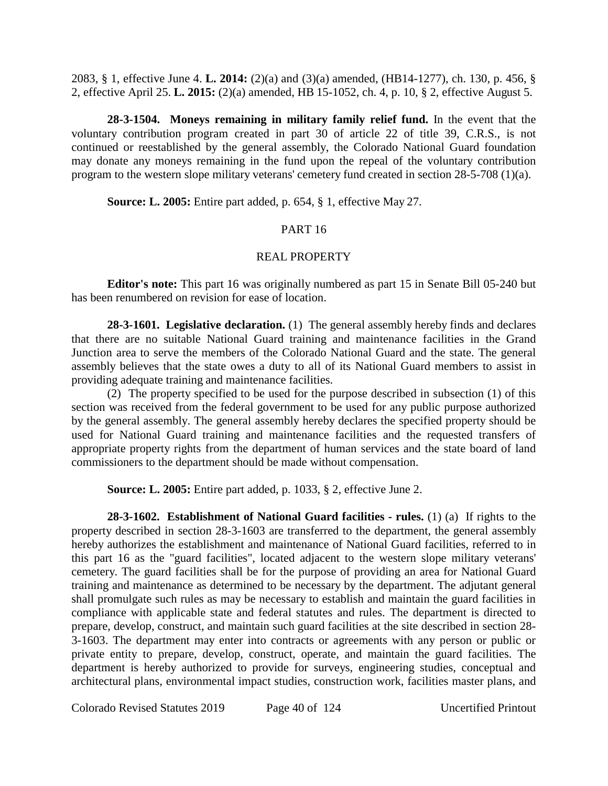2083, § 1, effective June 4. **L. 2014:** (2)(a) and (3)(a) amended, (HB14-1277), ch. 130, p. 456, § 2, effective April 25. **L. 2015:** (2)(a) amended, HB 15-1052, ch. 4, p. 10, § 2, effective August 5.

**28-3-1504. Moneys remaining in military family relief fund.** In the event that the voluntary contribution program created in part 30 of article 22 of title 39, C.R.S., is not continued or reestablished by the general assembly, the Colorado National Guard foundation may donate any moneys remaining in the fund upon the repeal of the voluntary contribution program to the western slope military veterans' cemetery fund created in section 28-5-708 (1)(a).

**Source: L. 2005:** Entire part added, p. 654, § 1, effective May 27.

### PART 16

#### REAL PROPERTY

**Editor's note:** This part 16 was originally numbered as part 15 in Senate Bill 05-240 but has been renumbered on revision for ease of location.

**28-3-1601. Legislative declaration.** (1) The general assembly hereby finds and declares that there are no suitable National Guard training and maintenance facilities in the Grand Junction area to serve the members of the Colorado National Guard and the state. The general assembly believes that the state owes a duty to all of its National Guard members to assist in providing adequate training and maintenance facilities.

(2) The property specified to be used for the purpose described in subsection (1) of this section was received from the federal government to be used for any public purpose authorized by the general assembly. The general assembly hereby declares the specified property should be used for National Guard training and maintenance facilities and the requested transfers of appropriate property rights from the department of human services and the state board of land commissioners to the department should be made without compensation.

**Source: L. 2005:** Entire part added, p. 1033, § 2, effective June 2.

**28-3-1602. Establishment of National Guard facilities - rules.** (1) (a) If rights to the property described in section 28-3-1603 are transferred to the department, the general assembly hereby authorizes the establishment and maintenance of National Guard facilities, referred to in this part 16 as the "guard facilities", located adjacent to the western slope military veterans' cemetery. The guard facilities shall be for the purpose of providing an area for National Guard training and maintenance as determined to be necessary by the department. The adjutant general shall promulgate such rules as may be necessary to establish and maintain the guard facilities in compliance with applicable state and federal statutes and rules. The department is directed to prepare, develop, construct, and maintain such guard facilities at the site described in section 28- 3-1603. The department may enter into contracts or agreements with any person or public or private entity to prepare, develop, construct, operate, and maintain the guard facilities. The department is hereby authorized to provide for surveys, engineering studies, conceptual and architectural plans, environmental impact studies, construction work, facilities master plans, and

Colorado Revised Statutes 2019 Page 40 of 124 Uncertified Printout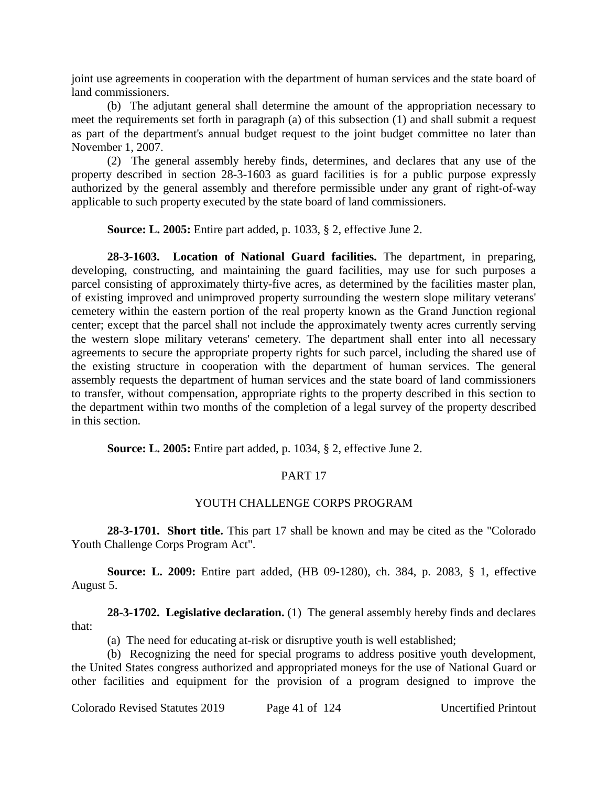joint use agreements in cooperation with the department of human services and the state board of land commissioners.

(b) The adjutant general shall determine the amount of the appropriation necessary to meet the requirements set forth in paragraph (a) of this subsection (1) and shall submit a request as part of the department's annual budget request to the joint budget committee no later than November 1, 2007.

(2) The general assembly hereby finds, determines, and declares that any use of the property described in section 28-3-1603 as guard facilities is for a public purpose expressly authorized by the general assembly and therefore permissible under any grant of right-of-way applicable to such property executed by the state board of land commissioners.

**Source: L. 2005:** Entire part added, p. 1033, § 2, effective June 2.

**28-3-1603. Location of National Guard facilities.** The department, in preparing, developing, constructing, and maintaining the guard facilities, may use for such purposes a parcel consisting of approximately thirty-five acres, as determined by the facilities master plan, of existing improved and unimproved property surrounding the western slope military veterans' cemetery within the eastern portion of the real property known as the Grand Junction regional center; except that the parcel shall not include the approximately twenty acres currently serving the western slope military veterans' cemetery. The department shall enter into all necessary agreements to secure the appropriate property rights for such parcel, including the shared use of the existing structure in cooperation with the department of human services. The general assembly requests the department of human services and the state board of land commissioners to transfer, without compensation, appropriate rights to the property described in this section to the department within two months of the completion of a legal survey of the property described in this section.

**Source: L. 2005:** Entire part added, p. 1034, § 2, effective June 2.

# PART 17

# YOUTH CHALLENGE CORPS PROGRAM

**28-3-1701. Short title.** This part 17 shall be known and may be cited as the "Colorado Youth Challenge Corps Program Act".

**Source: L. 2009:** Entire part added, (HB 09-1280), ch. 384, p. 2083, § 1, effective August 5.

**28-3-1702. Legislative declaration.** (1) The general assembly hereby finds and declares that:

(a) The need for educating at-risk or disruptive youth is well established;

(b) Recognizing the need for special programs to address positive youth development, the United States congress authorized and appropriated moneys for the use of National Guard or other facilities and equipment for the provision of a program designed to improve the

Colorado Revised Statutes 2019 Page 41 of 124 Uncertified Printout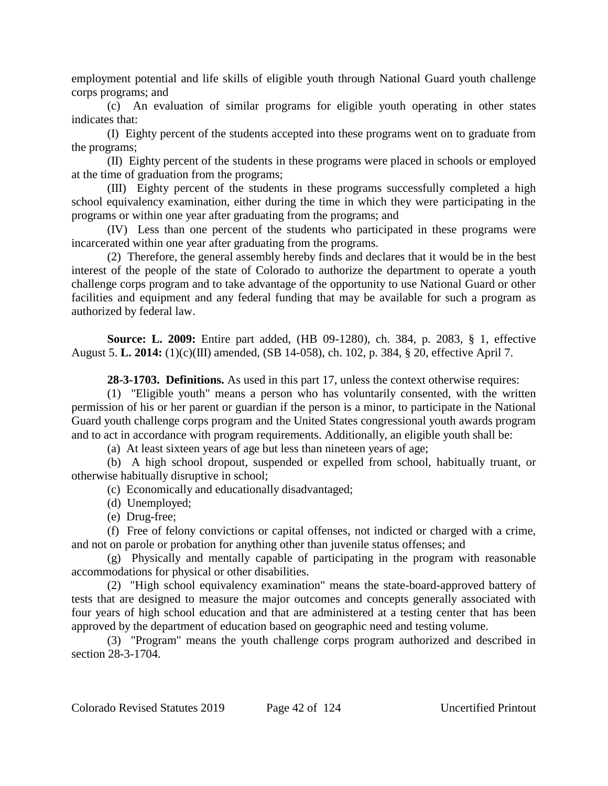employment potential and life skills of eligible youth through National Guard youth challenge corps programs; and

(c) An evaluation of similar programs for eligible youth operating in other states indicates that:

(I) Eighty percent of the students accepted into these programs went on to graduate from the programs;

(II) Eighty percent of the students in these programs were placed in schools or employed at the time of graduation from the programs;

(III) Eighty percent of the students in these programs successfully completed a high school equivalency examination, either during the time in which they were participating in the programs or within one year after graduating from the programs; and

(IV) Less than one percent of the students who participated in these programs were incarcerated within one year after graduating from the programs.

(2) Therefore, the general assembly hereby finds and declares that it would be in the best interest of the people of the state of Colorado to authorize the department to operate a youth challenge corps program and to take advantage of the opportunity to use National Guard or other facilities and equipment and any federal funding that may be available for such a program as authorized by federal law.

**Source: L. 2009:** Entire part added, (HB 09-1280), ch. 384, p. 2083, § 1, effective August 5. **L. 2014:** (1)(c)(III) amended, (SB 14-058), ch. 102, p. 384, § 20, effective April 7.

**28-3-1703. Definitions.** As used in this part 17, unless the context otherwise requires:

(1) "Eligible youth" means a person who has voluntarily consented, with the written permission of his or her parent or guardian if the person is a minor, to participate in the National Guard youth challenge corps program and the United States congressional youth awards program and to act in accordance with program requirements. Additionally, an eligible youth shall be:

(a) At least sixteen years of age but less than nineteen years of age;

(b) A high school dropout, suspended or expelled from school, habitually truant, or otherwise habitually disruptive in school;

(c) Economically and educationally disadvantaged;

(d) Unemployed;

(e) Drug-free;

(f) Free of felony convictions or capital offenses, not indicted or charged with a crime, and not on parole or probation for anything other than juvenile status offenses; and

(g) Physically and mentally capable of participating in the program with reasonable accommodations for physical or other disabilities.

(2) "High school equivalency examination" means the state-board-approved battery of tests that are designed to measure the major outcomes and concepts generally associated with four years of high school education and that are administered at a testing center that has been approved by the department of education based on geographic need and testing volume.

(3) "Program" means the youth challenge corps program authorized and described in section 28-3-1704.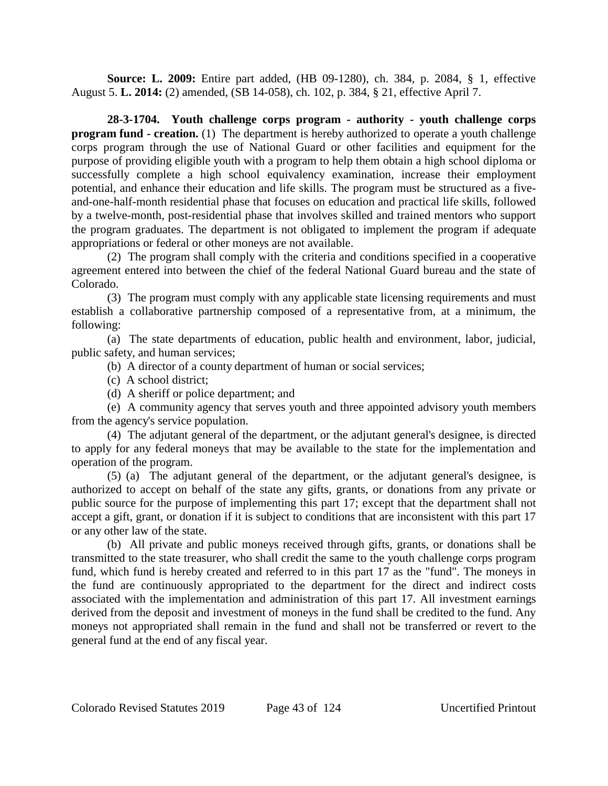**Source: L. 2009:** Entire part added, (HB 09-1280), ch. 384, p. 2084, § 1, effective August 5. **L. 2014:** (2) amended, (SB 14-058), ch. 102, p. 384, § 21, effective April 7.

**28-3-1704. Youth challenge corps program - authority - youth challenge corps program fund - creation.** (1) The department is hereby authorized to operate a youth challenge corps program through the use of National Guard or other facilities and equipment for the purpose of providing eligible youth with a program to help them obtain a high school diploma or successfully complete a high school equivalency examination, increase their employment potential, and enhance their education and life skills. The program must be structured as a fiveand-one-half-month residential phase that focuses on education and practical life skills, followed by a twelve-month, post-residential phase that involves skilled and trained mentors who support the program graduates. The department is not obligated to implement the program if adequate appropriations or federal or other moneys are not available.

(2) The program shall comply with the criteria and conditions specified in a cooperative agreement entered into between the chief of the federal National Guard bureau and the state of Colorado.

(3) The program must comply with any applicable state licensing requirements and must establish a collaborative partnership composed of a representative from, at a minimum, the following:

(a) The state departments of education, public health and environment, labor, judicial, public safety, and human services;

(b) A director of a county department of human or social services;

- (c) A school district;
- (d) A sheriff or police department; and

(e) A community agency that serves youth and three appointed advisory youth members from the agency's service population.

(4) The adjutant general of the department, or the adjutant general's designee, is directed to apply for any federal moneys that may be available to the state for the implementation and operation of the program.

(5) (a) The adjutant general of the department, or the adjutant general's designee, is authorized to accept on behalf of the state any gifts, grants, or donations from any private or public source for the purpose of implementing this part 17; except that the department shall not accept a gift, grant, or donation if it is subject to conditions that are inconsistent with this part 17 or any other law of the state.

(b) All private and public moneys received through gifts, grants, or donations shall be transmitted to the state treasurer, who shall credit the same to the youth challenge corps program fund, which fund is hereby created and referred to in this part 17 as the "fund". The moneys in the fund are continuously appropriated to the department for the direct and indirect costs associated with the implementation and administration of this part 17. All investment earnings derived from the deposit and investment of moneys in the fund shall be credited to the fund. Any moneys not appropriated shall remain in the fund and shall not be transferred or revert to the general fund at the end of any fiscal year.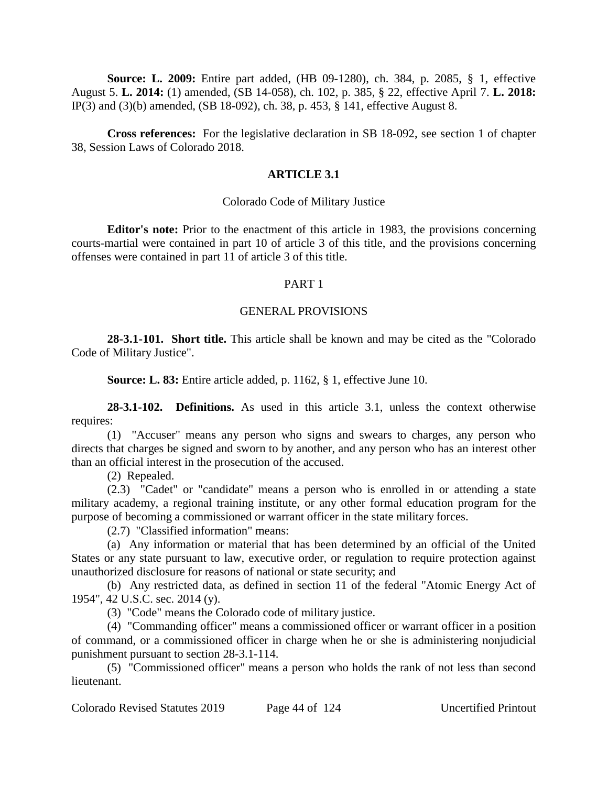**Source: L. 2009:** Entire part added, (HB 09-1280), ch. 384, p. 2085, § 1, effective August 5. **L. 2014:** (1) amended, (SB 14-058), ch. 102, p. 385, § 22, effective April 7. **L. 2018:** IP(3) and (3)(b) amended, (SB 18-092), ch. 38, p. 453, § 141, effective August 8.

**Cross references:** For the legislative declaration in SB 18-092, see section 1 of chapter 38, Session Laws of Colorado 2018.

# **ARTICLE 3.1**

#### Colorado Code of Military Justice

**Editor's note:** Prior to the enactment of this article in 1983, the provisions concerning courts-martial were contained in part 10 of article 3 of this title, and the provisions concerning offenses were contained in part 11 of article 3 of this title.

# PART 1

# GENERAL PROVISIONS

**28-3.1-101. Short title.** This article shall be known and may be cited as the "Colorado Code of Military Justice".

**Source: L. 83:** Entire article added, p. 1162, § 1, effective June 10.

**28-3.1-102. Definitions.** As used in this article 3.1, unless the context otherwise requires:

(1) "Accuser" means any person who signs and swears to charges, any person who directs that charges be signed and sworn to by another, and any person who has an interest other than an official interest in the prosecution of the accused.

(2) Repealed.

(2.3) "Cadet" or "candidate" means a person who is enrolled in or attending a state military academy, a regional training institute, or any other formal education program for the purpose of becoming a commissioned or warrant officer in the state military forces.

(2.7) "Classified information" means:

(a) Any information or material that has been determined by an official of the United States or any state pursuant to law, executive order, or regulation to require protection against unauthorized disclosure for reasons of national or state security; and

(b) Any restricted data, as defined in section 11 of the federal "Atomic Energy Act of 1954", 42 U.S.C. sec. 2014 (y).

(3) "Code" means the Colorado code of military justice.

(4) "Commanding officer" means a commissioned officer or warrant officer in a position of command, or a commissioned officer in charge when he or she is administering nonjudicial punishment pursuant to section 28-3.1-114.

(5) "Commissioned officer" means a person who holds the rank of not less than second lieutenant.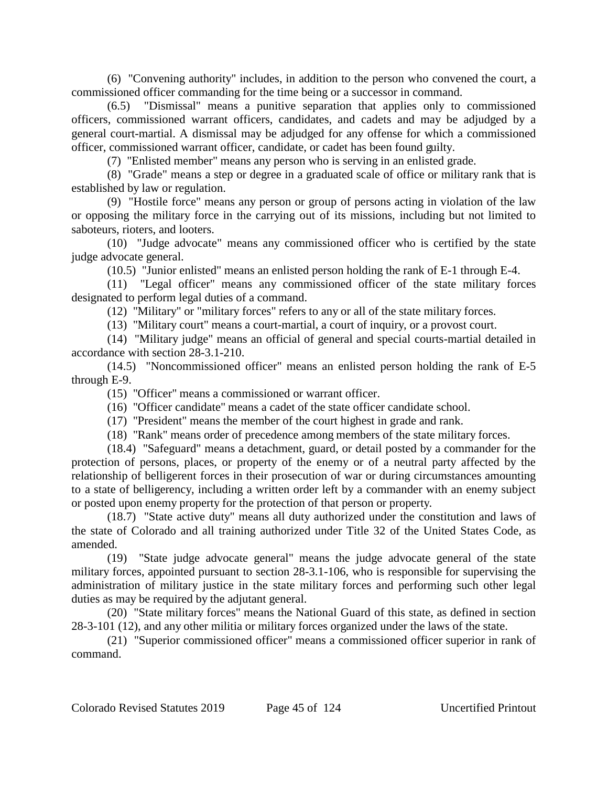(6) "Convening authority" includes, in addition to the person who convened the court, a commissioned officer commanding for the time being or a successor in command.

(6.5) "Dismissal" means a punitive separation that applies only to commissioned officers, commissioned warrant officers, candidates, and cadets and may be adjudged by a general court-martial. A dismissal may be adjudged for any offense for which a commissioned officer, commissioned warrant officer, candidate, or cadet has been found guilty.

(7) "Enlisted member" means any person who is serving in an enlisted grade.

(8) "Grade" means a step or degree in a graduated scale of office or military rank that is established by law or regulation.

(9) "Hostile force" means any person or group of persons acting in violation of the law or opposing the military force in the carrying out of its missions, including but not limited to saboteurs, rioters, and looters.

(10) "Judge advocate" means any commissioned officer who is certified by the state judge advocate general.

(10.5) "Junior enlisted" means an enlisted person holding the rank of E-1 through E-4.

(11) "Legal officer" means any commissioned officer of the state military forces designated to perform legal duties of a command.

(12) "Military" or "military forces" refers to any or all of the state military forces.

(13) "Military court" means a court-martial, a court of inquiry, or a provost court.

(14) "Military judge" means an official of general and special courts-martial detailed in accordance with section 28-3.1-210.

(14.5) "Noncommissioned officer" means an enlisted person holding the rank of E-5 through E-9.

(15) "Officer" means a commissioned or warrant officer.

(16) "Officer candidate" means a cadet of the state officer candidate school.

(17) "President" means the member of the court highest in grade and rank.

(18) "Rank" means order of precedence among members of the state military forces.

(18.4) "Safeguard" means a detachment, guard, or detail posted by a commander for the protection of persons, places, or property of the enemy or of a neutral party affected by the relationship of belligerent forces in their prosecution of war or during circumstances amounting to a state of belligerency, including a written order left by a commander with an enemy subject or posted upon enemy property for the protection of that person or property.

(18.7) "State active duty" means all duty authorized under the constitution and laws of the state of Colorado and all training authorized under Title 32 of the United States Code, as amended.

(19) "State judge advocate general" means the judge advocate general of the state military forces, appointed pursuant to section 28-3.1-106, who is responsible for supervising the administration of military justice in the state military forces and performing such other legal duties as may be required by the adjutant general.

(20) "State military forces" means the National Guard of this state, as defined in section 28-3-101 (12), and any other militia or military forces organized under the laws of the state.

(21) "Superior commissioned officer" means a commissioned officer superior in rank of command.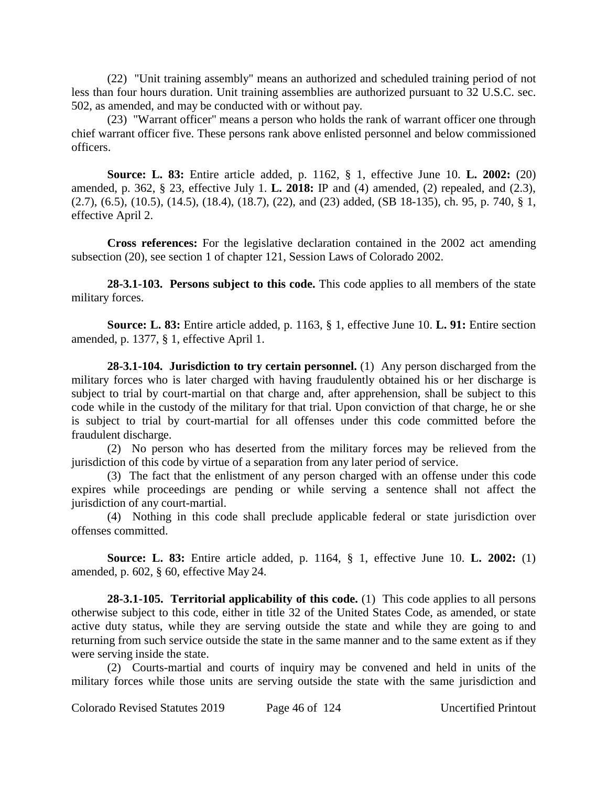(22) "Unit training assembly" means an authorized and scheduled training period of not less than four hours duration. Unit training assemblies are authorized pursuant to 32 U.S.C. sec. 502, as amended, and may be conducted with or without pay.

(23) "Warrant officer" means a person who holds the rank of warrant officer one through chief warrant officer five. These persons rank above enlisted personnel and below commissioned officers.

**Source: L. 83:** Entire article added, p. 1162, § 1, effective June 10. **L. 2002:** (20) amended, p. 362, § 23, effective July 1. **L. 2018:** IP and (4) amended, (2) repealed, and (2.3), (2.7), (6.5), (10.5), (14.5), (18.4), (18.7), (22), and (23) added, (SB 18-135), ch. 95, p. 740, § 1, effective April 2.

**Cross references:** For the legislative declaration contained in the 2002 act amending subsection (20), see section 1 of chapter 121, Session Laws of Colorado 2002.

**28-3.1-103. Persons subject to this code.** This code applies to all members of the state military forces.

**Source: L. 83:** Entire article added, p. 1163, § 1, effective June 10. **L. 91:** Entire section amended, p. 1377, § 1, effective April 1.

**28-3.1-104. Jurisdiction to try certain personnel.** (1) Any person discharged from the military forces who is later charged with having fraudulently obtained his or her discharge is subject to trial by court-martial on that charge and, after apprehension, shall be subject to this code while in the custody of the military for that trial. Upon conviction of that charge, he or she is subject to trial by court-martial for all offenses under this code committed before the fraudulent discharge.

(2) No person who has deserted from the military forces may be relieved from the jurisdiction of this code by virtue of a separation from any later period of service.

(3) The fact that the enlistment of any person charged with an offense under this code expires while proceedings are pending or while serving a sentence shall not affect the jurisdiction of any court-martial.

(4) Nothing in this code shall preclude applicable federal or state jurisdiction over offenses committed.

**Source: L. 83:** Entire article added, p. 1164, § 1, effective June 10. **L. 2002:** (1) amended, p. 602, § 60, effective May 24.

**28-3.1-105. Territorial applicability of this code.** (1) This code applies to all persons otherwise subject to this code, either in title 32 of the United States Code, as amended, or state active duty status, while they are serving outside the state and while they are going to and returning from such service outside the state in the same manner and to the same extent as if they were serving inside the state.

(2) Courts-martial and courts of inquiry may be convened and held in units of the military forces while those units are serving outside the state with the same jurisdiction and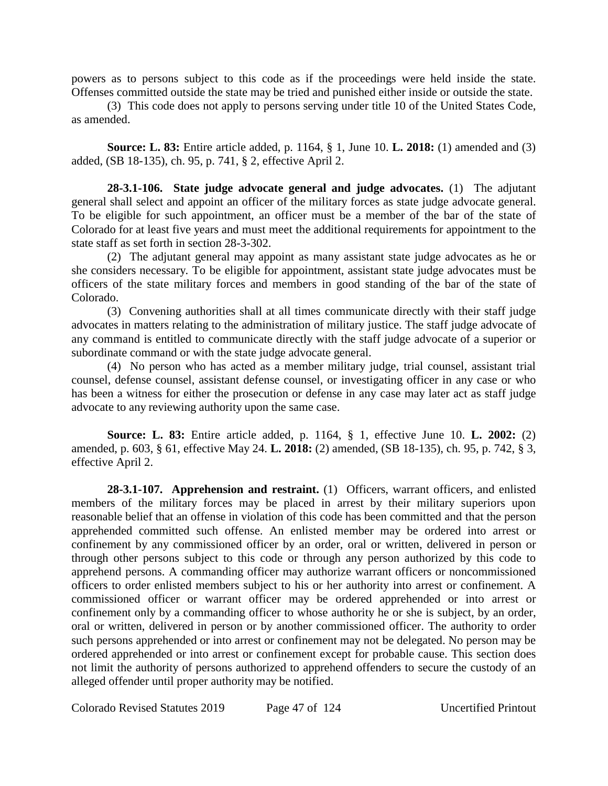powers as to persons subject to this code as if the proceedings were held inside the state. Offenses committed outside the state may be tried and punished either inside or outside the state.

(3) This code does not apply to persons serving under title 10 of the United States Code, as amended.

**Source: L. 83:** Entire article added, p. 1164, § 1, June 10. **L. 2018:** (1) amended and (3) added, (SB 18-135), ch. 95, p. 741, § 2, effective April 2.

**28-3.1-106. State judge advocate general and judge advocates.** (1) The adjutant general shall select and appoint an officer of the military forces as state judge advocate general. To be eligible for such appointment, an officer must be a member of the bar of the state of Colorado for at least five years and must meet the additional requirements for appointment to the state staff as set forth in section 28-3-302.

(2) The adjutant general may appoint as many assistant state judge advocates as he or she considers necessary. To be eligible for appointment, assistant state judge advocates must be officers of the state military forces and members in good standing of the bar of the state of Colorado.

(3) Convening authorities shall at all times communicate directly with their staff judge advocates in matters relating to the administration of military justice. The staff judge advocate of any command is entitled to communicate directly with the staff judge advocate of a superior or subordinate command or with the state judge advocate general.

(4) No person who has acted as a member military judge, trial counsel, assistant trial counsel, defense counsel, assistant defense counsel, or investigating officer in any case or who has been a witness for either the prosecution or defense in any case may later act as staff judge advocate to any reviewing authority upon the same case.

**Source: L. 83:** Entire article added, p. 1164, § 1, effective June 10. **L. 2002:** (2) amended, p. 603, § 61, effective May 24. **L. 2018:** (2) amended, (SB 18-135), ch. 95, p. 742, § 3, effective April 2.

**28-3.1-107. Apprehension and restraint.** (1) Officers, warrant officers, and enlisted members of the military forces may be placed in arrest by their military superiors upon reasonable belief that an offense in violation of this code has been committed and that the person apprehended committed such offense. An enlisted member may be ordered into arrest or confinement by any commissioned officer by an order, oral or written, delivered in person or through other persons subject to this code or through any person authorized by this code to apprehend persons. A commanding officer may authorize warrant officers or noncommissioned officers to order enlisted members subject to his or her authority into arrest or confinement. A commissioned officer or warrant officer may be ordered apprehended or into arrest or confinement only by a commanding officer to whose authority he or she is subject, by an order, oral or written, delivered in person or by another commissioned officer. The authority to order such persons apprehended or into arrest or confinement may not be delegated. No person may be ordered apprehended or into arrest or confinement except for probable cause. This section does not limit the authority of persons authorized to apprehend offenders to secure the custody of an alleged offender until proper authority may be notified.

Colorado Revised Statutes 2019 Page 47 of 124 Uncertified Printout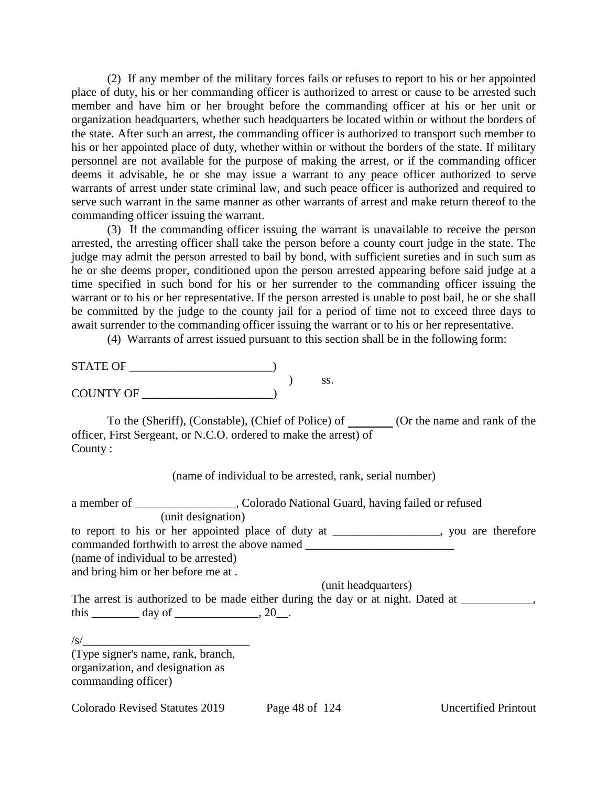(2) If any member of the military forces fails or refuses to report to his or her appointed place of duty, his or her commanding officer is authorized to arrest or cause to be arrested such member and have him or her brought before the commanding officer at his or her unit or organization headquarters, whether such headquarters be located within or without the borders of the state. After such an arrest, the commanding officer is authorized to transport such member to his or her appointed place of duty, whether within or without the borders of the state. If military personnel are not available for the purpose of making the arrest, or if the commanding officer deems it advisable, he or she may issue a warrant to any peace officer authorized to serve warrants of arrest under state criminal law, and such peace officer is authorized and required to serve such warrant in the same manner as other warrants of arrest and make return thereof to the commanding officer issuing the warrant.

(3) If the commanding officer issuing the warrant is unavailable to receive the person arrested, the arresting officer shall take the person before a county court judge in the state. The judge may admit the person arrested to bail by bond, with sufficient sureties and in such sum as he or she deems proper, conditioned upon the person arrested appearing before said judge at a time specified in such bond for his or her surrender to the commanding officer issuing the warrant or to his or her representative. If the person arrested is unable to post bail, he or she shall be committed by the judge to the county jail for a period of time not to exceed three days to await surrender to the commanding officer issuing the warrant or to his or her representative.

(4) Warrants of arrest issued pursuant to this section shall be in the following form:

) ss.

| <b>STATE OF</b>  |  |
|------------------|--|
|                  |  |
| <b>COUNTY OF</b> |  |

To the (Sheriff), (Constable), (Chief of Police) of (Or the name and rank of the officer, First Sergeant, or N.C.O. ordered to make the arrest) of County :

(name of individual to be arrested, rank, serial number)

|                                                                         | a member of _________________, Colorado National Guard, having failed or refused              |
|-------------------------------------------------------------------------|-----------------------------------------------------------------------------------------------|
| (unit designation)                                                      |                                                                                               |
|                                                                         | to report to his or her appointed place of duty at ______________, you are therefore          |
|                                                                         | commanded forthwith to arrest the above named __________________________________              |
| (name of individual to be arrested)                                     |                                                                                               |
| and bring him or her before me at.                                      |                                                                                               |
|                                                                         | (unit headquarters)                                                                           |
|                                                                         | The arrest is authorized to be made either during the day or at night. Dated at ____________, |
| this $\_\_\_\_\_$ day of $\_\_\_\_\_\_$ , 20 $\_\_\_\_\_\_\_\_\_\_\_$ . |                                                                                               |
|                                                                         |                                                                                               |
| $\sqrt{s}$                                                              |                                                                                               |
| (Type signer's name, rank, branch,                                      |                                                                                               |
| organization, and designation as                                        |                                                                                               |
| commanding officer)                                                     |                                                                                               |
|                                                                         |                                                                                               |

Colorado Revised Statutes 2019 Page 48 of 124 Uncertified Printout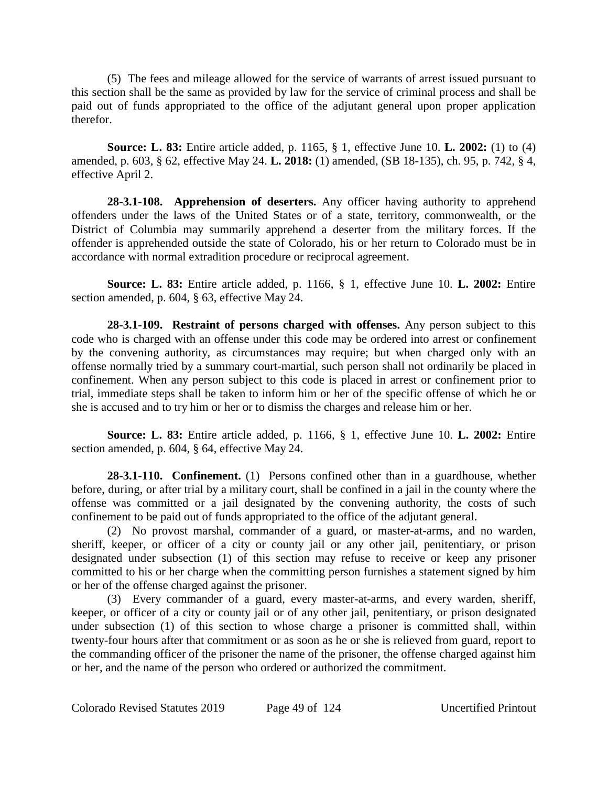(5) The fees and mileage allowed for the service of warrants of arrest issued pursuant to this section shall be the same as provided by law for the service of criminal process and shall be paid out of funds appropriated to the office of the adjutant general upon proper application therefor.

**Source: L. 83:** Entire article added, p. 1165, § 1, effective June 10. **L. 2002:** (1) to (4) amended, p. 603, § 62, effective May 24. **L. 2018:** (1) amended, (SB 18-135), ch. 95, p. 742, § 4, effective April 2.

**28-3.1-108. Apprehension of deserters.** Any officer having authority to apprehend offenders under the laws of the United States or of a state, territory, commonwealth, or the District of Columbia may summarily apprehend a deserter from the military forces. If the offender is apprehended outside the state of Colorado, his or her return to Colorado must be in accordance with normal extradition procedure or reciprocal agreement.

**Source: L. 83:** Entire article added, p. 1166, § 1, effective June 10. **L. 2002:** Entire section amended, p. 604, § 63, effective May 24.

**28-3.1-109. Restraint of persons charged with offenses.** Any person subject to this code who is charged with an offense under this code may be ordered into arrest or confinement by the convening authority, as circumstances may require; but when charged only with an offense normally tried by a summary court-martial, such person shall not ordinarily be placed in confinement. When any person subject to this code is placed in arrest or confinement prior to trial, immediate steps shall be taken to inform him or her of the specific offense of which he or she is accused and to try him or her or to dismiss the charges and release him or her.

**Source: L. 83:** Entire article added, p. 1166, § 1, effective June 10. **L. 2002:** Entire section amended, p. 604, § 64, effective May 24.

**28-3.1-110. Confinement.** (1) Persons confined other than in a guardhouse, whether before, during, or after trial by a military court, shall be confined in a jail in the county where the offense was committed or a jail designated by the convening authority, the costs of such confinement to be paid out of funds appropriated to the office of the adjutant general.

(2) No provost marshal, commander of a guard, or master-at-arms, and no warden, sheriff, keeper, or officer of a city or county jail or any other jail, penitentiary, or prison designated under subsection (1) of this section may refuse to receive or keep any prisoner committed to his or her charge when the committing person furnishes a statement signed by him or her of the offense charged against the prisoner.

(3) Every commander of a guard, every master-at-arms, and every warden, sheriff, keeper, or officer of a city or county jail or of any other jail, penitentiary, or prison designated under subsection (1) of this section to whose charge a prisoner is committed shall, within twenty-four hours after that commitment or as soon as he or she is relieved from guard, report to the commanding officer of the prisoner the name of the prisoner, the offense charged against him or her, and the name of the person who ordered or authorized the commitment.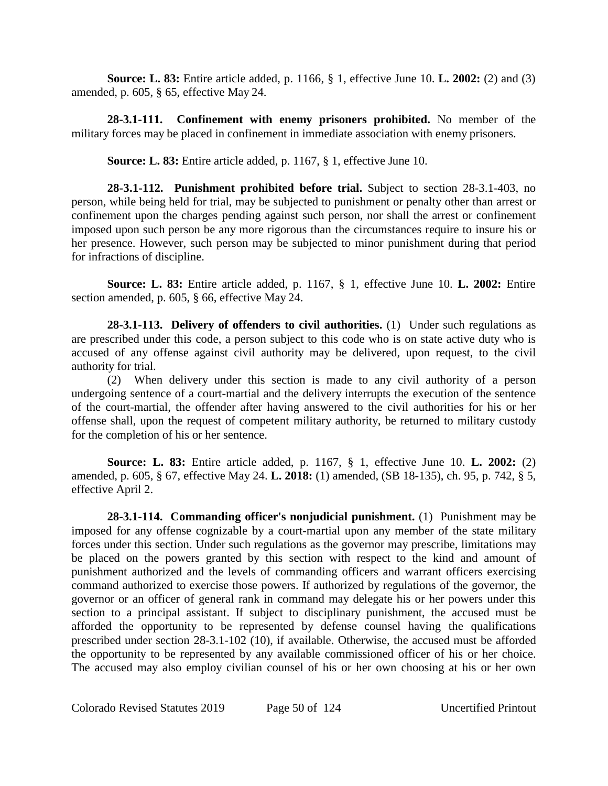**Source: L. 83:** Entire article added, p. 1166, § 1, effective June 10. **L. 2002:** (2) and (3) amended, p. 605, § 65, effective May 24.

**28-3.1-111. Confinement with enemy prisoners prohibited.** No member of the military forces may be placed in confinement in immediate association with enemy prisoners.

**Source: L. 83:** Entire article added, p. 1167, § 1, effective June 10.

**28-3.1-112. Punishment prohibited before trial.** Subject to section 28-3.1-403, no person, while being held for trial, may be subjected to punishment or penalty other than arrest or confinement upon the charges pending against such person, nor shall the arrest or confinement imposed upon such person be any more rigorous than the circumstances require to insure his or her presence. However, such person may be subjected to minor punishment during that period for infractions of discipline.

**Source: L. 83:** Entire article added, p. 1167, § 1, effective June 10. **L. 2002:** Entire section amended, p. 605, § 66, effective May 24.

**28-3.1-113. Delivery of offenders to civil authorities.** (1) Under such regulations as are prescribed under this code, a person subject to this code who is on state active duty who is accused of any offense against civil authority may be delivered, upon request, to the civil authority for trial.

(2) When delivery under this section is made to any civil authority of a person undergoing sentence of a court-martial and the delivery interrupts the execution of the sentence of the court-martial, the offender after having answered to the civil authorities for his or her offense shall, upon the request of competent military authority, be returned to military custody for the completion of his or her sentence.

**Source: L. 83:** Entire article added, p. 1167, § 1, effective June 10. **L. 2002:** (2) amended, p. 605, § 67, effective May 24. **L. 2018:** (1) amended, (SB 18-135), ch. 95, p. 742, § 5, effective April 2.

**28-3.1-114. Commanding officer's nonjudicial punishment.** (1) Punishment may be imposed for any offense cognizable by a court-martial upon any member of the state military forces under this section. Under such regulations as the governor may prescribe, limitations may be placed on the powers granted by this section with respect to the kind and amount of punishment authorized and the levels of commanding officers and warrant officers exercising command authorized to exercise those powers. If authorized by regulations of the governor, the governor or an officer of general rank in command may delegate his or her powers under this section to a principal assistant. If subject to disciplinary punishment, the accused must be afforded the opportunity to be represented by defense counsel having the qualifications prescribed under section 28-3.1-102 (10), if available. Otherwise, the accused must be afforded the opportunity to be represented by any available commissioned officer of his or her choice. The accused may also employ civilian counsel of his or her own choosing at his or her own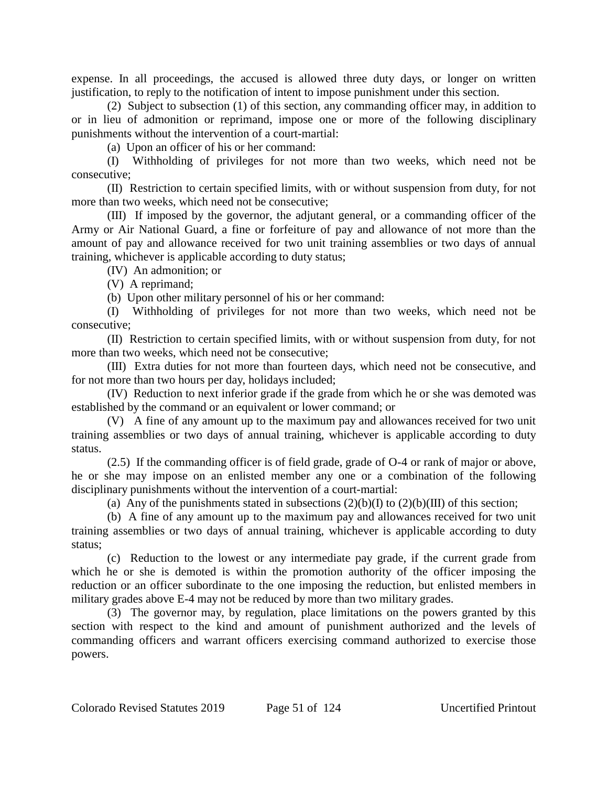expense. In all proceedings, the accused is allowed three duty days, or longer on written justification, to reply to the notification of intent to impose punishment under this section.

(2) Subject to subsection (1) of this section, any commanding officer may, in addition to or in lieu of admonition or reprimand, impose one or more of the following disciplinary punishments without the intervention of a court-martial:

(a) Upon an officer of his or her command:

(I) Withholding of privileges for not more than two weeks, which need not be consecutive;

(II) Restriction to certain specified limits, with or without suspension from duty, for not more than two weeks, which need not be consecutive;

(III) If imposed by the governor, the adjutant general, or a commanding officer of the Army or Air National Guard, a fine or forfeiture of pay and allowance of not more than the amount of pay and allowance received for two unit training assemblies or two days of annual training, whichever is applicable according to duty status;

(IV) An admonition; or

(V) A reprimand;

(b) Upon other military personnel of his or her command:

(I) Withholding of privileges for not more than two weeks, which need not be consecutive;

(II) Restriction to certain specified limits, with or without suspension from duty, for not more than two weeks, which need not be consecutive;

(III) Extra duties for not more than fourteen days, which need not be consecutive, and for not more than two hours per day, holidays included;

(IV) Reduction to next inferior grade if the grade from which he or she was demoted was established by the command or an equivalent or lower command; or

(V) A fine of any amount up to the maximum pay and allowances received for two unit training assemblies or two days of annual training, whichever is applicable according to duty status.

(2.5) If the commanding officer is of field grade, grade of O-4 or rank of major or above, he or she may impose on an enlisted member any one or a combination of the following disciplinary punishments without the intervention of a court-martial:

(a) Any of the punishments stated in subsections  $(2)(b)(I)$  to  $(2)(b)(III)$  of this section;

(b) A fine of any amount up to the maximum pay and allowances received for two unit training assemblies or two days of annual training, whichever is applicable according to duty status;

(c) Reduction to the lowest or any intermediate pay grade, if the current grade from which he or she is demoted is within the promotion authority of the officer imposing the reduction or an officer subordinate to the one imposing the reduction, but enlisted members in military grades above E-4 may not be reduced by more than two military grades.

(3) The governor may, by regulation, place limitations on the powers granted by this section with respect to the kind and amount of punishment authorized and the levels of commanding officers and warrant officers exercising command authorized to exercise those powers.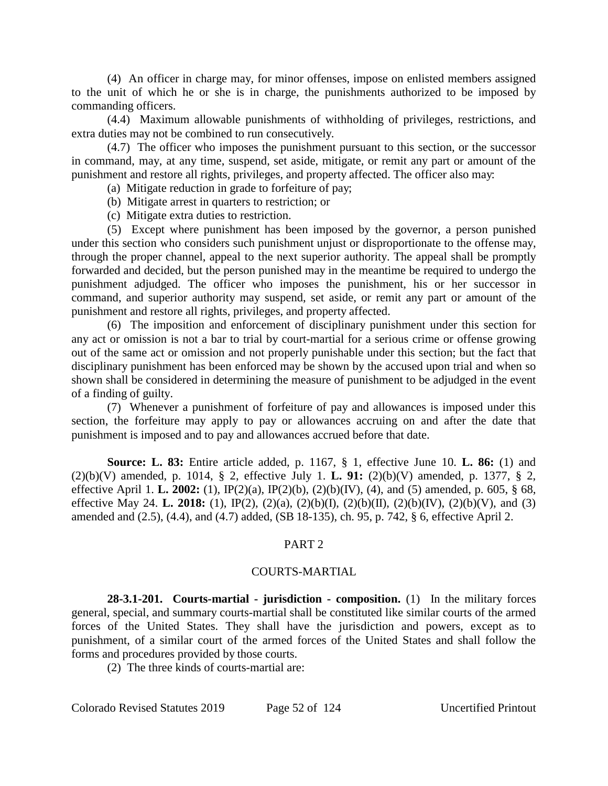(4) An officer in charge may, for minor offenses, impose on enlisted members assigned to the unit of which he or she is in charge, the punishments authorized to be imposed by commanding officers.

(4.4) Maximum allowable punishments of withholding of privileges, restrictions, and extra duties may not be combined to run consecutively.

(4.7) The officer who imposes the punishment pursuant to this section, or the successor in command, may, at any time, suspend, set aside, mitigate, or remit any part or amount of the punishment and restore all rights, privileges, and property affected. The officer also may:

- (a) Mitigate reduction in grade to forfeiture of pay;
- (b) Mitigate arrest in quarters to restriction; or
- (c) Mitigate extra duties to restriction.

(5) Except where punishment has been imposed by the governor, a person punished under this section who considers such punishment unjust or disproportionate to the offense may, through the proper channel, appeal to the next superior authority. The appeal shall be promptly forwarded and decided, but the person punished may in the meantime be required to undergo the punishment adjudged. The officer who imposes the punishment, his or her successor in command, and superior authority may suspend, set aside, or remit any part or amount of the punishment and restore all rights, privileges, and property affected.

(6) The imposition and enforcement of disciplinary punishment under this section for any act or omission is not a bar to trial by court-martial for a serious crime or offense growing out of the same act or omission and not properly punishable under this section; but the fact that disciplinary punishment has been enforced may be shown by the accused upon trial and when so shown shall be considered in determining the measure of punishment to be adjudged in the event of a finding of guilty.

(7) Whenever a punishment of forfeiture of pay and allowances is imposed under this section, the forfeiture may apply to pay or allowances accruing on and after the date that punishment is imposed and to pay and allowances accrued before that date.

**Source: L. 83:** Entire article added, p. 1167, § 1, effective June 10. **L. 86:** (1) and (2)(b)(V) amended, p. 1014, § 2, effective July 1. **L. 91:** (2)(b)(V) amended, p. 1377, § 2, effective April 1. **L. 2002:** (1), IP(2)(a), IP(2)(b), (2)(b)(IV), (4), and (5) amended, p. 605, § 68, effective May 24. **L. 2018:** (1), IP(2), (2)(a), (2)(b)(I), (2)(b)(II), (2)(b)(IV), (2)(b)(V), and (3) amended and (2.5), (4.4), and (4.7) added, (SB 18-135), ch. 95, p. 742, § 6, effective April 2.

#### PART 2

#### COURTS-MARTIAL

**28-3.1-201. Courts-martial - jurisdiction - composition.** (1) In the military forces general, special, and summary courts-martial shall be constituted like similar courts of the armed forces of the United States. They shall have the jurisdiction and powers, except as to punishment, of a similar court of the armed forces of the United States and shall follow the forms and procedures provided by those courts.

(2) The three kinds of courts-martial are: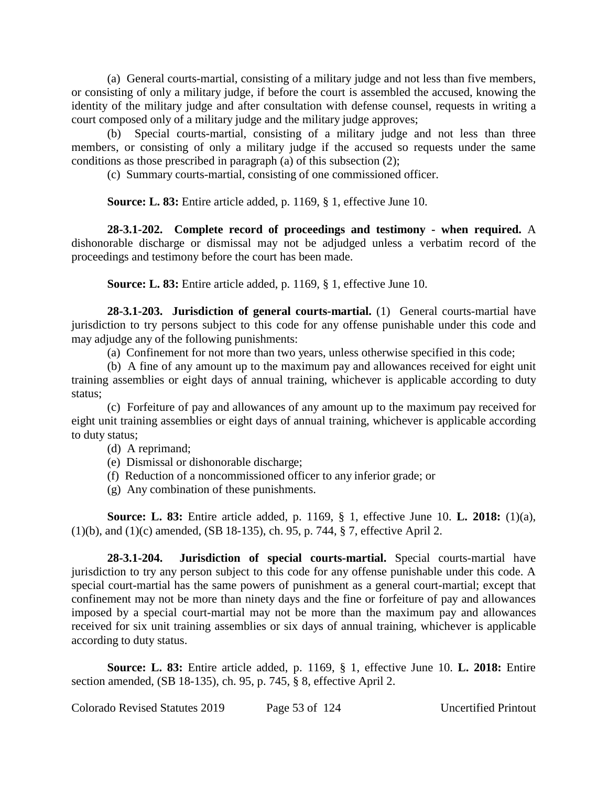(a) General courts-martial, consisting of a military judge and not less than five members, or consisting of only a military judge, if before the court is assembled the accused, knowing the identity of the military judge and after consultation with defense counsel, requests in writing a court composed only of a military judge and the military judge approves;

(b) Special courts-martial, consisting of a military judge and not less than three members, or consisting of only a military judge if the accused so requests under the same conditions as those prescribed in paragraph (a) of this subsection (2);

(c) Summary courts-martial, consisting of one commissioned officer.

**Source: L. 83:** Entire article added, p. 1169, § 1, effective June 10.

**28-3.1-202. Complete record of proceedings and testimony - when required.** A dishonorable discharge or dismissal may not be adjudged unless a verbatim record of the proceedings and testimony before the court has been made.

**Source: L. 83:** Entire article added, p. 1169, § 1, effective June 10.

**28-3.1-203. Jurisdiction of general courts-martial.** (1) General courts-martial have jurisdiction to try persons subject to this code for any offense punishable under this code and may adjudge any of the following punishments:

(a) Confinement for not more than two years, unless otherwise specified in this code;

(b) A fine of any amount up to the maximum pay and allowances received for eight unit training assemblies or eight days of annual training, whichever is applicable according to duty status;

(c) Forfeiture of pay and allowances of any amount up to the maximum pay received for eight unit training assemblies or eight days of annual training, whichever is applicable according to duty status;

(d) A reprimand;

- (e) Dismissal or dishonorable discharge;
- (f) Reduction of a noncommissioned officer to any inferior grade; or
- (g) Any combination of these punishments.

**Source: L. 83:** Entire article added, p. 1169, § 1, effective June 10. **L. 2018:** (1)(a), (1)(b), and (1)(c) amended, (SB 18-135), ch. 95, p. 744, § 7, effective April 2.

**28-3.1-204. Jurisdiction of special courts-martial.** Special courts-martial have jurisdiction to try any person subject to this code for any offense punishable under this code. A special court-martial has the same powers of punishment as a general court-martial; except that confinement may not be more than ninety days and the fine or forfeiture of pay and allowances imposed by a special court-martial may not be more than the maximum pay and allowances received for six unit training assemblies or six days of annual training, whichever is applicable according to duty status.

**Source: L. 83:** Entire article added, p. 1169, § 1, effective June 10. **L. 2018:** Entire section amended, (SB 18-135), ch. 95, p. 745, § 8, effective April 2.

Colorado Revised Statutes 2019 Page 53 of 124 Uncertified Printout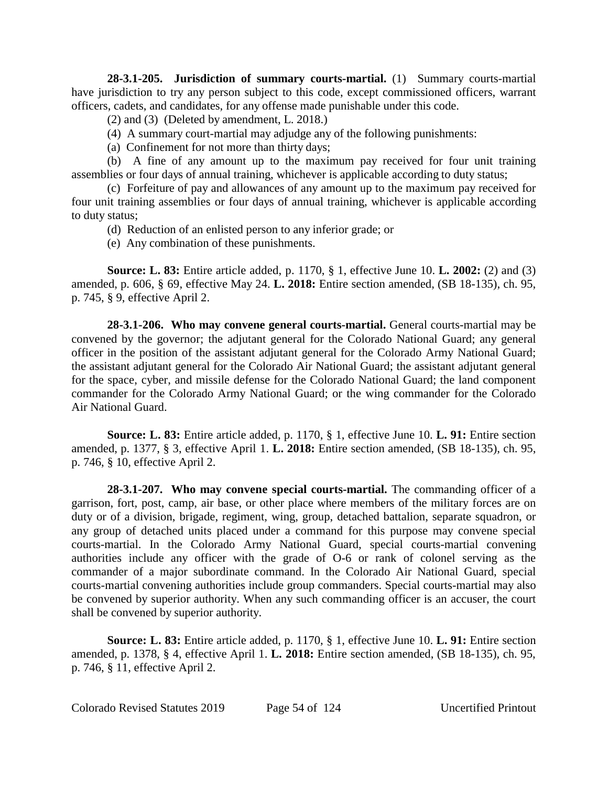**28-3.1-205. Jurisdiction of summary courts-martial.** (1) Summary courts-martial have jurisdiction to try any person subject to this code, except commissioned officers, warrant officers, cadets, and candidates, for any offense made punishable under this code.

(2) and (3) (Deleted by amendment, L. 2018.)

(4) A summary court-martial may adjudge any of the following punishments:

(a) Confinement for not more than thirty days;

(b) A fine of any amount up to the maximum pay received for four unit training assemblies or four days of annual training, whichever is applicable according to duty status;

(c) Forfeiture of pay and allowances of any amount up to the maximum pay received for four unit training assemblies or four days of annual training, whichever is applicable according to duty status;

(d) Reduction of an enlisted person to any inferior grade; or

(e) Any combination of these punishments.

**Source: L. 83:** Entire article added, p. 1170, § 1, effective June 10. **L. 2002:** (2) and (3) amended, p. 606, § 69, effective May 24. **L. 2018:** Entire section amended, (SB 18-135), ch. 95, p. 745, § 9, effective April 2.

**28-3.1-206. Who may convene general courts-martial.** General courts-martial may be convened by the governor; the adjutant general for the Colorado National Guard; any general officer in the position of the assistant adjutant general for the Colorado Army National Guard; the assistant adjutant general for the Colorado Air National Guard; the assistant adjutant general for the space, cyber, and missile defense for the Colorado National Guard; the land component commander for the Colorado Army National Guard; or the wing commander for the Colorado Air National Guard.

**Source: L. 83:** Entire article added, p. 1170, § 1, effective June 10. **L. 91:** Entire section amended, p. 1377, § 3, effective April 1. **L. 2018:** Entire section amended, (SB 18-135), ch. 95, p. 746, § 10, effective April 2.

**28-3.1-207. Who may convene special courts-martial.** The commanding officer of a garrison, fort, post, camp, air base, or other place where members of the military forces are on duty or of a division, brigade, regiment, wing, group, detached battalion, separate squadron, or any group of detached units placed under a command for this purpose may convene special courts-martial. In the Colorado Army National Guard, special courts-martial convening authorities include any officer with the grade of O-6 or rank of colonel serving as the commander of a major subordinate command. In the Colorado Air National Guard, special courts-martial convening authorities include group commanders. Special courts-martial may also be convened by superior authority. When any such commanding officer is an accuser, the court shall be convened by superior authority.

**Source: L. 83:** Entire article added, p. 1170, § 1, effective June 10. **L. 91:** Entire section amended, p. 1378, § 4, effective April 1. **L. 2018:** Entire section amended, (SB 18-135), ch. 95, p. 746, § 11, effective April 2.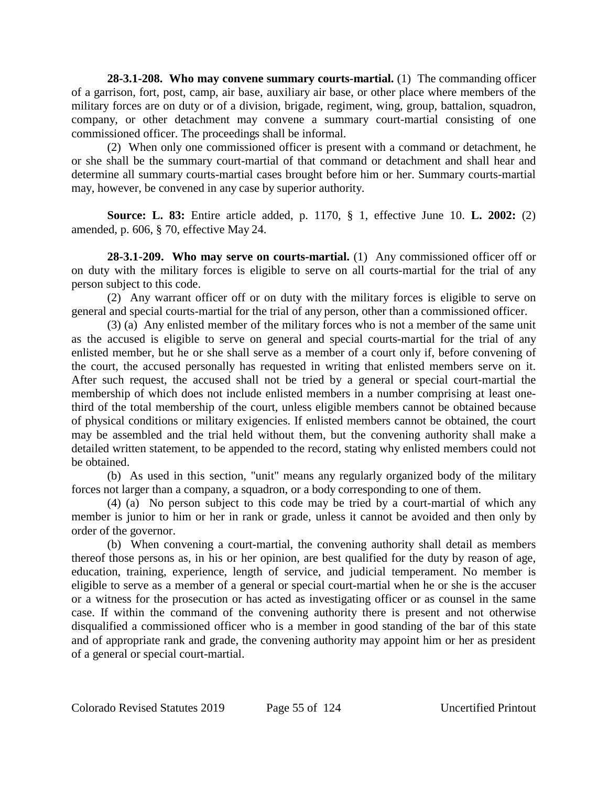**28-3.1-208. Who may convene summary courts-martial.** (1) The commanding officer of a garrison, fort, post, camp, air base, auxiliary air base, or other place where members of the military forces are on duty or of a division, brigade, regiment, wing, group, battalion, squadron, company, or other detachment may convene a summary court-martial consisting of one commissioned officer. The proceedings shall be informal.

(2) When only one commissioned officer is present with a command or detachment, he or she shall be the summary court-martial of that command or detachment and shall hear and determine all summary courts-martial cases brought before him or her. Summary courts-martial may, however, be convened in any case by superior authority.

**Source: L. 83:** Entire article added, p. 1170, § 1, effective June 10. **L. 2002:** (2) amended, p. 606, § 70, effective May 24.

**28-3.1-209. Who may serve on courts-martial.** (1) Any commissioned officer off or on duty with the military forces is eligible to serve on all courts-martial for the trial of any person subject to this code.

(2) Any warrant officer off or on duty with the military forces is eligible to serve on general and special courts-martial for the trial of any person, other than a commissioned officer.

(3) (a) Any enlisted member of the military forces who is not a member of the same unit as the accused is eligible to serve on general and special courts-martial for the trial of any enlisted member, but he or she shall serve as a member of a court only if, before convening of the court, the accused personally has requested in writing that enlisted members serve on it. After such request, the accused shall not be tried by a general or special court-martial the membership of which does not include enlisted members in a number comprising at least onethird of the total membership of the court, unless eligible members cannot be obtained because of physical conditions or military exigencies. If enlisted members cannot be obtained, the court may be assembled and the trial held without them, but the convening authority shall make a detailed written statement, to be appended to the record, stating why enlisted members could not be obtained.

(b) As used in this section, "unit" means any regularly organized body of the military forces not larger than a company, a squadron, or a body corresponding to one of them.

(4) (a) No person subject to this code may be tried by a court-martial of which any member is junior to him or her in rank or grade, unless it cannot be avoided and then only by order of the governor.

(b) When convening a court-martial, the convening authority shall detail as members thereof those persons as, in his or her opinion, are best qualified for the duty by reason of age, education, training, experience, length of service, and judicial temperament. No member is eligible to serve as a member of a general or special court-martial when he or she is the accuser or a witness for the prosecution or has acted as investigating officer or as counsel in the same case. If within the command of the convening authority there is present and not otherwise disqualified a commissioned officer who is a member in good standing of the bar of this state and of appropriate rank and grade, the convening authority may appoint him or her as president of a general or special court-martial.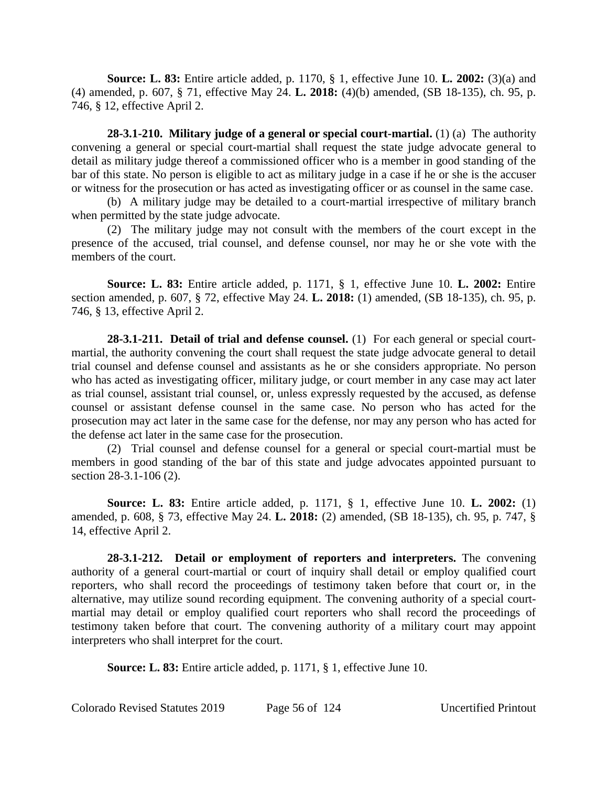**Source: L. 83:** Entire article added, p. 1170, § 1, effective June 10. **L. 2002:** (3)(a) and (4) amended, p. 607, § 71, effective May 24. **L. 2018:** (4)(b) amended, (SB 18-135), ch. 95, p. 746, § 12, effective April 2.

**28-3.1-210. Military judge of a general or special court-martial.** (1) (a) The authority convening a general or special court-martial shall request the state judge advocate general to detail as military judge thereof a commissioned officer who is a member in good standing of the bar of this state. No person is eligible to act as military judge in a case if he or she is the accuser or witness for the prosecution or has acted as investigating officer or as counsel in the same case.

(b) A military judge may be detailed to a court-martial irrespective of military branch when permitted by the state judge advocate.

(2) The military judge may not consult with the members of the court except in the presence of the accused, trial counsel, and defense counsel, nor may he or she vote with the members of the court.

**Source: L. 83:** Entire article added, p. 1171, § 1, effective June 10. **L. 2002:** Entire section amended, p. 607, § 72, effective May 24. **L. 2018:** (1) amended, (SB 18-135), ch. 95, p. 746, § 13, effective April 2.

**28-3.1-211. Detail of trial and defense counsel.** (1) For each general or special courtmartial, the authority convening the court shall request the state judge advocate general to detail trial counsel and defense counsel and assistants as he or she considers appropriate. No person who has acted as investigating officer, military judge, or court member in any case may act later as trial counsel, assistant trial counsel, or, unless expressly requested by the accused, as defense counsel or assistant defense counsel in the same case. No person who has acted for the prosecution may act later in the same case for the defense, nor may any person who has acted for the defense act later in the same case for the prosecution.

(2) Trial counsel and defense counsel for a general or special court-martial must be members in good standing of the bar of this state and judge advocates appointed pursuant to section 28-3.1-106 (2).

**Source: L. 83:** Entire article added, p. 1171, § 1, effective June 10. **L. 2002:** (1) amended, p. 608, § 73, effective May 24. **L. 2018:** (2) amended, (SB 18-135), ch. 95, p. 747, § 14, effective April 2.

**28-3.1-212. Detail or employment of reporters and interpreters.** The convening authority of a general court-martial or court of inquiry shall detail or employ qualified court reporters, who shall record the proceedings of testimony taken before that court or, in the alternative, may utilize sound recording equipment. The convening authority of a special courtmartial may detail or employ qualified court reporters who shall record the proceedings of testimony taken before that court. The convening authority of a military court may appoint interpreters who shall interpret for the court.

**Source: L. 83:** Entire article added, p. 1171, § 1, effective June 10.

Colorado Revised Statutes 2019 Page 56 of 124 Uncertified Printout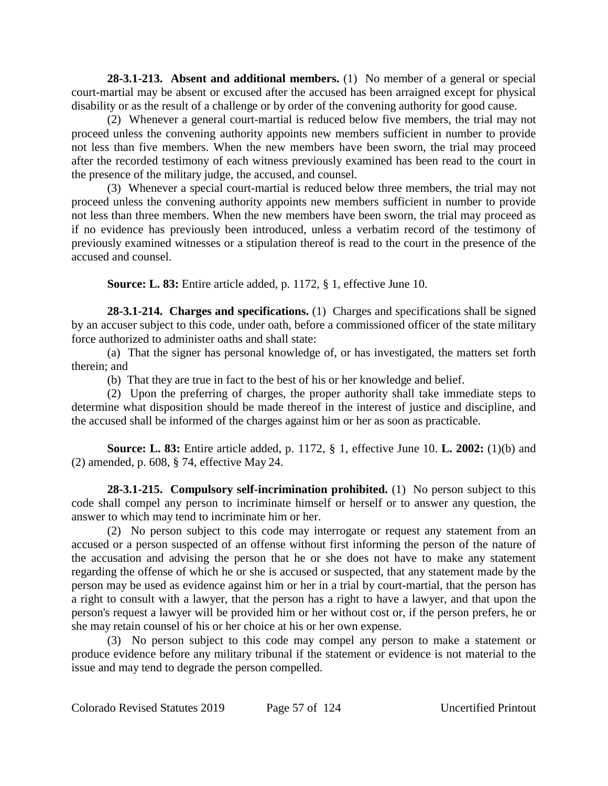**28-3.1-213. Absent and additional members.** (1) No member of a general or special court-martial may be absent or excused after the accused has been arraigned except for physical disability or as the result of a challenge or by order of the convening authority for good cause.

(2) Whenever a general court-martial is reduced below five members, the trial may not proceed unless the convening authority appoints new members sufficient in number to provide not less than five members. When the new members have been sworn, the trial may proceed after the recorded testimony of each witness previously examined has been read to the court in the presence of the military judge, the accused, and counsel.

(3) Whenever a special court-martial is reduced below three members, the trial may not proceed unless the convening authority appoints new members sufficient in number to provide not less than three members. When the new members have been sworn, the trial may proceed as if no evidence has previously been introduced, unless a verbatim record of the testimony of previously examined witnesses or a stipulation thereof is read to the court in the presence of the accused and counsel.

**Source: L. 83:** Entire article added, p. 1172, § 1, effective June 10.

**28-3.1-214. Charges and specifications.** (1) Charges and specifications shall be signed by an accuser subject to this code, under oath, before a commissioned officer of the state military force authorized to administer oaths and shall state:

(a) That the signer has personal knowledge of, or has investigated, the matters set forth therein; and

(b) That they are true in fact to the best of his or her knowledge and belief.

(2) Upon the preferring of charges, the proper authority shall take immediate steps to determine what disposition should be made thereof in the interest of justice and discipline, and the accused shall be informed of the charges against him or her as soon as practicable.

**Source: L. 83:** Entire article added, p. 1172, § 1, effective June 10. **L. 2002:** (1)(b) and (2) amended, p. 608, § 74, effective May 24.

**28-3.1-215. Compulsory self-incrimination prohibited.** (1) No person subject to this code shall compel any person to incriminate himself or herself or to answer any question, the answer to which may tend to incriminate him or her.

(2) No person subject to this code may interrogate or request any statement from an accused or a person suspected of an offense without first informing the person of the nature of the accusation and advising the person that he or she does not have to make any statement regarding the offense of which he or she is accused or suspected, that any statement made by the person may be used as evidence against him or her in a trial by court-martial, that the person has a right to consult with a lawyer, that the person has a right to have a lawyer, and that upon the person's request a lawyer will be provided him or her without cost or, if the person prefers, he or she may retain counsel of his or her choice at his or her own expense.

(3) No person subject to this code may compel any person to make a statement or produce evidence before any military tribunal if the statement or evidence is not material to the issue and may tend to degrade the person compelled.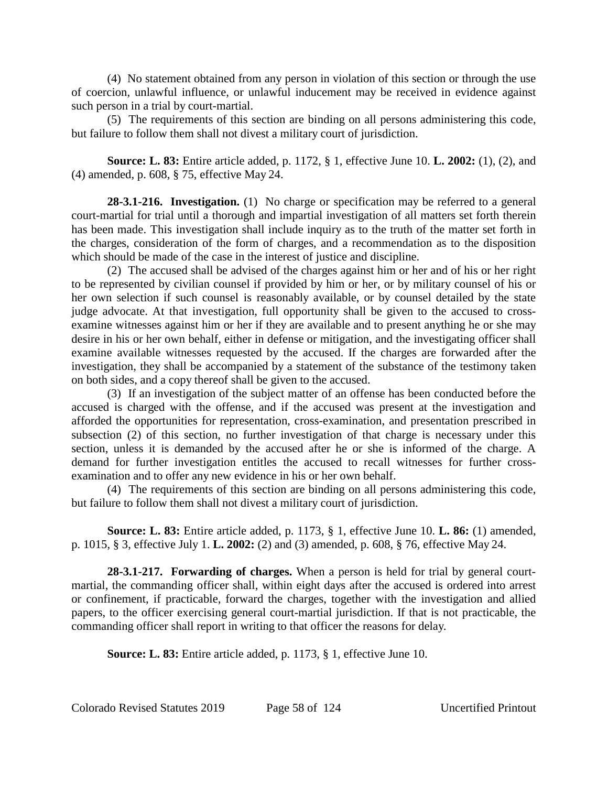(4) No statement obtained from any person in violation of this section or through the use of coercion, unlawful influence, or unlawful inducement may be received in evidence against such person in a trial by court-martial.

(5) The requirements of this section are binding on all persons administering this code, but failure to follow them shall not divest a military court of jurisdiction.

**Source: L. 83:** Entire article added, p. 1172, § 1, effective June 10. **L. 2002:** (1), (2), and (4) amended, p. 608, § 75, effective May 24.

**28-3.1-216. Investigation.** (1) No charge or specification may be referred to a general court-martial for trial until a thorough and impartial investigation of all matters set forth therein has been made. This investigation shall include inquiry as to the truth of the matter set forth in the charges, consideration of the form of charges, and a recommendation as to the disposition which should be made of the case in the interest of justice and discipline.

(2) The accused shall be advised of the charges against him or her and of his or her right to be represented by civilian counsel if provided by him or her, or by military counsel of his or her own selection if such counsel is reasonably available, or by counsel detailed by the state judge advocate. At that investigation, full opportunity shall be given to the accused to crossexamine witnesses against him or her if they are available and to present anything he or she may desire in his or her own behalf, either in defense or mitigation, and the investigating officer shall examine available witnesses requested by the accused. If the charges are forwarded after the investigation, they shall be accompanied by a statement of the substance of the testimony taken on both sides, and a copy thereof shall be given to the accused.

(3) If an investigation of the subject matter of an offense has been conducted before the accused is charged with the offense, and if the accused was present at the investigation and afforded the opportunities for representation, cross-examination, and presentation prescribed in subsection (2) of this section, no further investigation of that charge is necessary under this section, unless it is demanded by the accused after he or she is informed of the charge. A demand for further investigation entitles the accused to recall witnesses for further crossexamination and to offer any new evidence in his or her own behalf.

(4) The requirements of this section are binding on all persons administering this code, but failure to follow them shall not divest a military court of jurisdiction.

**Source: L. 83:** Entire article added, p. 1173, § 1, effective June 10. **L. 86:** (1) amended, p. 1015, § 3, effective July 1. **L. 2002:** (2) and (3) amended, p. 608, § 76, effective May 24.

**28-3.1-217. Forwarding of charges.** When a person is held for trial by general courtmartial, the commanding officer shall, within eight days after the accused is ordered into arrest or confinement, if practicable, forward the charges, together with the investigation and allied papers, to the officer exercising general court-martial jurisdiction. If that is not practicable, the commanding officer shall report in writing to that officer the reasons for delay.

**Source: L. 83:** Entire article added, p. 1173, § 1, effective June 10.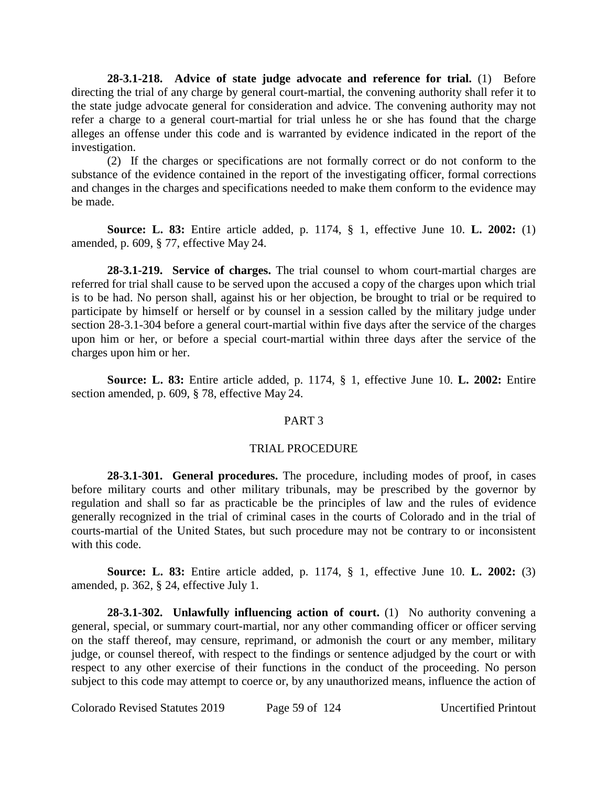**28-3.1-218. Advice of state judge advocate and reference for trial.** (1) Before directing the trial of any charge by general court-martial, the convening authority shall refer it to the state judge advocate general for consideration and advice. The convening authority may not refer a charge to a general court-martial for trial unless he or she has found that the charge alleges an offense under this code and is warranted by evidence indicated in the report of the investigation.

(2) If the charges or specifications are not formally correct or do not conform to the substance of the evidence contained in the report of the investigating officer, formal corrections and changes in the charges and specifications needed to make them conform to the evidence may be made.

**Source: L. 83:** Entire article added, p. 1174, § 1, effective June 10. **L. 2002:** (1) amended, p. 609, § 77, effective May 24.

**28-3.1-219. Service of charges.** The trial counsel to whom court-martial charges are referred for trial shall cause to be served upon the accused a copy of the charges upon which trial is to be had. No person shall, against his or her objection, be brought to trial or be required to participate by himself or herself or by counsel in a session called by the military judge under section 28-3.1-304 before a general court-martial within five days after the service of the charges upon him or her, or before a special court-martial within three days after the service of the charges upon him or her.

**Source: L. 83:** Entire article added, p. 1174, § 1, effective June 10. **L. 2002:** Entire section amended, p. 609, § 78, effective May 24.

#### PART 3

#### TRIAL PROCEDURE

**28-3.1-301. General procedures.** The procedure, including modes of proof, in cases before military courts and other military tribunals, may be prescribed by the governor by regulation and shall so far as practicable be the principles of law and the rules of evidence generally recognized in the trial of criminal cases in the courts of Colorado and in the trial of courts-martial of the United States, but such procedure may not be contrary to or inconsistent with this code.

**Source: L. 83:** Entire article added, p. 1174, § 1, effective June 10. **L. 2002:** (3) amended, p. 362, § 24, effective July 1.

**28-3.1-302. Unlawfully influencing action of court.** (1) No authority convening a general, special, or summary court-martial, nor any other commanding officer or officer serving on the staff thereof, may censure, reprimand, or admonish the court or any member, military judge, or counsel thereof, with respect to the findings or sentence adjudged by the court or with respect to any other exercise of their functions in the conduct of the proceeding. No person subject to this code may attempt to coerce or, by any unauthorized means, influence the action of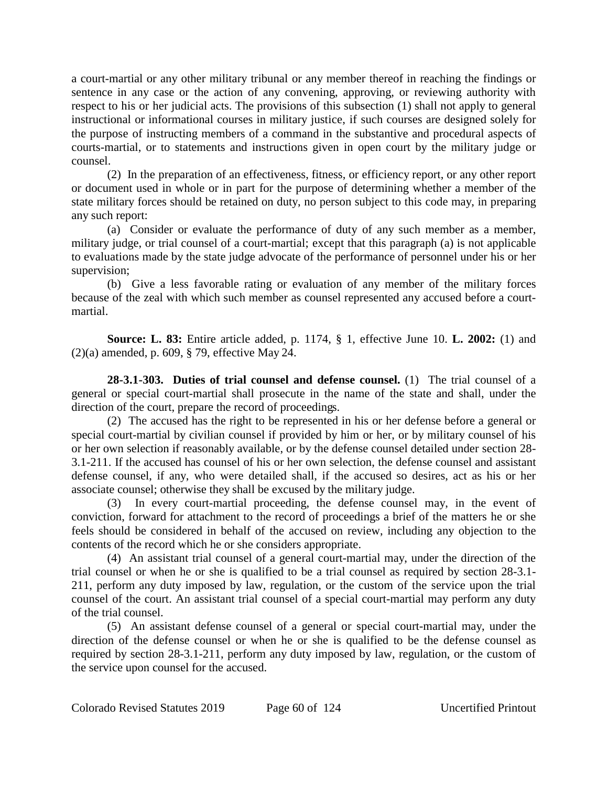a court-martial or any other military tribunal or any member thereof in reaching the findings or sentence in any case or the action of any convening, approving, or reviewing authority with respect to his or her judicial acts. The provisions of this subsection (1) shall not apply to general instructional or informational courses in military justice, if such courses are designed solely for the purpose of instructing members of a command in the substantive and procedural aspects of courts-martial, or to statements and instructions given in open court by the military judge or counsel.

(2) In the preparation of an effectiveness, fitness, or efficiency report, or any other report or document used in whole or in part for the purpose of determining whether a member of the state military forces should be retained on duty, no person subject to this code may, in preparing any such report:

(a) Consider or evaluate the performance of duty of any such member as a member, military judge, or trial counsel of a court-martial; except that this paragraph (a) is not applicable to evaluations made by the state judge advocate of the performance of personnel under his or her supervision;

(b) Give a less favorable rating or evaluation of any member of the military forces because of the zeal with which such member as counsel represented any accused before a courtmartial.

**Source: L. 83:** Entire article added, p. 1174, § 1, effective June 10. **L. 2002:** (1) and (2)(a) amended, p. 609, § 79, effective May 24.

**28-3.1-303. Duties of trial counsel and defense counsel.** (1) The trial counsel of a general or special court-martial shall prosecute in the name of the state and shall, under the direction of the court, prepare the record of proceedings.

(2) The accused has the right to be represented in his or her defense before a general or special court-martial by civilian counsel if provided by him or her, or by military counsel of his or her own selection if reasonably available, or by the defense counsel detailed under section 28- 3.1-211. If the accused has counsel of his or her own selection, the defense counsel and assistant defense counsel, if any, who were detailed shall, if the accused so desires, act as his or her associate counsel; otherwise they shall be excused by the military judge.

(3) In every court-martial proceeding, the defense counsel may, in the event of conviction, forward for attachment to the record of proceedings a brief of the matters he or she feels should be considered in behalf of the accused on review, including any objection to the contents of the record which he or she considers appropriate.

(4) An assistant trial counsel of a general court-martial may, under the direction of the trial counsel or when he or she is qualified to be a trial counsel as required by section 28-3.1- 211, perform any duty imposed by law, regulation, or the custom of the service upon the trial counsel of the court. An assistant trial counsel of a special court-martial may perform any duty of the trial counsel.

(5) An assistant defense counsel of a general or special court-martial may, under the direction of the defense counsel or when he or she is qualified to be the defense counsel as required by section 28-3.1-211, perform any duty imposed by law, regulation, or the custom of the service upon counsel for the accused.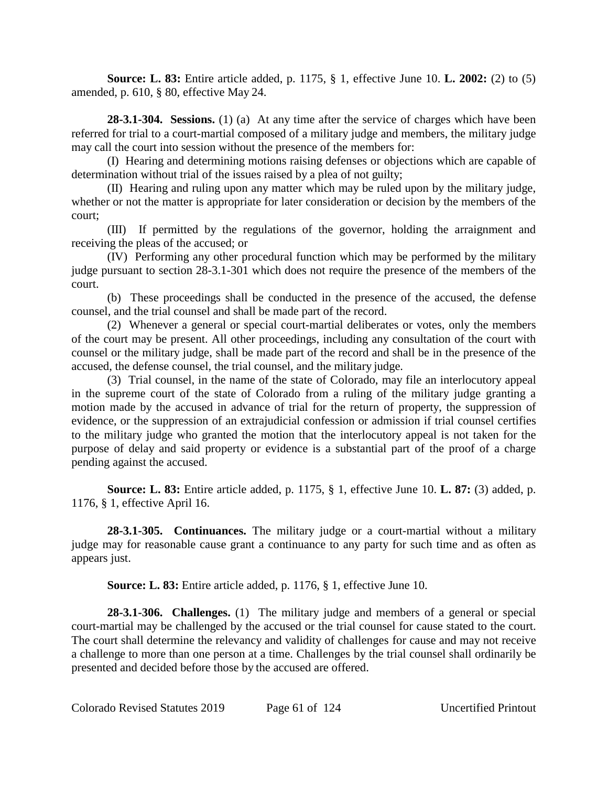**Source: L. 83:** Entire article added, p. 1175, § 1, effective June 10. **L. 2002:** (2) to (5) amended, p. 610, § 80, effective May 24.

**28-3.1-304. Sessions.** (1) (a) At any time after the service of charges which have been referred for trial to a court-martial composed of a military judge and members, the military judge may call the court into session without the presence of the members for:

(I) Hearing and determining motions raising defenses or objections which are capable of determination without trial of the issues raised by a plea of not guilty;

(II) Hearing and ruling upon any matter which may be ruled upon by the military judge, whether or not the matter is appropriate for later consideration or decision by the members of the court;

(III) If permitted by the regulations of the governor, holding the arraignment and receiving the pleas of the accused; or

(IV) Performing any other procedural function which may be performed by the military judge pursuant to section 28-3.1-301 which does not require the presence of the members of the court.

(b) These proceedings shall be conducted in the presence of the accused, the defense counsel, and the trial counsel and shall be made part of the record.

(2) Whenever a general or special court-martial deliberates or votes, only the members of the court may be present. All other proceedings, including any consultation of the court with counsel or the military judge, shall be made part of the record and shall be in the presence of the accused, the defense counsel, the trial counsel, and the military judge.

(3) Trial counsel, in the name of the state of Colorado, may file an interlocutory appeal in the supreme court of the state of Colorado from a ruling of the military judge granting a motion made by the accused in advance of trial for the return of property, the suppression of evidence, or the suppression of an extrajudicial confession or admission if trial counsel certifies to the military judge who granted the motion that the interlocutory appeal is not taken for the purpose of delay and said property or evidence is a substantial part of the proof of a charge pending against the accused.

**Source: L. 83:** Entire article added, p. 1175, § 1, effective June 10. **L. 87:** (3) added, p. 1176, § 1, effective April 16.

**28-3.1-305. Continuances.** The military judge or a court-martial without a military judge may for reasonable cause grant a continuance to any party for such time and as often as appears just.

**Source: L. 83:** Entire article added, p. 1176, § 1, effective June 10.

**28-3.1-306. Challenges.** (1) The military judge and members of a general or special court-martial may be challenged by the accused or the trial counsel for cause stated to the court. The court shall determine the relevancy and validity of challenges for cause and may not receive a challenge to more than one person at a time. Challenges by the trial counsel shall ordinarily be presented and decided before those by the accused are offered.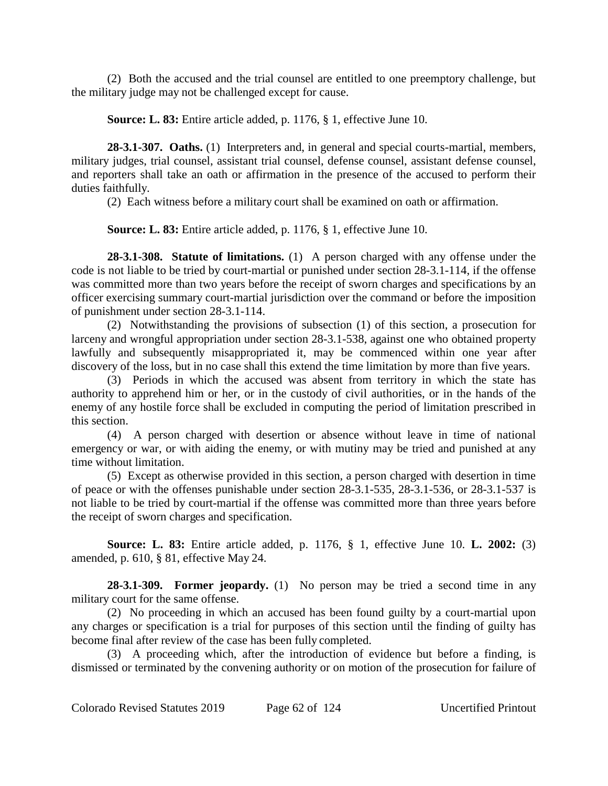(2) Both the accused and the trial counsel are entitled to one preemptory challenge, but the military judge may not be challenged except for cause.

**Source: L. 83:** Entire article added, p. 1176, § 1, effective June 10.

**28-3.1-307. Oaths.** (1) Interpreters and, in general and special courts-martial, members, military judges, trial counsel, assistant trial counsel, defense counsel, assistant defense counsel, and reporters shall take an oath or affirmation in the presence of the accused to perform their duties faithfully.

(2) Each witness before a military court shall be examined on oath or affirmation.

**Source: L. 83:** Entire article added, p. 1176, § 1, effective June 10.

**28-3.1-308. Statute of limitations.** (1) A person charged with any offense under the code is not liable to be tried by court-martial or punished under section 28-3.1-114, if the offense was committed more than two years before the receipt of sworn charges and specifications by an officer exercising summary court-martial jurisdiction over the command or before the imposition of punishment under section 28-3.1-114.

(2) Notwithstanding the provisions of subsection (1) of this section, a prosecution for larceny and wrongful appropriation under section 28-3.1-538, against one who obtained property lawfully and subsequently misappropriated it, may be commenced within one year after discovery of the loss, but in no case shall this extend the time limitation by more than five years.

(3) Periods in which the accused was absent from territory in which the state has authority to apprehend him or her, or in the custody of civil authorities, or in the hands of the enemy of any hostile force shall be excluded in computing the period of limitation prescribed in this section.

(4) A person charged with desertion or absence without leave in time of national emergency or war, or with aiding the enemy, or with mutiny may be tried and punished at any time without limitation.

(5) Except as otherwise provided in this section, a person charged with desertion in time of peace or with the offenses punishable under section 28-3.1-535, 28-3.1-536, or 28-3.1-537 is not liable to be tried by court-martial if the offense was committed more than three years before the receipt of sworn charges and specification.

**Source: L. 83:** Entire article added, p. 1176, § 1, effective June 10. **L. 2002:** (3) amended, p. 610, § 81, effective May 24.

**28-3.1-309. Former jeopardy.** (1) No person may be tried a second time in any military court for the same offense.

(2) No proceeding in which an accused has been found guilty by a court-martial upon any charges or specification is a trial for purposes of this section until the finding of guilty has become final after review of the case has been fully completed.

(3) A proceeding which, after the introduction of evidence but before a finding, is dismissed or terminated by the convening authority or on motion of the prosecution for failure of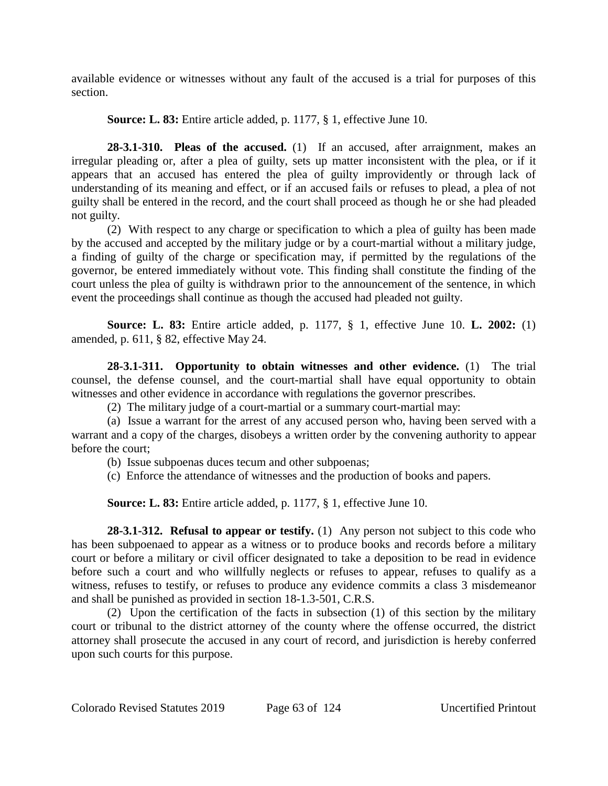available evidence or witnesses without any fault of the accused is a trial for purposes of this section.

**Source: L. 83:** Entire article added, p. 1177, § 1, effective June 10.

**28-3.1-310. Pleas of the accused.** (1) If an accused, after arraignment, makes an irregular pleading or, after a plea of guilty, sets up matter inconsistent with the plea, or if it appears that an accused has entered the plea of guilty improvidently or through lack of understanding of its meaning and effect, or if an accused fails or refuses to plead, a plea of not guilty shall be entered in the record, and the court shall proceed as though he or she had pleaded not guilty.

(2) With respect to any charge or specification to which a plea of guilty has been made by the accused and accepted by the military judge or by a court-martial without a military judge, a finding of guilty of the charge or specification may, if permitted by the regulations of the governor, be entered immediately without vote. This finding shall constitute the finding of the court unless the plea of guilty is withdrawn prior to the announcement of the sentence, in which event the proceedings shall continue as though the accused had pleaded not guilty.

**Source: L. 83:** Entire article added, p. 1177, § 1, effective June 10. **L. 2002:** (1) amended, p. 611, § 82, effective May 24.

**28-3.1-311. Opportunity to obtain witnesses and other evidence.** (1) The trial counsel, the defense counsel, and the court-martial shall have equal opportunity to obtain witnesses and other evidence in accordance with regulations the governor prescribes.

(2) The military judge of a court-martial or a summary court-martial may:

(a) Issue a warrant for the arrest of any accused person who, having been served with a warrant and a copy of the charges, disobeys a written order by the convening authority to appear before the court;

(b) Issue subpoenas duces tecum and other subpoenas;

(c) Enforce the attendance of witnesses and the production of books and papers.

**Source: L. 83:** Entire article added, p. 1177, § 1, effective June 10.

**28-3.1-312. Refusal to appear or testify.** (1) Any person not subject to this code who has been subpoenaed to appear as a witness or to produce books and records before a military court or before a military or civil officer designated to take a deposition to be read in evidence before such a court and who willfully neglects or refuses to appear, refuses to qualify as a witness, refuses to testify, or refuses to produce any evidence commits a class 3 misdemeanor and shall be punished as provided in section 18-1.3-501, C.R.S.

(2) Upon the certification of the facts in subsection (1) of this section by the military court or tribunal to the district attorney of the county where the offense occurred, the district attorney shall prosecute the accused in any court of record, and jurisdiction is hereby conferred upon such courts for this purpose.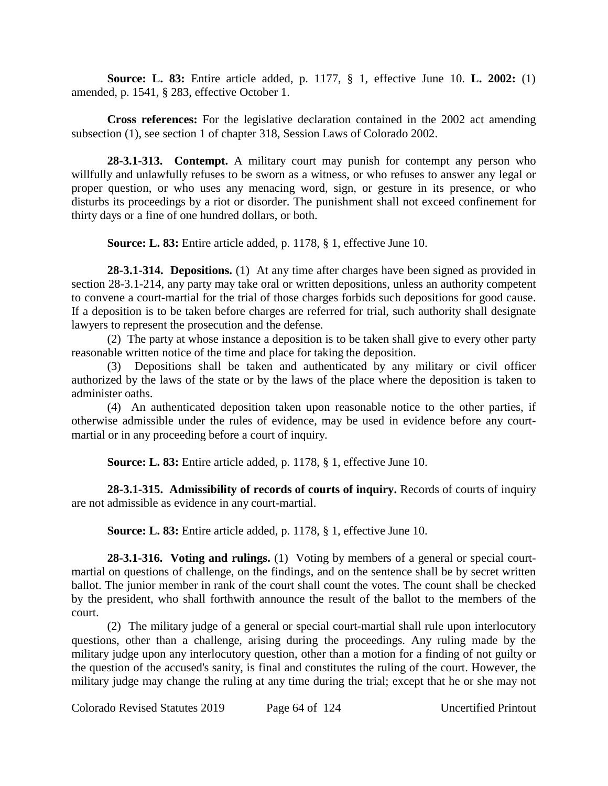**Source: L. 83:** Entire article added, p. 1177, § 1, effective June 10. **L. 2002:** (1) amended, p. 1541, § 283, effective October 1.

**Cross references:** For the legislative declaration contained in the 2002 act amending subsection (1), see section 1 of chapter 318, Session Laws of Colorado 2002.

**28-3.1-313. Contempt.** A military court may punish for contempt any person who willfully and unlawfully refuses to be sworn as a witness, or who refuses to answer any legal or proper question, or who uses any menacing word, sign, or gesture in its presence, or who disturbs its proceedings by a riot or disorder. The punishment shall not exceed confinement for thirty days or a fine of one hundred dollars, or both.

**Source: L. 83:** Entire article added, p. 1178, § 1, effective June 10.

**28-3.1-314. Depositions.** (1) At any time after charges have been signed as provided in section 28-3.1-214, any party may take oral or written depositions, unless an authority competent to convene a court-martial for the trial of those charges forbids such depositions for good cause. If a deposition is to be taken before charges are referred for trial, such authority shall designate lawyers to represent the prosecution and the defense.

(2) The party at whose instance a deposition is to be taken shall give to every other party reasonable written notice of the time and place for taking the deposition.

(3) Depositions shall be taken and authenticated by any military or civil officer authorized by the laws of the state or by the laws of the place where the deposition is taken to administer oaths.

(4) An authenticated deposition taken upon reasonable notice to the other parties, if otherwise admissible under the rules of evidence, may be used in evidence before any courtmartial or in any proceeding before a court of inquiry.

**Source: L. 83:** Entire article added, p. 1178, § 1, effective June 10.

**28-3.1-315. Admissibility of records of courts of inquiry.** Records of courts of inquiry are not admissible as evidence in any court-martial.

**Source: L. 83:** Entire article added, p. 1178, § 1, effective June 10.

**28-3.1-316. Voting and rulings.** (1) Voting by members of a general or special courtmartial on questions of challenge, on the findings, and on the sentence shall be by secret written ballot. The junior member in rank of the court shall count the votes. The count shall be checked by the president, who shall forthwith announce the result of the ballot to the members of the court.

(2) The military judge of a general or special court-martial shall rule upon interlocutory questions, other than a challenge, arising during the proceedings. Any ruling made by the military judge upon any interlocutory question, other than a motion for a finding of not guilty or the question of the accused's sanity, is final and constitutes the ruling of the court. However, the military judge may change the ruling at any time during the trial; except that he or she may not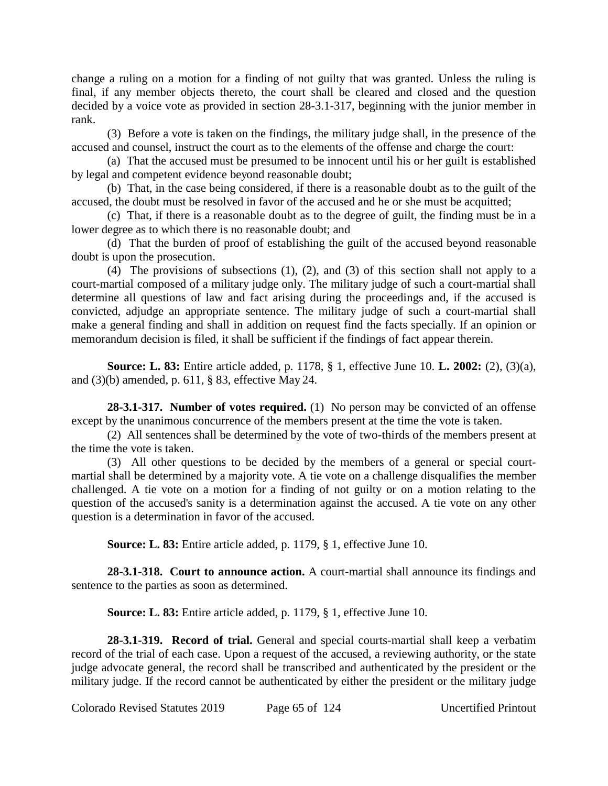change a ruling on a motion for a finding of not guilty that was granted. Unless the ruling is final, if any member objects thereto, the court shall be cleared and closed and the question decided by a voice vote as provided in section 28-3.1-317, beginning with the junior member in rank.

(3) Before a vote is taken on the findings, the military judge shall, in the presence of the accused and counsel, instruct the court as to the elements of the offense and charge the court:

(a) That the accused must be presumed to be innocent until his or her guilt is established by legal and competent evidence beyond reasonable doubt;

(b) That, in the case being considered, if there is a reasonable doubt as to the guilt of the accused, the doubt must be resolved in favor of the accused and he or she must be acquitted;

(c) That, if there is a reasonable doubt as to the degree of guilt, the finding must be in a lower degree as to which there is no reasonable doubt; and

(d) That the burden of proof of establishing the guilt of the accused beyond reasonable doubt is upon the prosecution.

(4) The provisions of subsections (1), (2), and (3) of this section shall not apply to a court-martial composed of a military judge only. The military judge of such a court-martial shall determine all questions of law and fact arising during the proceedings and, if the accused is convicted, adjudge an appropriate sentence. The military judge of such a court-martial shall make a general finding and shall in addition on request find the facts specially. If an opinion or memorandum decision is filed, it shall be sufficient if the findings of fact appear therein.

**Source: L. 83:** Entire article added, p. 1178, § 1, effective June 10. **L. 2002:** (2), (3)(a), and (3)(b) amended, p. 611, § 83, effective May 24.

**28-3.1-317. Number of votes required.** (1) No person may be convicted of an offense except by the unanimous concurrence of the members present at the time the vote is taken.

(2) All sentences shall be determined by the vote of two-thirds of the members present at the time the vote is taken.

(3) All other questions to be decided by the members of a general or special courtmartial shall be determined by a majority vote. A tie vote on a challenge disqualifies the member challenged. A tie vote on a motion for a finding of not guilty or on a motion relating to the question of the accused's sanity is a determination against the accused. A tie vote on any other question is a determination in favor of the accused.

**Source: L. 83:** Entire article added, p. 1179, § 1, effective June 10.

**28-3.1-318. Court to announce action.** A court-martial shall announce its findings and sentence to the parties as soon as determined.

**Source: L. 83:** Entire article added, p. 1179, § 1, effective June 10.

**28-3.1-319. Record of trial.** General and special courts-martial shall keep a verbatim record of the trial of each case. Upon a request of the accused, a reviewing authority, or the state judge advocate general, the record shall be transcribed and authenticated by the president or the military judge. If the record cannot be authenticated by either the president or the military judge

Colorado Revised Statutes 2019 Page 65 of 124 Uncertified Printout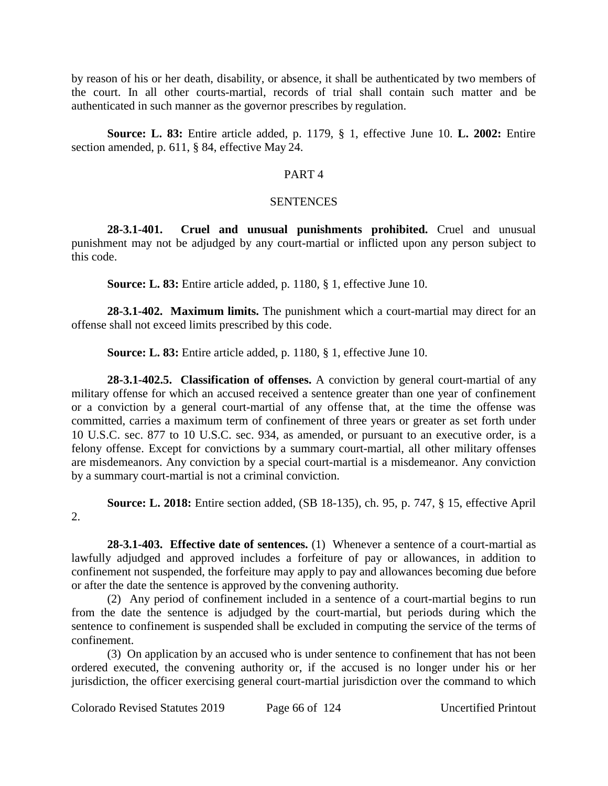by reason of his or her death, disability, or absence, it shall be authenticated by two members of the court. In all other courts-martial, records of trial shall contain such matter and be authenticated in such manner as the governor prescribes by regulation.

**Source: L. 83:** Entire article added, p. 1179, § 1, effective June 10. **L. 2002:** Entire section amended, p. 611, § 84, effective May 24.

# PART 4

# **SENTENCES**

**28-3.1-401. Cruel and unusual punishments prohibited.** Cruel and unusual punishment may not be adjudged by any court-martial or inflicted upon any person subject to this code.

**Source: L. 83:** Entire article added, p. 1180, § 1, effective June 10.

**28-3.1-402. Maximum limits.** The punishment which a court-martial may direct for an offense shall not exceed limits prescribed by this code.

**Source: L. 83:** Entire article added, p. 1180, § 1, effective June 10.

**28-3.1-402.5. Classification of offenses.** A conviction by general court-martial of any military offense for which an accused received a sentence greater than one year of confinement or a conviction by a general court-martial of any offense that, at the time the offense was committed, carries a maximum term of confinement of three years or greater as set forth under 10 U.S.C. sec. 877 to 10 U.S.C. sec. 934, as amended, or pursuant to an executive order, is a felony offense. Except for convictions by a summary court-martial, all other military offenses are misdemeanors. Any conviction by a special court-martial is a misdemeanor. Any conviction by a summary court-martial is not a criminal conviction.

**Source: L. 2018:** Entire section added, (SB 18-135), ch. 95, p. 747, § 15, effective April 2.

**28-3.1-403. Effective date of sentences.** (1) Whenever a sentence of a court-martial as lawfully adjudged and approved includes a forfeiture of pay or allowances, in addition to confinement not suspended, the forfeiture may apply to pay and allowances becoming due before or after the date the sentence is approved by the convening authority.

(2) Any period of confinement included in a sentence of a court-martial begins to run from the date the sentence is adjudged by the court-martial, but periods during which the sentence to confinement is suspended shall be excluded in computing the service of the terms of confinement.

(3) On application by an accused who is under sentence to confinement that has not been ordered executed, the convening authority or, if the accused is no longer under his or her jurisdiction, the officer exercising general court-martial jurisdiction over the command to which

Colorado Revised Statutes 2019 Page 66 of 124 Uncertified Printout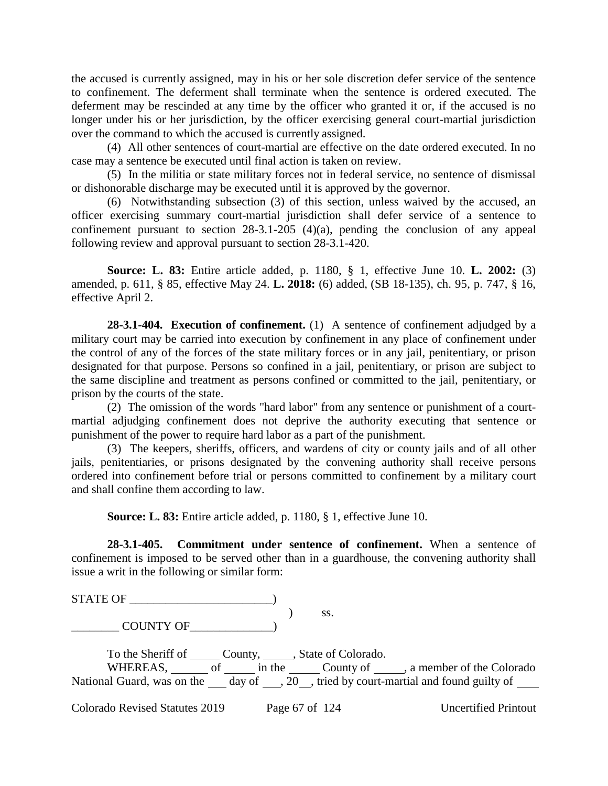the accused is currently assigned, may in his or her sole discretion defer service of the sentence to confinement. The deferment shall terminate when the sentence is ordered executed. The deferment may be rescinded at any time by the officer who granted it or, if the accused is no longer under his or her jurisdiction, by the officer exercising general court-martial jurisdiction over the command to which the accused is currently assigned.

(4) All other sentences of court-martial are effective on the date ordered executed. In no case may a sentence be executed until final action is taken on review.

(5) In the militia or state military forces not in federal service, no sentence of dismissal or dishonorable discharge may be executed until it is approved by the governor.

(6) Notwithstanding subsection (3) of this section, unless waived by the accused, an officer exercising summary court-martial jurisdiction shall defer service of a sentence to confinement pursuant to section  $28-3.1-205$  (4)(a), pending the conclusion of any appeal following review and approval pursuant to section 28-3.1-420.

**Source: L. 83:** Entire article added, p. 1180, § 1, effective June 10. **L. 2002:** (3) amended, p. 611, § 85, effective May 24. **L. 2018:** (6) added, (SB 18-135), ch. 95, p. 747, § 16, effective April 2.

**28-3.1-404. Execution of confinement.** (1) A sentence of confinement adjudged by a military court may be carried into execution by confinement in any place of confinement under the control of any of the forces of the state military forces or in any jail, penitentiary, or prison designated for that purpose. Persons so confined in a jail, penitentiary, or prison are subject to the same discipline and treatment as persons confined or committed to the jail, penitentiary, or prison by the courts of the state.

(2) The omission of the words "hard labor" from any sentence or punishment of a courtmartial adjudging confinement does not deprive the authority executing that sentence or punishment of the power to require hard labor as a part of the punishment.

(3) The keepers, sheriffs, officers, and wardens of city or county jails and of all other jails, penitentiaries, or prisons designated by the convening authority shall receive persons ordered into confinement before trial or persons committed to confinement by a military court and shall confine them according to law.

**Source: L. 83:** Entire article added, p. 1180, § 1, effective June 10.

**28-3.1-405. Commitment under sentence of confinement.** When a sentence of confinement is imposed to be served other than in a guardhouse, the convening authority shall issue a writ in the following or similar form:

STATE OF \_\_\_\_\_\_\_\_\_\_\_\_\_\_\_\_\_\_\_\_\_\_\_\_)

 ) ss. \_\_\_\_\_\_\_\_ COUNTY OF\_\_\_\_\_\_\_\_\_\_\_\_\_\_)

To the Sheriff of \_\_\_\_\_\_\_ County, \_\_\_\_\_\_, State of Colorado. WHEREAS,  $\overline{\hspace{1cm}}$  of  $\overline{\hspace{1cm}}$  in the  $\overline{\hspace{1cm}}$  County of  $\overline{\hspace{1cm}}$ , a member of the Colorado National Guard, was on the day of ,  $\overline{20}$ , tried by court-martial and found guilty of

Colorado Revised Statutes 2019 Page 67 of 124 Uncertified Printout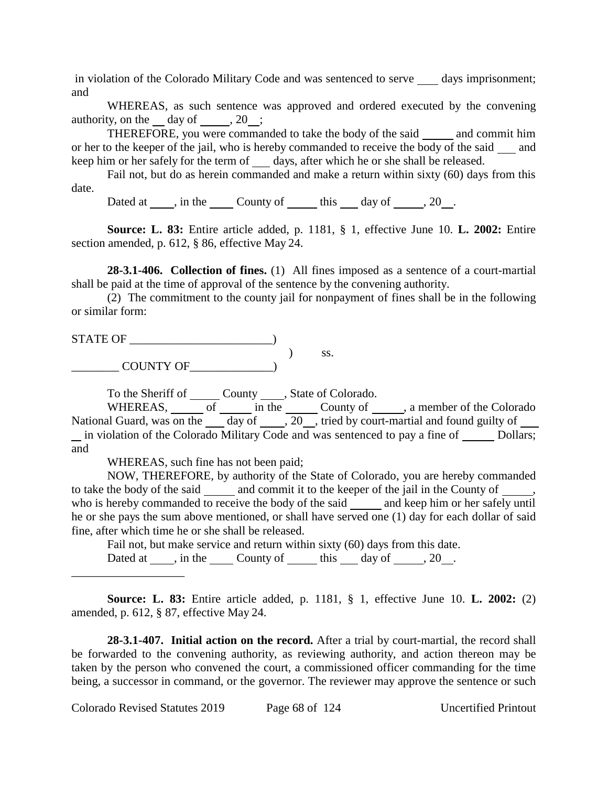in violation of the Colorado Military Code and was sentenced to serve days imprisonment; and

WHEREAS, as such sentence was approved and ordered executed by the convening authority, on the day of  $, 20$ ;

THEREFORE, you were commanded to take the body of the said and commit him or her to the keeper of the jail, who is hereby commanded to receive the body of the said and keep him or her safely for the term of days, after which he or she shall be released.

Fail not, but do as herein commanded and make a return within sixty (60) days from this date.

Dated at , in the County of this day of , 20.

**Source: L. 83:** Entire article added, p. 1181, § 1, effective June 10. **L. 2002:** Entire section amended, p. 612, § 86, effective May 24.

**28-3.1-406. Collection of fines.** (1) All fines imposed as a sentence of a court-martial shall be paid at the time of approval of the sentence by the convening authority.

(2) The commitment to the county jail for nonpayment of fines shall be in the following or similar form:

STATE OF \_\_\_\_\_\_\_\_\_\_\_\_\_\_\_\_\_\_\_\_\_\_\_\_) ) ss. \_\_\_\_\_\_\_\_ COUNTY OF\_\_\_\_\_\_\_\_\_\_\_\_\_\_)

To the Sheriff of County , State of Colorado.

WHEREAS,  $\frac{\overline{\phantom{a}}}{\phantom{a}}$  of  $\frac{\overline{\phantom{a}}}{\phantom{a}}$  in the  $\frac{\overline{\phantom{a}}}{\phantom{a}}$  County of  $\frac{\overline{\phantom{a}}}{\phantom{a}}$ , a member of the Colorado National Guard, was on the day of  $\sqrt{20}$ , tried by court-martial and found guilty of  $\frac{1}{\sqrt{1-\frac{1}{\sqrt{1-\frac{1}{\sqrt{1-\frac{1}{\sqrt{1-\frac{1}{\sqrt{1-\frac{1}{\sqrt{1-\frac{1}{\sqrt{1-\frac{1}{\sqrt{1-\frac{1}{\sqrt{1-\frac{1}{\sqrt{1-\frac{1}{\sqrt{1-\frac{1}{\sqrt{1-\frac{1}{\sqrt{1-\frac{1}{\sqrt{1-\frac{1}{\sqrt{1-\frac{1}{\sqrt{1-\frac{1}{\sqrt{1-\frac{1}{\sqrt{1-\frac{1}{\sqrt{1-\frac{1}{\sqrt{1-\frac{1}{\sqrt{1-\frac{1}{\sqrt{1-\frac{1}{\sqrt{1-\frac{1}{\sqrt{1-\frac{1$ and

WHEREAS, such fine has not been paid;

\_\_\_\_\_\_\_\_\_\_\_\_\_\_\_\_\_\_\_

NOW, THEREFORE, by authority of the State of Colorado, you are hereby commanded to take the body of the said and commit it to the keeper of the jail in the County of , who is hereby commanded to receive the body of the said and keep him or her safely until he or she pays the sum above mentioned, or shall have served one (1) day for each dollar of said fine, after which time he or she shall be released.

Fail not, but make service and return within sixty (60) days from this date. Dated at  $\_\_$ , in the  $\_\_$ County of  $\_\_$ this  $\_\_$  day of  $\_\_$ , 20  $\_\_$ .

**Source: L. 83:** Entire article added, p. 1181, § 1, effective June 10. **L. 2002:** (2) amended, p. 612, § 87, effective May 24.

**28-3.1-407. Initial action on the record.** After a trial by court-martial, the record shall be forwarded to the convening authority, as reviewing authority, and action thereon may be taken by the person who convened the court, a commissioned officer commanding for the time being, a successor in command, or the governor. The reviewer may approve the sentence or such

Colorado Revised Statutes 2019 Page 68 of 124 Uncertified Printout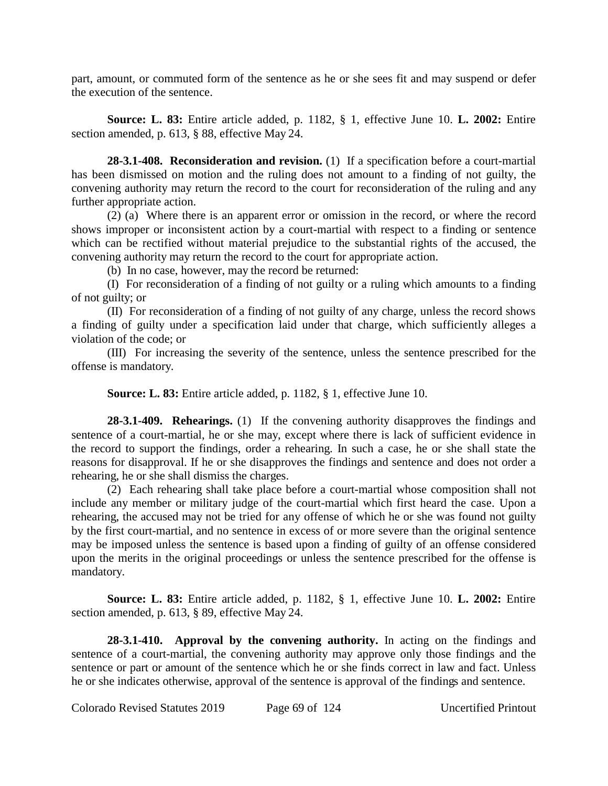part, amount, or commuted form of the sentence as he or she sees fit and may suspend or defer the execution of the sentence.

**Source: L. 83:** Entire article added, p. 1182, § 1, effective June 10. **L. 2002:** Entire section amended, p. 613, § 88, effective May 24.

**28-3.1-408. Reconsideration and revision.** (1) If a specification before a court-martial has been dismissed on motion and the ruling does not amount to a finding of not guilty, the convening authority may return the record to the court for reconsideration of the ruling and any further appropriate action.

(2) (a) Where there is an apparent error or omission in the record, or where the record shows improper or inconsistent action by a court-martial with respect to a finding or sentence which can be rectified without material prejudice to the substantial rights of the accused, the convening authority may return the record to the court for appropriate action.

(b) In no case, however, may the record be returned:

(I) For reconsideration of a finding of not guilty or a ruling which amounts to a finding of not guilty; or

(II) For reconsideration of a finding of not guilty of any charge, unless the record shows a finding of guilty under a specification laid under that charge, which sufficiently alleges a violation of the code; or

(III) For increasing the severity of the sentence, unless the sentence prescribed for the offense is mandatory.

**Source: L. 83:** Entire article added, p. 1182, § 1, effective June 10.

**28-3.1-409. Rehearings.** (1) If the convening authority disapproves the findings and sentence of a court-martial, he or she may, except where there is lack of sufficient evidence in the record to support the findings, order a rehearing. In such a case, he or she shall state the reasons for disapproval. If he or she disapproves the findings and sentence and does not order a rehearing, he or she shall dismiss the charges.

(2) Each rehearing shall take place before a court-martial whose composition shall not include any member or military judge of the court-martial which first heard the case. Upon a rehearing, the accused may not be tried for any offense of which he or she was found not guilty by the first court-martial, and no sentence in excess of or more severe than the original sentence may be imposed unless the sentence is based upon a finding of guilty of an offense considered upon the merits in the original proceedings or unless the sentence prescribed for the offense is mandatory.

**Source: L. 83:** Entire article added, p. 1182, § 1, effective June 10. **L. 2002:** Entire section amended, p. 613, § 89, effective May 24.

**28-3.1-410. Approval by the convening authority.** In acting on the findings and sentence of a court-martial, the convening authority may approve only those findings and the sentence or part or amount of the sentence which he or she finds correct in law and fact. Unless he or she indicates otherwise, approval of the sentence is approval of the findings and sentence.

Colorado Revised Statutes 2019 Page 69 of 124 Uncertified Printout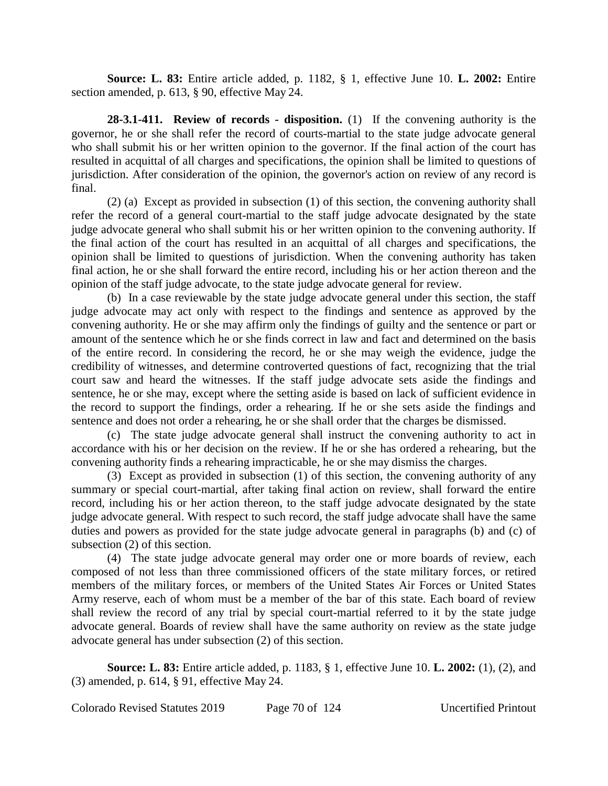**Source: L. 83:** Entire article added, p. 1182, § 1, effective June 10. **L. 2002:** Entire section amended, p. 613, § 90, effective May 24.

**28-3.1-411. Review of records - disposition.** (1) If the convening authority is the governor, he or she shall refer the record of courts-martial to the state judge advocate general who shall submit his or her written opinion to the governor. If the final action of the court has resulted in acquittal of all charges and specifications, the opinion shall be limited to questions of jurisdiction. After consideration of the opinion, the governor's action on review of any record is final.

(2) (a) Except as provided in subsection (1) of this section, the convening authority shall refer the record of a general court-martial to the staff judge advocate designated by the state judge advocate general who shall submit his or her written opinion to the convening authority. If the final action of the court has resulted in an acquittal of all charges and specifications, the opinion shall be limited to questions of jurisdiction. When the convening authority has taken final action, he or she shall forward the entire record, including his or her action thereon and the opinion of the staff judge advocate, to the state judge advocate general for review.

(b) In a case reviewable by the state judge advocate general under this section, the staff judge advocate may act only with respect to the findings and sentence as approved by the convening authority. He or she may affirm only the findings of guilty and the sentence or part or amount of the sentence which he or she finds correct in law and fact and determined on the basis of the entire record. In considering the record, he or she may weigh the evidence, judge the credibility of witnesses, and determine controverted questions of fact, recognizing that the trial court saw and heard the witnesses. If the staff judge advocate sets aside the findings and sentence, he or she may, except where the setting aside is based on lack of sufficient evidence in the record to support the findings, order a rehearing. If he or she sets aside the findings and sentence and does not order a rehearing, he or she shall order that the charges be dismissed.

(c) The state judge advocate general shall instruct the convening authority to act in accordance with his or her decision on the review. If he or she has ordered a rehearing, but the convening authority finds a rehearing impracticable, he or she may dismiss the charges.

(3) Except as provided in subsection (1) of this section, the convening authority of any summary or special court-martial, after taking final action on review, shall forward the entire record, including his or her action thereon, to the staff judge advocate designated by the state judge advocate general. With respect to such record, the staff judge advocate shall have the same duties and powers as provided for the state judge advocate general in paragraphs (b) and (c) of subsection (2) of this section.

(4) The state judge advocate general may order one or more boards of review, each composed of not less than three commissioned officers of the state military forces, or retired members of the military forces, or members of the United States Air Forces or United States Army reserve, each of whom must be a member of the bar of this state. Each board of review shall review the record of any trial by special court-martial referred to it by the state judge advocate general. Boards of review shall have the same authority on review as the state judge advocate general has under subsection (2) of this section.

**Source: L. 83:** Entire article added, p. 1183, § 1, effective June 10. **L. 2002:** (1), (2), and (3) amended, p. 614, § 91, effective May 24.

Colorado Revised Statutes 2019 Page 70 of 124 Uncertified Printout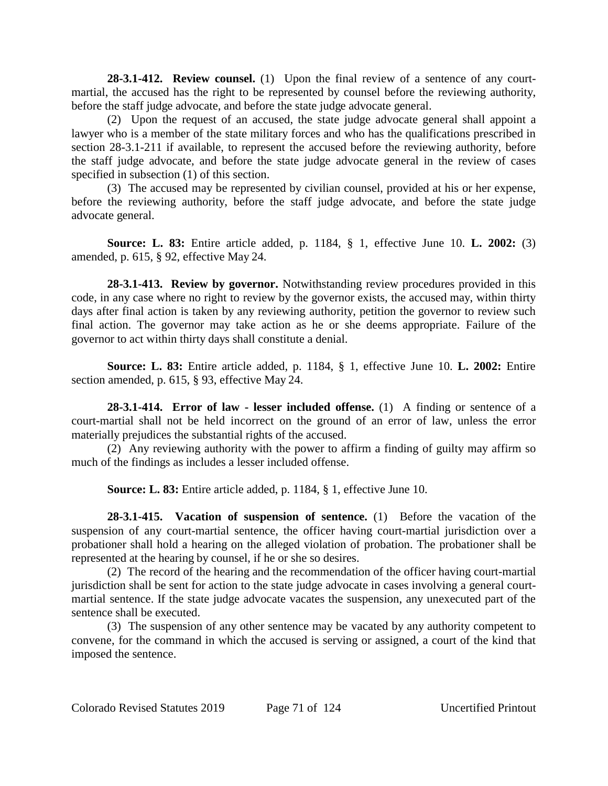**28-3.1-412. Review counsel.** (1) Upon the final review of a sentence of any courtmartial, the accused has the right to be represented by counsel before the reviewing authority, before the staff judge advocate, and before the state judge advocate general.

(2) Upon the request of an accused, the state judge advocate general shall appoint a lawyer who is a member of the state military forces and who has the qualifications prescribed in section 28-3.1-211 if available, to represent the accused before the reviewing authority, before the staff judge advocate, and before the state judge advocate general in the review of cases specified in subsection (1) of this section.

(3) The accused may be represented by civilian counsel, provided at his or her expense, before the reviewing authority, before the staff judge advocate, and before the state judge advocate general.

**Source: L. 83:** Entire article added, p. 1184, § 1, effective June 10. **L. 2002:** (3) amended, p. 615, § 92, effective May 24.

**28-3.1-413. Review by governor.** Notwithstanding review procedures provided in this code, in any case where no right to review by the governor exists, the accused may, within thirty days after final action is taken by any reviewing authority, petition the governor to review such final action. The governor may take action as he or she deems appropriate. Failure of the governor to act within thirty days shall constitute a denial.

**Source: L. 83:** Entire article added, p. 1184, § 1, effective June 10. **L. 2002:** Entire section amended, p. 615, § 93, effective May 24.

**28-3.1-414. Error of law - lesser included offense.** (1) A finding or sentence of a court-martial shall not be held incorrect on the ground of an error of law, unless the error materially prejudices the substantial rights of the accused.

(2) Any reviewing authority with the power to affirm a finding of guilty may affirm so much of the findings as includes a lesser included offense.

**Source: L. 83:** Entire article added, p. 1184, § 1, effective June 10.

**28-3.1-415. Vacation of suspension of sentence.** (1) Before the vacation of the suspension of any court-martial sentence, the officer having court-martial jurisdiction over a probationer shall hold a hearing on the alleged violation of probation. The probationer shall be represented at the hearing by counsel, if he or she so desires.

(2) The record of the hearing and the recommendation of the officer having court-martial jurisdiction shall be sent for action to the state judge advocate in cases involving a general courtmartial sentence. If the state judge advocate vacates the suspension, any unexecuted part of the sentence shall be executed.

(3) The suspension of any other sentence may be vacated by any authority competent to convene, for the command in which the accused is serving or assigned, a court of the kind that imposed the sentence.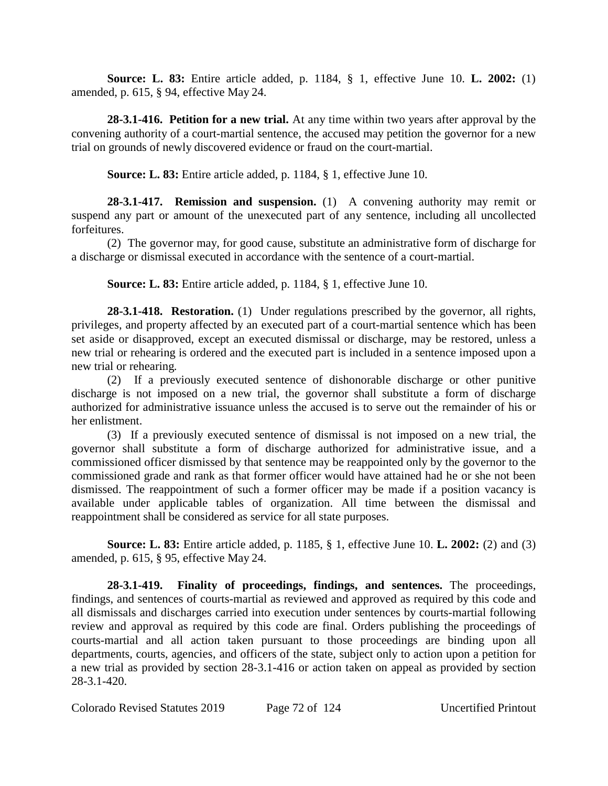**Source: L. 83:** Entire article added, p. 1184, § 1, effective June 10. **L. 2002:** (1) amended, p. 615, § 94, effective May 24.

**28-3.1-416. Petition for a new trial.** At any time within two years after approval by the convening authority of a court-martial sentence, the accused may petition the governor for a new trial on grounds of newly discovered evidence or fraud on the court-martial.

**Source: L. 83:** Entire article added, p. 1184, § 1, effective June 10.

**28-3.1-417. Remission and suspension.** (1) A convening authority may remit or suspend any part or amount of the unexecuted part of any sentence, including all uncollected forfeitures.

(2) The governor may, for good cause, substitute an administrative form of discharge for a discharge or dismissal executed in accordance with the sentence of a court-martial.

**Source: L. 83:** Entire article added, p. 1184, § 1, effective June 10.

**28-3.1-418. Restoration.** (1) Under regulations prescribed by the governor, all rights, privileges, and property affected by an executed part of a court-martial sentence which has been set aside or disapproved, except an executed dismissal or discharge, may be restored, unless a new trial or rehearing is ordered and the executed part is included in a sentence imposed upon a new trial or rehearing.

(2) If a previously executed sentence of dishonorable discharge or other punitive discharge is not imposed on a new trial, the governor shall substitute a form of discharge authorized for administrative issuance unless the accused is to serve out the remainder of his or her enlistment.

(3) If a previously executed sentence of dismissal is not imposed on a new trial, the governor shall substitute a form of discharge authorized for administrative issue, and a commissioned officer dismissed by that sentence may be reappointed only by the governor to the commissioned grade and rank as that former officer would have attained had he or she not been dismissed. The reappointment of such a former officer may be made if a position vacancy is available under applicable tables of organization. All time between the dismissal and reappointment shall be considered as service for all state purposes.

**Source: L. 83:** Entire article added, p. 1185, § 1, effective June 10. **L. 2002:** (2) and (3) amended, p. 615, § 95, effective May 24.

**28-3.1-419. Finality of proceedings, findings, and sentences.** The proceedings, findings, and sentences of courts-martial as reviewed and approved as required by this code and all dismissals and discharges carried into execution under sentences by courts-martial following review and approval as required by this code are final. Orders publishing the proceedings of courts-martial and all action taken pursuant to those proceedings are binding upon all departments, courts, agencies, and officers of the state, subject only to action upon a petition for a new trial as provided by section 28-3.1-416 or action taken on appeal as provided by section 28-3.1-420.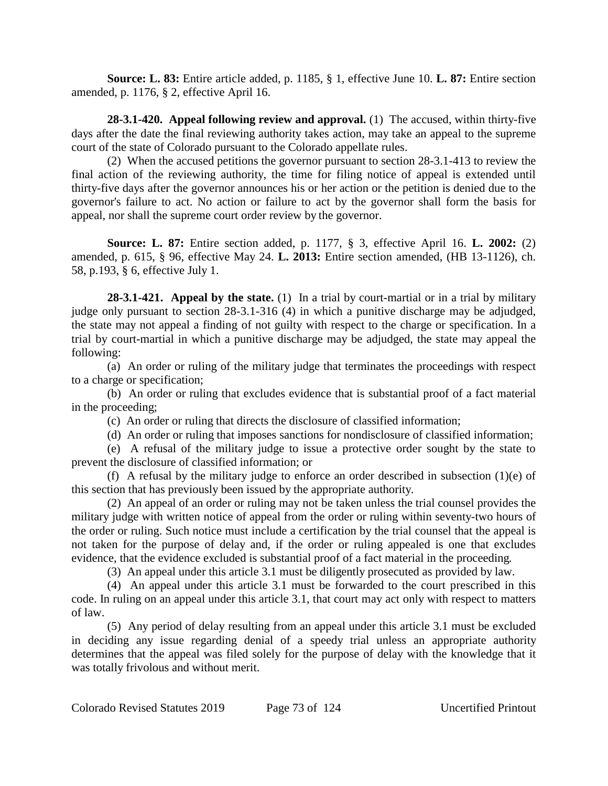**Source: L. 83:** Entire article added, p. 1185, § 1, effective June 10. **L. 87:** Entire section amended, p. 1176, § 2, effective April 16.

**28-3.1-420. Appeal following review and approval.** (1) The accused, within thirty-five days after the date the final reviewing authority takes action, may take an appeal to the supreme court of the state of Colorado pursuant to the Colorado appellate rules.

(2) When the accused petitions the governor pursuant to section 28-3.1-413 to review the final action of the reviewing authority, the time for filing notice of appeal is extended until thirty-five days after the governor announces his or her action or the petition is denied due to the governor's failure to act. No action or failure to act by the governor shall form the basis for appeal, nor shall the supreme court order review by the governor.

**Source: L. 87:** Entire section added, p. 1177, § 3, effective April 16. **L. 2002:** (2) amended, p. 615, § 96, effective May 24. **L. 2013:** Entire section amended, (HB 13-1126), ch. 58, p.193, § 6, effective July 1.

**28-3.1-421. Appeal by the state.** (1) In a trial by court-martial or in a trial by military judge only pursuant to section 28-3.1-316 (4) in which a punitive discharge may be adjudged, the state may not appeal a finding of not guilty with respect to the charge or specification. In a trial by court-martial in which a punitive discharge may be adjudged, the state may appeal the following:

(a) An order or ruling of the military judge that terminates the proceedings with respect to a charge or specification;

(b) An order or ruling that excludes evidence that is substantial proof of a fact material in the proceeding;

(c) An order or ruling that directs the disclosure of classified information;

(d) An order or ruling that imposes sanctions for nondisclosure of classified information;

(e) A refusal of the military judge to issue a protective order sought by the state to prevent the disclosure of classified information; or

(f) A refusal by the military judge to enforce an order described in subsection (1)(e) of this section that has previously been issued by the appropriate authority.

(2) An appeal of an order or ruling may not be taken unless the trial counsel provides the military judge with written notice of appeal from the order or ruling within seventy-two hours of the order or ruling. Such notice must include a certification by the trial counsel that the appeal is not taken for the purpose of delay and, if the order or ruling appealed is one that excludes evidence, that the evidence excluded is substantial proof of a fact material in the proceeding.

(3) An appeal under this article 3.1 must be diligently prosecuted as provided by law.

(4) An appeal under this article 3.1 must be forwarded to the court prescribed in this code. In ruling on an appeal under this article 3.1, that court may act only with respect to matters of law.

(5) Any period of delay resulting from an appeal under this article 3.1 must be excluded in deciding any issue regarding denial of a speedy trial unless an appropriate authority determines that the appeal was filed solely for the purpose of delay with the knowledge that it was totally frivolous and without merit.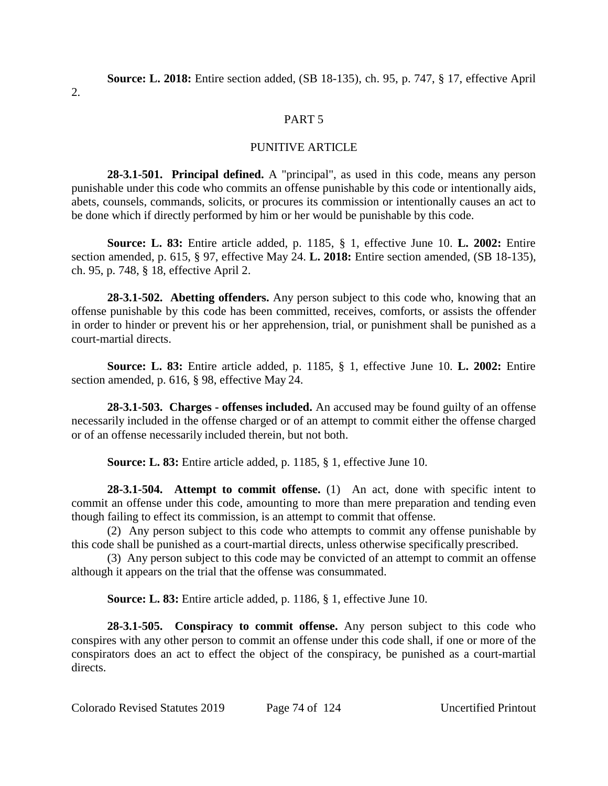2.

### PART 5

### PUNITIVE ARTICLE

**28-3.1-501. Principal defined.** A "principal", as used in this code, means any person punishable under this code who commits an offense punishable by this code or intentionally aids, abets, counsels, commands, solicits, or procures its commission or intentionally causes an act to be done which if directly performed by him or her would be punishable by this code.

**Source: L. 83:** Entire article added, p. 1185, § 1, effective June 10. **L. 2002:** Entire section amended, p. 615, § 97, effective May 24. **L. 2018:** Entire section amended, (SB 18-135), ch. 95, p. 748, § 18, effective April 2.

**28-3.1-502. Abetting offenders.** Any person subject to this code who, knowing that an offense punishable by this code has been committed, receives, comforts, or assists the offender in order to hinder or prevent his or her apprehension, trial, or punishment shall be punished as a court-martial directs.

**Source: L. 83:** Entire article added, p. 1185, § 1, effective June 10. **L. 2002:** Entire section amended, p. 616, § 98, effective May 24.

**28-3.1-503. Charges - offenses included.** An accused may be found guilty of an offense necessarily included in the offense charged or of an attempt to commit either the offense charged or of an offense necessarily included therein, but not both.

**Source: L. 83:** Entire article added, p. 1185, § 1, effective June 10.

**28-3.1-504. Attempt to commit offense.** (1) An act, done with specific intent to commit an offense under this code, amounting to more than mere preparation and tending even though failing to effect its commission, is an attempt to commit that offense.

(2) Any person subject to this code who attempts to commit any offense punishable by this code shall be punished as a court-martial directs, unless otherwise specifically prescribed.

(3) Any person subject to this code may be convicted of an attempt to commit an offense although it appears on the trial that the offense was consummated.

**Source: L. 83:** Entire article added, p. 1186, § 1, effective June 10.

**28-3.1-505. Conspiracy to commit offense.** Any person subject to this code who conspires with any other person to commit an offense under this code shall, if one or more of the conspirators does an act to effect the object of the conspiracy, be punished as a court-martial directs.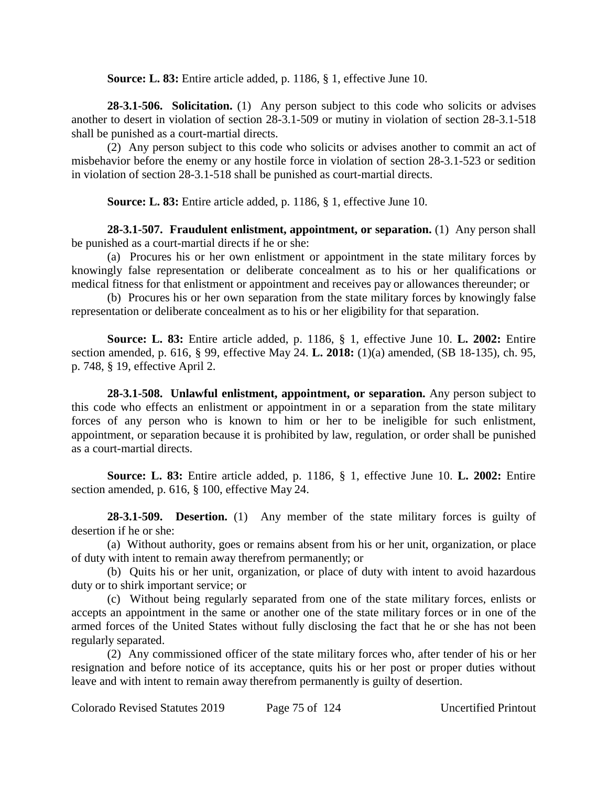**Source: L. 83:** Entire article added, p. 1186, § 1, effective June 10.

**28-3.1-506. Solicitation.** (1) Any person subject to this code who solicits or advises another to desert in violation of section 28-3.1-509 or mutiny in violation of section 28-3.1-518 shall be punished as a court-martial directs.

(2) Any person subject to this code who solicits or advises another to commit an act of misbehavior before the enemy or any hostile force in violation of section 28-3.1-523 or sedition in violation of section 28-3.1-518 shall be punished as court-martial directs.

**Source: L. 83:** Entire article added, p. 1186, § 1, effective June 10.

**28-3.1-507. Fraudulent enlistment, appointment, or separation.** (1) Any person shall be punished as a court-martial directs if he or she:

(a) Procures his or her own enlistment or appointment in the state military forces by knowingly false representation or deliberate concealment as to his or her qualifications or medical fitness for that enlistment or appointment and receives pay or allowances thereunder; or

(b) Procures his or her own separation from the state military forces by knowingly false representation or deliberate concealment as to his or her eligibility for that separation.

**Source: L. 83:** Entire article added, p. 1186, § 1, effective June 10. **L. 2002:** Entire section amended, p. 616, § 99, effective May 24. **L. 2018:** (1)(a) amended, (SB 18-135), ch. 95, p. 748, § 19, effective April 2.

**28-3.1-508. Unlawful enlistment, appointment, or separation.** Any person subject to this code who effects an enlistment or appointment in or a separation from the state military forces of any person who is known to him or her to be ineligible for such enlistment, appointment, or separation because it is prohibited by law, regulation, or order shall be punished as a court-martial directs.

**Source: L. 83:** Entire article added, p. 1186, § 1, effective June 10. **L. 2002:** Entire section amended, p. 616, § 100, effective May 24.

**28-3.1-509. Desertion.** (1) Any member of the state military forces is guilty of desertion if he or she:

(a) Without authority, goes or remains absent from his or her unit, organization, or place of duty with intent to remain away therefrom permanently; or

(b) Quits his or her unit, organization, or place of duty with intent to avoid hazardous duty or to shirk important service; or

(c) Without being regularly separated from one of the state military forces, enlists or accepts an appointment in the same or another one of the state military forces or in one of the armed forces of the United States without fully disclosing the fact that he or she has not been regularly separated.

(2) Any commissioned officer of the state military forces who, after tender of his or her resignation and before notice of its acceptance, quits his or her post or proper duties without leave and with intent to remain away therefrom permanently is guilty of desertion.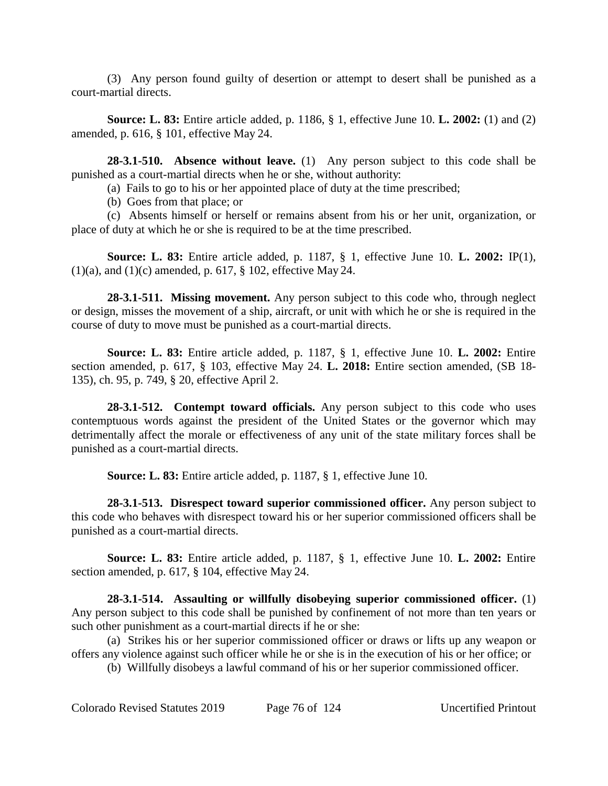(3) Any person found guilty of desertion or attempt to desert shall be punished as a court-martial directs.

**Source: L. 83:** Entire article added, p. 1186, § 1, effective June 10. **L. 2002:** (1) and (2) amended, p. 616, § 101, effective May 24.

**28-3.1-510. Absence without leave.** (1) Any person subject to this code shall be punished as a court-martial directs when he or she, without authority:

(a) Fails to go to his or her appointed place of duty at the time prescribed;

(b) Goes from that place; or

(c) Absents himself or herself or remains absent from his or her unit, organization, or place of duty at which he or she is required to be at the time prescribed.

**Source: L. 83:** Entire article added, p. 1187, § 1, effective June 10. **L. 2002:** IP(1), (1)(a), and (1)(c) amended, p. 617, § 102, effective May 24.

**28-3.1-511. Missing movement.** Any person subject to this code who, through neglect or design, misses the movement of a ship, aircraft, or unit with which he or she is required in the course of duty to move must be punished as a court-martial directs.

**Source: L. 83:** Entire article added, p. 1187, § 1, effective June 10. **L. 2002:** Entire section amended, p. 617, § 103, effective May 24. **L. 2018:** Entire section amended, (SB 18- 135), ch. 95, p. 749, § 20, effective April 2.

**28-3.1-512. Contempt toward officials.** Any person subject to this code who uses contemptuous words against the president of the United States or the governor which may detrimentally affect the morale or effectiveness of any unit of the state military forces shall be punished as a court-martial directs.

**Source: L. 83:** Entire article added, p. 1187, § 1, effective June 10.

**28-3.1-513. Disrespect toward superior commissioned officer.** Any person subject to this code who behaves with disrespect toward his or her superior commissioned officers shall be punished as a court-martial directs.

**Source: L. 83:** Entire article added, p. 1187, § 1, effective June 10. **L. 2002:** Entire section amended, p. 617, § 104, effective May 24.

**28-3.1-514. Assaulting or willfully disobeying superior commissioned officer.** (1) Any person subject to this code shall be punished by confinement of not more than ten years or such other punishment as a court-martial directs if he or she:

(a) Strikes his or her superior commissioned officer or draws or lifts up any weapon or offers any violence against such officer while he or she is in the execution of his or her office; or

(b) Willfully disobeys a lawful command of his or her superior commissioned officer.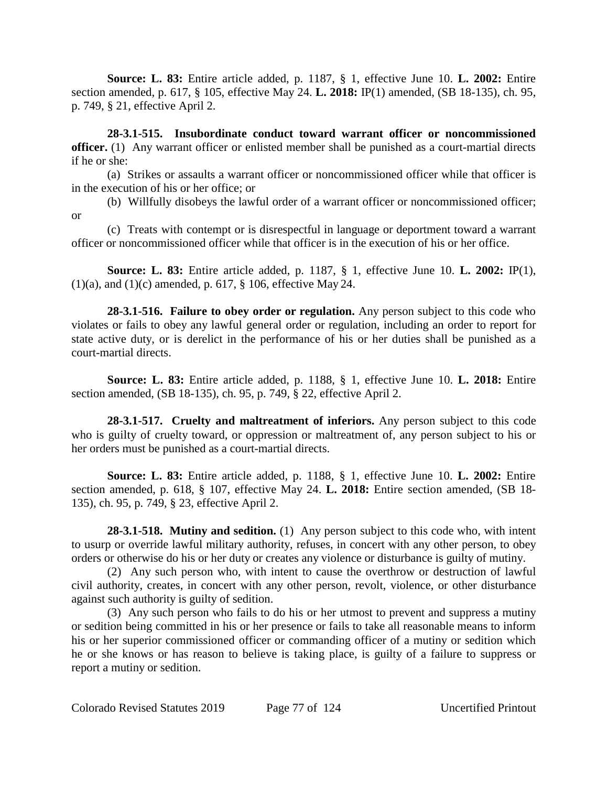**Source: L. 83:** Entire article added, p. 1187, § 1, effective June 10. **L. 2002:** Entire section amended, p. 617, § 105, effective May 24. **L. 2018:** IP(1) amended, (SB 18-135), ch. 95, p. 749, § 21, effective April 2.

**28-3.1-515. Insubordinate conduct toward warrant officer or noncommissioned officer.** (1) Any warrant officer or enlisted member shall be punished as a court-martial directs if he or she:

(a) Strikes or assaults a warrant officer or noncommissioned officer while that officer is in the execution of his or her office; or

(b) Willfully disobeys the lawful order of a warrant officer or noncommissioned officer; or

(c) Treats with contempt or is disrespectful in language or deportment toward a warrant officer or noncommissioned officer while that officer is in the execution of his or her office.

**Source: L. 83:** Entire article added, p. 1187, § 1, effective June 10. **L. 2002:** IP(1),  $(1)(a)$ , and  $(1)(c)$  amended, p. 617, § 106, effective May 24.

**28-3.1-516. Failure to obey order or regulation.** Any person subject to this code who violates or fails to obey any lawful general order or regulation, including an order to report for state active duty, or is derelict in the performance of his or her duties shall be punished as a court-martial directs.

**Source: L. 83:** Entire article added, p. 1188, § 1, effective June 10. **L. 2018:** Entire section amended, (SB 18-135), ch. 95, p. 749, § 22, effective April 2.

**28-3.1-517. Cruelty and maltreatment of inferiors.** Any person subject to this code who is guilty of cruelty toward, or oppression or maltreatment of, any person subject to his or her orders must be punished as a court-martial directs.

**Source: L. 83:** Entire article added, p. 1188, § 1, effective June 10. **L. 2002:** Entire section amended, p. 618, § 107, effective May 24. **L. 2018:** Entire section amended, (SB 18- 135), ch. 95, p. 749, § 23, effective April 2.

**28-3.1-518. Mutiny and sedition.** (1) Any person subject to this code who, with intent to usurp or override lawful military authority, refuses, in concert with any other person, to obey orders or otherwise do his or her duty or creates any violence or disturbance is guilty of mutiny.

(2) Any such person who, with intent to cause the overthrow or destruction of lawful civil authority, creates, in concert with any other person, revolt, violence, or other disturbance against such authority is guilty of sedition.

(3) Any such person who fails to do his or her utmost to prevent and suppress a mutiny or sedition being committed in his or her presence or fails to take all reasonable means to inform his or her superior commissioned officer or commanding officer of a mutiny or sedition which he or she knows or has reason to believe is taking place, is guilty of a failure to suppress or report a mutiny or sedition.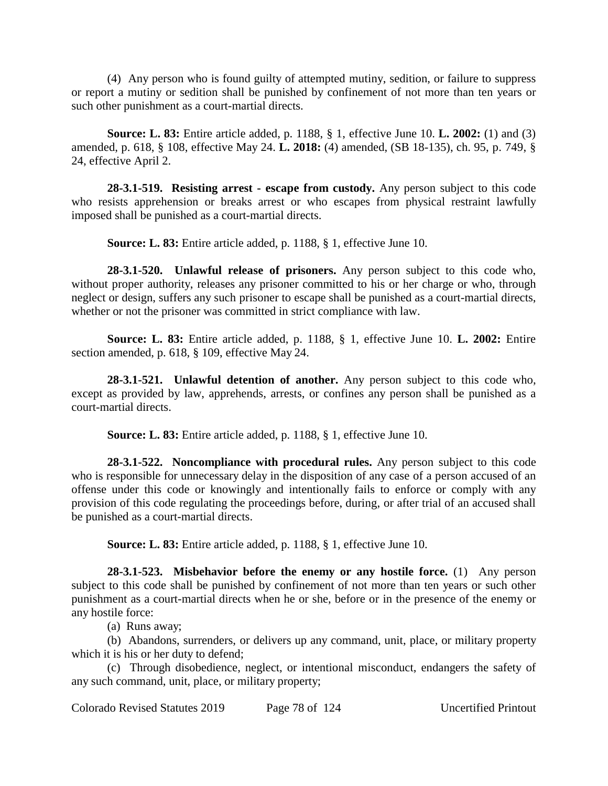(4) Any person who is found guilty of attempted mutiny, sedition, or failure to suppress or report a mutiny or sedition shall be punished by confinement of not more than ten years or such other punishment as a court-martial directs.

**Source: L. 83:** Entire article added, p. 1188, § 1, effective June 10. **L. 2002:** (1) and (3) amended, p. 618, § 108, effective May 24. **L. 2018:** (4) amended, (SB 18-135), ch. 95, p. 749, § 24, effective April 2.

**28-3.1-519. Resisting arrest - escape from custody.** Any person subject to this code who resists apprehension or breaks arrest or who escapes from physical restraint lawfully imposed shall be punished as a court-martial directs.

**Source: L. 83:** Entire article added, p. 1188, § 1, effective June 10.

**28-3.1-520. Unlawful release of prisoners.** Any person subject to this code who, without proper authority, releases any prisoner committed to his or her charge or who, through neglect or design, suffers any such prisoner to escape shall be punished as a court-martial directs, whether or not the prisoner was committed in strict compliance with law.

**Source: L. 83:** Entire article added, p. 1188, § 1, effective June 10. **L. 2002:** Entire section amended, p. 618, § 109, effective May 24.

**28-3.1-521. Unlawful detention of another.** Any person subject to this code who, except as provided by law, apprehends, arrests, or confines any person shall be punished as a court-martial directs.

**Source: L. 83:** Entire article added, p. 1188, § 1, effective June 10.

**28-3.1-522. Noncompliance with procedural rules.** Any person subject to this code who is responsible for unnecessary delay in the disposition of any case of a person accused of an offense under this code or knowingly and intentionally fails to enforce or comply with any provision of this code regulating the proceedings before, during, or after trial of an accused shall be punished as a court-martial directs.

**Source: L. 83:** Entire article added, p. 1188, § 1, effective June 10.

**28-3.1-523. Misbehavior before the enemy or any hostile force.** (1) Any person subject to this code shall be punished by confinement of not more than ten years or such other punishment as a court-martial directs when he or she, before or in the presence of the enemy or any hostile force:

(a) Runs away;

(b) Abandons, surrenders, or delivers up any command, unit, place, or military property which it is his or her duty to defend;

(c) Through disobedience, neglect, or intentional misconduct, endangers the safety of any such command, unit, place, or military property;

Colorado Revised Statutes 2019 Page 78 of 124 Uncertified Printout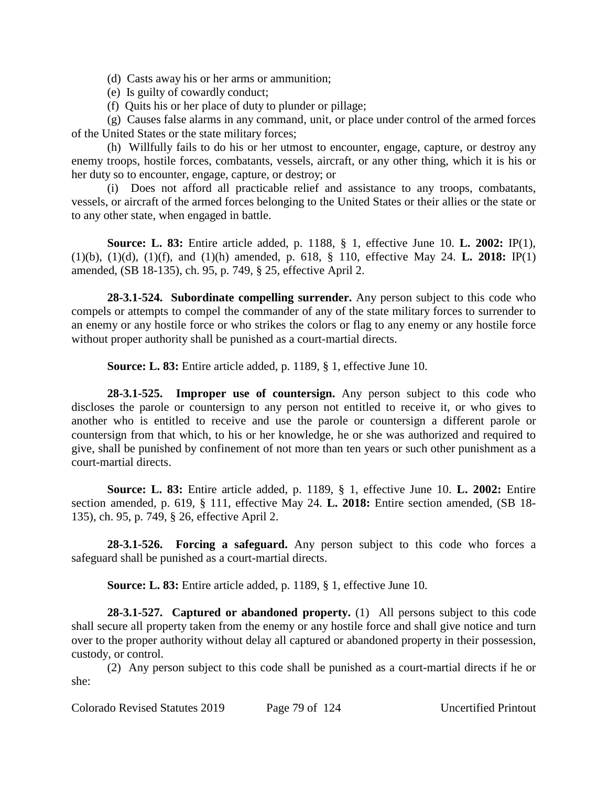(d) Casts away his or her arms or ammunition;

(e) Is guilty of cowardly conduct;

(f) Quits his or her place of duty to plunder or pillage;

(g) Causes false alarms in any command, unit, or place under control of the armed forces of the United States or the state military forces;

(h) Willfully fails to do his or her utmost to encounter, engage, capture, or destroy any enemy troops, hostile forces, combatants, vessels, aircraft, or any other thing, which it is his or her duty so to encounter, engage, capture, or destroy; or

(i) Does not afford all practicable relief and assistance to any troops, combatants, vessels, or aircraft of the armed forces belonging to the United States or their allies or the state or to any other state, when engaged in battle.

**Source: L. 83:** Entire article added, p. 1188, § 1, effective June 10. **L. 2002:** IP(1), (1)(b), (1)(d), (1)(f), and (1)(h) amended, p. 618, § 110, effective May 24. **L. 2018:** IP(1) amended, (SB 18-135), ch. 95, p. 749, § 25, effective April 2.

**28-3.1-524. Subordinate compelling surrender.** Any person subject to this code who compels or attempts to compel the commander of any of the state military forces to surrender to an enemy or any hostile force or who strikes the colors or flag to any enemy or any hostile force without proper authority shall be punished as a court-martial directs.

**Source: L. 83:** Entire article added, p. 1189, § 1, effective June 10.

**28-3.1-525. Improper use of countersign.** Any person subject to this code who discloses the parole or countersign to any person not entitled to receive it, or who gives to another who is entitled to receive and use the parole or countersign a different parole or countersign from that which, to his or her knowledge, he or she was authorized and required to give, shall be punished by confinement of not more than ten years or such other punishment as a court-martial directs.

**Source: L. 83:** Entire article added, p. 1189, § 1, effective June 10. **L. 2002:** Entire section amended, p. 619, § 111, effective May 24. **L. 2018:** Entire section amended, (SB 18- 135), ch. 95, p. 749, § 26, effective April 2.

**28-3.1-526. Forcing a safeguard.** Any person subject to this code who forces a safeguard shall be punished as a court-martial directs.

**Source: L. 83:** Entire article added, p. 1189, § 1, effective June 10.

**28-3.1-527. Captured or abandoned property.** (1) All persons subject to this code shall secure all property taken from the enemy or any hostile force and shall give notice and turn over to the proper authority without delay all captured or abandoned property in their possession, custody, or control.

(2) Any person subject to this code shall be punished as a court-martial directs if he or she: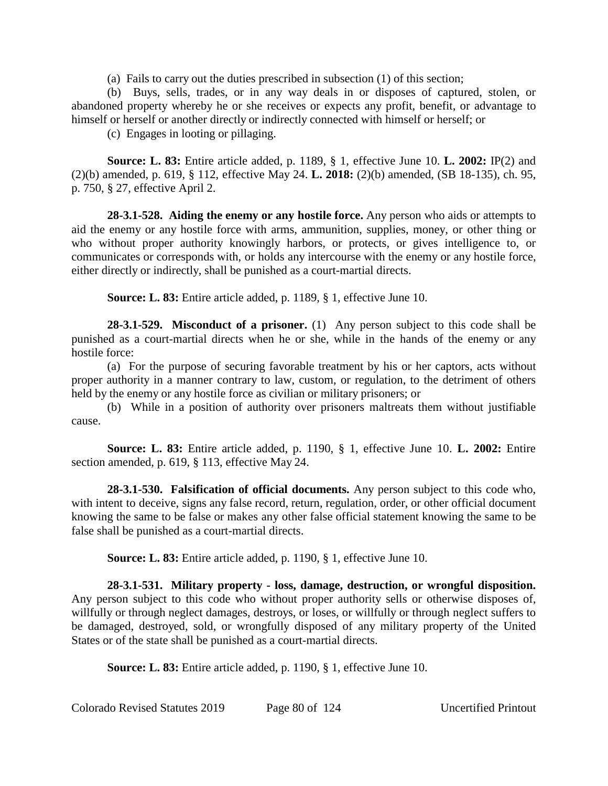(a) Fails to carry out the duties prescribed in subsection (1) of this section;

(b) Buys, sells, trades, or in any way deals in or disposes of captured, stolen, or abandoned property whereby he or she receives or expects any profit, benefit, or advantage to himself or herself or another directly or indirectly connected with himself or herself; or

(c) Engages in looting or pillaging.

**Source: L. 83:** Entire article added, p. 1189, § 1, effective June 10. **L. 2002:** IP(2) and (2)(b) amended, p. 619, § 112, effective May 24. **L. 2018:** (2)(b) amended, (SB 18-135), ch. 95, p. 750, § 27, effective April 2.

**28-3.1-528. Aiding the enemy or any hostile force.** Any person who aids or attempts to aid the enemy or any hostile force with arms, ammunition, supplies, money, or other thing or who without proper authority knowingly harbors, or protects, or gives intelligence to, or communicates or corresponds with, or holds any intercourse with the enemy or any hostile force, either directly or indirectly, shall be punished as a court-martial directs.

**Source: L. 83:** Entire article added, p. 1189, § 1, effective June 10.

**28-3.1-529. Misconduct of a prisoner.** (1) Any person subject to this code shall be punished as a court-martial directs when he or she, while in the hands of the enemy or any hostile force:

(a) For the purpose of securing favorable treatment by his or her captors, acts without proper authority in a manner contrary to law, custom, or regulation, to the detriment of others held by the enemy or any hostile force as civilian or military prisoners; or

(b) While in a position of authority over prisoners maltreats them without justifiable cause.

**Source: L. 83:** Entire article added, p. 1190, § 1, effective June 10. **L. 2002:** Entire section amended, p. 619, § 113, effective May 24.

**28-3.1-530. Falsification of official documents.** Any person subject to this code who, with intent to deceive, signs any false record, return, regulation, order, or other official document knowing the same to be false or makes any other false official statement knowing the same to be false shall be punished as a court-martial directs.

**Source: L. 83:** Entire article added, p. 1190, § 1, effective June 10.

**28-3.1-531. Military property - loss, damage, destruction, or wrongful disposition.** Any person subject to this code who without proper authority sells or otherwise disposes of, willfully or through neglect damages, destroys, or loses, or willfully or through neglect suffers to be damaged, destroyed, sold, or wrongfully disposed of any military property of the United States or of the state shall be punished as a court-martial directs.

**Source: L. 83:** Entire article added, p. 1190, § 1, effective June 10.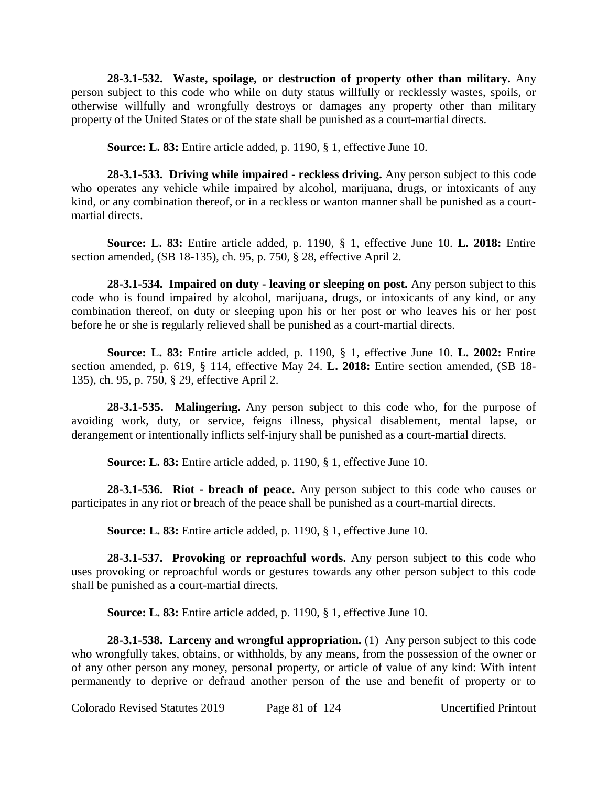**28-3.1-532. Waste, spoilage, or destruction of property other than military.** Any person subject to this code who while on duty status willfully or recklessly wastes, spoils, or otherwise willfully and wrongfully destroys or damages any property other than military property of the United States or of the state shall be punished as a court-martial directs.

**Source: L. 83:** Entire article added, p. 1190, § 1, effective June 10.

**28-3.1-533. Driving while impaired - reckless driving.** Any person subject to this code who operates any vehicle while impaired by alcohol, marijuana, drugs, or intoxicants of any kind, or any combination thereof, or in a reckless or wanton manner shall be punished as a courtmartial directs.

**Source: L. 83:** Entire article added, p. 1190, § 1, effective June 10. **L. 2018:** Entire section amended, (SB 18-135), ch. 95, p. 750, § 28, effective April 2.

**28-3.1-534. Impaired on duty - leaving or sleeping on post.** Any person subject to this code who is found impaired by alcohol, marijuana, drugs, or intoxicants of any kind, or any combination thereof, on duty or sleeping upon his or her post or who leaves his or her post before he or she is regularly relieved shall be punished as a court-martial directs.

**Source: L. 83:** Entire article added, p. 1190, § 1, effective June 10. **L. 2002:** Entire section amended, p. 619, § 114, effective May 24. **L. 2018:** Entire section amended, (SB 18- 135), ch. 95, p. 750, § 29, effective April 2.

**28-3.1-535. Malingering.** Any person subject to this code who, for the purpose of avoiding work, duty, or service, feigns illness, physical disablement, mental lapse, or derangement or intentionally inflicts self-injury shall be punished as a court-martial directs.

**Source: L. 83:** Entire article added, p. 1190, § 1, effective June 10.

**28-3.1-536. Riot - breach of peace.** Any person subject to this code who causes or participates in any riot or breach of the peace shall be punished as a court-martial directs.

**Source: L. 83:** Entire article added, p. 1190, § 1, effective June 10.

**28-3.1-537. Provoking or reproachful words.** Any person subject to this code who uses provoking or reproachful words or gestures towards any other person subject to this code shall be punished as a court-martial directs.

**Source: L. 83:** Entire article added, p. 1190, § 1, effective June 10.

**28-3.1-538. Larceny and wrongful appropriation.** (1) Any person subject to this code who wrongfully takes, obtains, or withholds, by any means, from the possession of the owner or of any other person any money, personal property, or article of value of any kind: With intent permanently to deprive or defraud another person of the use and benefit of property or to

Colorado Revised Statutes 2019 Page 81 of 124 Uncertified Printout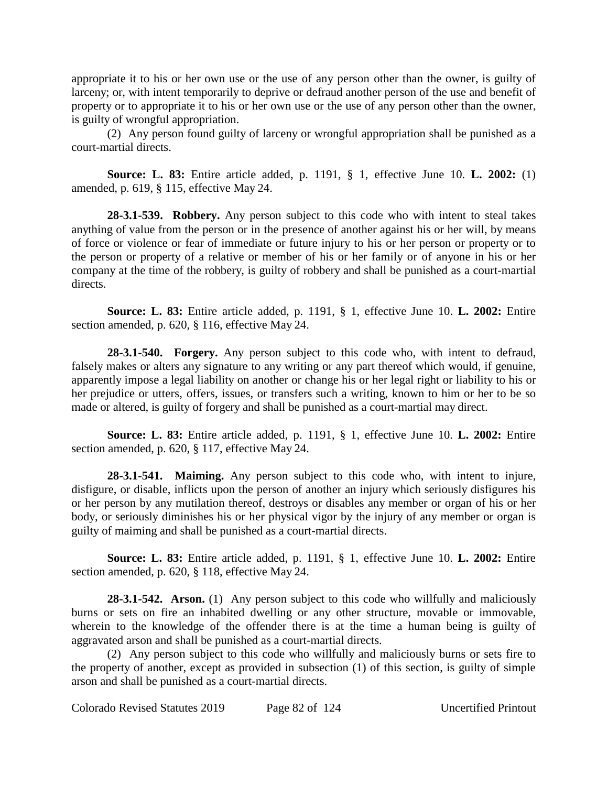appropriate it to his or her own use or the use of any person other than the owner, is guilty of larceny; or, with intent temporarily to deprive or defraud another person of the use and benefit of property or to appropriate it to his or her own use or the use of any person other than the owner, is guilty of wrongful appropriation.

(2) Any person found guilty of larceny or wrongful appropriation shall be punished as a court-martial directs.

**Source: L. 83:** Entire article added, p. 1191, § 1, effective June 10. **L. 2002:** (1) amended, p. 619, § 115, effective May 24.

**28-3.1-539. Robbery.** Any person subject to this code who with intent to steal takes anything of value from the person or in the presence of another against his or her will, by means of force or violence or fear of immediate or future injury to his or her person or property or to the person or property of a relative or member of his or her family or of anyone in his or her company at the time of the robbery, is guilty of robbery and shall be punished as a court-martial directs.

**Source: L. 83:** Entire article added, p. 1191, § 1, effective June 10. **L. 2002:** Entire section amended, p. 620, § 116, effective May 24.

**28-3.1-540. Forgery.** Any person subject to this code who, with intent to defraud, falsely makes or alters any signature to any writing or any part thereof which would, if genuine, apparently impose a legal liability on another or change his or her legal right or liability to his or her prejudice or utters, offers, issues, or transfers such a writing, known to him or her to be so made or altered, is guilty of forgery and shall be punished as a court-martial may direct.

**Source: L. 83:** Entire article added, p. 1191, § 1, effective June 10. **L. 2002:** Entire section amended, p. 620, § 117, effective May 24.

**28-3.1-541. Maiming.** Any person subject to this code who, with intent to injure, disfigure, or disable, inflicts upon the person of another an injury which seriously disfigures his or her person by any mutilation thereof, destroys or disables any member or organ of his or her body, or seriously diminishes his or her physical vigor by the injury of any member or organ is guilty of maiming and shall be punished as a court-martial directs.

**Source: L. 83:** Entire article added, p. 1191, § 1, effective June 10. **L. 2002:** Entire section amended, p. 620, § 118, effective May 24.

**28-3.1-542.** Arson. (1) Any person subject to this code who willfully and maliciously burns or sets on fire an inhabited dwelling or any other structure, movable or immovable, wherein to the knowledge of the offender there is at the time a human being is guilty of aggravated arson and shall be punished as a court-martial directs.

(2) Any person subject to this code who willfully and maliciously burns or sets fire to the property of another, except as provided in subsection (1) of this section, is guilty of simple arson and shall be punished as a court-martial directs.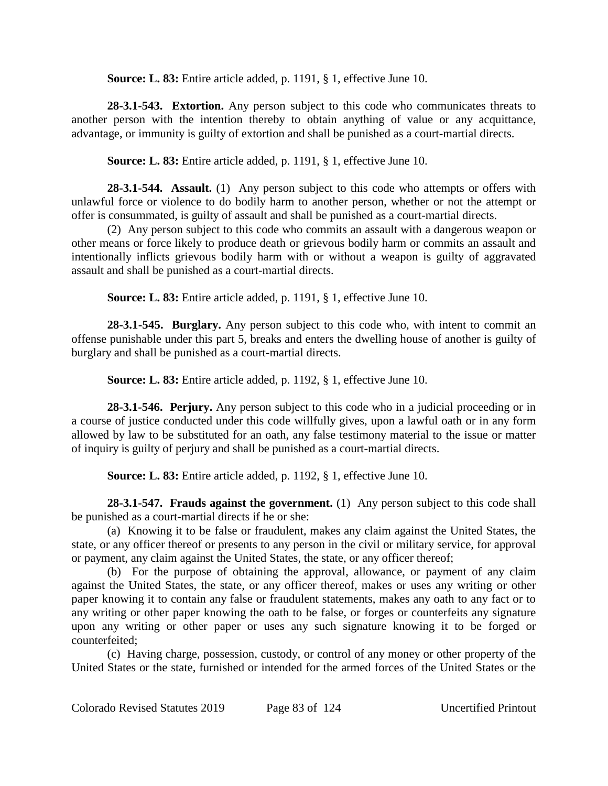**Source: L. 83:** Entire article added, p. 1191, § 1, effective June 10.

**28-3.1-543. Extortion.** Any person subject to this code who communicates threats to another person with the intention thereby to obtain anything of value or any acquittance, advantage, or immunity is guilty of extortion and shall be punished as a court-martial directs.

**Source: L. 83:** Entire article added, p. 1191, § 1, effective June 10.

**28-3.1-544. Assault.** (1) Any person subject to this code who attempts or offers with unlawful force or violence to do bodily harm to another person, whether or not the attempt or offer is consummated, is guilty of assault and shall be punished as a court-martial directs.

(2) Any person subject to this code who commits an assault with a dangerous weapon or other means or force likely to produce death or grievous bodily harm or commits an assault and intentionally inflicts grievous bodily harm with or without a weapon is guilty of aggravated assault and shall be punished as a court-martial directs.

**Source: L. 83:** Entire article added, p. 1191, § 1, effective June 10.

**28-3.1-545. Burglary.** Any person subject to this code who, with intent to commit an offense punishable under this part 5, breaks and enters the dwelling house of another is guilty of burglary and shall be punished as a court-martial directs.

**Source: L. 83:** Entire article added, p. 1192, § 1, effective June 10.

**28-3.1-546. Perjury.** Any person subject to this code who in a judicial proceeding or in a course of justice conducted under this code willfully gives, upon a lawful oath or in any form allowed by law to be substituted for an oath, any false testimony material to the issue or matter of inquiry is guilty of perjury and shall be punished as a court-martial directs.

**Source: L. 83:** Entire article added, p. 1192, § 1, effective June 10.

**28-3.1-547. Frauds against the government.** (1) Any person subject to this code shall be punished as a court-martial directs if he or she:

(a) Knowing it to be false or fraudulent, makes any claim against the United States, the state, or any officer thereof or presents to any person in the civil or military service, for approval or payment, any claim against the United States, the state, or any officer thereof;

(b) For the purpose of obtaining the approval, allowance, or payment of any claim against the United States, the state, or any officer thereof, makes or uses any writing or other paper knowing it to contain any false or fraudulent statements, makes any oath to any fact or to any writing or other paper knowing the oath to be false, or forges or counterfeits any signature upon any writing or other paper or uses any such signature knowing it to be forged or counterfeited;

(c) Having charge, possession, custody, or control of any money or other property of the United States or the state, furnished or intended for the armed forces of the United States or the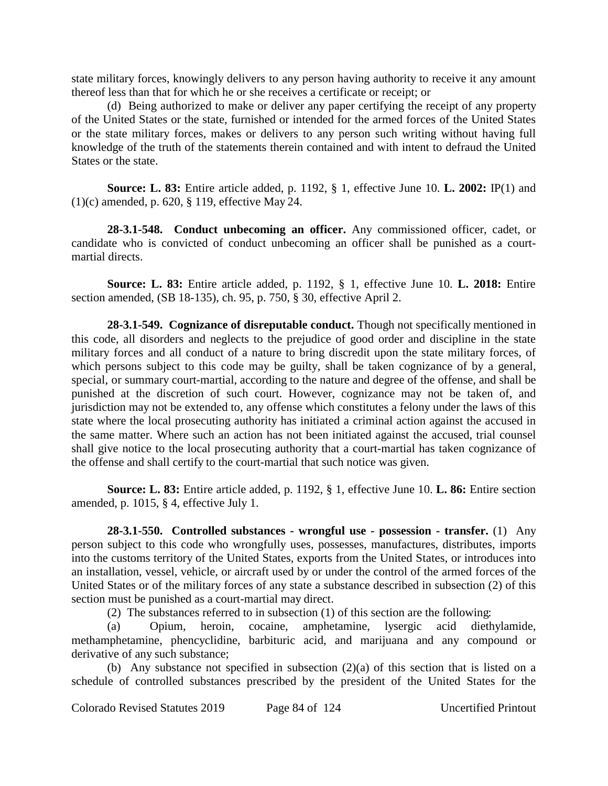state military forces, knowingly delivers to any person having authority to receive it any amount thereof less than that for which he or she receives a certificate or receipt; or

(d) Being authorized to make or deliver any paper certifying the receipt of any property of the United States or the state, furnished or intended for the armed forces of the United States or the state military forces, makes or delivers to any person such writing without having full knowledge of the truth of the statements therein contained and with intent to defraud the United States or the state.

**Source: L. 83:** Entire article added, p. 1192, § 1, effective June 10. **L. 2002:** IP(1) and (1)(c) amended, p. 620, § 119, effective May 24.

**28-3.1-548. Conduct unbecoming an officer.** Any commissioned officer, cadet, or candidate who is convicted of conduct unbecoming an officer shall be punished as a courtmartial directs.

**Source: L. 83:** Entire article added, p. 1192, § 1, effective June 10. **L. 2018:** Entire section amended, (SB 18-135), ch. 95, p. 750, § 30, effective April 2.

**28-3.1-549. Cognizance of disreputable conduct.** Though not specifically mentioned in this code, all disorders and neglects to the prejudice of good order and discipline in the state military forces and all conduct of a nature to bring discredit upon the state military forces, of which persons subject to this code may be guilty, shall be taken cognizance of by a general, special, or summary court-martial, according to the nature and degree of the offense, and shall be punished at the discretion of such court. However, cognizance may not be taken of, and jurisdiction may not be extended to, any offense which constitutes a felony under the laws of this state where the local prosecuting authority has initiated a criminal action against the accused in the same matter. Where such an action has not been initiated against the accused, trial counsel shall give notice to the local prosecuting authority that a court-martial has taken cognizance of the offense and shall certify to the court-martial that such notice was given.

**Source: L. 83:** Entire article added, p. 1192, § 1, effective June 10. **L. 86:** Entire section amended, p. 1015, § 4, effective July 1.

**28-3.1-550. Controlled substances - wrongful use - possession - transfer.** (1) Any person subject to this code who wrongfully uses, possesses, manufactures, distributes, imports into the customs territory of the United States, exports from the United States, or introduces into an installation, vessel, vehicle, or aircraft used by or under the control of the armed forces of the United States or of the military forces of any state a substance described in subsection (2) of this section must be punished as a court-martial may direct.

(2) The substances referred to in subsection (1) of this section are the following:

(a) Opium, heroin, cocaine, amphetamine, lysergic acid diethylamide, methamphetamine, phencyclidine, barbituric acid, and marijuana and any compound or derivative of any such substance;

(b) Any substance not specified in subsection (2)(a) of this section that is listed on a schedule of controlled substances prescribed by the president of the United States for the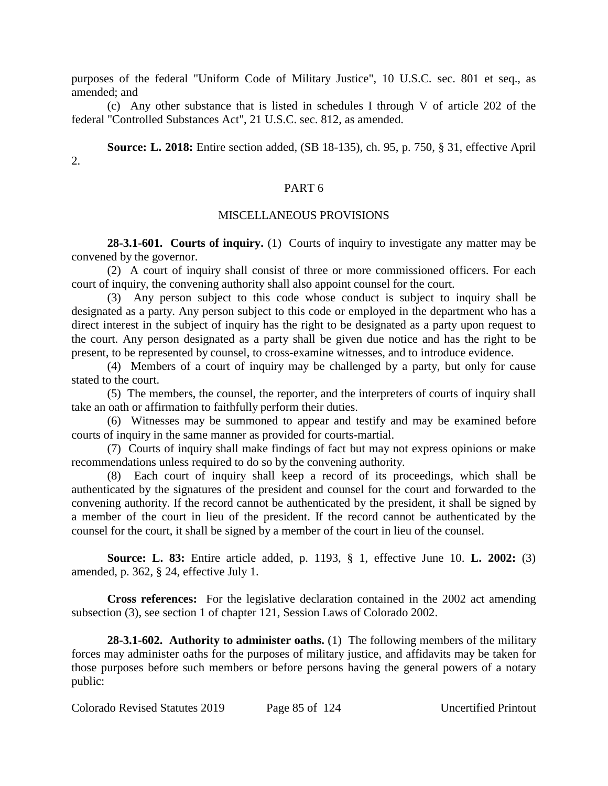purposes of the federal "Uniform Code of Military Justice", 10 U.S.C. sec. 801 et seq., as amended; and

(c) Any other substance that is listed in schedules I through V of article 202 of the federal "Controlled Substances Act", 21 U.S.C. sec. 812, as amended.

**Source: L. 2018:** Entire section added, (SB 18-135), ch. 95, p. 750, § 31, effective April  $2<sub>1</sub>$ 

## PART 6

## MISCELLANEOUS PROVISIONS

**28-3.1-601. Courts of inquiry.** (1) Courts of inquiry to investigate any matter may be convened by the governor.

(2) A court of inquiry shall consist of three or more commissioned officers. For each court of inquiry, the convening authority shall also appoint counsel for the court.

(3) Any person subject to this code whose conduct is subject to inquiry shall be designated as a party. Any person subject to this code or employed in the department who has a direct interest in the subject of inquiry has the right to be designated as a party upon request to the court. Any person designated as a party shall be given due notice and has the right to be present, to be represented by counsel, to cross-examine witnesses, and to introduce evidence.

(4) Members of a court of inquiry may be challenged by a party, but only for cause stated to the court.

(5) The members, the counsel, the reporter, and the interpreters of courts of inquiry shall take an oath or affirmation to faithfully perform their duties.

(6) Witnesses may be summoned to appear and testify and may be examined before courts of inquiry in the same manner as provided for courts-martial.

(7) Courts of inquiry shall make findings of fact but may not express opinions or make recommendations unless required to do so by the convening authority.

(8) Each court of inquiry shall keep a record of its proceedings, which shall be authenticated by the signatures of the president and counsel for the court and forwarded to the convening authority. If the record cannot be authenticated by the president, it shall be signed by a member of the court in lieu of the president. If the record cannot be authenticated by the counsel for the court, it shall be signed by a member of the court in lieu of the counsel.

**Source: L. 83:** Entire article added, p. 1193, § 1, effective June 10. **L. 2002:** (3) amended, p. 362, § 24, effective July 1.

**Cross references:** For the legislative declaration contained in the 2002 act amending subsection (3), see section 1 of chapter 121, Session Laws of Colorado 2002.

**28-3.1-602. Authority to administer oaths.** (1) The following members of the military forces may administer oaths for the purposes of military justice, and affidavits may be taken for those purposes before such members or before persons having the general powers of a notary public: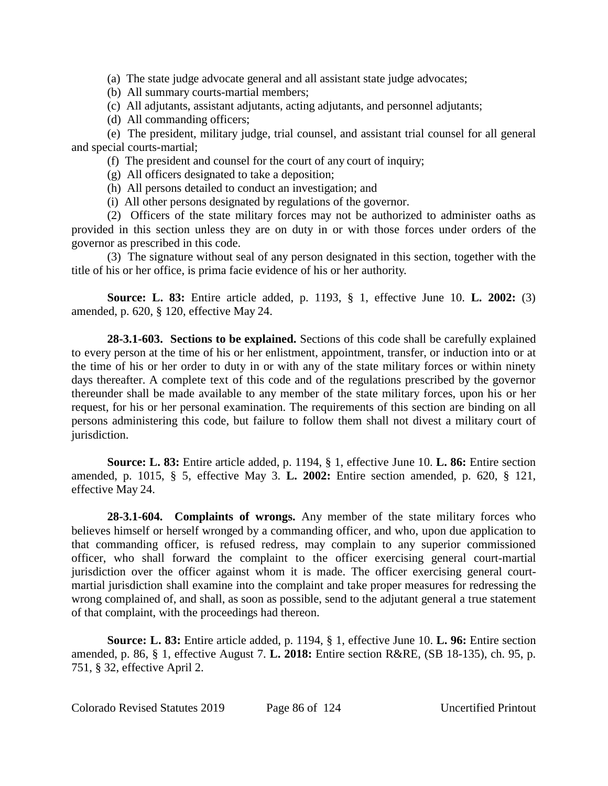(a) The state judge advocate general and all assistant state judge advocates;

(b) All summary courts-martial members;

(c) All adjutants, assistant adjutants, acting adjutants, and personnel adjutants;

(d) All commanding officers;

(e) The president, military judge, trial counsel, and assistant trial counsel for all general and special courts-martial;

(f) The president and counsel for the court of any court of inquiry;

(g) All officers designated to take a deposition;

(h) All persons detailed to conduct an investigation; and

(i) All other persons designated by regulations of the governor.

(2) Officers of the state military forces may not be authorized to administer oaths as provided in this section unless they are on duty in or with those forces under orders of the governor as prescribed in this code.

(3) The signature without seal of any person designated in this section, together with the title of his or her office, is prima facie evidence of his or her authority.

**Source: L. 83:** Entire article added, p. 1193, § 1, effective June 10. **L. 2002:** (3) amended, p. 620, § 120, effective May 24.

**28-3.1-603. Sections to be explained.** Sections of this code shall be carefully explained to every person at the time of his or her enlistment, appointment, transfer, or induction into or at the time of his or her order to duty in or with any of the state military forces or within ninety days thereafter. A complete text of this code and of the regulations prescribed by the governor thereunder shall be made available to any member of the state military forces, upon his or her request, for his or her personal examination. The requirements of this section are binding on all persons administering this code, but failure to follow them shall not divest a military court of jurisdiction.

**Source: L. 83:** Entire article added, p. 1194, § 1, effective June 10. **L. 86:** Entire section amended, p. 1015, § 5, effective May 3. **L. 2002:** Entire section amended, p. 620, § 121, effective May 24.

**28-3.1-604. Complaints of wrongs.** Any member of the state military forces who believes himself or herself wronged by a commanding officer, and who, upon due application to that commanding officer, is refused redress, may complain to any superior commissioned officer, who shall forward the complaint to the officer exercising general court-martial jurisdiction over the officer against whom it is made. The officer exercising general courtmartial jurisdiction shall examine into the complaint and take proper measures for redressing the wrong complained of, and shall, as soon as possible, send to the adjutant general a true statement of that complaint, with the proceedings had thereon.

**Source: L. 83:** Entire article added, p. 1194, § 1, effective June 10. **L. 96:** Entire section amended, p. 86, § 1, effective August 7. **L. 2018:** Entire section R&RE, (SB 18-135), ch. 95, p. 751, § 32, effective April 2.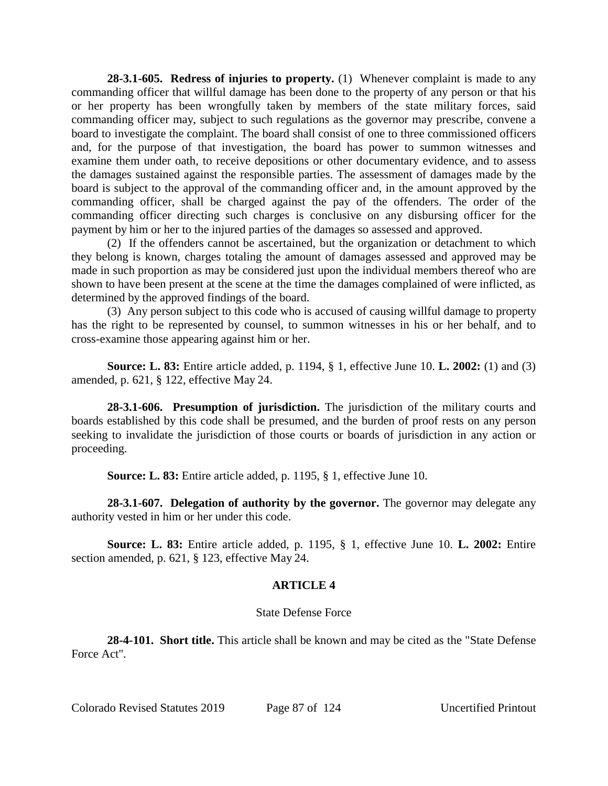**28-3.1-605. Redress of injuries to property.** (1) Whenever complaint is made to any commanding officer that willful damage has been done to the property of any person or that his or her property has been wrongfully taken by members of the state military forces, said commanding officer may, subject to such regulations as the governor may prescribe, convene a board to investigate the complaint. The board shall consist of one to three commissioned officers and, for the purpose of that investigation, the board has power to summon witnesses and examine them under oath, to receive depositions or other documentary evidence, and to assess the damages sustained against the responsible parties. The assessment of damages made by the board is subject to the approval of the commanding officer and, in the amount approved by the commanding officer, shall be charged against the pay of the offenders. The order of the commanding officer directing such charges is conclusive on any disbursing officer for the payment by him or her to the injured parties of the damages so assessed and approved.

(2) If the offenders cannot be ascertained, but the organization or detachment to which they belong is known, charges totaling the amount of damages assessed and approved may be made in such proportion as may be considered just upon the individual members thereof who are shown to have been present at the scene at the time the damages complained of were inflicted, as determined by the approved findings of the board.

(3) Any person subject to this code who is accused of causing willful damage to property has the right to be represented by counsel, to summon witnesses in his or her behalf, and to cross-examine those appearing against him or her.

**Source: L. 83:** Entire article added, p. 1194, § 1, effective June 10. **L. 2002:** (1) and (3) amended, p. 621, § 122, effective May 24.

**28-3.1-606. Presumption of jurisdiction.** The jurisdiction of the military courts and boards established by this code shall be presumed, and the burden of proof rests on any person seeking to invalidate the jurisdiction of those courts or boards of jurisdiction in any action or proceeding.

**Source: L. 83:** Entire article added, p. 1195, § 1, effective June 10.

**28-3.1-607. Delegation of authority by the governor.** The governor may delegate any authority vested in him or her under this code.

**Source: L. 83:** Entire article added, p. 1195, § 1, effective June 10. **L. 2002:** Entire section amended, p. 621, § 123, effective May 24.

# **ARTICLE 4**

## State Defense Force

**28-4-101. Short title.** This article shall be known and may be cited as the "State Defense Force Act".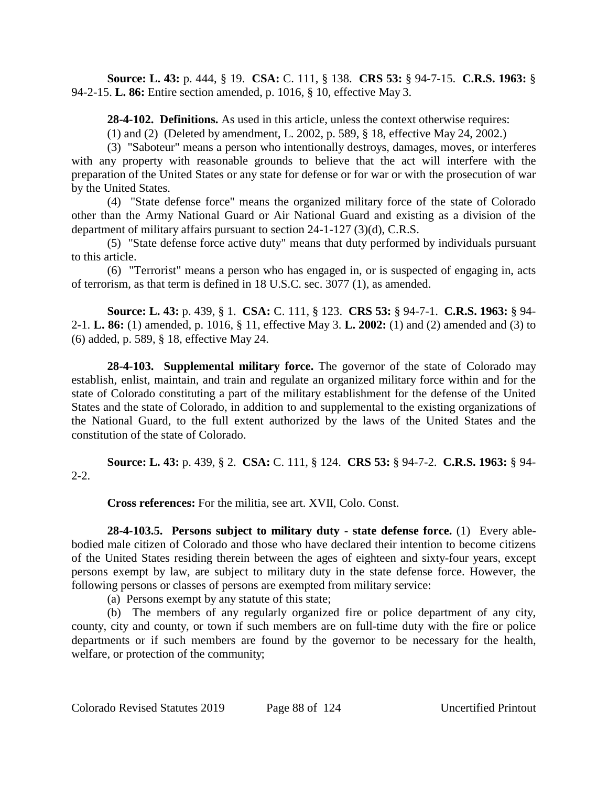**Source: L. 43:** p. 444, § 19. **CSA:** C. 111, § 138. **CRS 53:** § 94-7-15. **C.R.S. 1963:** § 94-2-15. **L. 86:** Entire section amended, p. 1016, § 10, effective May 3.

**28-4-102. Definitions.** As used in this article, unless the context otherwise requires:

(1) and (2) (Deleted by amendment, L. 2002, p. 589, § 18, effective May 24, 2002.)

(3) "Saboteur" means a person who intentionally destroys, damages, moves, or interferes with any property with reasonable grounds to believe that the act will interfere with the preparation of the United States or any state for defense or for war or with the prosecution of war by the United States.

(4) "State defense force" means the organized military force of the state of Colorado other than the Army National Guard or Air National Guard and existing as a division of the department of military affairs pursuant to section 24-1-127 (3)(d), C.R.S.

(5) "State defense force active duty" means that duty performed by individuals pursuant to this article.

(6) "Terrorist" means a person who has engaged in, or is suspected of engaging in, acts of terrorism, as that term is defined in 18 U.S.C. sec. 3077 (1), as amended.

**Source: L. 43:** p. 439, § 1. **CSA:** C. 111, § 123. **CRS 53:** § 94-7-1. **C.R.S. 1963:** § 94- 2-1. **L. 86:** (1) amended, p. 1016, § 11, effective May 3. **L. 2002:** (1) and (2) amended and (3) to (6) added, p. 589, § 18, effective May 24.

**28-4-103. Supplemental military force.** The governor of the state of Colorado may establish, enlist, maintain, and train and regulate an organized military force within and for the state of Colorado constituting a part of the military establishment for the defense of the United States and the state of Colorado, in addition to and supplemental to the existing organizations of the National Guard, to the full extent authorized by the laws of the United States and the constitution of the state of Colorado.

**Source: L. 43:** p. 439, § 2. **CSA:** C. 111, § 124. **CRS 53:** § 94-7-2. **C.R.S. 1963:** § 94- 2-2.

**Cross references:** For the militia, see art. XVII, Colo. Const.

**28-4-103.5. Persons subject to military duty - state defense force.** (1) Every ablebodied male citizen of Colorado and those who have declared their intention to become citizens of the United States residing therein between the ages of eighteen and sixty-four years, except persons exempt by law, are subject to military duty in the state defense force. However, the following persons or classes of persons are exempted from military service:

(a) Persons exempt by any statute of this state;

(b) The members of any regularly organized fire or police department of any city, county, city and county, or town if such members are on full-time duty with the fire or police departments or if such members are found by the governor to be necessary for the health, welfare, or protection of the community;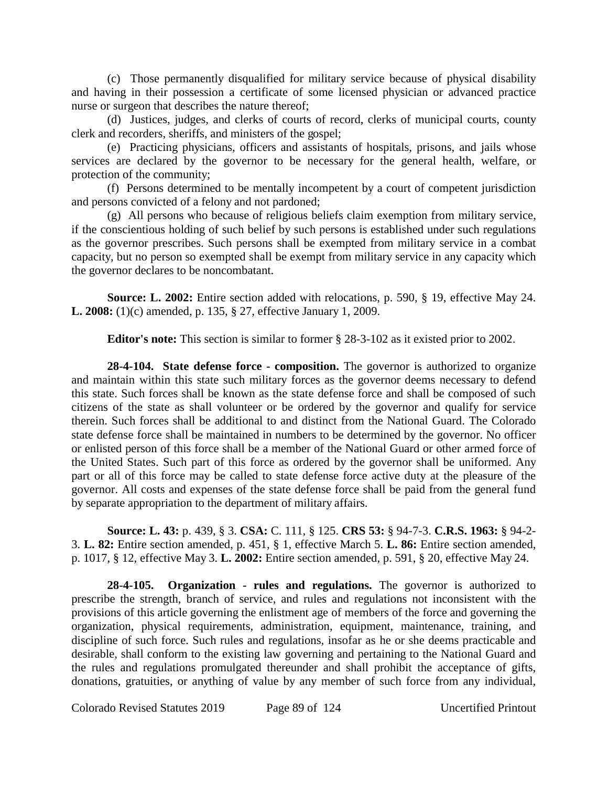(c) Those permanently disqualified for military service because of physical disability and having in their possession a certificate of some licensed physician or advanced practice nurse or surgeon that describes the nature thereof;

(d) Justices, judges, and clerks of courts of record, clerks of municipal courts, county clerk and recorders, sheriffs, and ministers of the gospel;

(e) Practicing physicians, officers and assistants of hospitals, prisons, and jails whose services are declared by the governor to be necessary for the general health, welfare, or protection of the community;

(f) Persons determined to be mentally incompetent by a court of competent jurisdiction and persons convicted of a felony and not pardoned;

(g) All persons who because of religious beliefs claim exemption from military service, if the conscientious holding of such belief by such persons is established under such regulations as the governor prescribes. Such persons shall be exempted from military service in a combat capacity, but no person so exempted shall be exempt from military service in any capacity which the governor declares to be noncombatant.

**Source: L. 2002:** Entire section added with relocations, p. 590, § 19, effective May 24. **L. 2008:** (1)(c) amended, p. 135, § 27, effective January 1, 2009.

**Editor's note:** This section is similar to former § 28-3-102 as it existed prior to 2002.

**28-4-104. State defense force - composition.** The governor is authorized to organize and maintain within this state such military forces as the governor deems necessary to defend this state. Such forces shall be known as the state defense force and shall be composed of such citizens of the state as shall volunteer or be ordered by the governor and qualify for service therein. Such forces shall be additional to and distinct from the National Guard. The Colorado state defense force shall be maintained in numbers to be determined by the governor. No officer or enlisted person of this force shall be a member of the National Guard or other armed force of the United States. Such part of this force as ordered by the governor shall be uniformed. Any part or all of this force may be called to state defense force active duty at the pleasure of the governor. All costs and expenses of the state defense force shall be paid from the general fund by separate appropriation to the department of military affairs.

**Source: L. 43:** p. 439, § 3. **CSA:** C. 111, § 125. **CRS 53:** § 94-7-3. **C.R.S. 1963:** § 94-2- 3. **L. 82:** Entire section amended, p. 451, § 1, effective March 5. **L. 86:** Entire section amended, p. 1017, § 12, effective May 3. **L. 2002:** Entire section amended, p. 591, § 20, effective May 24.

**28-4-105. Organization - rules and regulations.** The governor is authorized to prescribe the strength, branch of service, and rules and regulations not inconsistent with the provisions of this article governing the enlistment age of members of the force and governing the organization, physical requirements, administration, equipment, maintenance, training, and discipline of such force. Such rules and regulations, insofar as he or she deems practicable and desirable, shall conform to the existing law governing and pertaining to the National Guard and the rules and regulations promulgated thereunder and shall prohibit the acceptance of gifts, donations, gratuities, or anything of value by any member of such force from any individual,

Colorado Revised Statutes 2019 Page 89 of 124 Uncertified Printout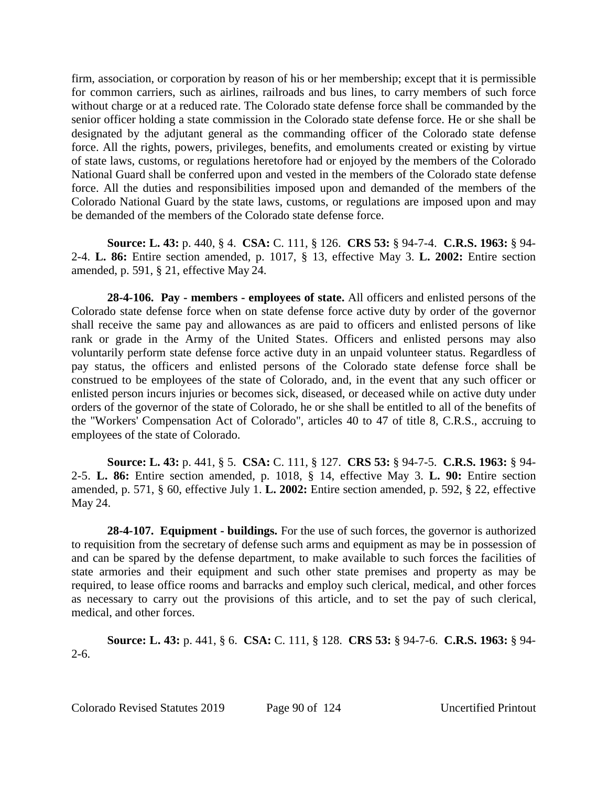firm, association, or corporation by reason of his or her membership; except that it is permissible for common carriers, such as airlines, railroads and bus lines, to carry members of such force without charge or at a reduced rate. The Colorado state defense force shall be commanded by the senior officer holding a state commission in the Colorado state defense force. He or she shall be designated by the adjutant general as the commanding officer of the Colorado state defense force. All the rights, powers, privileges, benefits, and emoluments created or existing by virtue of state laws, customs, or regulations heretofore had or enjoyed by the members of the Colorado National Guard shall be conferred upon and vested in the members of the Colorado state defense force. All the duties and responsibilities imposed upon and demanded of the members of the Colorado National Guard by the state laws, customs, or regulations are imposed upon and may be demanded of the members of the Colorado state defense force.

**Source: L. 43:** p. 440, § 4. **CSA:** C. 111, § 126. **CRS 53:** § 94-7-4. **C.R.S. 1963:** § 94- 2-4. **L. 86:** Entire section amended, p. 1017, § 13, effective May 3. **L. 2002:** Entire section amended, p. 591, § 21, effective May 24.

**28-4-106. Pay - members - employees of state.** All officers and enlisted persons of the Colorado state defense force when on state defense force active duty by order of the governor shall receive the same pay and allowances as are paid to officers and enlisted persons of like rank or grade in the Army of the United States. Officers and enlisted persons may also voluntarily perform state defense force active duty in an unpaid volunteer status. Regardless of pay status, the officers and enlisted persons of the Colorado state defense force shall be construed to be employees of the state of Colorado, and, in the event that any such officer or enlisted person incurs injuries or becomes sick, diseased, or deceased while on active duty under orders of the governor of the state of Colorado, he or she shall be entitled to all of the benefits of the "Workers' Compensation Act of Colorado", articles 40 to 47 of title 8, C.R.S., accruing to employees of the state of Colorado.

**Source: L. 43:** p. 441, § 5. **CSA:** C. 111, § 127. **CRS 53:** § 94-7-5. **C.R.S. 1963:** § 94- 2-5. **L. 86:** Entire section amended, p. 1018, § 14, effective May 3. **L. 90:** Entire section amended, p. 571, § 60, effective July 1. **L. 2002:** Entire section amended, p. 592, § 22, effective May 24.

**28-4-107. Equipment - buildings.** For the use of such forces, the governor is authorized to requisition from the secretary of defense such arms and equipment as may be in possession of and can be spared by the defense department, to make available to such forces the facilities of state armories and their equipment and such other state premises and property as may be required, to lease office rooms and barracks and employ such clerical, medical, and other forces as necessary to carry out the provisions of this article, and to set the pay of such clerical, medical, and other forces.

**Source: L. 43:** p. 441, § 6. **CSA:** C. 111, § 128. **CRS 53:** § 94-7-6. **C.R.S. 1963:** § 94- 2-6.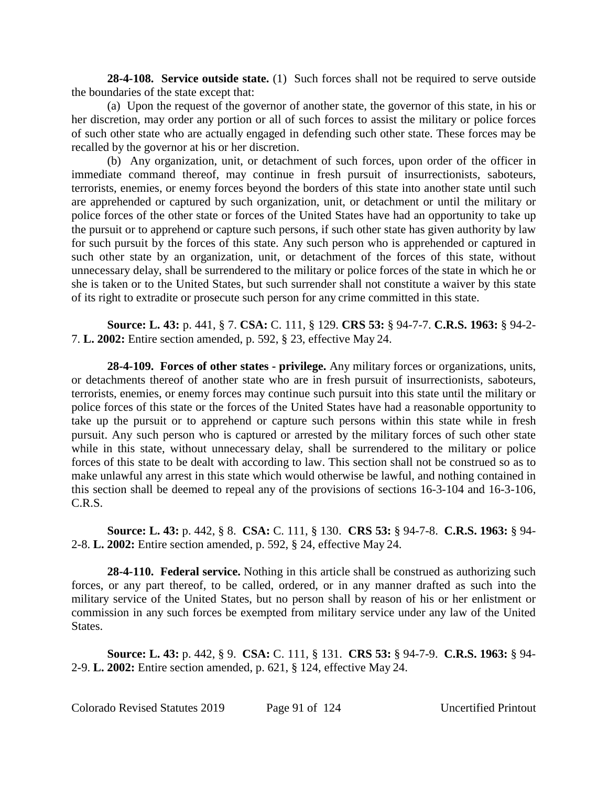**28-4-108. Service outside state.** (1) Such forces shall not be required to serve outside the boundaries of the state except that:

(a) Upon the request of the governor of another state, the governor of this state, in his or her discretion, may order any portion or all of such forces to assist the military or police forces of such other state who are actually engaged in defending such other state. These forces may be recalled by the governor at his or her discretion.

(b) Any organization, unit, or detachment of such forces, upon order of the officer in immediate command thereof, may continue in fresh pursuit of insurrectionists, saboteurs, terrorists, enemies, or enemy forces beyond the borders of this state into another state until such are apprehended or captured by such organization, unit, or detachment or until the military or police forces of the other state or forces of the United States have had an opportunity to take up the pursuit or to apprehend or capture such persons, if such other state has given authority by law for such pursuit by the forces of this state. Any such person who is apprehended or captured in such other state by an organization, unit, or detachment of the forces of this state, without unnecessary delay, shall be surrendered to the military or police forces of the state in which he or she is taken or to the United States, but such surrender shall not constitute a waiver by this state of its right to extradite or prosecute such person for any crime committed in this state.

**Source: L. 43:** p. 441, § 7. **CSA:** C. 111, § 129. **CRS 53:** § 94-7-7. **C.R.S. 1963:** § 94-2- 7. **L. 2002:** Entire section amended, p. 592, § 23, effective May 24.

**28-4-109. Forces of other states - privilege.** Any military forces or organizations, units, or detachments thereof of another state who are in fresh pursuit of insurrectionists, saboteurs, terrorists, enemies, or enemy forces may continue such pursuit into this state until the military or police forces of this state or the forces of the United States have had a reasonable opportunity to take up the pursuit or to apprehend or capture such persons within this state while in fresh pursuit. Any such person who is captured or arrested by the military forces of such other state while in this state, without unnecessary delay, shall be surrendered to the military or police forces of this state to be dealt with according to law. This section shall not be construed so as to make unlawful any arrest in this state which would otherwise be lawful, and nothing contained in this section shall be deemed to repeal any of the provisions of sections 16-3-104 and 16-3-106, C.R.S.

**Source: L. 43:** p. 442, § 8. **CSA:** C. 111, § 130. **CRS 53:** § 94-7-8. **C.R.S. 1963:** § 94- 2-8. **L. 2002:** Entire section amended, p. 592, § 24, effective May 24.

**28-4-110. Federal service.** Nothing in this article shall be construed as authorizing such forces, or any part thereof, to be called, ordered, or in any manner drafted as such into the military service of the United States, but no person shall by reason of his or her enlistment or commission in any such forces be exempted from military service under any law of the United States.

**Source: L. 43:** p. 442, § 9. **CSA:** C. 111, § 131. **CRS 53:** § 94-7-9. **C.R.S. 1963:** § 94- 2-9. **L. 2002:** Entire section amended, p. 621, § 124, effective May 24.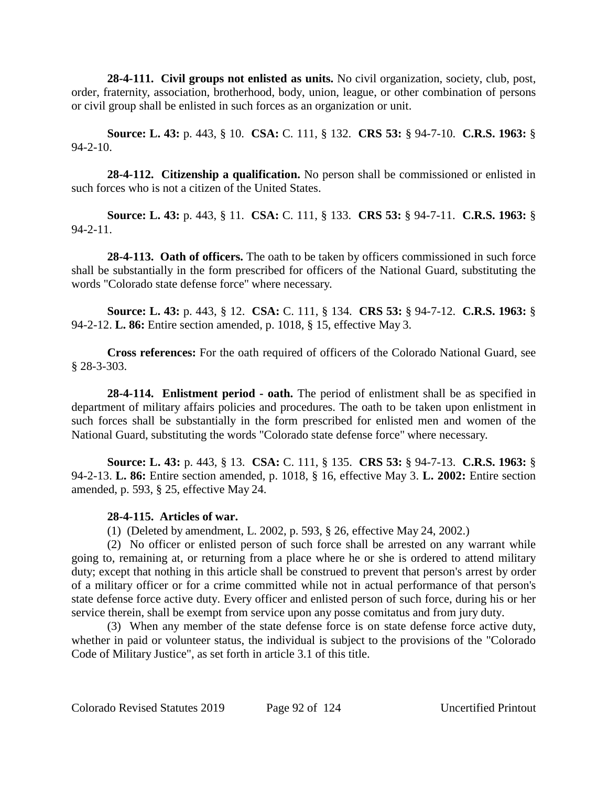**28-4-111. Civil groups not enlisted as units.** No civil organization, society, club, post, order, fraternity, association, brotherhood, body, union, league, or other combination of persons or civil group shall be enlisted in such forces as an organization or unit.

**Source: L. 43:** p. 443, § 10. **CSA:** C. 111, § 132. **CRS 53:** § 94-7-10. **C.R.S. 1963:** §  $94 - 2 - 10$ .

**28-4-112. Citizenship a qualification.** No person shall be commissioned or enlisted in such forces who is not a citizen of the United States.

**Source: L. 43:** p. 443, § 11. **CSA:** C. 111, § 133. **CRS 53:** § 94-7-11. **C.R.S. 1963:** § 94-2-11.

**28-4-113. Oath of officers.** The oath to be taken by officers commissioned in such force shall be substantially in the form prescribed for officers of the National Guard, substituting the words "Colorado state defense force" where necessary.

**Source: L. 43:** p. 443, § 12. **CSA:** C. 111, § 134. **CRS 53:** § 94-7-12. **C.R.S. 1963:** § 94-2-12. **L. 86:** Entire section amended, p. 1018, § 15, effective May 3.

**Cross references:** For the oath required of officers of the Colorado National Guard, see § 28-3-303.

**28-4-114. Enlistment period - oath.** The period of enlistment shall be as specified in department of military affairs policies and procedures. The oath to be taken upon enlistment in such forces shall be substantially in the form prescribed for enlisted men and women of the National Guard, substituting the words "Colorado state defense force" where necessary.

**Source: L. 43:** p. 443, § 13. **CSA:** C. 111, § 135. **CRS 53:** § 94-7-13. **C.R.S. 1963:** § 94-2-13. **L. 86:** Entire section amended, p. 1018, § 16, effective May 3. **L. 2002:** Entire section amended, p. 593, § 25, effective May 24.

## **28-4-115. Articles of war.**

(1) (Deleted by amendment, L. 2002, p. 593, § 26, effective May 24, 2002.)

(2) No officer or enlisted person of such force shall be arrested on any warrant while going to, remaining at, or returning from a place where he or she is ordered to attend military duty; except that nothing in this article shall be construed to prevent that person's arrest by order of a military officer or for a crime committed while not in actual performance of that person's state defense force active duty. Every officer and enlisted person of such force, during his or her service therein, shall be exempt from service upon any posse comitatus and from jury duty.

(3) When any member of the state defense force is on state defense force active duty, whether in paid or volunteer status, the individual is subject to the provisions of the "Colorado Code of Military Justice", as set forth in article 3.1 of this title.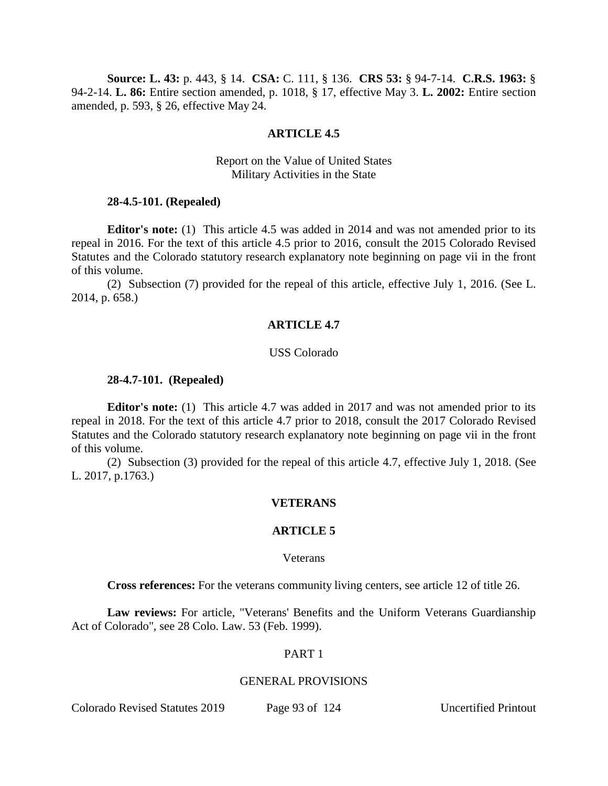**Source: L. 43:** p. 443, § 14. **CSA:** C. 111, § 136. **CRS 53:** § 94-7-14. **C.R.S. 1963:** § 94-2-14. **L. 86:** Entire section amended, p. 1018, § 17, effective May 3. **L. 2002:** Entire section amended, p. 593, § 26, effective May 24.

### **ARTICLE 4.5**

## Report on the Value of United States Military Activities in the State

#### **28-4.5-101. (Repealed)**

**Editor's note:** (1) This article 4.5 was added in 2014 and was not amended prior to its repeal in 2016. For the text of this article 4.5 prior to 2016, consult the 2015 Colorado Revised Statutes and the Colorado statutory research explanatory note beginning on page vii in the front of this volume.

(2) Subsection (7) provided for the repeal of this article, effective July 1, 2016. (See L. 2014, p. 658.)

### **ARTICLE 4.7**

#### USS Colorado

#### **28-4.7-101. (Repealed)**

**Editor's note:** (1) This article 4.7 was added in 2017 and was not amended prior to its repeal in 2018. For the text of this article 4.7 prior to 2018, consult the 2017 Colorado Revised Statutes and the Colorado statutory research explanatory note beginning on page vii in the front of this volume.

(2) Subsection (3) provided for the repeal of this article 4.7, effective July 1, 2018. (See L. 2017, p.1763.)

#### **VETERANS**

#### **ARTICLE 5**

#### Veterans

**Cross references:** For the veterans community living centers, see article 12 of title 26.

**Law reviews:** For article, "Veterans' Benefits and the Uniform Veterans Guardianship Act of Colorado", see 28 Colo. Law. 53 (Feb. 1999).

### PART 1

#### GENERAL PROVISIONS

Colorado Revised Statutes 2019 Page 93 of 124 Uncertified Printout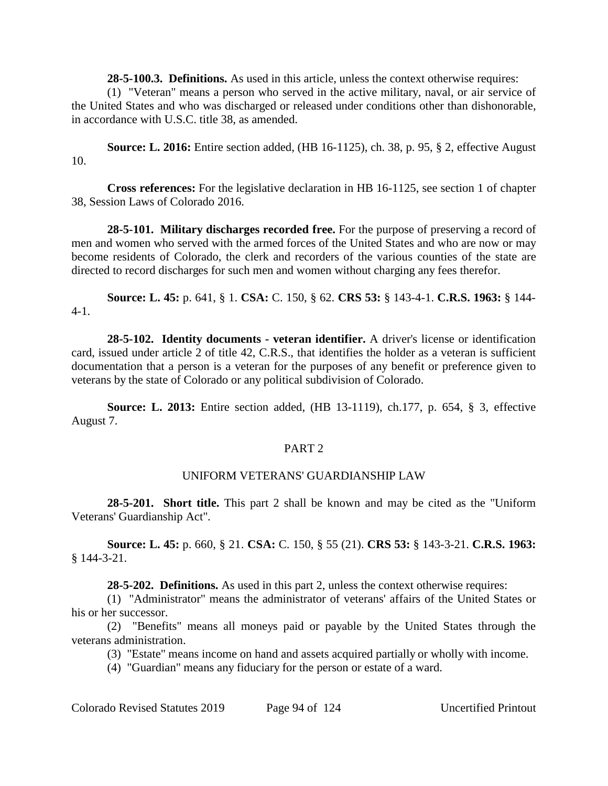**28-5-100.3. Definitions.** As used in this article, unless the context otherwise requires:

(1) "Veteran" means a person who served in the active military, naval, or air service of the United States and who was discharged or released under conditions other than dishonorable, in accordance with U.S.C. title 38, as amended.

**Source: L. 2016:** Entire section added, (HB 16-1125), ch. 38, p. 95, § 2, effective August 10.

**Cross references:** For the legislative declaration in HB 16-1125, see section 1 of chapter 38, Session Laws of Colorado 2016.

**28-5-101. Military discharges recorded free.** For the purpose of preserving a record of men and women who served with the armed forces of the United States and who are now or may become residents of Colorado, the clerk and recorders of the various counties of the state are directed to record discharges for such men and women without charging any fees therefor.

**Source: L. 45:** p. 641, § 1. **CSA:** C. 150, § 62. **CRS 53:** § 143-4-1. **C.R.S. 1963:** § 144- 4-1.

**28-5-102. Identity documents - veteran identifier.** A driver's license or identification card, issued under article 2 of title 42, C.R.S., that identifies the holder as a veteran is sufficient documentation that a person is a veteran for the purposes of any benefit or preference given to veterans by the state of Colorado or any political subdivision of Colorado.

**Source: L. 2013:** Entire section added, (HB 13-1119), ch.177, p. 654, § 3, effective August 7.

## PART 2

# UNIFORM VETERANS' GUARDIANSHIP LAW

**28-5-201. Short title.** This part 2 shall be known and may be cited as the "Uniform Veterans' Guardianship Act".

**Source: L. 45:** p. 660, § 21. **CSA:** C. 150, § 55 (21). **CRS 53:** § 143-3-21. **C.R.S. 1963:** § 144-3-21.

**28-5-202. Definitions.** As used in this part 2, unless the context otherwise requires:

(1) "Administrator" means the administrator of veterans' affairs of the United States or his or her successor.

(2) "Benefits" means all moneys paid or payable by the United States through the veterans administration.

(3) "Estate" means income on hand and assets acquired partially or wholly with income.

(4) "Guardian" means any fiduciary for the person or estate of a ward.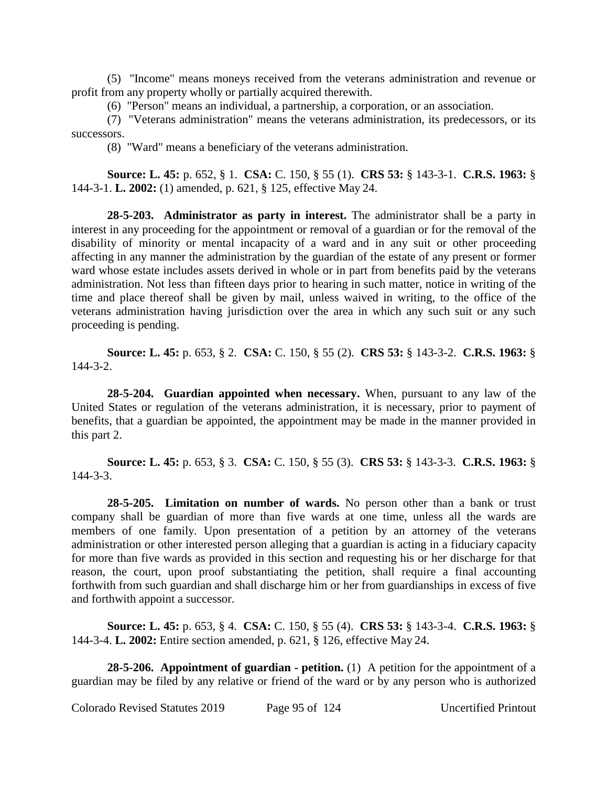(5) "Income" means moneys received from the veterans administration and revenue or profit from any property wholly or partially acquired therewith.

(6) "Person" means an individual, a partnership, a corporation, or an association.

(7) "Veterans administration" means the veterans administration, its predecessors, or its successors.

(8) "Ward" means a beneficiary of the veterans administration.

**Source: L. 45:** p. 652, § 1. **CSA:** C. 150, § 55 (1). **CRS 53:** § 143-3-1. **C.R.S. 1963:** § 144-3-1. **L. 2002:** (1) amended, p. 621, § 125, effective May 24.

**28-5-203. Administrator as party in interest.** The administrator shall be a party in interest in any proceeding for the appointment or removal of a guardian or for the removal of the disability of minority or mental incapacity of a ward and in any suit or other proceeding affecting in any manner the administration by the guardian of the estate of any present or former ward whose estate includes assets derived in whole or in part from benefits paid by the veterans administration. Not less than fifteen days prior to hearing in such matter, notice in writing of the time and place thereof shall be given by mail, unless waived in writing, to the office of the veterans administration having jurisdiction over the area in which any such suit or any such proceeding is pending.

**Source: L. 45:** p. 653, § 2. **CSA:** C. 150, § 55 (2). **CRS 53:** § 143-3-2. **C.R.S. 1963:** § 144-3-2.

**28-5-204. Guardian appointed when necessary.** When, pursuant to any law of the United States or regulation of the veterans administration, it is necessary, prior to payment of benefits, that a guardian be appointed, the appointment may be made in the manner provided in this part 2.

**Source: L. 45:** p. 653, § 3. **CSA:** C. 150, § 55 (3). **CRS 53:** § 143-3-3. **C.R.S. 1963:** § 144-3-3.

**28-5-205. Limitation on number of wards.** No person other than a bank or trust company shall be guardian of more than five wards at one time, unless all the wards are members of one family. Upon presentation of a petition by an attorney of the veterans administration or other interested person alleging that a guardian is acting in a fiduciary capacity for more than five wards as provided in this section and requesting his or her discharge for that reason, the court, upon proof substantiating the petition, shall require a final accounting forthwith from such guardian and shall discharge him or her from guardianships in excess of five and forthwith appoint a successor.

**Source: L. 45:** p. 653, § 4. **CSA:** C. 150, § 55 (4). **CRS 53:** § 143-3-4. **C.R.S. 1963:** § 144-3-4. **L. 2002:** Entire section amended, p. 621, § 126, effective May 24.

**28-5-206. Appointment of guardian - petition.** (1) A petition for the appointment of a guardian may be filed by any relative or friend of the ward or by any person who is authorized

Colorado Revised Statutes 2019 Page 95 of 124 Uncertified Printout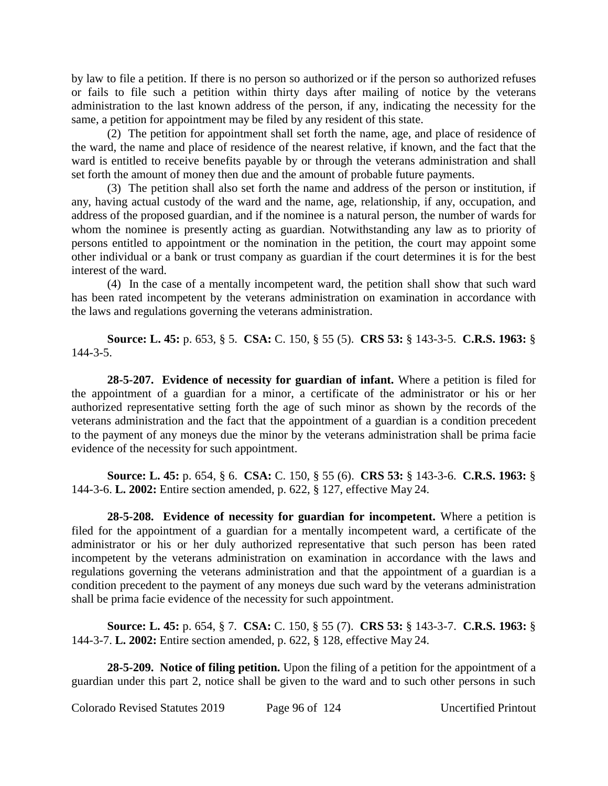by law to file a petition. If there is no person so authorized or if the person so authorized refuses or fails to file such a petition within thirty days after mailing of notice by the veterans administration to the last known address of the person, if any, indicating the necessity for the same, a petition for appointment may be filed by any resident of this state.

(2) The petition for appointment shall set forth the name, age, and place of residence of the ward, the name and place of residence of the nearest relative, if known, and the fact that the ward is entitled to receive benefits payable by or through the veterans administration and shall set forth the amount of money then due and the amount of probable future payments.

(3) The petition shall also set forth the name and address of the person or institution, if any, having actual custody of the ward and the name, age, relationship, if any, occupation, and address of the proposed guardian, and if the nominee is a natural person, the number of wards for whom the nominee is presently acting as guardian. Notwithstanding any law as to priority of persons entitled to appointment or the nomination in the petition, the court may appoint some other individual or a bank or trust company as guardian if the court determines it is for the best interest of the ward.

(4) In the case of a mentally incompetent ward, the petition shall show that such ward has been rated incompetent by the veterans administration on examination in accordance with the laws and regulations governing the veterans administration.

**Source: L. 45:** p. 653, § 5. **CSA:** C. 150, § 55 (5). **CRS 53:** § 143-3-5. **C.R.S. 1963:** § 144-3-5.

**28-5-207. Evidence of necessity for guardian of infant.** Where a petition is filed for the appointment of a guardian for a minor, a certificate of the administrator or his or her authorized representative setting forth the age of such minor as shown by the records of the veterans administration and the fact that the appointment of a guardian is a condition precedent to the payment of any moneys due the minor by the veterans administration shall be prima facie evidence of the necessity for such appointment.

**Source: L. 45:** p. 654, § 6. **CSA:** C. 150, § 55 (6). **CRS 53:** § 143-3-6. **C.R.S. 1963:** § 144-3-6. **L. 2002:** Entire section amended, p. 622, § 127, effective May 24.

**28-5-208. Evidence of necessity for guardian for incompetent.** Where a petition is filed for the appointment of a guardian for a mentally incompetent ward, a certificate of the administrator or his or her duly authorized representative that such person has been rated incompetent by the veterans administration on examination in accordance with the laws and regulations governing the veterans administration and that the appointment of a guardian is a condition precedent to the payment of any moneys due such ward by the veterans administration shall be prima facie evidence of the necessity for such appointment.

**Source: L. 45:** p. 654, § 7. **CSA:** C. 150, § 55 (7). **CRS 53:** § 143-3-7. **C.R.S. 1963:** § 144-3-7. **L. 2002:** Entire section amended, p. 622, § 128, effective May 24.

**28-5-209. Notice of filing petition.** Upon the filing of a petition for the appointment of a guardian under this part 2, notice shall be given to the ward and to such other persons in such

Colorado Revised Statutes 2019 Page 96 of 124 Uncertified Printout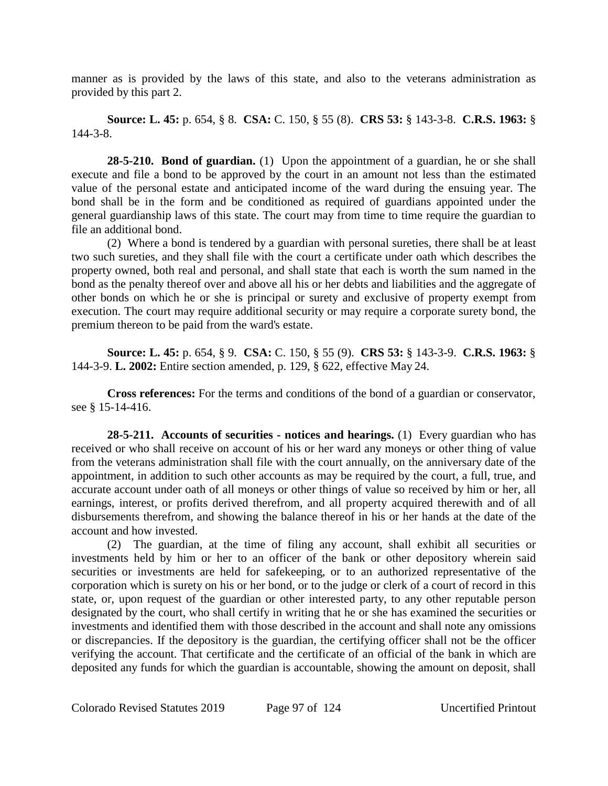manner as is provided by the laws of this state, and also to the veterans administration as provided by this part 2.

**Source: L. 45:** p. 654, § 8. **CSA:** C. 150, § 55 (8). **CRS 53:** § 143-3-8. **C.R.S. 1963:** § 144-3-8.

**28-5-210. Bond of guardian.** (1) Upon the appointment of a guardian, he or she shall execute and file a bond to be approved by the court in an amount not less than the estimated value of the personal estate and anticipated income of the ward during the ensuing year. The bond shall be in the form and be conditioned as required of guardians appointed under the general guardianship laws of this state. The court may from time to time require the guardian to file an additional bond.

(2) Where a bond is tendered by a guardian with personal sureties, there shall be at least two such sureties, and they shall file with the court a certificate under oath which describes the property owned, both real and personal, and shall state that each is worth the sum named in the bond as the penalty thereof over and above all his or her debts and liabilities and the aggregate of other bonds on which he or she is principal or surety and exclusive of property exempt from execution. The court may require additional security or may require a corporate surety bond, the premium thereon to be paid from the ward's estate.

**Source: L. 45:** p. 654, § 9. **CSA:** C. 150, § 55 (9). **CRS 53:** § 143-3-9. **C.R.S. 1963:** § 144-3-9. **L. 2002:** Entire section amended, p. 129, § 622, effective May 24.

**Cross references:** For the terms and conditions of the bond of a guardian or conservator, see § 15-14-416.

**28-5-211. Accounts of securities - notices and hearings.** (1) Every guardian who has received or who shall receive on account of his or her ward any moneys or other thing of value from the veterans administration shall file with the court annually, on the anniversary date of the appointment, in addition to such other accounts as may be required by the court, a full, true, and accurate account under oath of all moneys or other things of value so received by him or her, all earnings, interest, or profits derived therefrom, and all property acquired therewith and of all disbursements therefrom, and showing the balance thereof in his or her hands at the date of the account and how invested.

(2) The guardian, at the time of filing any account, shall exhibit all securities or investments held by him or her to an officer of the bank or other depository wherein said securities or investments are held for safekeeping, or to an authorized representative of the corporation which is surety on his or her bond, or to the judge or clerk of a court of record in this state, or, upon request of the guardian or other interested party, to any other reputable person designated by the court, who shall certify in writing that he or she has examined the securities or investments and identified them with those described in the account and shall note any omissions or discrepancies. If the depository is the guardian, the certifying officer shall not be the officer verifying the account. That certificate and the certificate of an official of the bank in which are deposited any funds for which the guardian is accountable, showing the amount on deposit, shall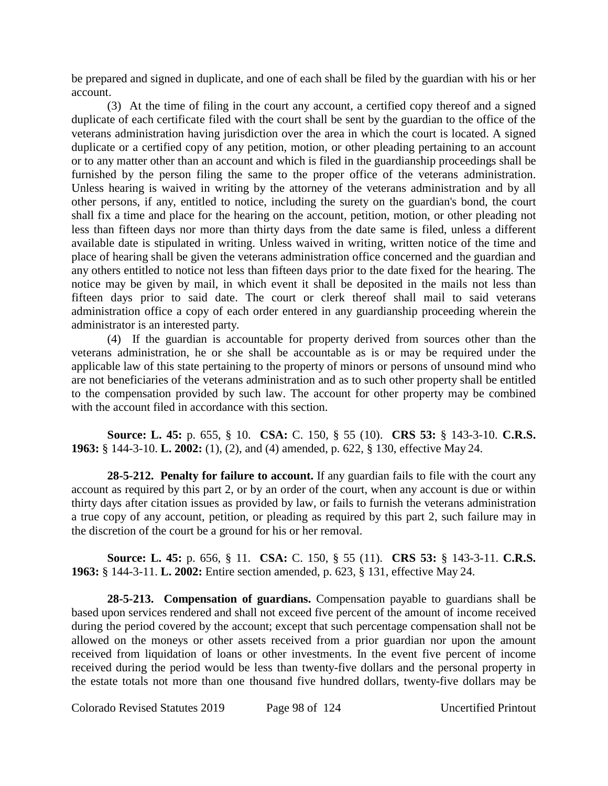be prepared and signed in duplicate, and one of each shall be filed by the guardian with his or her account.

(3) At the time of filing in the court any account, a certified copy thereof and a signed duplicate of each certificate filed with the court shall be sent by the guardian to the office of the veterans administration having jurisdiction over the area in which the court is located. A signed duplicate or a certified copy of any petition, motion, or other pleading pertaining to an account or to any matter other than an account and which is filed in the guardianship proceedings shall be furnished by the person filing the same to the proper office of the veterans administration. Unless hearing is waived in writing by the attorney of the veterans administration and by all other persons, if any, entitled to notice, including the surety on the guardian's bond, the court shall fix a time and place for the hearing on the account, petition, motion, or other pleading not less than fifteen days nor more than thirty days from the date same is filed, unless a different available date is stipulated in writing. Unless waived in writing, written notice of the time and place of hearing shall be given the veterans administration office concerned and the guardian and any others entitled to notice not less than fifteen days prior to the date fixed for the hearing. The notice may be given by mail, in which event it shall be deposited in the mails not less than fifteen days prior to said date. The court or clerk thereof shall mail to said veterans administration office a copy of each order entered in any guardianship proceeding wherein the administrator is an interested party.

(4) If the guardian is accountable for property derived from sources other than the veterans administration, he or she shall be accountable as is or may be required under the applicable law of this state pertaining to the property of minors or persons of unsound mind who are not beneficiaries of the veterans administration and as to such other property shall be entitled to the compensation provided by such law. The account for other property may be combined with the account filed in accordance with this section.

**Source: L. 45:** p. 655, § 10. **CSA:** C. 150, § 55 (10). **CRS 53:** § 143-3-10. **C.R.S. 1963:** § 144-3-10. **L. 2002:** (1), (2), and (4) amended, p. 622, § 130, effective May 24.

**28-5-212. Penalty for failure to account.** If any guardian fails to file with the court any account as required by this part 2, or by an order of the court, when any account is due or within thirty days after citation issues as provided by law, or fails to furnish the veterans administration a true copy of any account, petition, or pleading as required by this part 2, such failure may in the discretion of the court be a ground for his or her removal.

**Source: L. 45:** p. 656, § 11. **CSA:** C. 150, § 55 (11). **CRS 53:** § 143-3-11. **C.R.S. 1963:** § 144-3-11. **L. 2002:** Entire section amended, p. 623, § 131, effective May 24.

**28-5-213. Compensation of guardians.** Compensation payable to guardians shall be based upon services rendered and shall not exceed five percent of the amount of income received during the period covered by the account; except that such percentage compensation shall not be allowed on the moneys or other assets received from a prior guardian nor upon the amount received from liquidation of loans or other investments. In the event five percent of income received during the period would be less than twenty-five dollars and the personal property in the estate totals not more than one thousand five hundred dollars, twenty-five dollars may be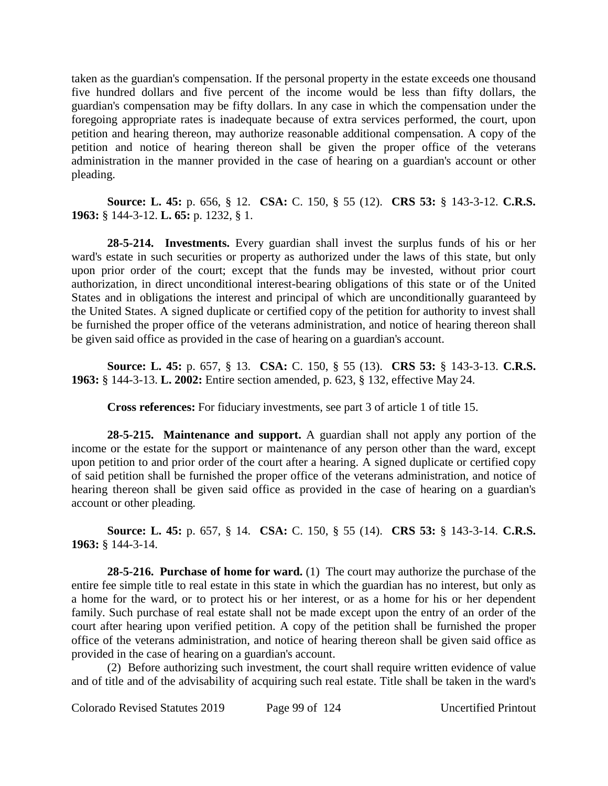taken as the guardian's compensation. If the personal property in the estate exceeds one thousand five hundred dollars and five percent of the income would be less than fifty dollars, the guardian's compensation may be fifty dollars. In any case in which the compensation under the foregoing appropriate rates is inadequate because of extra services performed, the court, upon petition and hearing thereon, may authorize reasonable additional compensation. A copy of the petition and notice of hearing thereon shall be given the proper office of the veterans administration in the manner provided in the case of hearing on a guardian's account or other pleading.

**Source: L. 45:** p. 656, § 12. **CSA:** C. 150, § 55 (12). **CRS 53:** § 143-3-12. **C.R.S. 1963:** § 144-3-12. **L. 65:** p. 1232, § 1.

**28-5-214. Investments.** Every guardian shall invest the surplus funds of his or her ward's estate in such securities or property as authorized under the laws of this state, but only upon prior order of the court; except that the funds may be invested, without prior court authorization, in direct unconditional interest-bearing obligations of this state or of the United States and in obligations the interest and principal of which are unconditionally guaranteed by the United States. A signed duplicate or certified copy of the petition for authority to invest shall be furnished the proper office of the veterans administration, and notice of hearing thereon shall be given said office as provided in the case of hearing on a guardian's account.

**Source: L. 45:** p. 657, § 13. **CSA:** C. 150, § 55 (13). **CRS 53:** § 143-3-13. **C.R.S. 1963:** § 144-3-13. **L. 2002:** Entire section amended, p. 623, § 132, effective May 24.

**Cross references:** For fiduciary investments, see part 3 of article 1 of title 15.

**28-5-215. Maintenance and support.** A guardian shall not apply any portion of the income or the estate for the support or maintenance of any person other than the ward, except upon petition to and prior order of the court after a hearing. A signed duplicate or certified copy of said petition shall be furnished the proper office of the veterans administration, and notice of hearing thereon shall be given said office as provided in the case of hearing on a guardian's account or other pleading.

**Source: L. 45:** p. 657, § 14. **CSA:** C. 150, § 55 (14). **CRS 53:** § 143-3-14. **C.R.S. 1963:** § 144-3-14.

**28-5-216. Purchase of home for ward.** (1) The court may authorize the purchase of the entire fee simple title to real estate in this state in which the guardian has no interest, but only as a home for the ward, or to protect his or her interest, or as a home for his or her dependent family. Such purchase of real estate shall not be made except upon the entry of an order of the court after hearing upon verified petition. A copy of the petition shall be furnished the proper office of the veterans administration, and notice of hearing thereon shall be given said office as provided in the case of hearing on a guardian's account.

(2) Before authorizing such investment, the court shall require written evidence of value and of title and of the advisability of acquiring such real estate. Title shall be taken in the ward's

Colorado Revised Statutes 2019 Page 99 of 124 Uncertified Printout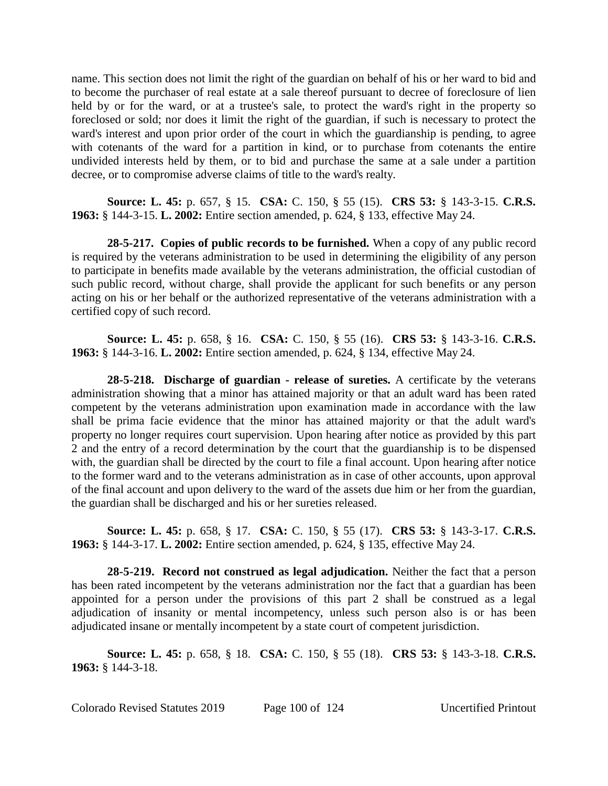name. This section does not limit the right of the guardian on behalf of his or her ward to bid and to become the purchaser of real estate at a sale thereof pursuant to decree of foreclosure of lien held by or for the ward, or at a trustee's sale, to protect the ward's right in the property so foreclosed or sold; nor does it limit the right of the guardian, if such is necessary to protect the ward's interest and upon prior order of the court in which the guardianship is pending, to agree with cotenants of the ward for a partition in kind, or to purchase from cotenants the entire undivided interests held by them, or to bid and purchase the same at a sale under a partition decree, or to compromise adverse claims of title to the ward's realty.

**Source: L. 45:** p. 657, § 15. **CSA:** C. 150, § 55 (15). **CRS 53:** § 143-3-15. **C.R.S. 1963:** § 144-3-15. **L. 2002:** Entire section amended, p. 624, § 133, effective May 24.

**28-5-217. Copies of public records to be furnished.** When a copy of any public record is required by the veterans administration to be used in determining the eligibility of any person to participate in benefits made available by the veterans administration, the official custodian of such public record, without charge, shall provide the applicant for such benefits or any person acting on his or her behalf or the authorized representative of the veterans administration with a certified copy of such record.

**Source: L. 45:** p. 658, § 16. **CSA:** C. 150, § 55 (16). **CRS 53:** § 143-3-16. **C.R.S. 1963:** § 144-3-16. **L. 2002:** Entire section amended, p. 624, § 134, effective May 24.

**28-5-218. Discharge of guardian - release of sureties.** A certificate by the veterans administration showing that a minor has attained majority or that an adult ward has been rated competent by the veterans administration upon examination made in accordance with the law shall be prima facie evidence that the minor has attained majority or that the adult ward's property no longer requires court supervision. Upon hearing after notice as provided by this part 2 and the entry of a record determination by the court that the guardianship is to be dispensed with, the guardian shall be directed by the court to file a final account. Upon hearing after notice to the former ward and to the veterans administration as in case of other accounts, upon approval of the final account and upon delivery to the ward of the assets due him or her from the guardian, the guardian shall be discharged and his or her sureties released.

**Source: L. 45:** p. 658, § 17. **CSA:** C. 150, § 55 (17). **CRS 53:** § 143-3-17. **C.R.S. 1963:** § 144-3-17. **L. 2002:** Entire section amended, p. 624, § 135, effective May 24.

**28-5-219. Record not construed as legal adjudication.** Neither the fact that a person has been rated incompetent by the veterans administration nor the fact that a guardian has been appointed for a person under the provisions of this part 2 shall be construed as a legal adjudication of insanity or mental incompetency, unless such person also is or has been adjudicated insane or mentally incompetent by a state court of competent jurisdiction.

**Source: L. 45:** p. 658, § 18. **CSA:** C. 150, § 55 (18). **CRS 53:** § 143-3-18. **C.R.S. 1963:** § 144-3-18.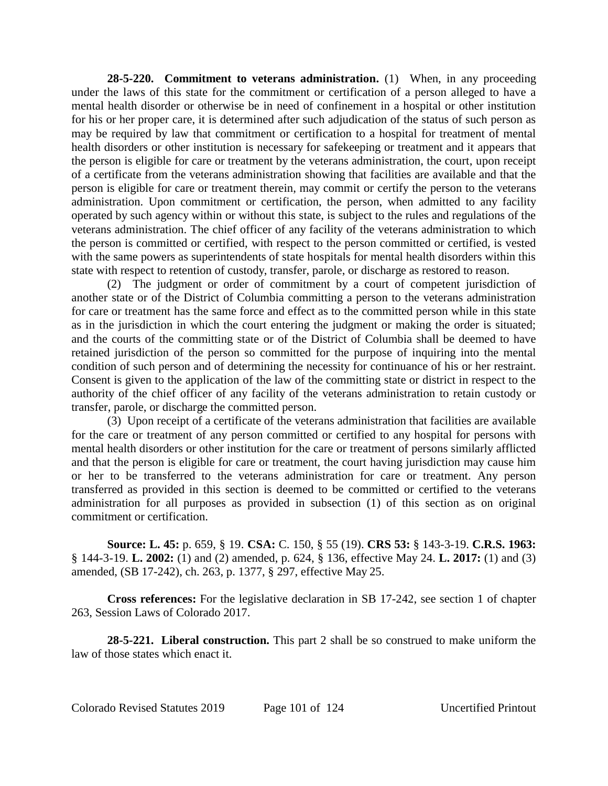**28-5-220. Commitment to veterans administration.** (1) When, in any proceeding under the laws of this state for the commitment or certification of a person alleged to have a mental health disorder or otherwise be in need of confinement in a hospital or other institution for his or her proper care, it is determined after such adjudication of the status of such person as may be required by law that commitment or certification to a hospital for treatment of mental health disorders or other institution is necessary for safekeeping or treatment and it appears that the person is eligible for care or treatment by the veterans administration, the court, upon receipt of a certificate from the veterans administration showing that facilities are available and that the person is eligible for care or treatment therein, may commit or certify the person to the veterans administration. Upon commitment or certification, the person, when admitted to any facility operated by such agency within or without this state, is subject to the rules and regulations of the veterans administration. The chief officer of any facility of the veterans administration to which the person is committed or certified, with respect to the person committed or certified, is vested with the same powers as superintendents of state hospitals for mental health disorders within this state with respect to retention of custody, transfer, parole, or discharge as restored to reason.

(2) The judgment or order of commitment by a court of competent jurisdiction of another state or of the District of Columbia committing a person to the veterans administration for care or treatment has the same force and effect as to the committed person while in this state as in the jurisdiction in which the court entering the judgment or making the order is situated; and the courts of the committing state or of the District of Columbia shall be deemed to have retained jurisdiction of the person so committed for the purpose of inquiring into the mental condition of such person and of determining the necessity for continuance of his or her restraint. Consent is given to the application of the law of the committing state or district in respect to the authority of the chief officer of any facility of the veterans administration to retain custody or transfer, parole, or discharge the committed person.

(3) Upon receipt of a certificate of the veterans administration that facilities are available for the care or treatment of any person committed or certified to any hospital for persons with mental health disorders or other institution for the care or treatment of persons similarly afflicted and that the person is eligible for care or treatment, the court having jurisdiction may cause him or her to be transferred to the veterans administration for care or treatment. Any person transferred as provided in this section is deemed to be committed or certified to the veterans administration for all purposes as provided in subsection (1) of this section as on original commitment or certification.

**Source: L. 45:** p. 659, § 19. **CSA:** C. 150, § 55 (19). **CRS 53:** § 143-3-19. **C.R.S. 1963:** § 144-3-19. **L. 2002:** (1) and (2) amended, p. 624, § 136, effective May 24. **L. 2017:** (1) and (3) amended, (SB 17-242), ch. 263, p. 1377, § 297, effective May 25.

**Cross references:** For the legislative declaration in SB 17-242, see section 1 of chapter 263, Session Laws of Colorado 2017.

**28-5-221. Liberal construction.** This part 2 shall be so construed to make uniform the law of those states which enact it.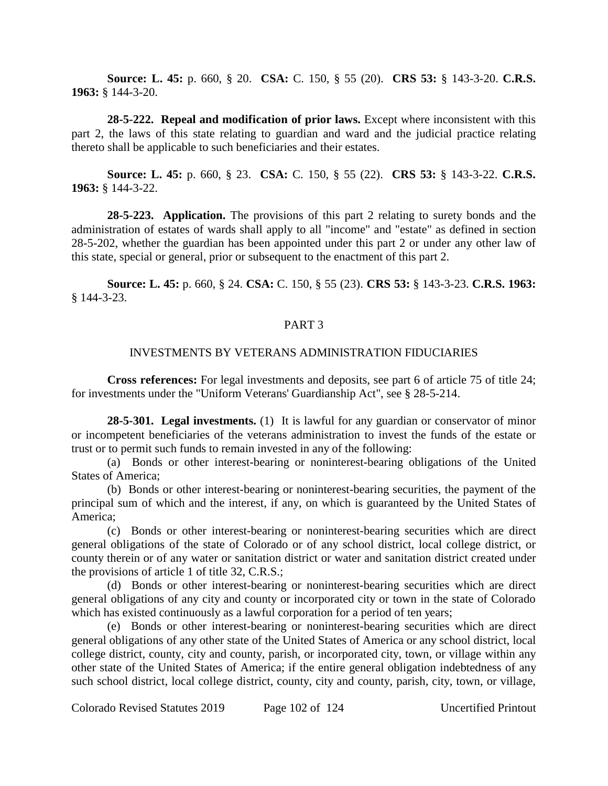**Source: L. 45:** p. 660, § 20. **CSA:** C. 150, § 55 (20). **CRS 53:** § 143-3-20. **C.R.S. 1963:** § 144-3-20.

**28-5-222. Repeal and modification of prior laws.** Except where inconsistent with this part 2, the laws of this state relating to guardian and ward and the judicial practice relating thereto shall be applicable to such beneficiaries and their estates.

**Source: L. 45:** p. 660, § 23. **CSA:** C. 150, § 55 (22). **CRS 53:** § 143-3-22. **C.R.S. 1963:** § 144-3-22.

**28-5-223. Application.** The provisions of this part 2 relating to surety bonds and the administration of estates of wards shall apply to all "income" and "estate" as defined in section 28-5-202, whether the guardian has been appointed under this part 2 or under any other law of this state, special or general, prior or subsequent to the enactment of this part 2.

**Source: L. 45:** p. 660, § 24. **CSA:** C. 150, § 55 (23). **CRS 53:** § 143-3-23. **C.R.S. 1963:** § 144-3-23.

### PART 3

### INVESTMENTS BY VETERANS ADMINISTRATION FIDUCIARIES

**Cross references:** For legal investments and deposits, see part 6 of article 75 of title 24; for investments under the "Uniform Veterans' Guardianship Act", see § 28-5-214.

**28-5-301. Legal investments.** (1) It is lawful for any guardian or conservator of minor or incompetent beneficiaries of the veterans administration to invest the funds of the estate or trust or to permit such funds to remain invested in any of the following:

(a) Bonds or other interest-bearing or noninterest-bearing obligations of the United States of America;

(b) Bonds or other interest-bearing or noninterest-bearing securities, the payment of the principal sum of which and the interest, if any, on which is guaranteed by the United States of America;

(c) Bonds or other interest-bearing or noninterest-bearing securities which are direct general obligations of the state of Colorado or of any school district, local college district, or county therein or of any water or sanitation district or water and sanitation district created under the provisions of article 1 of title 32, C.R.S.;

(d) Bonds or other interest-bearing or noninterest-bearing securities which are direct general obligations of any city and county or incorporated city or town in the state of Colorado which has existed continuously as a lawful corporation for a period of ten years;

(e) Bonds or other interest-bearing or noninterest-bearing securities which are direct general obligations of any other state of the United States of America or any school district, local college district, county, city and county, parish, or incorporated city, town, or village within any other state of the United States of America; if the entire general obligation indebtedness of any such school district, local college district, county, city and county, parish, city, town, or village,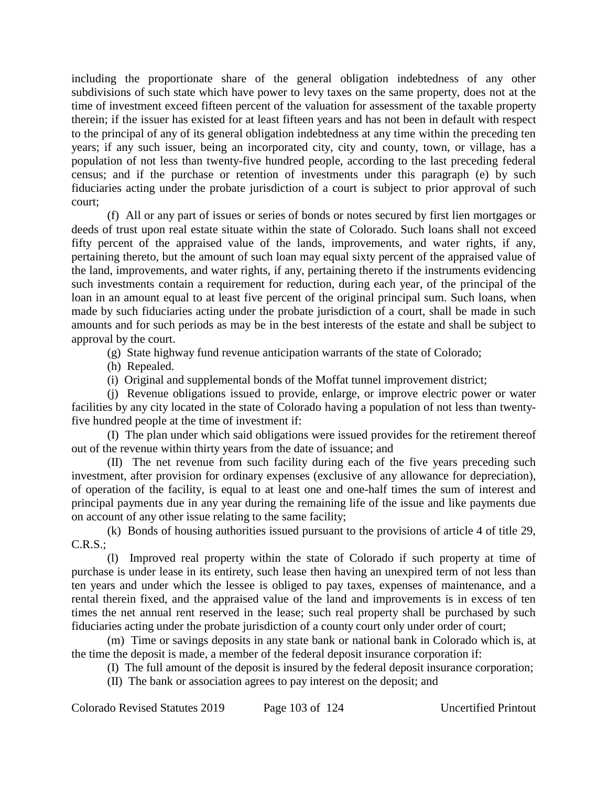including the proportionate share of the general obligation indebtedness of any other subdivisions of such state which have power to levy taxes on the same property, does not at the time of investment exceed fifteen percent of the valuation for assessment of the taxable property therein; if the issuer has existed for at least fifteen years and has not been in default with respect to the principal of any of its general obligation indebtedness at any time within the preceding ten years; if any such issuer, being an incorporated city, city and county, town, or village, has a population of not less than twenty-five hundred people, according to the last preceding federal census; and if the purchase or retention of investments under this paragraph (e) by such fiduciaries acting under the probate jurisdiction of a court is subject to prior approval of such court;

(f) All or any part of issues or series of bonds or notes secured by first lien mortgages or deeds of trust upon real estate situate within the state of Colorado. Such loans shall not exceed fifty percent of the appraised value of the lands, improvements, and water rights, if any, pertaining thereto, but the amount of such loan may equal sixty percent of the appraised value of the land, improvements, and water rights, if any, pertaining thereto if the instruments evidencing such investments contain a requirement for reduction, during each year, of the principal of the loan in an amount equal to at least five percent of the original principal sum. Such loans, when made by such fiduciaries acting under the probate jurisdiction of a court, shall be made in such amounts and for such periods as may be in the best interests of the estate and shall be subject to approval by the court.

(g) State highway fund revenue anticipation warrants of the state of Colorado;

(h) Repealed.

(i) Original and supplemental bonds of the Moffat tunnel improvement district;

(j) Revenue obligations issued to provide, enlarge, or improve electric power or water facilities by any city located in the state of Colorado having a population of not less than twentyfive hundred people at the time of investment if:

(I) The plan under which said obligations were issued provides for the retirement thereof out of the revenue within thirty years from the date of issuance; and

(II) The net revenue from such facility during each of the five years preceding such investment, after provision for ordinary expenses (exclusive of any allowance for depreciation), of operation of the facility, is equal to at least one and one-half times the sum of interest and principal payments due in any year during the remaining life of the issue and like payments due on account of any other issue relating to the same facility;

(k) Bonds of housing authorities issued pursuant to the provisions of article 4 of title 29,  $C.R.S.:$ 

(l) Improved real property within the state of Colorado if such property at time of purchase is under lease in its entirety, such lease then having an unexpired term of not less than ten years and under which the lessee is obliged to pay taxes, expenses of maintenance, and a rental therein fixed, and the appraised value of the land and improvements is in excess of ten times the net annual rent reserved in the lease; such real property shall be purchased by such fiduciaries acting under the probate jurisdiction of a county court only under order of court;

(m) Time or savings deposits in any state bank or national bank in Colorado which is, at the time the deposit is made, a member of the federal deposit insurance corporation if:

(I) The full amount of the deposit is insured by the federal deposit insurance corporation;

(II) The bank or association agrees to pay interest on the deposit; and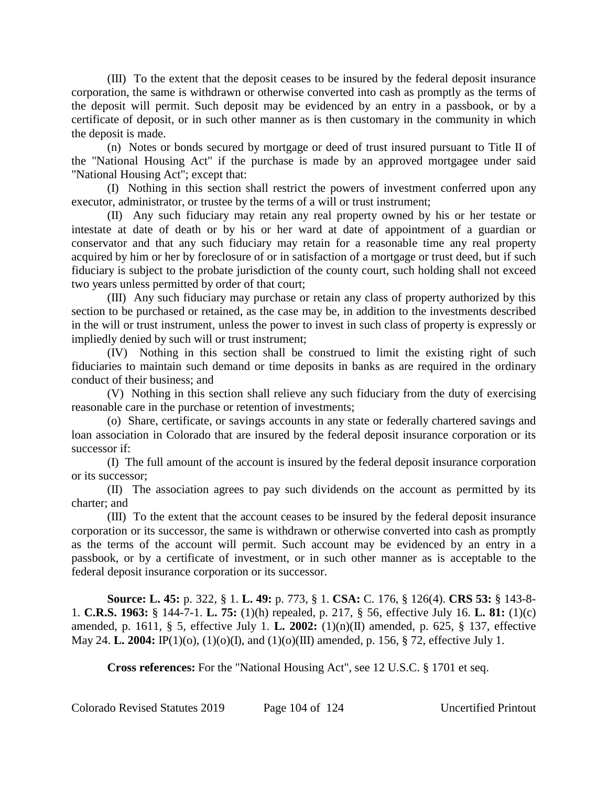(III) To the extent that the deposit ceases to be insured by the federal deposit insurance corporation, the same is withdrawn or otherwise converted into cash as promptly as the terms of the deposit will permit. Such deposit may be evidenced by an entry in a passbook, or by a certificate of deposit, or in such other manner as is then customary in the community in which the deposit is made.

(n) Notes or bonds secured by mortgage or deed of trust insured pursuant to Title II of the "National Housing Act" if the purchase is made by an approved mortgagee under said "National Housing Act"; except that:

(I) Nothing in this section shall restrict the powers of investment conferred upon any executor, administrator, or trustee by the terms of a will or trust instrument;

(II) Any such fiduciary may retain any real property owned by his or her testate or intestate at date of death or by his or her ward at date of appointment of a guardian or conservator and that any such fiduciary may retain for a reasonable time any real property acquired by him or her by foreclosure of or in satisfaction of a mortgage or trust deed, but if such fiduciary is subject to the probate jurisdiction of the county court, such holding shall not exceed two years unless permitted by order of that court;

(III) Any such fiduciary may purchase or retain any class of property authorized by this section to be purchased or retained, as the case may be, in addition to the investments described in the will or trust instrument, unless the power to invest in such class of property is expressly or impliedly denied by such will or trust instrument;

(IV) Nothing in this section shall be construed to limit the existing right of such fiduciaries to maintain such demand or time deposits in banks as are required in the ordinary conduct of their business; and

(V) Nothing in this section shall relieve any such fiduciary from the duty of exercising reasonable care in the purchase or retention of investments;

(o) Share, certificate, or savings accounts in any state or federally chartered savings and loan association in Colorado that are insured by the federal deposit insurance corporation or its successor if:

(I) The full amount of the account is insured by the federal deposit insurance corporation or its successor;

(II) The association agrees to pay such dividends on the account as permitted by its charter; and

(III) To the extent that the account ceases to be insured by the federal deposit insurance corporation or its successor, the same is withdrawn or otherwise converted into cash as promptly as the terms of the account will permit. Such account may be evidenced by an entry in a passbook, or by a certificate of investment, or in such other manner as is acceptable to the federal deposit insurance corporation or its successor.

**Source: L. 45:** p. 322, § 1. **L. 49:** p. 773, § 1. **CSA:** C. 176, § 126(4). **CRS 53:** § 143-8- 1. **C.R.S. 1963:** § 144-7-1. **L. 75:** (1)(h) repealed, p. 217, § 56, effective July 16. **L. 81:** (1)(c) amended, p. 1611, § 5, effective July 1. **L. 2002:** (1)(n)(II) amended, p. 625, § 137, effective May 24. **L. 2004:** IP(1)(o), (1)(o)(I), and (1)(o)(III) amended, p. 156, § 72, effective July 1.

**Cross references:** For the "National Housing Act", see 12 U.S.C. § 1701 et seq.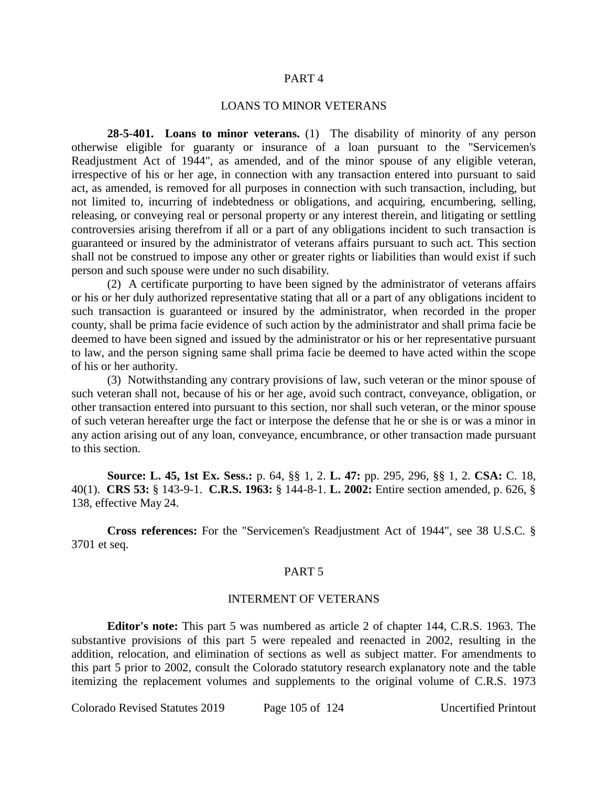#### PART 4

### LOANS TO MINOR VETERANS

**28-5-401. Loans to minor veterans.** (1) The disability of minority of any person otherwise eligible for guaranty or insurance of a loan pursuant to the "Servicemen's Readjustment Act of 1944", as amended, and of the minor spouse of any eligible veteran, irrespective of his or her age, in connection with any transaction entered into pursuant to said act, as amended, is removed for all purposes in connection with such transaction, including, but not limited to, incurring of indebtedness or obligations, and acquiring, encumbering, selling, releasing, or conveying real or personal property or any interest therein, and litigating or settling controversies arising therefrom if all or a part of any obligations incident to such transaction is guaranteed or insured by the administrator of veterans affairs pursuant to such act. This section shall not be construed to impose any other or greater rights or liabilities than would exist if such person and such spouse were under no such disability.

(2) A certificate purporting to have been signed by the administrator of veterans affairs or his or her duly authorized representative stating that all or a part of any obligations incident to such transaction is guaranteed or insured by the administrator, when recorded in the proper county, shall be prima facie evidence of such action by the administrator and shall prima facie be deemed to have been signed and issued by the administrator or his or her representative pursuant to law, and the person signing same shall prima facie be deemed to have acted within the scope of his or her authority.

(3) Notwithstanding any contrary provisions of law, such veteran or the minor spouse of such veteran shall not, because of his or her age, avoid such contract, conveyance, obligation, or other transaction entered into pursuant to this section, nor shall such veteran, or the minor spouse of such veteran hereafter urge the fact or interpose the defense that he or she is or was a minor in any action arising out of any loan, conveyance, encumbrance, or other transaction made pursuant to this section.

**Source: L. 45, 1st Ex. Sess.:** p. 64, §§ 1, 2. **L. 47:** pp. 295, 296, §§ 1, 2. **CSA:** C. 18, 40(1). **CRS 53:** § 143-9-1. **C.R.S. 1963:** § 144-8-1. **L. 2002:** Entire section amended, p. 626, § 138, effective May 24.

**Cross references:** For the "Servicemen's Readjustment Act of 1944", see 38 U.S.C. § 3701 et seq.

#### PART 5

#### INTERMENT OF VETERANS

**Editor's note:** This part 5 was numbered as article 2 of chapter 144, C.R.S. 1963. The substantive provisions of this part 5 were repealed and reenacted in 2002, resulting in the addition, relocation, and elimination of sections as well as subject matter. For amendments to this part 5 prior to 2002, consult the Colorado statutory research explanatory note and the table itemizing the replacement volumes and supplements to the original volume of C.R.S. 1973

Colorado Revised Statutes 2019 Page 105 of 124 Uncertified Printout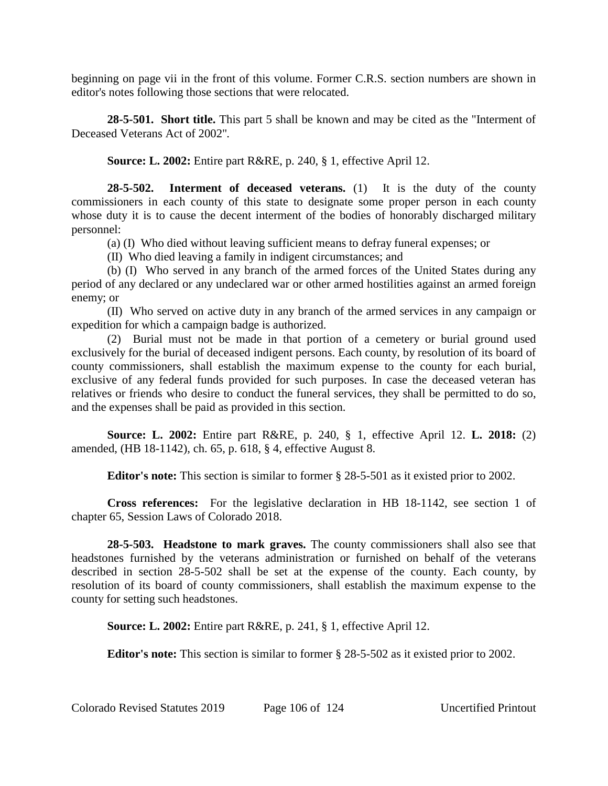beginning on page vii in the front of this volume. Former C.R.S. section numbers are shown in editor's notes following those sections that were relocated.

**28-5-501. Short title.** This part 5 shall be known and may be cited as the "Interment of Deceased Veterans Act of 2002".

**Source: L. 2002:** Entire part R&RE, p. 240, § 1, effective April 12.

**28-5-502. Interment of deceased veterans.** (1) It is the duty of the county commissioners in each county of this state to designate some proper person in each county whose duty it is to cause the decent interment of the bodies of honorably discharged military personnel:

(a) (I) Who died without leaving sufficient means to defray funeral expenses; or

(II) Who died leaving a family in indigent circumstances; and

(b) (I) Who served in any branch of the armed forces of the United States during any period of any declared or any undeclared war or other armed hostilities against an armed foreign enemy; or

(II) Who served on active duty in any branch of the armed services in any campaign or expedition for which a campaign badge is authorized.

(2) Burial must not be made in that portion of a cemetery or burial ground used exclusively for the burial of deceased indigent persons. Each county, by resolution of its board of county commissioners, shall establish the maximum expense to the county for each burial, exclusive of any federal funds provided for such purposes. In case the deceased veteran has relatives or friends who desire to conduct the funeral services, they shall be permitted to do so, and the expenses shall be paid as provided in this section.

**Source: L. 2002:** Entire part R&RE, p. 240, § 1, effective April 12. **L. 2018:** (2) amended, (HB 18-1142), ch. 65, p. 618, § 4, effective August 8.

**Editor's note:** This section is similar to former § 28-5-501 as it existed prior to 2002.

**Cross references:** For the legislative declaration in HB 18-1142, see section 1 of chapter 65, Session Laws of Colorado 2018.

**28-5-503. Headstone to mark graves.** The county commissioners shall also see that headstones furnished by the veterans administration or furnished on behalf of the veterans described in section 28-5-502 shall be set at the expense of the county. Each county, by resolution of its board of county commissioners, shall establish the maximum expense to the county for setting such headstones.

**Source: L. 2002:** Entire part R&RE, p. 241, § 1, effective April 12.

**Editor's note:** This section is similar to former § 28-5-502 as it existed prior to 2002.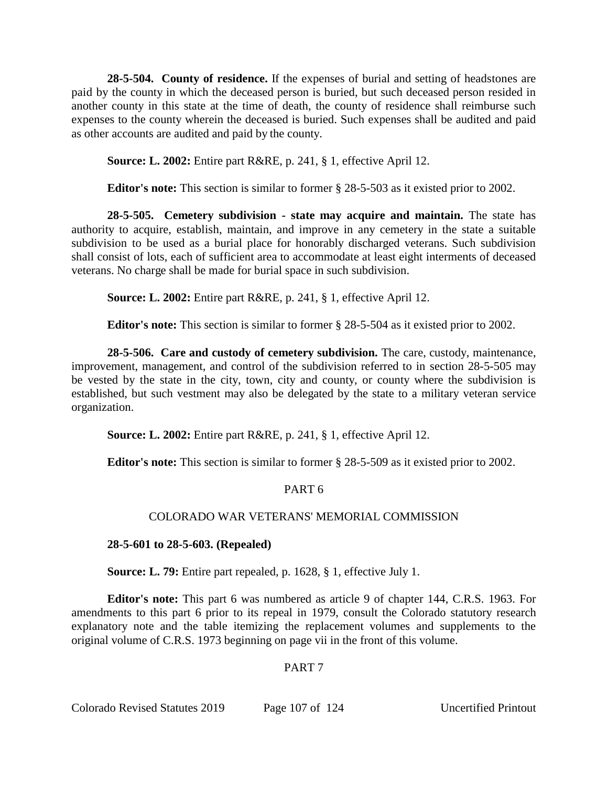**28-5-504. County of residence.** If the expenses of burial and setting of headstones are paid by the county in which the deceased person is buried, but such deceased person resided in another county in this state at the time of death, the county of residence shall reimburse such expenses to the county wherein the deceased is buried. Such expenses shall be audited and paid as other accounts are audited and paid by the county.

**Source: L. 2002:** Entire part R&RE, p. 241, § 1, effective April 12.

**Editor's note:** This section is similar to former § 28-5-503 as it existed prior to 2002.

**28-5-505. Cemetery subdivision - state may acquire and maintain.** The state has authority to acquire, establish, maintain, and improve in any cemetery in the state a suitable subdivision to be used as a burial place for honorably discharged veterans. Such subdivision shall consist of lots, each of sufficient area to accommodate at least eight interments of deceased veterans. No charge shall be made for burial space in such subdivision.

**Source: L. 2002:** Entire part R&RE, p. 241, § 1, effective April 12.

**Editor's note:** This section is similar to former § 28-5-504 as it existed prior to 2002.

**28-5-506. Care and custody of cemetery subdivision.** The care, custody, maintenance, improvement, management, and control of the subdivision referred to in section 28-5-505 may be vested by the state in the city, town, city and county, or county where the subdivision is established, but such vestment may also be delegated by the state to a military veteran service organization.

**Source: L. 2002:** Entire part R&RE, p. 241, § 1, effective April 12.

**Editor's note:** This section is similar to former § 28-5-509 as it existed prior to 2002.

# PART 6

# COLORADO WAR VETERANS' MEMORIAL COMMISSION

**28-5-601 to 28-5-603. (Repealed)**

**Source: L. 79:** Entire part repealed, p. 1628, § 1, effective July 1.

**Editor's note:** This part 6 was numbered as article 9 of chapter 144, C.R.S. 1963. For amendments to this part 6 prior to its repeal in 1979, consult the Colorado statutory research explanatory note and the table itemizing the replacement volumes and supplements to the original volume of C.R.S. 1973 beginning on page vii in the front of this volume.

# PART 7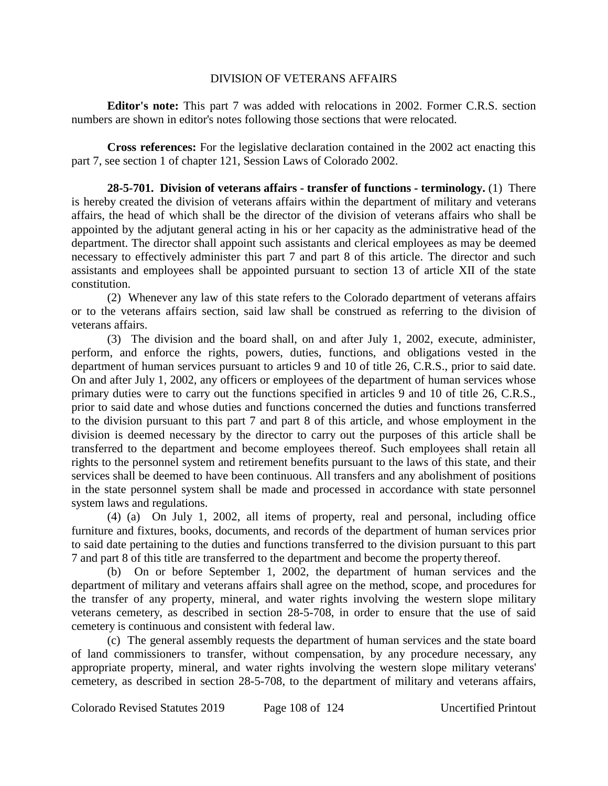### DIVISION OF VETERANS AFFAIRS

**Editor's note:** This part 7 was added with relocations in 2002. Former C.R.S. section numbers are shown in editor's notes following those sections that were relocated.

**Cross references:** For the legislative declaration contained in the 2002 act enacting this part 7, see section 1 of chapter 121, Session Laws of Colorado 2002.

**28-5-701. Division of veterans affairs - transfer of functions - terminology.** (1) There is hereby created the division of veterans affairs within the department of military and veterans affairs, the head of which shall be the director of the division of veterans affairs who shall be appointed by the adjutant general acting in his or her capacity as the administrative head of the department. The director shall appoint such assistants and clerical employees as may be deemed necessary to effectively administer this part 7 and part 8 of this article. The director and such assistants and employees shall be appointed pursuant to section 13 of article XII of the state constitution.

(2) Whenever any law of this state refers to the Colorado department of veterans affairs or to the veterans affairs section, said law shall be construed as referring to the division of veterans affairs.

(3) The division and the board shall, on and after July 1, 2002, execute, administer, perform, and enforce the rights, powers, duties, functions, and obligations vested in the department of human services pursuant to articles 9 and 10 of title 26, C.R.S., prior to said date. On and after July 1, 2002, any officers or employees of the department of human services whose primary duties were to carry out the functions specified in articles 9 and 10 of title 26, C.R.S., prior to said date and whose duties and functions concerned the duties and functions transferred to the division pursuant to this part 7 and part 8 of this article, and whose employment in the division is deemed necessary by the director to carry out the purposes of this article shall be transferred to the department and become employees thereof. Such employees shall retain all rights to the personnel system and retirement benefits pursuant to the laws of this state, and their services shall be deemed to have been continuous. All transfers and any abolishment of positions in the state personnel system shall be made and processed in accordance with state personnel system laws and regulations.

(4) (a) On July 1, 2002, all items of property, real and personal, including office furniture and fixtures, books, documents, and records of the department of human services prior to said date pertaining to the duties and functions transferred to the division pursuant to this part 7 and part 8 of this title are transferred to the department and become the property thereof.

(b) On or before September 1, 2002, the department of human services and the department of military and veterans affairs shall agree on the method, scope, and procedures for the transfer of any property, mineral, and water rights involving the western slope military veterans cemetery, as described in section 28-5-708, in order to ensure that the use of said cemetery is continuous and consistent with federal law.

(c) The general assembly requests the department of human services and the state board of land commissioners to transfer, without compensation, by any procedure necessary, any appropriate property, mineral, and water rights involving the western slope military veterans' cemetery, as described in section 28-5-708, to the department of military and veterans affairs,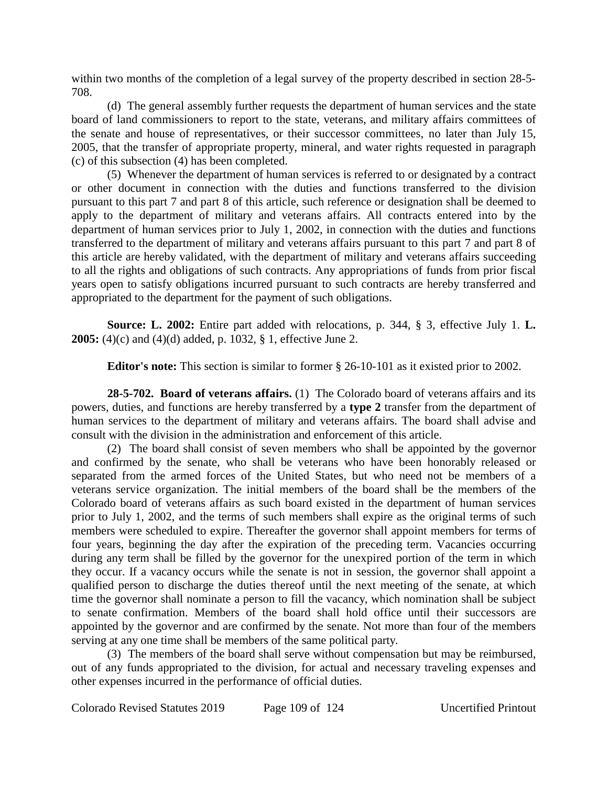within two months of the completion of a legal survey of the property described in section 28-5- 708.

(d) The general assembly further requests the department of human services and the state board of land commissioners to report to the state, veterans, and military affairs committees of the senate and house of representatives, or their successor committees, no later than July 15, 2005, that the transfer of appropriate property, mineral, and water rights requested in paragraph (c) of this subsection (4) has been completed.

(5) Whenever the department of human services is referred to or designated by a contract or other document in connection with the duties and functions transferred to the division pursuant to this part 7 and part 8 of this article, such reference or designation shall be deemed to apply to the department of military and veterans affairs. All contracts entered into by the department of human services prior to July 1, 2002, in connection with the duties and functions transferred to the department of military and veterans affairs pursuant to this part 7 and part 8 of this article are hereby validated, with the department of military and veterans affairs succeeding to all the rights and obligations of such contracts. Any appropriations of funds from prior fiscal years open to satisfy obligations incurred pursuant to such contracts are hereby transferred and appropriated to the department for the payment of such obligations.

**Source: L. 2002:** Entire part added with relocations, p. 344, § 3, effective July 1. **L. 2005:** (4)(c) and (4)(d) added, p. 1032, § 1, effective June 2.

**Editor's note:** This section is similar to former § 26-10-101 as it existed prior to 2002.

**28-5-702. Board of veterans affairs.** (1) The Colorado board of veterans affairs and its powers, duties, and functions are hereby transferred by a **type 2** transfer from the department of human services to the department of military and veterans affairs. The board shall advise and consult with the division in the administration and enforcement of this article.

(2) The board shall consist of seven members who shall be appointed by the governor and confirmed by the senate, who shall be veterans who have been honorably released or separated from the armed forces of the United States, but who need not be members of a veterans service organization. The initial members of the board shall be the members of the Colorado board of veterans affairs as such board existed in the department of human services prior to July 1, 2002, and the terms of such members shall expire as the original terms of such members were scheduled to expire. Thereafter the governor shall appoint members for terms of four years, beginning the day after the expiration of the preceding term. Vacancies occurring during any term shall be filled by the governor for the unexpired portion of the term in which they occur. If a vacancy occurs while the senate is not in session, the governor shall appoint a qualified person to discharge the duties thereof until the next meeting of the senate, at which time the governor shall nominate a person to fill the vacancy, which nomination shall be subject to senate confirmation. Members of the board shall hold office until their successors are appointed by the governor and are confirmed by the senate. Not more than four of the members serving at any one time shall be members of the same political party.

(3) The members of the board shall serve without compensation but may be reimbursed, out of any funds appropriated to the division, for actual and necessary traveling expenses and other expenses incurred in the performance of official duties.

Colorado Revised Statutes 2019 Page 109 of 124 Uncertified Printout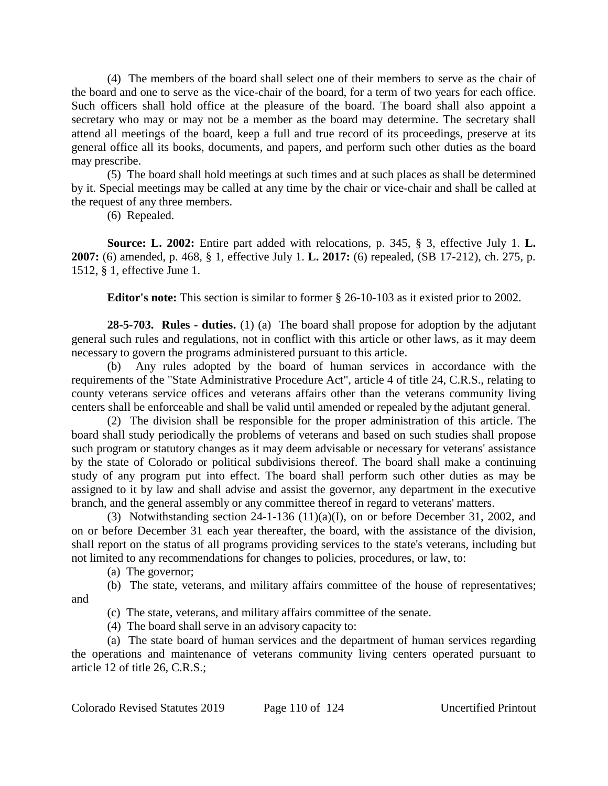(4) The members of the board shall select one of their members to serve as the chair of the board and one to serve as the vice-chair of the board, for a term of two years for each office. Such officers shall hold office at the pleasure of the board. The board shall also appoint a secretary who may or may not be a member as the board may determine. The secretary shall attend all meetings of the board, keep a full and true record of its proceedings, preserve at its general office all its books, documents, and papers, and perform such other duties as the board may prescribe.

(5) The board shall hold meetings at such times and at such places as shall be determined by it. Special meetings may be called at any time by the chair or vice-chair and shall be called at the request of any three members.

(6) Repealed.

**Source: L. 2002:** Entire part added with relocations, p. 345, § 3, effective July 1. **L. 2007:** (6) amended, p. 468, § 1, effective July 1. **L. 2017:** (6) repealed, (SB 17-212), ch. 275, p. 1512, § 1, effective June 1.

**Editor's note:** This section is similar to former § 26-10-103 as it existed prior to 2002.

**28-5-703. Rules - duties.** (1) (a) The board shall propose for adoption by the adjutant general such rules and regulations, not in conflict with this article or other laws, as it may deem necessary to govern the programs administered pursuant to this article.

(b) Any rules adopted by the board of human services in accordance with the requirements of the "State Administrative Procedure Act", article 4 of title 24, C.R.S., relating to county veterans service offices and veterans affairs other than the veterans community living centers shall be enforceable and shall be valid until amended or repealed by the adjutant general.

(2) The division shall be responsible for the proper administration of this article. The board shall study periodically the problems of veterans and based on such studies shall propose such program or statutory changes as it may deem advisable or necessary for veterans' assistance by the state of Colorado or political subdivisions thereof. The board shall make a continuing study of any program put into effect. The board shall perform such other duties as may be assigned to it by law and shall advise and assist the governor, any department in the executive branch, and the general assembly or any committee thereof in regard to veterans' matters.

(3) Notwithstanding section 24-1-136 (11)(a)(I), on or before December 31, 2002, and on or before December 31 each year thereafter, the board, with the assistance of the division, shall report on the status of all programs providing services to the state's veterans, including but not limited to any recommendations for changes to policies, procedures, or law, to:

(a) The governor;

(b) The state, veterans, and military affairs committee of the house of representatives;

and

(c) The state, veterans, and military affairs committee of the senate.

(4) The board shall serve in an advisory capacity to:

(a) The state board of human services and the department of human services regarding the operations and maintenance of veterans community living centers operated pursuant to article 12 of title 26, C.R.S.;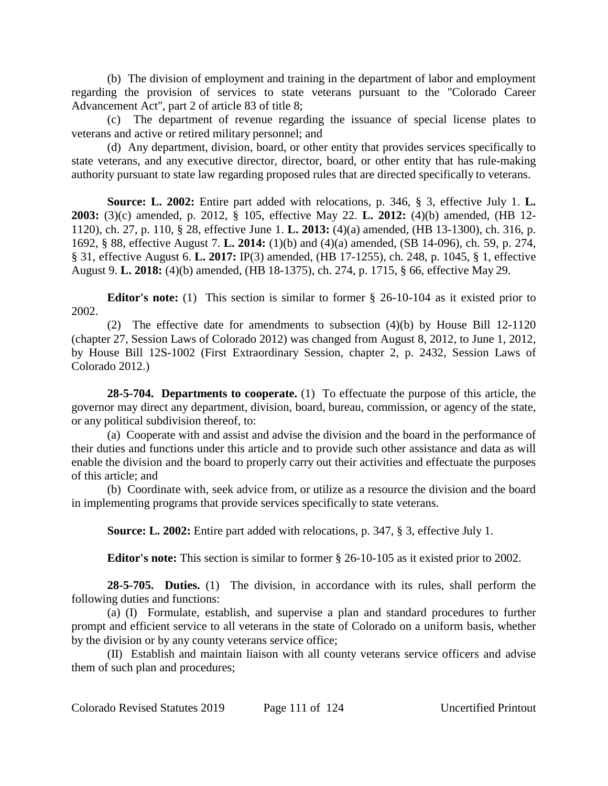(b) The division of employment and training in the department of labor and employment regarding the provision of services to state veterans pursuant to the "Colorado Career Advancement Act", part 2 of article 83 of title 8;

(c) The department of revenue regarding the issuance of special license plates to veterans and active or retired military personnel; and

(d) Any department, division, board, or other entity that provides services specifically to state veterans, and any executive director, director, board, or other entity that has rule-making authority pursuant to state law regarding proposed rules that are directed specifically to veterans.

**Source: L. 2002:** Entire part added with relocations, p. 346, § 3, effective July 1. **L. 2003:** (3)(c) amended, p. 2012, § 105, effective May 22. **L. 2012:** (4)(b) amended, (HB 12- 1120), ch. 27, p. 110, § 28, effective June 1. **L. 2013:** (4)(a) amended, (HB 13-1300), ch. 316, p. 1692, § 88, effective August 7. **L. 2014:** (1)(b) and (4)(a) amended, (SB 14-096), ch. 59, p. 274, § 31, effective August 6. **L. 2017:** IP(3) amended, (HB 17-1255), ch. 248, p. 1045, § 1, effective August 9. **L. 2018:** (4)(b) amended, (HB 18-1375), ch. 274, p. 1715, § 66, effective May 29.

**Editor's note:** (1) This section is similar to former § 26-10-104 as it existed prior to 2002.

(2) The effective date for amendments to subsection (4)(b) by House Bill 12-1120 (chapter 27, Session Laws of Colorado 2012) was changed from August 8, 2012, to June 1, 2012, by House Bill 12S-1002 (First Extraordinary Session, chapter 2, p. 2432, Session Laws of Colorado 2012.)

**28-5-704. Departments to cooperate.** (1) To effectuate the purpose of this article, the governor may direct any department, division, board, bureau, commission, or agency of the state, or any political subdivision thereof, to:

(a) Cooperate with and assist and advise the division and the board in the performance of their duties and functions under this article and to provide such other assistance and data as will enable the division and the board to properly carry out their activities and effectuate the purposes of this article; and

(b) Coordinate with, seek advice from, or utilize as a resource the division and the board in implementing programs that provide services specifically to state veterans.

**Source: L. 2002:** Entire part added with relocations, p. 347, § 3, effective July 1.

**Editor's note:** This section is similar to former § 26-10-105 as it existed prior to 2002.

**28-5-705. Duties.** (1) The division, in accordance with its rules, shall perform the following duties and functions:

(a) (I) Formulate, establish, and supervise a plan and standard procedures to further prompt and efficient service to all veterans in the state of Colorado on a uniform basis, whether by the division or by any county veterans service office;

(II) Establish and maintain liaison with all county veterans service officers and advise them of such plan and procedures;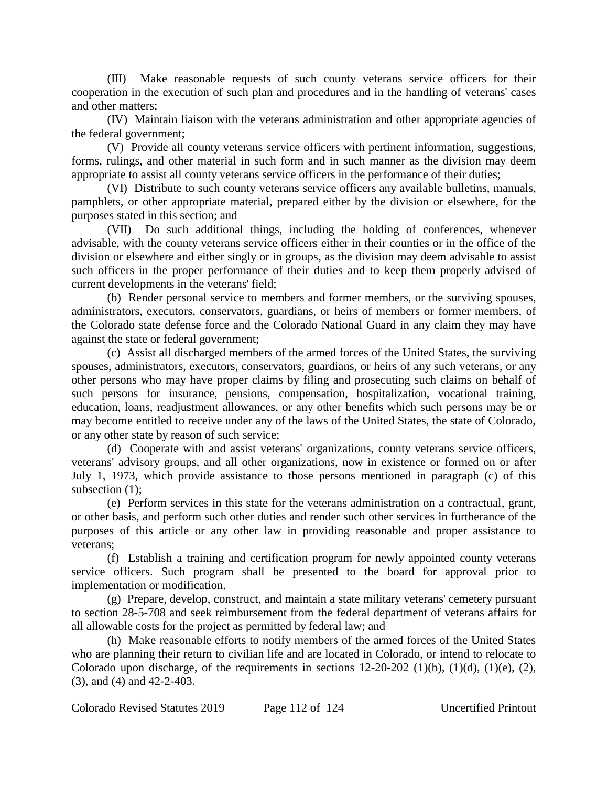(III) Make reasonable requests of such county veterans service officers for their cooperation in the execution of such plan and procedures and in the handling of veterans' cases and other matters;

(IV) Maintain liaison with the veterans administration and other appropriate agencies of the federal government;

(V) Provide all county veterans service officers with pertinent information, suggestions, forms, rulings, and other material in such form and in such manner as the division may deem appropriate to assist all county veterans service officers in the performance of their duties;

(VI) Distribute to such county veterans service officers any available bulletins, manuals, pamphlets, or other appropriate material, prepared either by the division or elsewhere, for the purposes stated in this section; and

(VII) Do such additional things, including the holding of conferences, whenever advisable, with the county veterans service officers either in their counties or in the office of the division or elsewhere and either singly or in groups, as the division may deem advisable to assist such officers in the proper performance of their duties and to keep them properly advised of current developments in the veterans' field;

(b) Render personal service to members and former members, or the surviving spouses, administrators, executors, conservators, guardians, or heirs of members or former members, of the Colorado state defense force and the Colorado National Guard in any claim they may have against the state or federal government;

(c) Assist all discharged members of the armed forces of the United States, the surviving spouses, administrators, executors, conservators, guardians, or heirs of any such veterans, or any other persons who may have proper claims by filing and prosecuting such claims on behalf of such persons for insurance, pensions, compensation, hospitalization, vocational training, education, loans, readjustment allowances, or any other benefits which such persons may be or may become entitled to receive under any of the laws of the United States, the state of Colorado, or any other state by reason of such service;

(d) Cooperate with and assist veterans' organizations, county veterans service officers, veterans' advisory groups, and all other organizations, now in existence or formed on or after July 1, 1973, which provide assistance to those persons mentioned in paragraph (c) of this subsection (1):

(e) Perform services in this state for the veterans administration on a contractual, grant, or other basis, and perform such other duties and render such other services in furtherance of the purposes of this article or any other law in providing reasonable and proper assistance to veterans;

(f) Establish a training and certification program for newly appointed county veterans service officers. Such program shall be presented to the board for approval prior to implementation or modification.

(g) Prepare, develop, construct, and maintain a state military veterans' cemetery pursuant to section 28-5-708 and seek reimbursement from the federal department of veterans affairs for all allowable costs for the project as permitted by federal law; and

(h) Make reasonable efforts to notify members of the armed forces of the United States who are planning their return to civilian life and are located in Colorado, or intend to relocate to Colorado upon discharge, of the requirements in sections  $12-20-202$  (1)(b), (1)(d), (1)(e), (2), (3), and (4) and 42-2-403.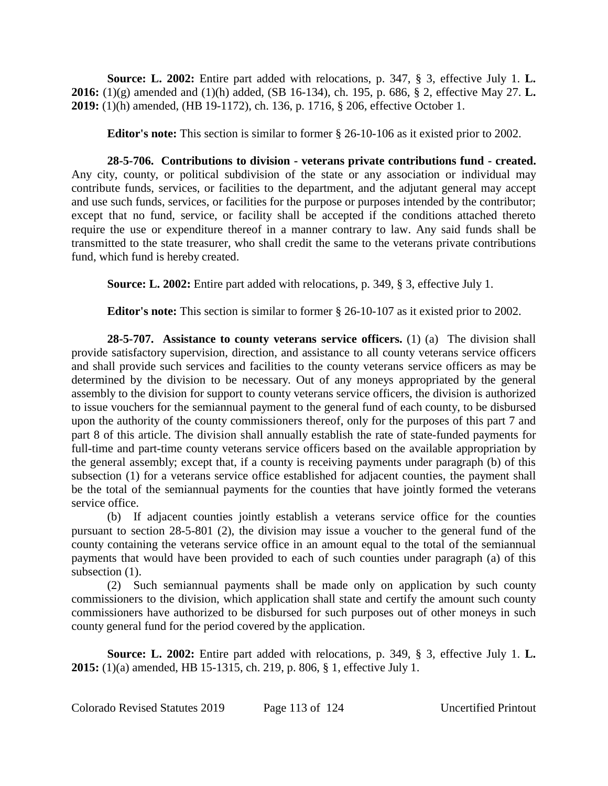**Source: L. 2002:** Entire part added with relocations, p. 347, § 3, effective July 1. **L. 2016:** (1)(g) amended and (1)(h) added, (SB 16-134), ch. 195, p. 686, § 2, effective May 27. **L. 2019:** (1)(h) amended, (HB 19-1172), ch. 136, p. 1716, § 206, effective October 1.

**Editor's note:** This section is similar to former § 26-10-106 as it existed prior to 2002.

**28-5-706. Contributions to division - veterans private contributions fund - created.** Any city, county, or political subdivision of the state or any association or individual may contribute funds, services, or facilities to the department, and the adjutant general may accept and use such funds, services, or facilities for the purpose or purposes intended by the contributor; except that no fund, service, or facility shall be accepted if the conditions attached thereto require the use or expenditure thereof in a manner contrary to law. Any said funds shall be transmitted to the state treasurer, who shall credit the same to the veterans private contributions fund, which fund is hereby created.

**Source: L. 2002:** Entire part added with relocations, p. 349, § 3, effective July 1.

**Editor's note:** This section is similar to former § 26-10-107 as it existed prior to 2002.

**28-5-707. Assistance to county veterans service officers.** (1) (a) The division shall provide satisfactory supervision, direction, and assistance to all county veterans service officers and shall provide such services and facilities to the county veterans service officers as may be determined by the division to be necessary. Out of any moneys appropriated by the general assembly to the division for support to county veterans service officers, the division is authorized to issue vouchers for the semiannual payment to the general fund of each county, to be disbursed upon the authority of the county commissioners thereof, only for the purposes of this part 7 and part 8 of this article. The division shall annually establish the rate of state-funded payments for full-time and part-time county veterans service officers based on the available appropriation by the general assembly; except that, if a county is receiving payments under paragraph (b) of this subsection (1) for a veterans service office established for adjacent counties, the payment shall be the total of the semiannual payments for the counties that have jointly formed the veterans service office.

(b) If adjacent counties jointly establish a veterans service office for the counties pursuant to section 28-5-801 (2), the division may issue a voucher to the general fund of the county containing the veterans service office in an amount equal to the total of the semiannual payments that would have been provided to each of such counties under paragraph (a) of this subsection  $(1)$ .

(2) Such semiannual payments shall be made only on application by such county commissioners to the division, which application shall state and certify the amount such county commissioners have authorized to be disbursed for such purposes out of other moneys in such county general fund for the period covered by the application.

**Source: L. 2002:** Entire part added with relocations, p. 349, § 3, effective July 1. **L. 2015:** (1)(a) amended, HB 15-1315, ch. 219, p. 806, § 1, effective July 1.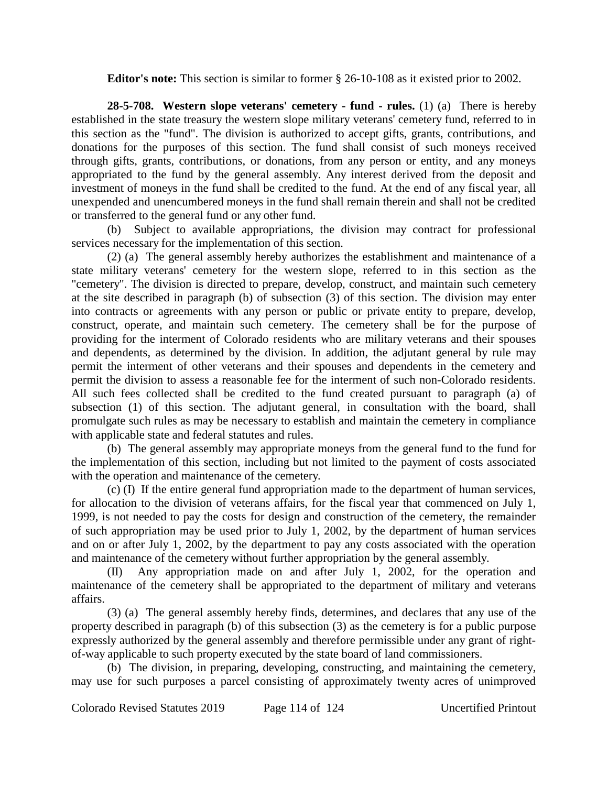**Editor's note:** This section is similar to former § 26-10-108 as it existed prior to 2002.

**28-5-708. Western slope veterans' cemetery - fund - rules.** (1) (a) There is hereby established in the state treasury the western slope military veterans' cemetery fund, referred to in this section as the "fund". The division is authorized to accept gifts, grants, contributions, and donations for the purposes of this section. The fund shall consist of such moneys received through gifts, grants, contributions, or donations, from any person or entity, and any moneys appropriated to the fund by the general assembly. Any interest derived from the deposit and investment of moneys in the fund shall be credited to the fund. At the end of any fiscal year, all unexpended and unencumbered moneys in the fund shall remain therein and shall not be credited or transferred to the general fund or any other fund.

(b) Subject to available appropriations, the division may contract for professional services necessary for the implementation of this section.

(2) (a) The general assembly hereby authorizes the establishment and maintenance of a state military veterans' cemetery for the western slope, referred to in this section as the "cemetery". The division is directed to prepare, develop, construct, and maintain such cemetery at the site described in paragraph (b) of subsection (3) of this section. The division may enter into contracts or agreements with any person or public or private entity to prepare, develop, construct, operate, and maintain such cemetery. The cemetery shall be for the purpose of providing for the interment of Colorado residents who are military veterans and their spouses and dependents, as determined by the division. In addition, the adjutant general by rule may permit the interment of other veterans and their spouses and dependents in the cemetery and permit the division to assess a reasonable fee for the interment of such non-Colorado residents. All such fees collected shall be credited to the fund created pursuant to paragraph (a) of subsection (1) of this section. The adjutant general, in consultation with the board, shall promulgate such rules as may be necessary to establish and maintain the cemetery in compliance with applicable state and federal statutes and rules.

(b) The general assembly may appropriate moneys from the general fund to the fund for the implementation of this section, including but not limited to the payment of costs associated with the operation and maintenance of the cemetery.

(c) (I) If the entire general fund appropriation made to the department of human services, for allocation to the division of veterans affairs, for the fiscal year that commenced on July 1, 1999, is not needed to pay the costs for design and construction of the cemetery, the remainder of such appropriation may be used prior to July 1, 2002, by the department of human services and on or after July 1, 2002, by the department to pay any costs associated with the operation and maintenance of the cemetery without further appropriation by the general assembly.

(II) Any appropriation made on and after July 1, 2002, for the operation and maintenance of the cemetery shall be appropriated to the department of military and veterans affairs.

(3) (a) The general assembly hereby finds, determines, and declares that any use of the property described in paragraph (b) of this subsection (3) as the cemetery is for a public purpose expressly authorized by the general assembly and therefore permissible under any grant of rightof-way applicable to such property executed by the state board of land commissioners.

(b) The division, in preparing, developing, constructing, and maintaining the cemetery, may use for such purposes a parcel consisting of approximately twenty acres of unimproved

Colorado Revised Statutes 2019 Page 114 of 124 Uncertified Printout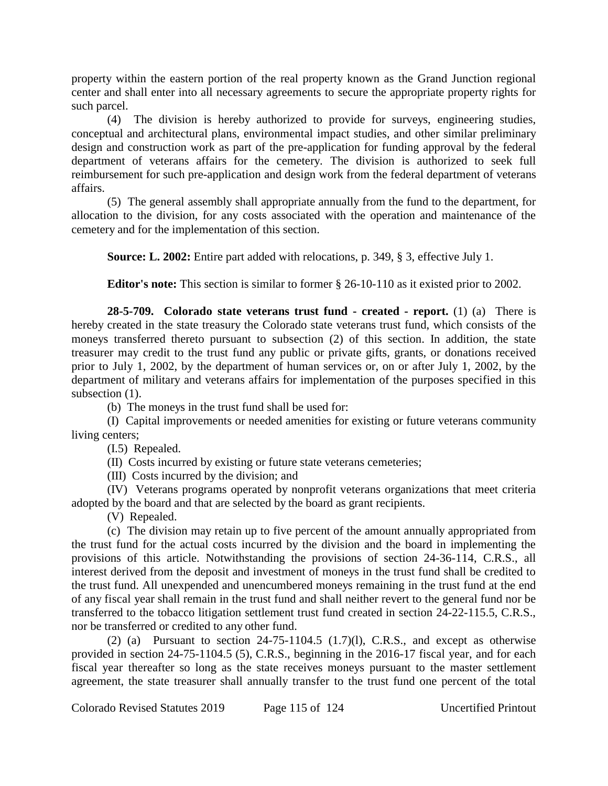property within the eastern portion of the real property known as the Grand Junction regional center and shall enter into all necessary agreements to secure the appropriate property rights for such parcel.

(4) The division is hereby authorized to provide for surveys, engineering studies, conceptual and architectural plans, environmental impact studies, and other similar preliminary design and construction work as part of the pre-application for funding approval by the federal department of veterans affairs for the cemetery. The division is authorized to seek full reimbursement for such pre-application and design work from the federal department of veterans affairs.

(5) The general assembly shall appropriate annually from the fund to the department, for allocation to the division, for any costs associated with the operation and maintenance of the cemetery and for the implementation of this section.

**Source: L. 2002:** Entire part added with relocations, p. 349, § 3, effective July 1.

**Editor's note:** This section is similar to former § 26-10-110 as it existed prior to 2002.

**28-5-709. Colorado state veterans trust fund - created - report.** (1) (a) There is hereby created in the state treasury the Colorado state veterans trust fund, which consists of the moneys transferred thereto pursuant to subsection (2) of this section. In addition, the state treasurer may credit to the trust fund any public or private gifts, grants, or donations received prior to July 1, 2002, by the department of human services or, on or after July 1, 2002, by the department of military and veterans affairs for implementation of the purposes specified in this subsection  $(1)$ .

(b) The moneys in the trust fund shall be used for:

(I) Capital improvements or needed amenities for existing or future veterans community living centers;

(I.5) Repealed.

(II) Costs incurred by existing or future state veterans cemeteries;

(III) Costs incurred by the division; and

(IV) Veterans programs operated by nonprofit veterans organizations that meet criteria adopted by the board and that are selected by the board as grant recipients.

(V) Repealed.

(c) The division may retain up to five percent of the amount annually appropriated from the trust fund for the actual costs incurred by the division and the board in implementing the provisions of this article. Notwithstanding the provisions of section 24-36-114, C.R.S., all interest derived from the deposit and investment of moneys in the trust fund shall be credited to the trust fund. All unexpended and unencumbered moneys remaining in the trust fund at the end of any fiscal year shall remain in the trust fund and shall neither revert to the general fund nor be transferred to the tobacco litigation settlement trust fund created in section 24-22-115.5, C.R.S., nor be transferred or credited to any other fund.

(2) (a) Pursuant to section  $24-75-1104.5$  (1.7)(1), C.R.S., and except as otherwise provided in section 24-75-1104.5 (5), C.R.S., beginning in the 2016-17 fiscal year, and for each fiscal year thereafter so long as the state receives moneys pursuant to the master settlement agreement, the state treasurer shall annually transfer to the trust fund one percent of the total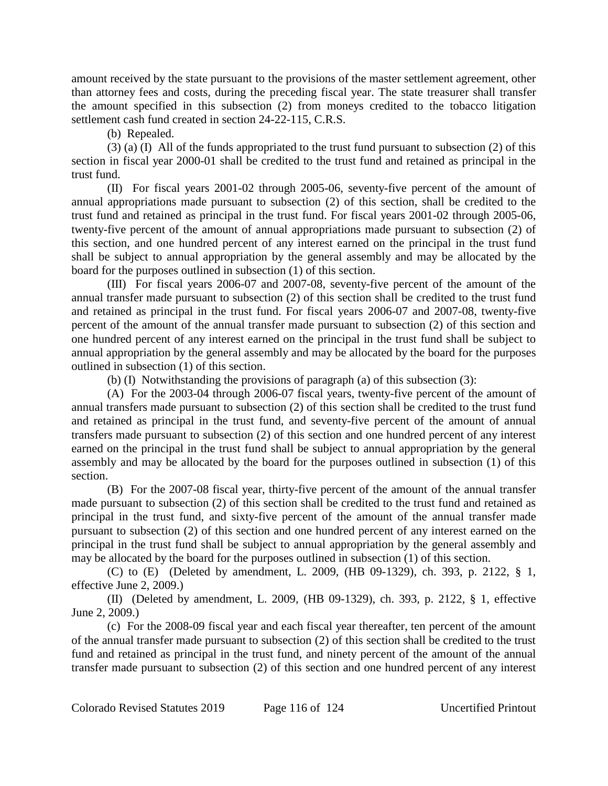amount received by the state pursuant to the provisions of the master settlement agreement, other than attorney fees and costs, during the preceding fiscal year. The state treasurer shall transfer the amount specified in this subsection (2) from moneys credited to the tobacco litigation settlement cash fund created in section 24-22-115, C.R.S.

(b) Repealed.

(3) (a) (I) All of the funds appropriated to the trust fund pursuant to subsection (2) of this section in fiscal year 2000-01 shall be credited to the trust fund and retained as principal in the trust fund.

(II) For fiscal years 2001-02 through 2005-06, seventy-five percent of the amount of annual appropriations made pursuant to subsection (2) of this section, shall be credited to the trust fund and retained as principal in the trust fund. For fiscal years 2001-02 through 2005-06, twenty-five percent of the amount of annual appropriations made pursuant to subsection (2) of this section, and one hundred percent of any interest earned on the principal in the trust fund shall be subject to annual appropriation by the general assembly and may be allocated by the board for the purposes outlined in subsection (1) of this section.

(III) For fiscal years 2006-07 and 2007-08, seventy-five percent of the amount of the annual transfer made pursuant to subsection (2) of this section shall be credited to the trust fund and retained as principal in the trust fund. For fiscal years 2006-07 and 2007-08, twenty-five percent of the amount of the annual transfer made pursuant to subsection (2) of this section and one hundred percent of any interest earned on the principal in the trust fund shall be subject to annual appropriation by the general assembly and may be allocated by the board for the purposes outlined in subsection (1) of this section.

(b) (I) Notwithstanding the provisions of paragraph (a) of this subsection (3):

(A) For the 2003-04 through 2006-07 fiscal years, twenty-five percent of the amount of annual transfers made pursuant to subsection (2) of this section shall be credited to the trust fund and retained as principal in the trust fund, and seventy-five percent of the amount of annual transfers made pursuant to subsection (2) of this section and one hundred percent of any interest earned on the principal in the trust fund shall be subject to annual appropriation by the general assembly and may be allocated by the board for the purposes outlined in subsection (1) of this section.

(B) For the 2007-08 fiscal year, thirty-five percent of the amount of the annual transfer made pursuant to subsection (2) of this section shall be credited to the trust fund and retained as principal in the trust fund, and sixty-five percent of the amount of the annual transfer made pursuant to subsection (2) of this section and one hundred percent of any interest earned on the principal in the trust fund shall be subject to annual appropriation by the general assembly and may be allocated by the board for the purposes outlined in subsection (1) of this section.

(C) to (E) (Deleted by amendment, L. 2009, (HB 09-1329), ch. 393, p. 2122, § 1, effective June 2, 2009.)

(II) (Deleted by amendment, L. 2009, (HB 09-1329), ch. 393, p. 2122, § 1, effective June 2, 2009.)

(c) For the 2008-09 fiscal year and each fiscal year thereafter, ten percent of the amount of the annual transfer made pursuant to subsection (2) of this section shall be credited to the trust fund and retained as principal in the trust fund, and ninety percent of the amount of the annual transfer made pursuant to subsection (2) of this section and one hundred percent of any interest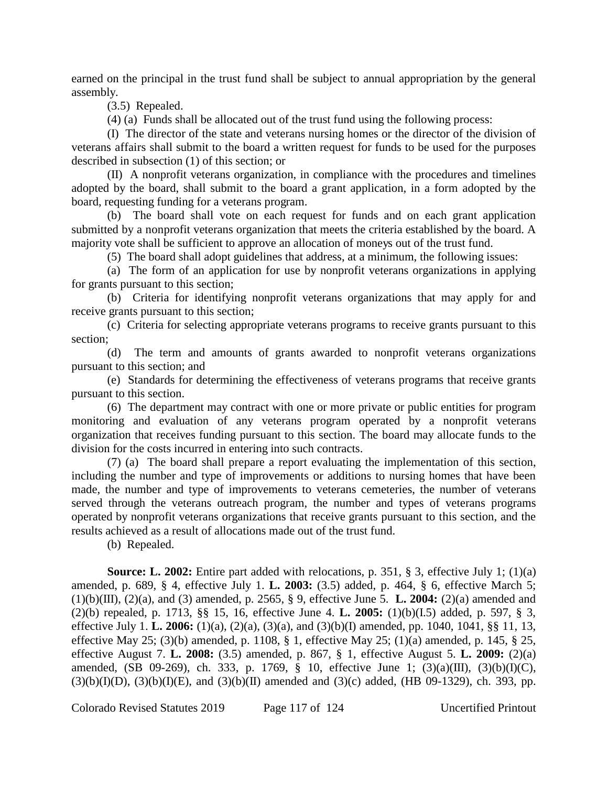earned on the principal in the trust fund shall be subject to annual appropriation by the general assembly.

(3.5) Repealed.

(4) (a) Funds shall be allocated out of the trust fund using the following process:

(I) The director of the state and veterans nursing homes or the director of the division of veterans affairs shall submit to the board a written request for funds to be used for the purposes described in subsection (1) of this section; or

(II) A nonprofit veterans organization, in compliance with the procedures and timelines adopted by the board, shall submit to the board a grant application, in a form adopted by the board, requesting funding for a veterans program.

(b) The board shall vote on each request for funds and on each grant application submitted by a nonprofit veterans organization that meets the criteria established by the board. A majority vote shall be sufficient to approve an allocation of moneys out of the trust fund.

(5) The board shall adopt guidelines that address, at a minimum, the following issues:

(a) The form of an application for use by nonprofit veterans organizations in applying for grants pursuant to this section;

(b) Criteria for identifying nonprofit veterans organizations that may apply for and receive grants pursuant to this section;

(c) Criteria for selecting appropriate veterans programs to receive grants pursuant to this section;

(d) The term and amounts of grants awarded to nonprofit veterans organizations pursuant to this section; and

(e) Standards for determining the effectiveness of veterans programs that receive grants pursuant to this section.

(6) The department may contract with one or more private or public entities for program monitoring and evaluation of any veterans program operated by a nonprofit veterans organization that receives funding pursuant to this section. The board may allocate funds to the division for the costs incurred in entering into such contracts.

(7) (a) The board shall prepare a report evaluating the implementation of this section, including the number and type of improvements or additions to nursing homes that have been made, the number and type of improvements to veterans cemeteries, the number of veterans served through the veterans outreach program, the number and types of veterans programs operated by nonprofit veterans organizations that receive grants pursuant to this section, and the results achieved as a result of allocations made out of the trust fund.

(b) Repealed.

**Source: L. 2002:** Entire part added with relocations, p. 351, § 3, effective July 1; (1)(a) amended, p. 689, § 4, effective July 1. **L. 2003:** (3.5) added, p. 464, § 6, effective March 5; (1)(b)(III), (2)(a), and (3) amended, p. 2565, § 9, effective June 5. **L. 2004:** (2)(a) amended and (2)(b) repealed, p. 1713, §§ 15, 16, effective June 4. **L. 2005:** (1)(b)(I.5) added, p. 597, § 3, effective July 1. **L. 2006:** (1)(a), (2)(a), (3)(a), and (3)(b)(I) amended, pp. 1040, 1041, §§ 11, 13, effective May 25; (3)(b) amended, p. 1108,  $\S$  1, effective May 25; (1)(a) amended, p. 145,  $\S$  25, effective August 7. **L. 2008:** (3.5) amended, p. 867, § 1, effective August 5. **L. 2009:** (2)(a) amended, (SB 09-269), ch. 333, p. 1769, § 10, effective June 1; (3)(a)(III), (3)(b)(I)(C),  $(3)(b)(I)(D)$ ,  $(3)(b)(I)(E)$ , and  $(3)(b)(II)$  amended and  $(3)(c)$  added, (HB 09-1329), ch. 393, pp.

Colorado Revised Statutes 2019 Page 117 of 124 Uncertified Printout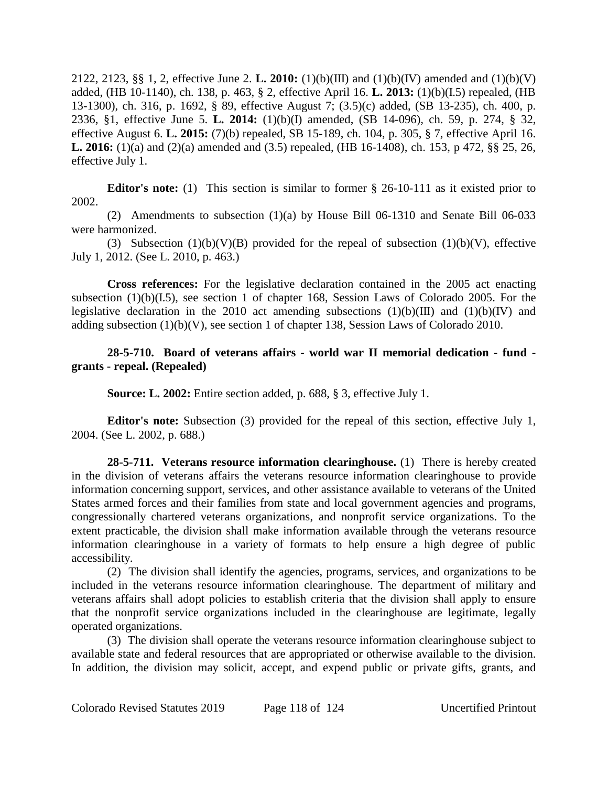2122, 2123, §§ 1, 2, effective June 2. **L. 2010:** (1)(b)(III) and (1)(b)(IV) amended and (1)(b)(V) added, (HB 10-1140), ch. 138, p. 463, § 2, effective April 16. **L. 2013:** (1)(b)(I.5) repealed, (HB 13-1300), ch. 316, p. 1692, § 89, effective August 7; (3.5)(c) added, (SB 13-235), ch. 400, p. 2336, §1, effective June 5. **L. 2014:** (1)(b)(I) amended, (SB 14-096), ch. 59, p. 274, § 32, effective August 6. **L. 2015:** (7)(b) repealed, SB 15-189, ch. 104, p. 305, § 7, effective April 16. **L. 2016:** (1)(a) and (2)(a) amended and (3.5) repealed, (HB 16-1408), ch. 153, p 472, §§ 25, 26, effective July 1.

**Editor's note:** (1) This section is similar to former § 26-10-111 as it existed prior to 2002.

(2) Amendments to subsection (1)(a) by House Bill 06-1310 and Senate Bill 06-033 were harmonized.

(3) Subsection  $(1)(b)(V)(B)$  provided for the repeal of subsection  $(1)(b)(V)$ , effective July 1, 2012. (See L. 2010, p. 463.)

**Cross references:** For the legislative declaration contained in the 2005 act enacting subsection (1)(b)(I.5), see section 1 of chapter 168, Session Laws of Colorado 2005. For the legislative declaration in the 2010 act amending subsections  $(1)(b)(III)$  and  $(1)(b)(IV)$  and adding subsection (1)(b)(V), see section 1 of chapter 138, Session Laws of Colorado 2010.

## **28-5-710. Board of veterans affairs - world war II memorial dedication - fund grants - repeal. (Repealed)**

**Source: L. 2002:** Entire section added, p. 688, § 3, effective July 1.

**Editor's note:** Subsection (3) provided for the repeal of this section, effective July 1, 2004. (See L. 2002, p. 688.)

**28-5-711. Veterans resource information clearinghouse.** (1) There is hereby created in the division of veterans affairs the veterans resource information clearinghouse to provide information concerning support, services, and other assistance available to veterans of the United States armed forces and their families from state and local government agencies and programs, congressionally chartered veterans organizations, and nonprofit service organizations. To the extent practicable, the division shall make information available through the veterans resource information clearinghouse in a variety of formats to help ensure a high degree of public accessibility.

(2) The division shall identify the agencies, programs, services, and organizations to be included in the veterans resource information clearinghouse. The department of military and veterans affairs shall adopt policies to establish criteria that the division shall apply to ensure that the nonprofit service organizations included in the clearinghouse are legitimate, legally operated organizations.

(3) The division shall operate the veterans resource information clearinghouse subject to available state and federal resources that are appropriated or otherwise available to the division. In addition, the division may solicit, accept, and expend public or private gifts, grants, and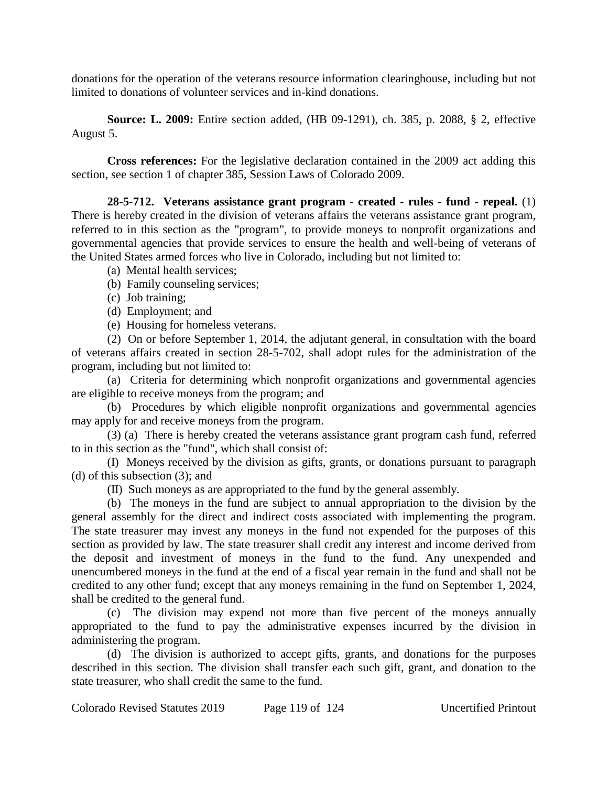donations for the operation of the veterans resource information clearinghouse, including but not limited to donations of volunteer services and in-kind donations.

**Source: L. 2009:** Entire section added, (HB 09-1291), ch. 385, p. 2088, § 2, effective August 5.

**Cross references:** For the legislative declaration contained in the 2009 act adding this section, see section 1 of chapter 385, Session Laws of Colorado 2009.

**28-5-712. Veterans assistance grant program - created - rules - fund - repeal.** (1) There is hereby created in the division of veterans affairs the veterans assistance grant program, referred to in this section as the "program", to provide moneys to nonprofit organizations and governmental agencies that provide services to ensure the health and well-being of veterans of the United States armed forces who live in Colorado, including but not limited to:

- (a) Mental health services;
- (b) Family counseling services;
- (c) Job training;
- (d) Employment; and
- (e) Housing for homeless veterans.

(2) On or before September 1, 2014, the adjutant general, in consultation with the board of veterans affairs created in section 28-5-702, shall adopt rules for the administration of the program, including but not limited to:

(a) Criteria for determining which nonprofit organizations and governmental agencies are eligible to receive moneys from the program; and

(b) Procedures by which eligible nonprofit organizations and governmental agencies may apply for and receive moneys from the program.

(3) (a) There is hereby created the veterans assistance grant program cash fund, referred to in this section as the "fund", which shall consist of:

(I) Moneys received by the division as gifts, grants, or donations pursuant to paragraph (d) of this subsection (3); and

(II) Such moneys as are appropriated to the fund by the general assembly.

(b) The moneys in the fund are subject to annual appropriation to the division by the general assembly for the direct and indirect costs associated with implementing the program. The state treasurer may invest any moneys in the fund not expended for the purposes of this section as provided by law. The state treasurer shall credit any interest and income derived from the deposit and investment of moneys in the fund to the fund. Any unexpended and unencumbered moneys in the fund at the end of a fiscal year remain in the fund and shall not be credited to any other fund; except that any moneys remaining in the fund on September 1, 2024, shall be credited to the general fund.

(c) The division may expend not more than five percent of the moneys annually appropriated to the fund to pay the administrative expenses incurred by the division in administering the program.

(d) The division is authorized to accept gifts, grants, and donations for the purposes described in this section. The division shall transfer each such gift, grant, and donation to the state treasurer, who shall credit the same to the fund.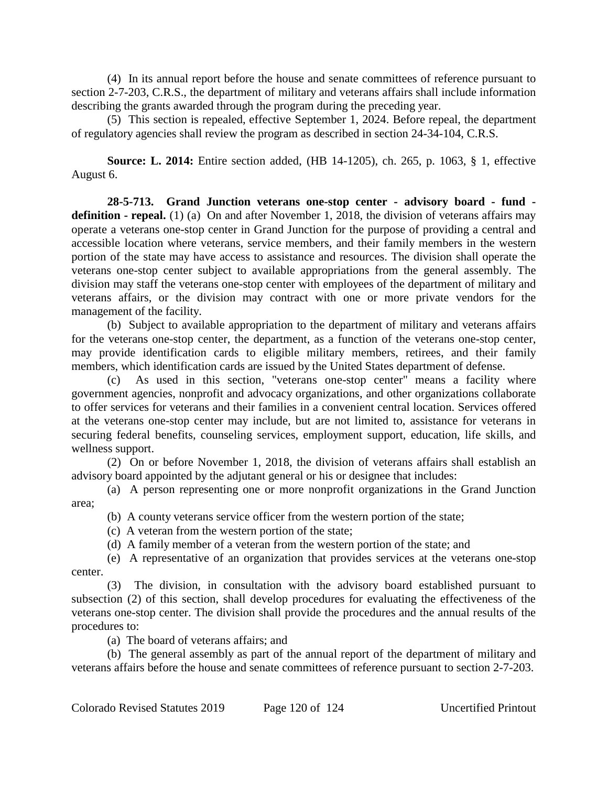(4) In its annual report before the house and senate committees of reference pursuant to section 2-7-203, C.R.S., the department of military and veterans affairs shall include information describing the grants awarded through the program during the preceding year.

(5) This section is repealed, effective September 1, 2024. Before repeal, the department of regulatory agencies shall review the program as described in section 24-34-104, C.R.S.

**Source: L. 2014:** Entire section added, (HB 14-1205), ch. 265, p. 1063, § 1, effective August 6.

**28-5-713. Grand Junction veterans one-stop center - advisory board - fund**  definition - repeal. (1) (a) On and after November 1, 2018, the division of veterans affairs may operate a veterans one-stop center in Grand Junction for the purpose of providing a central and accessible location where veterans, service members, and their family members in the western portion of the state may have access to assistance and resources. The division shall operate the veterans one-stop center subject to available appropriations from the general assembly. The division may staff the veterans one-stop center with employees of the department of military and veterans affairs, or the division may contract with one or more private vendors for the management of the facility.

(b) Subject to available appropriation to the department of military and veterans affairs for the veterans one-stop center, the department, as a function of the veterans one-stop center, may provide identification cards to eligible military members, retirees, and their family members, which identification cards are issued by the United States department of defense.

(c) As used in this section, "veterans one-stop center" means a facility where government agencies, nonprofit and advocacy organizations, and other organizations collaborate to offer services for veterans and their families in a convenient central location. Services offered at the veterans one-stop center may include, but are not limited to, assistance for veterans in securing federal benefits, counseling services, employment support, education, life skills, and wellness support.

(2) On or before November 1, 2018, the division of veterans affairs shall establish an advisory board appointed by the adjutant general or his or designee that includes:

(a) A person representing one or more nonprofit organizations in the Grand Junction area;

- (b) A county veterans service officer from the western portion of the state;
- (c) A veteran from the western portion of the state;
- (d) A family member of a veteran from the western portion of the state; and

(e) A representative of an organization that provides services at the veterans one-stop center.

(3) The division, in consultation with the advisory board established pursuant to subsection (2) of this section, shall develop procedures for evaluating the effectiveness of the veterans one-stop center. The division shall provide the procedures and the annual results of the procedures to:

(a) The board of veterans affairs; and

(b) The general assembly as part of the annual report of the department of military and veterans affairs before the house and senate committees of reference pursuant to section 2-7-203.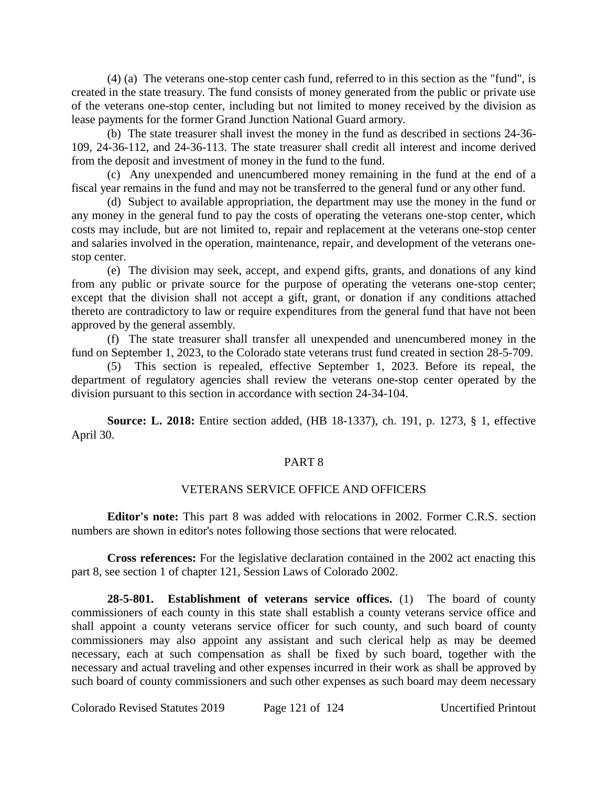(4) (a) The veterans one-stop center cash fund, referred to in this section as the "fund", is created in the state treasury. The fund consists of money generated from the public or private use of the veterans one-stop center, including but not limited to money received by the division as lease payments for the former Grand Junction National Guard armory.

(b) The state treasurer shall invest the money in the fund as described in sections 24-36- 109, 24-36-112, and 24-36-113. The state treasurer shall credit all interest and income derived from the deposit and investment of money in the fund to the fund.

(c) Any unexpended and unencumbered money remaining in the fund at the end of a fiscal year remains in the fund and may not be transferred to the general fund or any other fund.

(d) Subject to available appropriation, the department may use the money in the fund or any money in the general fund to pay the costs of operating the veterans one-stop center, which costs may include, but are not limited to, repair and replacement at the veterans one-stop center and salaries involved in the operation, maintenance, repair, and development of the veterans onestop center.

(e) The division may seek, accept, and expend gifts, grants, and donations of any kind from any public or private source for the purpose of operating the veterans one-stop center; except that the division shall not accept a gift, grant, or donation if any conditions attached thereto are contradictory to law or require expenditures from the general fund that have not been approved by the general assembly.

(f) The state treasurer shall transfer all unexpended and unencumbered money in the fund on September 1, 2023, to the Colorado state veterans trust fund created in section 28-5-709.

(5) This section is repealed, effective September 1, 2023. Before its repeal, the department of regulatory agencies shall review the veterans one-stop center operated by the division pursuant to this section in accordance with section 24-34-104.

**Source: L. 2018:** Entire section added, (HB 18-1337), ch. 191, p. 1273, § 1, effective April 30.

# PART 8

### VETERANS SERVICE OFFICE AND OFFICERS

**Editor's note:** This part 8 was added with relocations in 2002. Former C.R.S. section numbers are shown in editor's notes following those sections that were relocated.

**Cross references:** For the legislative declaration contained in the 2002 act enacting this part 8, see section 1 of chapter 121, Session Laws of Colorado 2002.

**28-5-801. Establishment of veterans service offices.** (1) The board of county commissioners of each county in this state shall establish a county veterans service office and shall appoint a county veterans service officer for such county, and such board of county commissioners may also appoint any assistant and such clerical help as may be deemed necessary, each at such compensation as shall be fixed by such board, together with the necessary and actual traveling and other expenses incurred in their work as shall be approved by such board of county commissioners and such other expenses as such board may deem necessary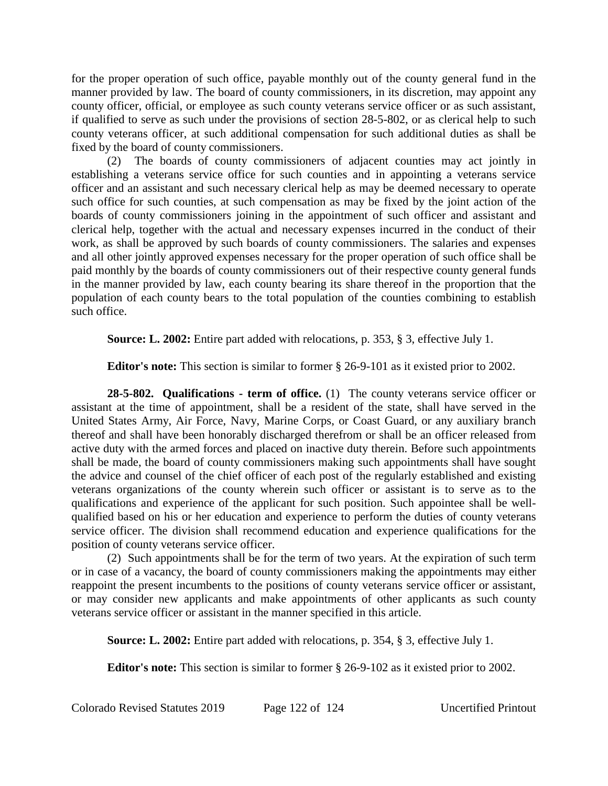for the proper operation of such office, payable monthly out of the county general fund in the manner provided by law. The board of county commissioners, in its discretion, may appoint any county officer, official, or employee as such county veterans service officer or as such assistant, if qualified to serve as such under the provisions of section 28-5-802, or as clerical help to such county veterans officer, at such additional compensation for such additional duties as shall be fixed by the board of county commissioners.

(2) The boards of county commissioners of adjacent counties may act jointly in establishing a veterans service office for such counties and in appointing a veterans service officer and an assistant and such necessary clerical help as may be deemed necessary to operate such office for such counties, at such compensation as may be fixed by the joint action of the boards of county commissioners joining in the appointment of such officer and assistant and clerical help, together with the actual and necessary expenses incurred in the conduct of their work, as shall be approved by such boards of county commissioners. The salaries and expenses and all other jointly approved expenses necessary for the proper operation of such office shall be paid monthly by the boards of county commissioners out of their respective county general funds in the manner provided by law, each county bearing its share thereof in the proportion that the population of each county bears to the total population of the counties combining to establish such office.

**Source: L. 2002:** Entire part added with relocations, p. 353, § 3, effective July 1.

**Editor's note:** This section is similar to former § 26-9-101 as it existed prior to 2002.

**28-5-802. Qualifications - term of office.** (1) The county veterans service officer or assistant at the time of appointment, shall be a resident of the state, shall have served in the United States Army, Air Force, Navy, Marine Corps, or Coast Guard, or any auxiliary branch thereof and shall have been honorably discharged therefrom or shall be an officer released from active duty with the armed forces and placed on inactive duty therein. Before such appointments shall be made, the board of county commissioners making such appointments shall have sought the advice and counsel of the chief officer of each post of the regularly established and existing veterans organizations of the county wherein such officer or assistant is to serve as to the qualifications and experience of the applicant for such position. Such appointee shall be wellqualified based on his or her education and experience to perform the duties of county veterans service officer. The division shall recommend education and experience qualifications for the position of county veterans service officer.

(2) Such appointments shall be for the term of two years. At the expiration of such term or in case of a vacancy, the board of county commissioners making the appointments may either reappoint the present incumbents to the positions of county veterans service officer or assistant, or may consider new applicants and make appointments of other applicants as such county veterans service officer or assistant in the manner specified in this article.

**Source: L. 2002:** Entire part added with relocations, p. 354, § 3, effective July 1.

**Editor's note:** This section is similar to former § 26-9-102 as it existed prior to 2002.

Colorado Revised Statutes 2019 Page 122 of 124 Uncertified Printout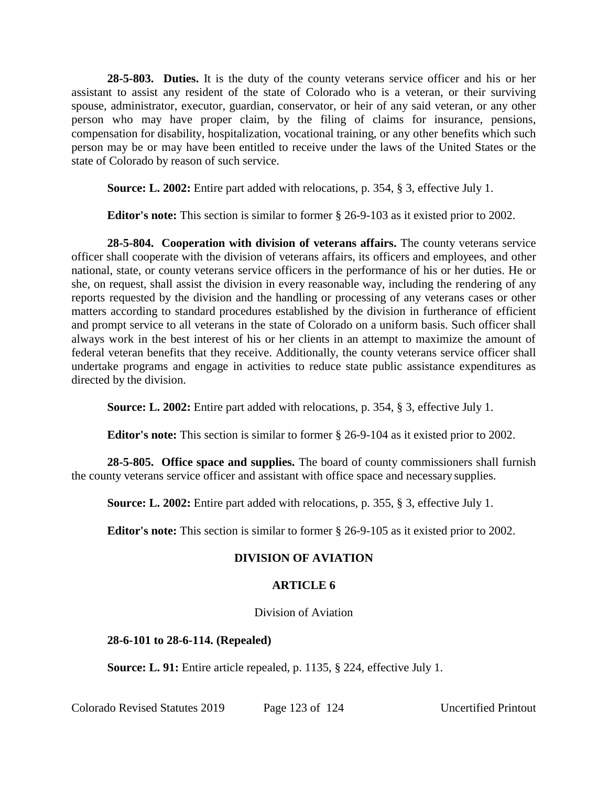**28-5-803. Duties.** It is the duty of the county veterans service officer and his or her assistant to assist any resident of the state of Colorado who is a veteran, or their surviving spouse, administrator, executor, guardian, conservator, or heir of any said veteran, or any other person who may have proper claim, by the filing of claims for insurance, pensions, compensation for disability, hospitalization, vocational training, or any other benefits which such person may be or may have been entitled to receive under the laws of the United States or the state of Colorado by reason of such service.

**Source: L. 2002:** Entire part added with relocations, p. 354, § 3, effective July 1.

**Editor's note:** This section is similar to former § 26-9-103 as it existed prior to 2002.

**28-5-804. Cooperation with division of veterans affairs.** The county veterans service officer shall cooperate with the division of veterans affairs, its officers and employees, and other national, state, or county veterans service officers in the performance of his or her duties. He or she, on request, shall assist the division in every reasonable way, including the rendering of any reports requested by the division and the handling or processing of any veterans cases or other matters according to standard procedures established by the division in furtherance of efficient and prompt service to all veterans in the state of Colorado on a uniform basis. Such officer shall always work in the best interest of his or her clients in an attempt to maximize the amount of federal veteran benefits that they receive. Additionally, the county veterans service officer shall undertake programs and engage in activities to reduce state public assistance expenditures as directed by the division.

**Source: L. 2002:** Entire part added with relocations, p. 354, § 3, effective July 1.

**Editor's note:** This section is similar to former § 26-9-104 as it existed prior to 2002.

**28-5-805. Office space and supplies.** The board of county commissioners shall furnish the county veterans service officer and assistant with office space and necessary supplies.

**Source: L. 2002:** Entire part added with relocations, p. 355, § 3, effective July 1.

**Editor's note:** This section is similar to former § 26-9-105 as it existed prior to 2002.

# **DIVISION OF AVIATION**

# **ARTICLE 6**

Division of Aviation

**28-6-101 to 28-6-114. (Repealed)**

**Source: L. 91:** Entire article repealed, p. 1135, § 224, effective July 1.

Colorado Revised Statutes 2019 Page 123 of 124 Uncertified Printout